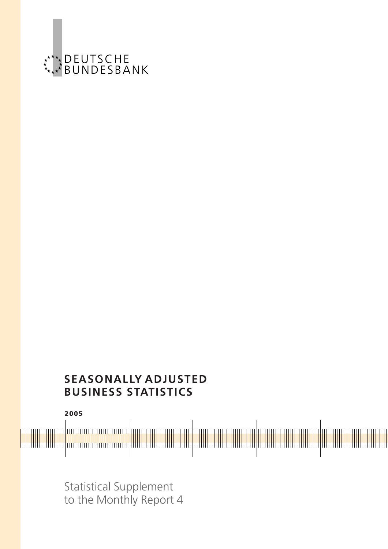

# **SEASONALLY ADJUSTED** BUSINESS STATISTICS



Statistical Supplement to the Monthly Report 4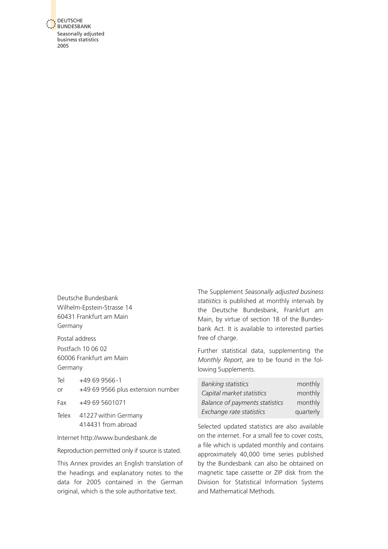DEUTSCHE BUNDESBANK Seasonally adjusted business statistics 2005

> Deutsche Bundesbank Wilhelm-Epstein-Strasse 14 60431 Frankfurt am Main Germany

Postal address Postfach 10 06 02 60006 Frankfurt am Main Germany

Tel +49 69 9566 - 1 or +49 69 9566 plus extension number Fax +49 69 5601071 Telex 41227 within Germany 414431 from abroad

Internet http://www.bundesbank.de

Reproduction permitted only if source is stated.

This Annex provides an English translation of the headings and explanatory notes to the data for 2005 contained in the German original, which is the sole authoritative text.

The Supplement Seasonally adjusted business statistics is published at monthly intervals by the Deutsche Bundesbank, Frankfurt am Main, by virtue of section 18 of the Bundesbank Act. It is available to interested parties free of charge.

Further statistical data, supplementing the Monthly Report, are to be found in the following Supplements.

| <b>Banking statistics</b>             | monthly   |
|---------------------------------------|-----------|
| Capital market statistics             | monthly   |
| <b>Balance of payments statistics</b> | monthly   |
| Exchange rate statistics              | quarterly |

Selected updated statistics are also available on the internet. For a small fee to cover costs, a file which is updated monthly and contains approximately 40,000 time series published by the Bundesbank can also be obtained on magnetic tape cassette or ZIP disk from the Division for Statistical Information Systems and Mathematical Methods.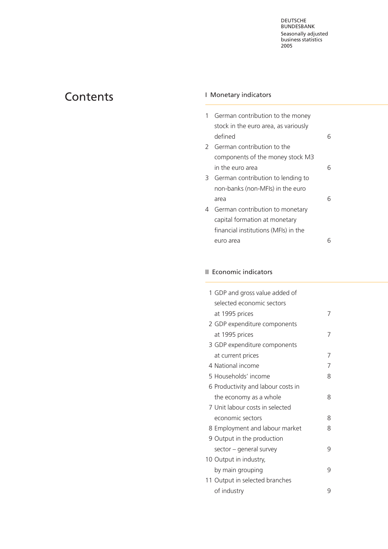# Contents **INonetary indicators**

| 1 | German contribution to the money     |  |
|---|--------------------------------------|--|
|   | stock in the euro area, as variously |  |
|   | defined                              |  |
|   | 2 German contribution to the         |  |
|   | components of the money stock M3     |  |
|   | in the euro area                     |  |
|   | 3 German contribution to lending to  |  |
|   | non-banks (non-MFIs) in the euro     |  |
|   | area                                 |  |
| 4 | German contribution to monetary      |  |
|   | capital formation at monetary        |  |
|   | financial institutions (MFIs) in the |  |
|   | euro area                            |  |

## II Economic indicators

| 1 GDP and gross value added of     |   |
|------------------------------------|---|
| selected economic sectors          |   |
| at 1995 prices                     | 7 |
| 2 GDP expenditure components       |   |
| at 1995 prices                     | 7 |
| 3 GDP expenditure components       |   |
| at current prices                  | 7 |
| 4 National income                  | 7 |
| 5 Households' income               | 8 |
| 6 Productivity and labour costs in |   |
| the economy as a whole             | 8 |
| 7 Unit labour costs in selected    |   |
| economic sectors                   | 8 |
| 8 Employment and labour market     | 8 |
| 9 Output in the production         |   |
| sector - general survey            | 9 |
| 10 Output in industry,             |   |
| by main grouping                   | 9 |
| 11 Output in selected branches     |   |
| of industry                        | 9 |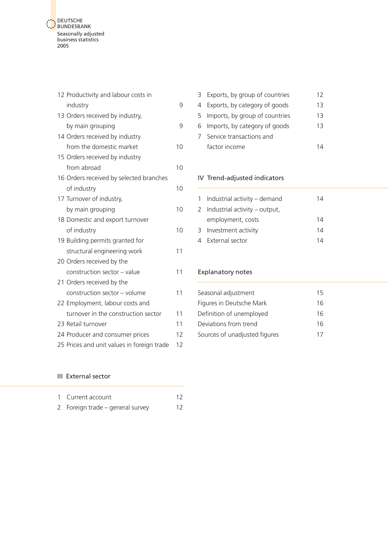<span id="page-3-0"></span>

| 12 Productivity and labour costs in        |    |
|--------------------------------------------|----|
| industry                                   | 9  |
| 13 Orders received by industry,            |    |
| by main grouping                           | 9  |
| 14 Orders received by industry             |    |
| from the domestic market                   | 10 |
| 15 Orders received by industry             |    |
| from abroad                                | 10 |
| 16 Orders received by selected branches    |    |
| of industry                                | 10 |
| 17 Turnover of industry,                   |    |
| by main grouping                           | 10 |
| 18 Domestic and export turnover            |    |
| of industry                                | 10 |
| 19 Building permits granted for            |    |
| structural engineering work                | 11 |
| 20 Orders received by the                  |    |
| construction sector - value                | 11 |
| 21 Orders received by the                  |    |
| construction sector - volume               | 11 |
| 22 Employment, labour costs and            |    |
| turnover in the construction sector        | 11 |
| 23 Retail turnover                         | 11 |
| 24 Producer and consumer prices            | 12 |
| 25 Prices and unit values in foreign trade | 12 |
|                                            |    |

|  | 3 Exports, by group of countries | 12  |
|--|----------------------------------|-----|
|  | 4 Exports, by category of goods  | 13  |
|  | 5 Imports, by group of countries | 13  |
|  | 6 Imports, by category of goods  | 13  |
|  | Service transactions and         |     |
|  | factor income                    | 1 Λ |
|  |                                  |     |

## IV Trend-adjusted indicators

|   | 1 Industrial activity – demand  | 14 |
|---|---------------------------------|----|
|   | 2 Industrial activity – output, |    |
|   | employment, costs               | 14 |
| 3 | Investment activity             | 14 |
|   | 4 External sector               | 14 |

## Explanatory notes

| Seasonal adjustment           |    |  |  |  |  |
|-------------------------------|----|--|--|--|--|
| Figures in Deutsche Mark      | 16 |  |  |  |  |
| Definition of unemployed      | 16 |  |  |  |  |
| Deviations from trend         | 16 |  |  |  |  |
| Sources of unadjusted figures |    |  |  |  |  |

## III External sector

| 1 Current account                | 12 |
|----------------------------------|----|
| 2 Foreign trade – general survey | 12 |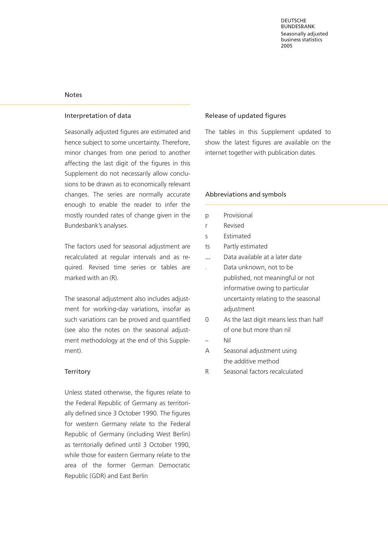DEUTSCHE BUNDESBANK Seasonally adjusted business statistics 2005

#### Notes

## Interpretation of data

Seasonally adjusted figures are estimated and hence subject to some uncertainty. Therefore, minor changes from one period to another affecting the last digit of the figures in this Supplement do not necessarily allow conclusions to be drawn as to economically relevant changes. The series are normally accurate enough to enable the reader to infer the mostly rounded rates of change given in the Bundesbank's analyses.

The factors used for seasonal adjustment are recalculated at regular intervals and as required. Revised time series or tables are marked with an (R).

The seasonal adjustment also includes adjustment for working-day variations, insofar as such variations can be proved and quantified (see also the notes on the seasonal adjustment methodology at the end of this Supplement).

## **Territory**

Unless stated otherwise, the figures relate to the Federal Republic of Germany as territorially defined since 3 October 1990. The figures for western Germany relate to the Federal Republic of Germany (including West Berlin) as territorially defined until 3 October 1990, while those for eastern Germany relate to the area of the former German Democratic Republic (GDR) and East Berlin

## Release of updated figures

The tables in this Supplement updated to show the latest figures are available on the internet together with publication dates.

## Abbreviations and symbols

- p Provisional
- r Revised
- s Estimated
- ts Partly estimated
- ... Data available at a later date
- Data unknown, not to be published, not meaningful or not informative owing to particular uncertainty relating to the seasonal adjustment
- 0 As the last digit means less than half of one but more than nil
	- Nil
- A Seasonal adjustment using the additive method
- R Seasonal factors recalculated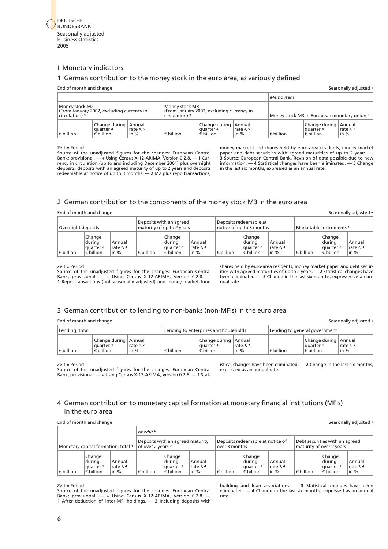<span id="page-5-1"></span><span id="page-5-0"></span>

## I Monetary indicators

## [1 German contribution to the money stock in the euro area, as variously defined](#page-17-0)

|                                                                                | End of month and change<br>Seasonally adjusted + |                                                                                |                   |                    |                                                          |                      |                    |                                                           |                                  |  |
|--------------------------------------------------------------------------------|--------------------------------------------------|--------------------------------------------------------------------------------|-------------------|--------------------|----------------------------------------------------------|----------------------|--------------------|-----------------------------------------------------------|----------------------------------|--|
|                                                                                |                                                  |                                                                                |                   |                    |                                                          |                      | Memo item          |                                                           |                                  |  |
| Money stock M2<br>(From January 2002, excluding currency in<br> circulation) 1 |                                                  | Money stock M3<br>(From January 2002, excluding currency in<br> circulation) 2 |                   |                    | Money stock M3 in European monetary union 3              |                      |                    |                                                           |                                  |  |
| $\epsilon$ billion                                                             |                                                  | Change during Annual<br>l auarter 4<br>$\vert \epsilon$ billion                | rate 4,5<br>lin % | $\epsilon$ billion | Change during Annual<br>lguarter 4<br>$\epsilon$ billion | rate 4,5<br>$\ln \%$ | $\epsilon$ billion | <b>Change during</b><br>l guarter 4<br>$\epsilon$ billion | l Annual<br>rate 4,5<br>$\ln \%$ |  |

#### Zeit = Period

Source of the unadjusted figures for the changes: European Central Bank; provisional. — + Using Census X-12-ARIMA, Version 0.2.8. — 1 Cur-rency in circulation (up to and including December 2001) plus overnight deposits, deposits with an agreed maturity of up to 2 years and deposits redeemable at notice of up to 3 months. — 2 M2 plus repo transactions,

money market fund shares held by euro-area residents, money market paper and debt securities with agreed maturities of up to 2 years. — 3 Source: European Central Bank. Revision of data possible due to new information. — 4 Statistical changes have been eliminated. — 5 Change in the last six months, expressed as an annual rate.

## 2 [German contribution to the components of the money stock M3 in the euro area](#page-18-0)

#### End of month and change Seasonally adjusted +  $\sim$  Seasonally adjusted +  $\sim$  Seasonally adjusted +

| Overnight deposits |                    | Deposits with an agreed<br>maturity of up to 2 years             |                                |                    | Deposits redeemable at<br>Inotice of up to 3 months              |                                |                                 | Marketable instruments 1                                           |                                |                    |                                                                   |                                |
|--------------------|--------------------|------------------------------------------------------------------|--------------------------------|--------------------|------------------------------------------------------------------|--------------------------------|---------------------------------|--------------------------------------------------------------------|--------------------------------|--------------------|-------------------------------------------------------------------|--------------------------------|
|                    | $\epsilon$ billion | Change<br> during<br>l quarter 2<br>$\parallel \epsilon$ billion | Annual<br>rate 2,3<br>$\ln \%$ | $\epsilon$ billion | Change<br> during<br>l quarter 2<br>$\parallel \epsilon$ billion | Annual<br>rate 2,3<br>$\lim$ % | $\left \epsilon\right $ billion | Change<br>during<br>l quarter 2<br>$\left \epsilon\right $ billion | Annual<br>rate 2,3<br>$\ln \%$ | $\epsilon$ billion | Change<br>l durina<br>l quarter 2<br>$\parallel \epsilon$ billion | Annual<br>rate 2,3<br>$\ln \%$ |

Zeit = Period

Source of the unadjusted figures for the changes: European Central Bank; provisional. — + Using Census X-12-ARIMA, Version 0.2.8. — 1 Repo transactions (not seasonally adjusted) and money market fund

shares held by euro-area residents, money market paper and debt securities with agreed maturities of up to 2 years. — 2 Statistical changes have been eliminated. — 3 Change in the last six months, expressed as an annual rate.

## 3 German contribution to lending to non-banks (non-MFIs) in the euro area

End of month and change Seasonally adjusted +  $\sim$  Seasonally adjusted +  $\sim$  Seasonally adjusted +

| Lending, total                                                                                       |                    |                    | Lending to enterprises and households                       |                    | Lending to general government |                                                             |                    |  |
|------------------------------------------------------------------------------------------------------|--------------------|--------------------|-------------------------------------------------------------|--------------------|-------------------------------|-------------------------------------------------------------|--------------------|--|
| Change during Annual<br>l auarter 1<br>$\left \epsilon\right $ billion<br>$\bm{\varepsilon}$ billion | rate 1, 2<br>lin % | $\epsilon$ billion | Change during   Annual<br>l auarter 1<br>$\epsilon$ billion | rate 1, 2<br>lin % | $\epsilon$ billion            | Change during   Annual<br>l quarter 1<br>$\epsilon$ billion | rate 1, 2<br>lin % |  |

Zeit = Period

Source of the unadjusted figures for the changes: European Central Bank; provisional. — + Using Census X-12-ARIMA, Version 0.2.8. — 1 Statistical changes have been eliminated.  $-2$  Change in the last six months, expressed as an annual rate.

## 4 German contribution to monetary capital formation at monetary financial institutions (MFIs) in the euro area

|                                     |                                 | End of month and change<br>Seasonally adjusted +                  |                                |                                                    |                                                                     |                             |                                                            |                                                                                  |                                |                    |                                                                |                               |
|-------------------------------------|---------------------------------|-------------------------------------------------------------------|--------------------------------|----------------------------------------------------|---------------------------------------------------------------------|-----------------------------|------------------------------------------------------------|----------------------------------------------------------------------------------|--------------------------------|--------------------|----------------------------------------------------------------|-------------------------------|
|                                     |                                 |                                                                   | of which                       |                                                    |                                                                     |                             |                                                            |                                                                                  |                                |                    |                                                                |                               |
| Monetary capital formation, total 1 |                                 | Deposits with an agreed maturity<br>of over 2 years 2             |                                | Deposits redeemable at notice of<br>lover 3 months |                                                                     |                             | Debt securities with an agreed<br>maturity of over 2 years |                                                                                  |                                |                    |                                                                |                               |
|                                     | $\left \epsilon\right $ billion | Change<br>Idurina<br>l auarter <sup>3</sup><br>$\epsilon$ billion | Annual<br>rate 3,4<br>$\ln \%$ | $\epsilon$ billion                                 | Change<br> during<br>l quarter 3<br>$\left \epsilon\right $ billion | Annual<br>rate 3,4<br>lin % | $\epsilon$ billion                                         | Change<br> during<br> quarter <sup>3</sup><br>$\boldsymbol{\varepsilon}$ billion | Annual<br>rate $3, 4$<br>lin % | $\epsilon$ billion | Change<br>durina<br>auarter <sup>3</sup><br>$\epsilon$ billion | l Annual<br>rate 3,4<br>lin % |

Zeit = Period

Sou[rce of the unadjusted figures for the changes: European Central](#page-20-0) Bank; provisional. — + Using Census X-12-ARIMA, Version 0.2.8. — 1 After deduction of inter-MFI holdings. — 2 Including deposits with

building and loan associations. — 3 Statistical changes have been eliminated. — 4 Change in the last six months, expressed as an annual rate.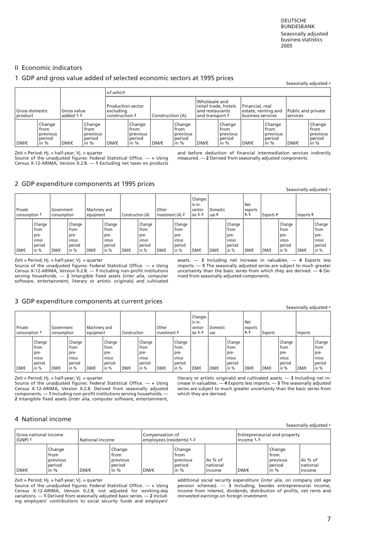## <span id="page-6-1"></span><span id="page-6-0"></span>II Economic indicators

# [1 GDP and gross value added of selected economic sectors at 1995 prices](#page-21-0)<br>Seasonally adjusted +

|                             |                                                |                           |                                              | of which                                         |                                                    |                  |                                                  |                                                                               |                                                  |                                                             |                                                                  |                                |                                                    |
|-----------------------------|------------------------------------------------|---------------------------|----------------------------------------------|--------------------------------------------------|----------------------------------------------------|------------------|--------------------------------------------------|-------------------------------------------------------------------------------|--------------------------------------------------|-------------------------------------------------------------|------------------------------------------------------------------|--------------------------------|----------------------------------------------------|
| Gross domestic<br>  product |                                                | Gross value<br>added 1, 2 |                                              | Production sector<br>excludina<br>construction 2 |                                                    | Construction (A) |                                                  | Wholesale and<br>retail trade, hotels<br>land restaurants<br>land transport 2 |                                                  | Financial, real<br>estate, renting and<br>business services |                                                                  | Public and private<br>services |                                                    |
| IDM/€                       | Change<br>from<br>previous<br>period<br>in $%$ | DM/€                      | Change<br>from<br>previous<br>period<br>in % | $DM/\epsilon$                                    | Change<br>from<br> previous <br>period<br>$\ln \%$ | DM/€             | Change<br>l from<br>previous<br>period<br>in $%$ | DM/€                                                                          | Change<br>from<br>previous<br>period<br>$\ln \%$ | DM/€                                                        | <b>Change</b><br>∥from<br><u>l</u> previous<br> period <br>lin % | DM/€                           | Change<br>  from<br>previous<br>period<br>$\ln \%$ |

Zeit = Period; Hj. = half-year; Vj. = quarter

Source of the unadjusted figures: Federal Statistical Office.  $-$  + Using Census X-12-ARIMA, Version 0.2.8. — 1 Excluding net taxes on products

and before deduction of financial intermediation services indirectly measured. — 2 Derived from seasonally adjusted components.

## 2 GDP expenditure components at 1995 prices

| Private<br>consumption 1 |                                                                | Government<br>consumption |                                                     | Machinery and<br>equipment |                                                    | Construction (A) |                                                                      | <b>Other</b><br>investment (A) 2 |                                                            | Changes<br>in in-<br>ventor-<br>jes 3, 5 | Domestic<br>use 6 |                                                     | Net<br>exports<br> 4,5 | Exports 6 |                                                            | Imports 6   |                                                         |
|--------------------------|----------------------------------------------------------------|---------------------------|-----------------------------------------------------|----------------------------|----------------------------------------------------|------------------|----------------------------------------------------------------------|----------------------------------|------------------------------------------------------------|------------------------------------------|-------------------|-----------------------------------------------------|------------------------|-----------|------------------------------------------------------------|-------------|---------------------------------------------------------|
| ∥DM/€                    | Change<br>from<br>l pre-<br><b>Vious</b><br>  period<br>in $%$ | DM/€                      | Change<br>from<br>pre-<br>vious<br>period<br>in $%$ | $DM \in$                   | Change<br>from<br>pre-<br>vious<br>period<br>'in % | DM/€             | Change<br>l from<br>  pre-<br><b>Vious</b><br><b>Deriod</b><br>lin % | DM/€                             | Change<br>from<br>pre-<br><u>vious</u><br>period<br>in $%$ | $DM \in$                                 | DM/€              | Change<br>from<br>pre-<br>vious<br>period<br>in $%$ | $DM \in$               | DM/€      | Change<br>from<br>pre-<br>vious<br><b>period</b><br>in $%$ | <b>DM/€</b> | Change<br>l from<br>pre-<br>I vious<br>l period<br>in % |

Zeit = Period; Hj. = half-year; Vj. = quarter

Source of the unadjusted figures: Federal Statistical Office. — + Using Census X-12-ARIMA, Version 0.2.8. — 1 Including non-profit institutions serving households. — 2 Intangible fixed assets (inter alia, computer [software, entertainment, literary or artistic originals\) and cultivated](#page-22-0) assets.  $-$  3 Including net increase in valuables.  $-$  4 Exports less imports. — 5 The seasonally adjusted series are subject to much greater<br>uncertainty than the basic series from which they are derived. — 6 Deuncertainty than the basic series from which they are derived. rived from seasonally adjusted components.

#### [3 GDP expenditure components at current prices](#page-23-0)

|                          |                                                         |                                  |                                                           |                            |                                                     |              |                                                       |                        |                                                     |                                          |                   |                                                     |                       |          |                                                     | Seasonally adjusted + |                                                        |
|--------------------------|---------------------------------------------------------|----------------------------------|-----------------------------------------------------------|----------------------------|-----------------------------------------------------|--------------|-------------------------------------------------------|------------------------|-----------------------------------------------------|------------------------------------------|-------------------|-----------------------------------------------------|-----------------------|----------|-----------------------------------------------------|-----------------------|--------------------------------------------------------|
| Private<br>consumption 1 |                                                         | Government<br><b>consumption</b> |                                                           | Machinery and<br>equipment |                                                     | Construction |                                                       | Other<br>linvestment 2 |                                                     | Changes<br>in in-<br>ventor-<br>ies 3, 5 | Domestic<br>l use |                                                     | Net<br>exports<br>4,5 | Exports  |                                                     | Imports               |                                                        |
| DM/€                     | Change<br>from<br>  pre-<br>l vious<br>period<br>in $%$ | DM/€                             | Change<br>from<br>  pre-<br>l vious<br>  period<br>l in % | IDM/€                      | Change<br>from<br>pre-<br>vious<br>period<br>in $%$ | ∥DM/€        | Change<br>from<br>pre-<br>I vious<br>  period<br>in % | DM/€                   | Change<br>from<br>pre-<br>vious<br>period<br>in $%$ | <b>DM/€</b>                              | <b>DM/€</b>       | Change<br>from<br>pre-<br>vious<br>  period<br>in % | IDM/€                 | $DM \in$ | Change<br>from<br>pre-<br>vious<br>period<br>in $%$ | <b>DM/€</b>           | Change<br>from<br>pre-<br>l vious<br>l period<br>lin % |

Zeit = Period; Hj. = half-year; Vj. = quarter

Source of the unadjusted figures: Federal Statistical Office. — + Using Census X-12-ARIMA, Version 0.2.8. Derived from seasonally adjusted components. — 1 Including non-profit institutions serving households. —<br>2 Intangible fixed assets (*inter alia*, computer software, entertainment, literary or artistic originals) and cultivated assets. — 3 Including net increase in valuables. — 4 Exports less imports. — 5 The seasonally adjusted series are subject to much greater uncertainty than the basic series from which they are derived.

## 4 National income

| Gross national income<br>$(GNP)$ 1 |                                                | National income |                                                           | Compensation of<br>emplovees (residents) 1, 2 |                                                               |                                   | Entrepreneurial and property<br>lincome 1,3 |                                                            |                                  |
|------------------------------------|------------------------------------------------|-----------------|-----------------------------------------------------------|-----------------------------------------------|---------------------------------------------------------------|-----------------------------------|---------------------------------------------|------------------------------------------------------------|----------------------------------|
| DM/€                               | Change<br>from<br>previous<br>period<br>in $%$ | DM/€            | Change<br>from<br><u>l</u> previous<br>period<br>$\ln \%$ | DM/€                                          | . Change<br>l from<br><u>I</u> previous<br>period<br>$\ln \%$ | l As % of<br>Inational<br>lincome | ∥DM/€                                       | Change<br>l from<br><u>l</u> previous<br>  period<br>lin % | As $%$ of<br>Inational<br>income |

Zeit = Period; Hj. = half-year; Vj. = quarter

Source of the unadjusted figures: Federal Statistical Office. — + Using Census X-12-ARIMA, Version 0.2.8; not adjusted for working-day variations. — 1 Derived from seasonally adjusted basic series. — 2 Including employers' contributions to social security funds and employers' additional social security expenditure (inter alia, on company old age pension schemes). — 3 Including, besides entrepreneurial income, [income from interest, dividends, distribution of profits, net rents and](#page-24-0) reinvested earnings on foreign investment.

#### Seasonally adjusted +

#### Seasonally adjusted +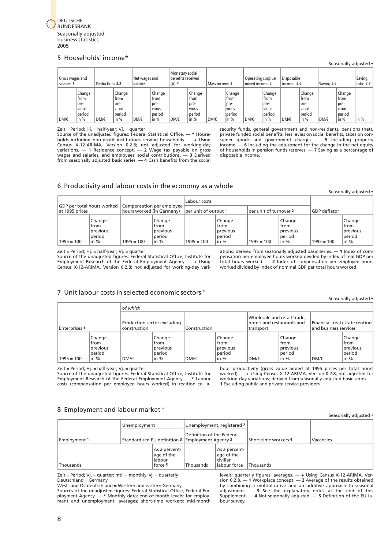<span id="page-7-2"></span><span id="page-7-1"></span><span id="page-7-0"></span>

#### 5 Households' income\*

Seasonally adjusted + Gross wages and<br>salaries 1 Deductions 2,3 Net wages and salaries Monetary social benefits received<br>(A) 4 Mass income 3 Operating surplus/ mixed income 5 Disposable income 3,6 Saving 3,6 Saving ratio 3,7 DM/<del>f</del> Change from previous period in % DM/5 Change from pre-.<br>vious period<br>in %  $D$ <sub>DM/ $\epsilon$ </sub> Change from  $|$  previous period<br>in %  $DM/F$ Change from previous period<br>in % DM/€ Change from previous period<br>in %  $D$ <sub>DM/ $\epsilon$ </sub> Change from previous period<br>in %  $DM/F$ Change from previous period<br>in %  $DM/F$ Change from  $|_{\text{pre-}}$ vious period<br>in % || in %

Zeit = Period; Hj. = half-year; Vj. = quarter

Source of the unadjusted figures: Federal Statistical Office. — \* Households including non-profit institutions serving households. — + Using [Census X-12-ARIMA, Version 0.2.8; not adjusted for working-day](#page-25-0) variations. — 1 Residence concept. — 2 Wage tax payable on gross wages and salaries, and employees' social contributions. — 3 Derived from seasonally adjusted basic series. — 4 Cash benefits from the social security funds, general government and non-residents, pensions (net), private funded social benefits, less levies on social benefits, taxes on consumer goods and government charges. — 5 Including property income. — 6 Including the adjustment for the change in the net equity of households in pension funds reserves. — 7 Saving as a percentage of disposable income.

### 6 Productivity and labour costs in the economy as a whole

|                            |                                                 |                                                  |                                                             |              |                                                            |                         |                                                                |                     | 3                                                |
|----------------------------|-------------------------------------------------|--------------------------------------------------|-------------------------------------------------------------|--------------|------------------------------------------------------------|-------------------------|----------------------------------------------------------------|---------------------|--------------------------------------------------|
| GDP per total hours worked |                                                 | Compensation per employee                        |                                                             | Labour costs |                                                            |                         |                                                                |                     |                                                  |
| at 1995 prices             |                                                 | hours worked (in Germany)   per unit of output 1 |                                                             |              |                                                            | lper unit of turnover 2 |                                                                | <b>GDP</b> deflator |                                                  |
| $1995 = 100$               | Change<br>l from<br>previous<br>period<br>lin % | $1995 = 100$                                     | Change<br>  from<br><u>I</u> previous<br>period<br>$\ln \%$ | $1995 = 100$ | Change<br>l from<br><u>I</u> previous<br>  period<br>lin % | $1995 = 100$            | Change<br>  from<br><u>Iprevious</u><br><b>period</b><br>lin % | $1995 = 100$        | Change<br>  from<br>previous<br>period<br>in $%$ |

Zeit = Period; Hj. = half-year; Vj. = quarter

Source of the unadjusted figures: Federal Statistical Office, Institute for Employment Research of the Federal Employment Agency. — + Using Census X-12-ARIMA, Version 0.2.8; not adjusted for working-day variations; derived from seasonally adjusted basic series. — 1 Index of com[pensation per employee hours worked divided by index of real GDP per](#page-26-0) total hours worked. — 2 Index of compensation per employee hours worked divided by index of nominal GDP per total hours worked.

## 7 Unit labour costs in selected economic sectors \*

Seasonally adjusted +

Seasonally adjusted +

Seasonally adjusted +

|                      |                                                           | of which      |                                                          |              |                                                             |                                                                         |                                                           |                                                         |                                                      |
|----------------------|-----------------------------------------------------------|---------------|----------------------------------------------------------|--------------|-------------------------------------------------------------|-------------------------------------------------------------------------|-----------------------------------------------------------|---------------------------------------------------------|------------------------------------------------------|
| <b>Enterprises 1</b> |                                                           | construction  | Production sector excluding                              | Construction |                                                             | Wholesale and retail trade,<br>hotels and restaurants and<br>Itransport |                                                           | Financial, real estate renting<br>and business services |                                                      |
| $1995 = 100$         | Change<br>l from<br><u>I</u> previous<br> period<br>lin % | $DM/\epsilon$ | Change<br>from<br><u>Iprevious</u><br>period<br>$\ln \%$ | DM/€         | Change<br>l from<br><u>I</u> previous<br>period<br>$\ln \%$ | DM/E                                                                    | Change<br>l from<br><u>I previous</u><br> period<br>lin % | DM/€                                                    | Change<br>  from<br>  previous<br>period<br>$\ln \%$ |

Zeit = Period; Hj. = half-year; Vj. = quarter

Source of the unadjusted figures: Federal Statistical Office, Institute for Employment Research of the Federal Employment Agency. — \* Labour costs (compensation per employee hours worked) in realtion to labour productivity (gross value added at 1995 prices per total hours worked). — + Using Census X-12-ARIMA, Version 0.2.8; not adjusted for working-day variations; derived from seasonally adjusted basic series. 1 Excluding public and private service providers.

## 8 Employment and labour market \*

|                  | Unemployment                                     |                                                               |                           | Unemployment, registered 2                                 |                      |                        |
|------------------|--------------------------------------------------|---------------------------------------------------------------|---------------------------|------------------------------------------------------------|----------------------|------------------------|
| Employment 1     | Standardised EU definition 3 Employment Agency 3 |                                                               | Definition of the Federal |                                                            | Short-time workers 4 | <sup>1</sup> Vacancies |
| <b>Thousands</b> |                                                  | As a percent-<br>$\parallel$ age of the<br>llabour<br>force 5 | Thousands                 | As a percent-<br>lage of the<br>lcivilian<br>llabour force | Thousands            |                        |

Zeit = Period;  $Vj.$  = quarter; mtl. = monthly;  $vi.$  = quarterly Deutschland = Germany

West- und Ostdeutschland = Western and eastern Germany Sources of the unadjusted figures: Federal Statistical Office, Federal Em-

ployment Agency. — \* Monthly data; end-of-month levels; for employment and unemployment: averages; short-time workers: mid-month levels; quarterly figures: averages. — + Using Census X-12-ARIMA, Version 0.2.8. — 1 Workplace concept. — 2 Average of the results obtained [by combining a multiplicative and an additive approach to seasonal](#page-28-0) adjustment. — 3 See the explanatory notes at the end of this Supplement. — 4 Not seasonally adjusted. — 5 Definition of the EU labour survey.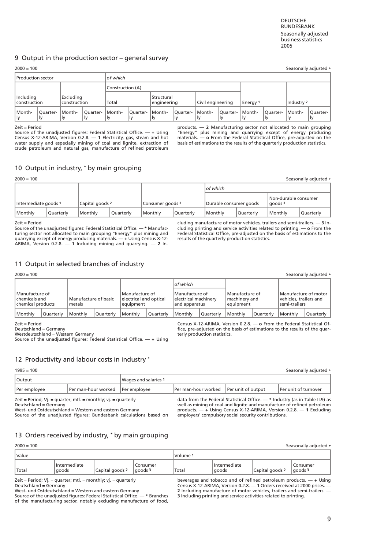DEUTSCHE BUNDESBANK Seasonally adjusted business statistics 2005

Seasonally adjusted +

## <span id="page-8-1"></span><span id="page-8-0"></span>9 Output in the production sector – general survey

| 2000 |  | 100 |
|------|--|-----|
|      |  |     |

| <b>Production sector</b>  |                  |                            |                | of which         |                |                            |                |                   |                  |              |                                    |              |          |
|---------------------------|------------------|----------------------------|----------------|------------------|----------------|----------------------------|----------------|-------------------|------------------|--------------|------------------------------------|--------------|----------|
|                           |                  |                            |                | Construction (A) |                |                            |                |                   |                  |              |                                    |              |          |
| Including<br>construction |                  | Excludina<br> construction |                | Total            |                | Structural<br> engineering |                | Civil engineering |                  | Energy 1     |                                    | Industry 2   |          |
| Month-<br>. Iv            | Ouarter-<br>l Iv | Month-<br>1v               | Ouarter-<br>1v | Month-<br>1v     | Ouarter-<br>1v | l Month-<br>l٧             | Ouarter-<br>1v | Month-<br>lv      | Ouarter-<br>l Iv | Month-<br>1V | Ouarter-<br>$\mathsf{I}\mathsf{v}$ | Month-<br>1v | Ouarter- |

#### Zeit = Period

Source of the unadjusted figures: Federal Statistical Office. — + Using Census X-12-ARIMA, Version 0.2.8. — 1 Electricity, gas, steam and hot water supply and especially mining of coal and lignite, extraction of crude petroleum and natural gas, manufacture of refined petroleum

products. — 2 Manufacturing sector not allocated to main grouping ["Energy" plus mining and quarrying except of energy producin](#page-29-0)g materials. — o From the Federal Statistical Office, pre-adjusted on the basis of estimations to the results of the quarterly production statistics.

## 10 Output in industry, \* by main grouping

| $2000 = 100$         |                  |                 |                  |                  |                  |                        |             |                                 | Seasonally adjusted + |
|----------------------|------------------|-----------------|------------------|------------------|------------------|------------------------|-------------|---------------------------------|-----------------------|
|                      |                  |                 |                  |                  |                  | of which               |             |                                 |                       |
| Intermediate goods 1 |                  | Capital goods 2 |                  | Consumer goods 3 |                  | Durable consumer goods |             | Non-durable consumer<br>goods 3 |                       |
| <b>I</b> Monthly     | <b>Ouarterly</b> | Monthly         | <b>Ouarterly</b> | l Monthly        | <b>Ouarterly</b> | Monthly                | l Ouarterlv | Monthly                         | Ouarterly             |

#### Zeit = Period

Source of the unadjusted figures: Federal Statistical Office. — \* Manufacturing sector not allocated to main grouping "Energy" plus mining and quarrying except of energy producing materials. — + Using Census X-12- ARIMA, Version 0.2.8. — 1 Including mining and quarrying. — 2 Including manufacture of motor vehicles, trailers and semi-trailers. — 3 Including printing and service activities related to printing. — o From the Federal Statistical Office, pre-adjusted on the basis of estimations to the results of the quarterly production statistics.

## 11 Output in selected branches of industry

| $2000 = 100$                                                  |           |                                |                  |                                                        |                  |                                                           |                  |                                                 |                  |                                         | Seasonally adjusted + |
|---------------------------------------------------------------|-----------|--------------------------------|------------------|--------------------------------------------------------|------------------|-----------------------------------------------------------|------------------|-------------------------------------------------|------------------|-----------------------------------------|-----------------------|
|                                                               |           |                                |                  |                                                        |                  | of which                                                  |                  |                                                 |                  |                                         |                       |
| Manufacture of<br><b>I</b> chemicals and<br>chemical products |           | Manufacture of basic<br>metals |                  | Manufacture of<br>electrical and optical<br> eauipment |                  | l Manufacture of<br>electrical machinery<br>and apparatus |                  | l Manufacture of<br>machinery and<br>leauipment |                  | vehicles, trailers and<br>semi-trailers | Manufacture of motor  |
| <b>I</b> Monthly                                              | Ouarterly | Monthly                        | <b>Ouarterly</b> | Monthly                                                | <b>Ouarterly</b> | l Monthly                                                 | <b>Ouarterly</b> | l Monthlv                                       | <b>Ouarterly</b> | Monthly                                 | Ouarterly             |

Zeit = Period

Deutschland = Germany Westdeutschland = Western Germany

Source of the unadjusted figures: Federal Statistical Office. — + Using

Census X-12-ARIMA, Version 0.2.8. — o From the Federal Statistical Office, pre-adjusted on the basis of estimations to the results of the quarterly production statistics.

## 12 Productivity and labour costs in industry \*

| $1995 = 100$  |                                                                   |                             |                                        | Seasonally adjusted +                                                        |
|---------------|-------------------------------------------------------------------|-----------------------------|----------------------------------------|------------------------------------------------------------------------------|
| <b>Output</b> |                                                                   | <b>Wages and salaries 1</b> |                                        |                                                                              |
| Per employee  | Per man-hour worked Per employee                                  |                             | Per man-hour worked Per unit of output | Per unit of turnover                                                         |
|               | Zeit = Period; $Vj.$ = quarter; mtl. = monthly; $vi.$ = quarterly |                             |                                        | data from the Federal Statistical Office. - * Industry (as in Table II.9) as |

Deutschland = Germany West- und Ostdeutschland = Western and eastern Germany

Source of the unadjusted figures: Bundesbank calculations based on

data from the Federal Statistical Office. — \* Industry (as in Table II.9) as well as mining of coal and lignite and manufacture of refined petroleum products. — + Using Census X-12-ARIMA, Version 0.2.8. — 1 Excluding employers' compulsory social security contributions.

## 13 Orders received by industry, \* by main grouping

| "Value       |                        |                 |                                  | Volume |                        |                 |                     |  |
|--------------|------------------------|-----------------|----------------------------------|--------|------------------------|-----------------|---------------------|--|
| $\sf{Total}$ | Intermediate<br> aoods | Capital goods 2 | Consumer<br>l aoods <sup>3</sup> | 'Total | Intermediate<br> aoods | Capital goods 2 | Consumer<br>goods 3 |  |

Zeit = Period; Vj. = quarter; mtl. = monthly; vj. = quarterly Deutschland = Germany

West- und Ostdeutschland = Western and eastern Germany Source of the unadjusted figures: Federal Statistical Office. — \* Branches [of the manufacturing sector, notably excluding manufacture of food,](#page-33-0)

beverages and tobacco and of refined petroleum products. — + Using Census X-12-ARIMA, Version 0.2.8. — 1 Orders received at 2000 prices. — 2 Including manufacture of motor vehicles, trailers and semi-trailers. — 3 Including printing and service activities related to printing.

2000 = 100 Seasonally adjusted +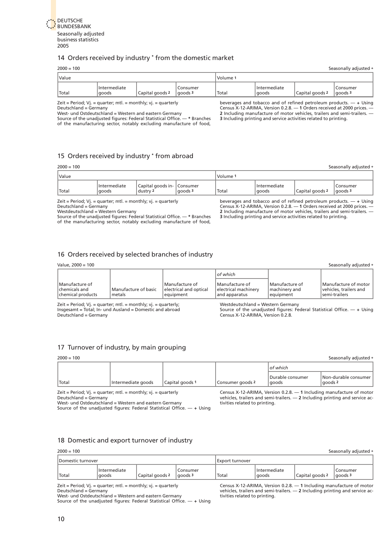<span id="page-9-1"></span><span id="page-9-0"></span>

## 14 Orders received by industry \* from the domestic market

2000 = 100 Seasonally adjusted +

| <i><u><b>Value</b></u></i> |                        |                 |                                 | Volume |                        |                 |                                |  |
|----------------------------|------------------------|-----------------|---------------------------------|--------|------------------------|-----------------|--------------------------------|--|
| <b>Total</b>               | Intermediate<br> goods | Capital goods 2 | .Consumer<br>goods <sup>3</sup> | 'Total | Intermediate<br> qoods | Capital goods 2 | Consumer<br>goods <sup>3</sup> |  |

Zeit = Period; Vj. = quarter; mtl. = monthly; vj. = quarterly Deutschland = Germany

West- und Ostdeutschland = Western and eastern Germany

Source of the unadjusted figures: Federal Statistical Office. — \* Branches [of the manufacturing sector, notably excluding manufacture of food,](#page-34-0) beverages and tobacco and of refined petroleum products. — + Using Census X-12-ARIMA, Version 0.2.8. — 1 Orders received at 2000 prices. — 2 Including manufacture of motor vehicles, trailers and semi-trailers. — 3 Including printing and service activities related to printing.

## 15 Orders received by industry \* from abroad

|                     | $2000 = 100$       |                        |                                          |          | Seasonally adjusted + |                        |                 |                                  |  |
|---------------------|--------------------|------------------------|------------------------------------------|----------|-----------------------|------------------------|-----------------|----------------------------------|--|
| <i><b>Value</b></i> |                    |                        |                                          | Volume   |                       |                        |                 |                                  |  |
|                     | <sup>I</sup> Total | Intermediate<br> goods | Capital goods in-   Consumer<br>dustry 2 | laoods 3 | 'Total                | Intermediate<br>∥aoods | Capital goods 2 | l Consumer<br>goods <sup>3</sup> |  |

Zeit = Period; Vj. = quarter; mtl. = monthly; vj. = quarterly Deutschland = Germany

Westdeutschland = Western Germany

Source of the unadjusted figures: Federal Statistical Office. — \* Branches [of the manufacturing sector, notably excluding manufacture of food,](#page-35-0)

beverages and tobacco and of refined petroleum products. — + Using Census X-12-ARIMA, Version 0.2.8. — 1 Orders received at 2000 prices. — 2 Including manufacture of motor vehicles, trailers and semi-trailers. — 3 Including printing and service activities related to printing.

## [16 Orders received by selected branches of industry](#page-36-0)

| Value, $2000 = 100$<br>Seasonally adjusted +                 |                                |                                                          |                                                            |                                              |                                                                 |  |  |  |  |  |
|--------------------------------------------------------------|--------------------------------|----------------------------------------------------------|------------------------------------------------------------|----------------------------------------------|-----------------------------------------------------------------|--|--|--|--|--|
|                                                              |                                |                                                          | $\lambda$ of which                                         |                                              |                                                                 |  |  |  |  |  |
| Manufacture of<br><b>Ichemicals and</b><br>chemical products | Manufacture of basic<br>metals | l Manufacture of<br>electrical and optical<br> eauipment | l Manufacture of<br>Lelectrical machinery<br>and apparatus | Manufacture of<br>machinery and<br>equipment | Manufacture of motor<br>vehicles, trailers and<br>semi-trailers |  |  |  |  |  |

Zeit = Period; Vj. = quarter; mtl. = monthly; vj. = quarterly; Insgesamt = Total; In- und Ausland = Domestic and abroad Deutschland = Germany

Westdeutschland = Western Germany

Source of the unadjusted figures: Federal Statistical Office. — + Using Census X-12-ARIMA, Version 0.2.8.

## [17 Turnover of industry, by main grouping](#page-37-0)

| $2000 = 100$ | Seasonally adjusted + |                 |                  |                            |                                 |  |  |  |  |  |  |
|--------------|-----------------------|-----------------|------------------|----------------------------|---------------------------------|--|--|--|--|--|--|
|              |                       |                 |                  | $\mathsf{I}$ of which      |                                 |  |  |  |  |  |  |
| Total        | Intermediate goods    | Capital goods 1 | Consumer goods 2 | Durable consumer<br> aoods | Non-durable consumer<br>goods 2 |  |  |  |  |  |  |

Zeit = Period;  $Vj.$  = quarter; mtl. = monthly;  $vi.$  = quarterly

Deutschland = Germany West- und Ostdeutschland = Western and eastern Germany

Source of the unadjusted figures: Federal Statistical Office.  $-$  + Using

Census X-12-ARIMA, Version 0.2.8. — 1 Including manufacture of motor vehicles, trailers and semi-trailers. — 2 Including printing and service activities related to printing.

## [18 Domestic and export turnover of industry](#page-38-0)

#### 2000 = 100 Seasonally adjusted +

| Domestic turnover  |                         |                 |                                 | Export turnover |                        |                   |                                |  |  |
|--------------------|-------------------------|-----------------|---------------------------------|-----------------|------------------------|-------------------|--------------------------------|--|--|
| <sup>1</sup> Totai | Intermediate<br>l aoods | Capital goods 2 | Consumer<br>laoods <sup>3</sup> | 'Total          | Intermediate<br> aoods | , Capital goods 2 | Consumer<br>goods <sup>3</sup> |  |  |

Zeit = Period; Vj. = quarter; mtl. = monthly; vj. = quarterly Deutschland = Germany

West- und Ostdeutschland = Western and eastern Germany Source of the unadjusted figures: Federal Statistical Office. — + Using

Census X-12-ARIMA, Version 0.2.8. — 1 Including manufacture of motor vehicles, trailers and semi-trailers. — 2 Including printing and service activities related to printing.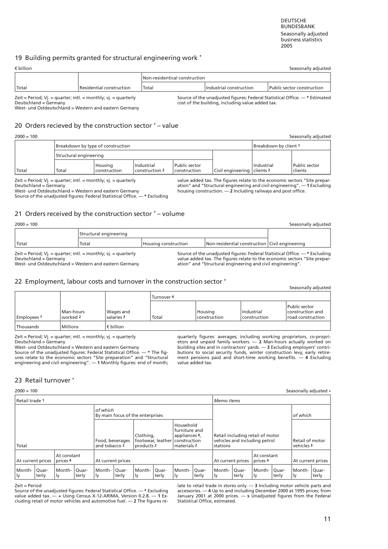DEUTSCHE BUNDESBANK Seasonally adjusted business statistics 2005

## <span id="page-10-1"></span><span id="page-10-0"></span>19 Building permits granted for structural engineering work \*

| $\epsilon$ billion    |                                                                   |                               |                                                  | Seasonally adjusted                                                         |  |  |
|-----------------------|-------------------------------------------------------------------|-------------------------------|--------------------------------------------------|-----------------------------------------------------------------------------|--|--|
|                       |                                                                   | Non-residentical construction |                                                  |                                                                             |  |  |
| Total                 | Residential construction                                          | Total                         | Industrial construction                          | Public sector construction                                                  |  |  |
| Deutschland = Germany | Zeit = Period; $Vj.$ = quarter; mtl. = monthly; $vi.$ = quarterly |                               | cost of the building, including value added tax. | Source of the unadjusted figures: Federal Statistical Office. - * Estimated |  |  |

Deutschland = Germany West- und Ostdeutschland = Western and eastern Germany

### 20 Orders recieved by the construction sector \* – value

| $2000 = 100$ |                                   |                                |                                |                                 |                               |              | Seasonally adjusted      |
|--------------|-----------------------------------|--------------------------------|--------------------------------|---------------------------------|-------------------------------|--------------|--------------------------|
|              | Breakdown by type of construction |                                |                                |                                 | Breakdown by client 1         |              |                          |
|              | Structural engineering            |                                |                                |                                 |                               |              |                          |
| 'Total       | ˈTotal                            | Housing<br><b>construction</b> | l Industrial<br>construction 2 | Public sector<br>  construction | Civil engineering   clients 2 | l Industrial | Public sector<br>clients |

Zeit = Period; Vj. = quarter; mtl. = monthly; vj. = quarterly Deutschland = Germany

West- und Ostdeutschland = Western and eastern Germany

Source of the unadjusted figures: Federal Statistical Office. — \* Excluding

value added tax. The figures relate to the economic sectors "Site preparation" and "Structural engineering and civil engineering". — 1 Excluding housing construction. — 2 Including railways and post office.

### 21 Orders received by the construction sector \* – volume

| $2000 = 100$ | easonallyد<br>' adiusted |
|--------------|--------------------------|
|              |                          |

|                                                                                                                                                    | Structural engineering |                      |                                                                                                                                                                                                                        |  |  |
|----------------------------------------------------------------------------------------------------------------------------------------------------|------------------------|----------------------|------------------------------------------------------------------------------------------------------------------------------------------------------------------------------------------------------------------------|--|--|
| Total                                                                                                                                              | Total                  | Housing construction | Non-residential construction Civil engineering                                                                                                                                                                         |  |  |
| Zeit = Period; $Vi =$ quarter; mtl. = monthly; $vi =$ quarterly<br>Deutschland = Germany<br>West- und Ostdeutschland = Western and eastern Germany |                        |                      | Source of the unadjusted figures: Federal Statistical Office. - * Excluding<br>value added tax. The figures relate to the economic sectors "Site prepar-<br>ation" and "Structural engineering and civil engineering". |  |  |

#### [22 Employment, labour costs and turnover in the construction sector](#page-42-0) \*

|                  | ____                    |                         |            |                                |                                | Seasonally adjusted                                            |  |  |  |
|------------------|-------------------------|-------------------------|------------|--------------------------------|--------------------------------|----------------------------------------------------------------|--|--|--|
|                  |                         |                         | Turnover 4 |                                |                                |                                                                |  |  |  |
| Employees 1      | Man-hours<br>l worked 2 | Wages and<br>salaries 3 | Total      | Housing<br><i>construction</i> | l Industrial<br>  construction | Public sector<br>construction and<br><b>Iroad construction</b> |  |  |  |
| <b>Thousands</b> | <b>Millions</b>         | $\epsilon$ billion      |            |                                |                                |                                                                |  |  |  |

Zeit = Period;  $Vj.$  = quarter; mtl. = monthly;  $vi.$  = quarterly

Deutschland = Germany

West- und Ostdeutschland = Western and eastern Germany Source of the unadjusted figures: Federal Statistical Office. — \* The figures relate to the economic sectors "Site preparation" and "Structural engineering and civil engineering". — 1 Monthly figures: end of month;

quarterly figures: averages; including working proprietors, co-proprietors and unpaid family workers. — 2 Man-hours actually worked on building sites and in contractors' yards. — 3 Excluding employers' contri-butions to social security funds, winter construction levy, early retirement pensions paid and short-time working benefits. — 4 Excluding value added tax.

## 23 Retail turnover \*

2000 = 100 Seasonally adjusted +

|                                                | Retail trade 1 |                 |                                             |                   |                                              |                                |                                                            |                 |               |                                                                   | Memo items     |                  |                               |                |                          |                |
|------------------------------------------------|----------------|-----------------|---------------------------------------------|-------------------|----------------------------------------------|--------------------------------|------------------------------------------------------------|-----------------|---------------|-------------------------------------------------------------------|----------------|------------------|-------------------------------|----------------|--------------------------|----------------|
|                                                |                |                 |                                             |                   | of which<br>By main focus of the enterprises |                                |                                                            |                 |               |                                                                   |                | of which         |                               |                |                          |                |
| <b>Total</b>                                   |                |                 | Food, beverages<br>and tobacco <sub>2</sub> |                   | Clothing,<br>products 2                      | footwear, leather construction | Household<br>furniture and<br>appliances 4,<br>materials 2 |                 | stations      | Retail including retail of motor<br>vehicles and including petrol |                |                  | Retail of motor<br>vehicles 3 |                |                          |                |
| At constant<br>l prices 4<br>At current prices |                |                 |                                             | At current prices |                                              |                                | At constant<br>prices 4<br>At current prices               |                 |               | At current prices                                                 |                |                  |                               |                |                          |                |
|                                                | Month-<br> ly  | Quar-<br> terly | lMonth-<br> ly                              | Quar-<br>terly    | Month-<br>Ιy                                 | lOuar-<br>  terly              | Month-<br>ly.                                              | Quar-<br> terly | Month-<br>ly. | Quar-<br>terly                                                    | Month-<br>  Iy | lOuar-<br>∥terly | Month-<br>Ιy                  | Quar-<br>terly | Month-<br>$\parallel$ ly | Quar-<br>terly |

#### Zeit = Period

Source of the unadjusted figures: Federal Statistical Office. — \* Excluding value added tax. — + Using Census X-12-ARIMA, Version 0.2.8. — 1 Excluding retail of motor vehicles and automotive fuel. — 2 The figures re-

late to retail trade in stores only. — 3 Including motor vehicle parts and accessories. — 4 Up to and including December 2000 at 1995 prices; from January 2001 at 2000 prices. — s Unadjusted figures from the Federal Statistical Office, estimated.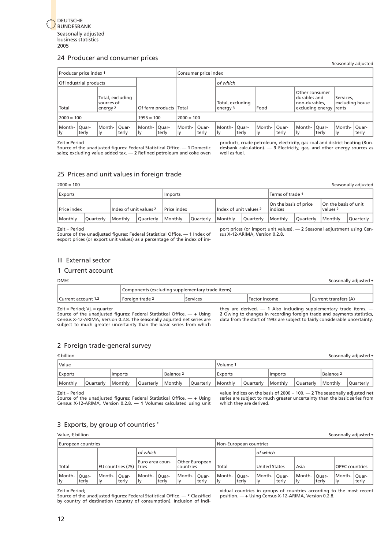<span id="page-11-2"></span><span id="page-11-1"></span><span id="page-11-0"></span>

#### 24 Producer and consumer prices

|                        |                                                                                                      |                                            |  |              |                        |                |                      |                                                                                                                                                     |       |                        |        |                |                | Seasonally adjusted |  |
|------------------------|------------------------------------------------------------------------------------------------------|--------------------------------------------|--|--------------|------------------------|----------------|----------------------|-----------------------------------------------------------------------------------------------------------------------------------------------------|-------|------------------------|--------|----------------|----------------|---------------------|--|
| Producer price index 1 |                                                                                                      |                                            |  |              |                        |                | Consumer price index |                                                                                                                                                     |       |                        |        |                |                |                     |  |
| Of industrial products |                                                                                                      |                                            |  |              |                        |                |                      | of which                                                                                                                                            |       |                        |        |                |                |                     |  |
| <b>Total</b>           |                                                                                                      | Total, excluding<br>sources of<br>energy 2 |  |              | Of farm products Total |                |                      | Other consumer<br>Idurables and<br>Services.<br>excluding house<br>Total, excluding<br>Inon-durables.<br>Food<br>excluding energy rents<br>energy 3 |       |                        |        |                |                |                     |  |
| $2000 = 100$           |                                                                                                      |                                            |  | $1995 = 100$ |                        | $2000 = 100$   |                      |                                                                                                                                                     |       |                        |        |                |                |                     |  |
| Month-<br> ly          | Ouar-<br>Month-   Ouar-<br>Month-   Quar-<br>Month-<br>∣terly<br> terly<br> terly<br>l٧<br> ly<br>۱v |                                            |  |              | Quar-<br>∥terly        | Month-<br>∥ly. | Ouar-<br>terly       | Month-   Quar-<br>i Iv                                                                                                                              | terly | Month-   Quar-<br>l Iv | ∥terly | Month-<br>, Iy | Ouar-<br>terly |                     |  |

#### Zeit = Period

Source of the unadjusted figures: Federal Statistical Office. — 1 Domestic sales; excluding value added tax. — 2 Refined petroleum and coke oven [products, crude petroleum, electricity, gas coal and district heating \(](#page-44-0)Bundesbank calculation). — 3 Electricity, gas, and other energy sources as well as fuel.

## 25 Prices and unit values in foreign trade

#### 2000 = 100 Seasonally adjusted

|                             |  |                        |                  |                |           |                        |           |                                   |                  |                                             | .                |
|-----------------------------|--|------------------------|------------------|----------------|-----------|------------------------|-----------|-----------------------------------|------------------|---------------------------------------------|------------------|
| <b>Exports</b>              |  |                        |                  | <b>Imports</b> |           |                        |           | Terms of trade 1                  |                  |                                             |                  |
| Price index                 |  | Index of unit values 2 |                  | Price index    |           | Index of unit values 2 |           | On the basis of price<br>lindices |                  | On the basis of unit<br>values <sub>2</sub> |                  |
| Monthly<br><b>Ouarterly</b> |  | Monthly                | <b>Ouarterly</b> | <b>Monthly</b> | Ouarterly | <b>Monthly</b>         | Ouarterly | <b>Monthly</b>                    | <b>Ouarterly</b> | <b>I</b> Monthly                            | <b>Ouarterly</b> |

Zeit = Period

Source of the unadjusted figures: Federal Statistical Office. — 1 Index of export prices (or export unit values) as a percentage of the index of import prices (or import unit values). — 2 Seasonal adjustment using Census X-12-ARIMA, Version 0.2.8.

## III External sector

#### 1 Current account

#### DM/5 Seasonally adjusted <sup>+</sup>

| -------             |                                                  |            |                 | ______________________ |
|---------------------|--------------------------------------------------|------------|-----------------|------------------------|
|                     | Components (excluding supplementary trade items) |            |                 |                        |
| Current account 1,2 | Foreign trade 2                                  | 'Services' | l Factor income | Current transfers (A)  |
|                     |                                                  |            |                 |                        |

Zeit = Period; Vj. = quarter

Source of the unadjusted figures: Federal Statistical Office. — + Using Census X-12-ARIMA, Version 0.2.8. The seasonally adjusted net series are subject to much greater uncertainty than the basic series from which

they are derived.  $-$  1 Also including supplementary trade items.  $-$ 2 Owing to changes in recording foreign trade and payments statistics, data from the start of 1993 are subject to fairly considerable uncertainty.

## 2 Foreign trade-general survey

| $\epsilon$ billion |                                      |         |  |                      |                  |                |                  |                |                  |                      | Seasonally adjusted + |
|--------------------|--------------------------------------|---------|--|----------------------|------------------|----------------|------------------|----------------|------------------|----------------------|-----------------------|
| <sup>1</sup> Value |                                      |         |  |                      |                  |                |                  |                |                  |                      |                       |
| Exports            |                                      | Imports |  | Balance <sub>2</sub> |                  | Exports        |                  | <b>Imports</b> |                  | Balance <sub>2</sub> |                       |
| l Monthlv          | l Monthlv<br> Ouarterlv<br>Ouarterly |         |  |                      | <b>Quarterly</b> | <b>Monthly</b> | <b>Quarterly</b> | <b>Monthly</b> | <b>Quarterly</b> | <b>I</b> Monthly     | Quarterly             |

Zeit = Period

Source of the unadjusted figures: Federal Statistical Office. — + Using Census X-12-ARIMA, Version 0.2.8. — 1 Volumes calculated using unit

value indices on the basis of 2000 = 100.  $-$  2 The seasonally adjusted net series are subject to much greater uncertainty than the basic series from which they are derived.

## 3 Exports, by group of countries \*

#### $\blacksquare$  Value,  $\epsilon$  billion Seasonally adjusted +

|                | European countries      |                        |         |                          |       |                                    |        | Non-European countries |         |                       |         |                       |       |                       |                  |
|----------------|-------------------------|------------------------|---------|--------------------------|-------|------------------------------------|--------|------------------------|---------|-----------------------|---------|-----------------------|-------|-----------------------|------------------|
|                | of which                |                        |         |                          |       |                                    |        | $\mathsf{I}$ of which  |         |                       |         |                       |       |                       |                  |
| 'Total         | EU countries (25) tries |                        |         | Euro area coun-          |       | Other European<br><i>countries</i> |        | Total                  |         | United States         |         | Asia                  |       | <b>OPEC</b> countries |                  |
| Month-<br>. Iv | lOuar-<br>terly         | IMonth-   Quar-<br>llv | l terlv | I Month-   Quar-<br>l Iv | terlv | Month-   Quar-<br>llv              | ∥terly | Month-   Quar-<br>l Iv | l terlv | Month-   Quar-<br>∥lγ | l terlv | ∥Month-   Quar-<br>Ħν | terly | Month-  <br>l Iv      | lOuar-<br> terly |

Zeit = Period;

Source of the unadjusted figures: Federal Statistical Office. — \* Classified by country of destination (country of consumption). Inclusion of indi-

vidual countries in groups of countries according to the most recent position. — + Using Census X-12-ARIMA, Version 0.2.8.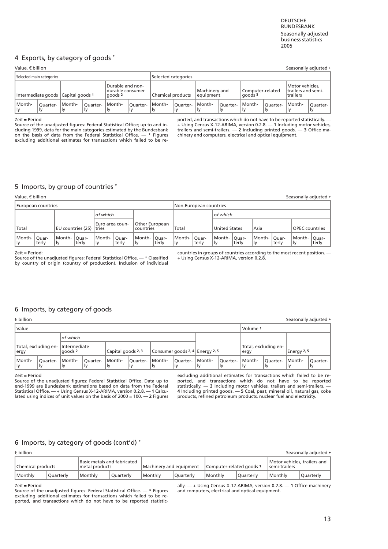DEUTSCHE **BUNDESBANK** Seasonally adjusted business statistics 2005

## <span id="page-12-1"></span><span id="page-12-0"></span>4 Exports, by category of goods \*

### Value, € billion Seasonally adjusted + Seasonally adjusted + Seasonally adjusted + Seasonally adjusted +

|                                                                                                          | Selected main categories |  |         |                                                 |              | Selected categories |        |                             |          |                                        |        |                                                     |  |
|----------------------------------------------------------------------------------------------------------|--------------------------|--|---------|-------------------------------------------------|--------------|---------------------|--------|-----------------------------|----------|----------------------------------------|--------|-----------------------------------------------------|--|
|                                                                                                          |                          |  |         | Durable and non-<br>durable consumer<br>goods 2 |              | Chemical products   |        | Machinery and<br>lequipment |          | Computer-related<br>aoods <sup>3</sup> |        | Motor vehicles.<br>trailers and semi-<br>  trailers |  |
| Intermediate goods Capital goods 1<br>Month-<br>Month-<br>lOuarter-<br>Ouarter-<br>∥lv<br>Iv<br>1v<br>١v |                          |  | "Month- | Ouarter-                                        | Month-<br>1v | Ouarter-<br>Iv.     | Month- | Ouarter-<br>Ιv              | I Month- | Ouarter-                               | Month- | Ouarter-<br>l٧                                      |  |

Zeit = Period

[Source of the unadjusted figures: Federal Statistical Office; up to and in](#page-49-0)cluding 1999, data for the main categories estimated by the Bundesbank on the basis of data from the Federal Statistical Office. — \* Figures excluding additional estimates for transactions which failed to be re-

ported, and transactions which do not have to be reported statistically. — + Using Census X-12-ARIMA, version 0.2.8. — 1 Including motor vehicles, trailers and semi-trailers. — 2 Including printed goods. — 3 Office machinery and computers, electrical and optical equipment.

## 5 Imports, by group of countries \*

Value, € billion Seasonally adjusted + Seasonally adjusted + Seasonally adjusted + Seasonally adjusted +

| European countries     |       |                      |                   |                                                                          |       |                         |        | Non-European countries |                      |                         |         |                         |                       |                        |       |
|------------------------|-------|----------------------|-------------------|--------------------------------------------------------------------------|-------|-------------------------|--------|------------------------|----------------------|-------------------------|---------|-------------------------|-----------------------|------------------------|-------|
|                        |       |                      |                   | of which                                                                 |       |                         |        |                        |                      | of which                |         |                         |                       |                        |       |
| ∥Total                 |       |                      | EU countries (25) | Other European<br>Euro area coun-<br>Total<br>∥tries<br><i>countries</i> |       |                         |        |                        | <b>United States</b> |                         | Asia    |                         | <b>OPEC countries</b> |                        |       |
| Month-   Quar-<br>  Iy | terly | Month-   Ouar-<br>l٧ | l terlv           | Month-   Quar-<br>l Iv                                                   | terly | IMonth-   Quar-<br>l Iv | ∣terly | l Month-<br>ll Iv      | Ouar-<br>  terlv     | I Month-   Quar-<br>llv | l terlv | IMonth-   Quar-<br>l Iv | l terlv               | Month-   Quar-<br>l Iv | terly |

Zeit = Period:

Source of the unadjusted figures: Federal Statistical Office. — \* Classified by country of origin (country of production). Inclusion of individual

countries in groups of countries according to the most recent position. — + Using Census X-12-ARIMA, version 0.2.8.

## 6 Imports, by category of goods

| Value                                     |           |              |          |                    |          |        |                                     |              |                | l Volume <sup>:</sup> |                      |             |          |
|-------------------------------------------|-----------|--------------|----------|--------------------|----------|--------|-------------------------------------|--------------|----------------|-----------------------|----------------------|-------------|----------|
|                                           | lof which |              |          |                    |          |        |                                     |              |                |                       |                      |             |          |
| Total, excluding en- Intermediate<br>ergy |           | goods 2      |          | Capital goods 2, 3 |          |        | Consumer goods $2, 4$ Energy $2, 5$ |              |                | ∥ergy                 | Total, excluding en- | Energy 2, 5 |          |
| Month-<br>Ouarter-<br>llv<br>1v           |           | Month-<br>l٧ | Ouarter- | Month-             | Ouarter- | Month- | Ouarter-<br>1v                      | Month-<br>1v | Ouarter-<br>1v | Month-                | Ouarter-             | Month-      | Ouarter- |

Zeit = Period

Source of the unadjusted figures: Federal Statistical Office. Data up to [end-1999 are Bundesbank estimations based on data from the Federal](#page-51-0) Statistical Office. — + Using Census X-12-ARIMA, version 0.2.8. — 1 Calcu-lated using indices of unit values on the basis of 2000 = 100. — 2 Figures

excluding additional estimates for transactions which failed to be re-ported, and transactions which do not have to be reported statistically. — 3 Including motor vehicles, trailers and semi-trailers. -4 Including printed goods. — 5 Coal, peat, mineral oil, natural gas, coke products, refined petroleum products, nuclear fuel and electricity.

## 6 Imports, by category of goods (cont'd) \*

| $\epsilon$ billion      |  |                                                |           |                         |           |                          |           |                                                | Seasonally adjusted + |
|-------------------------|--|------------------------------------------------|-----------|-------------------------|-----------|--------------------------|-----------|------------------------------------------------|-----------------------|
| Chemical products       |  | Basic metals and fabricated<br>Imetal products |           | Machinery and equipment |           | Computer-related goods 1 |           | Motor vehicles, trailers and<br>Isemi-trailers |                       |
| l Monthlv<br> Ouarterlv |  | <b>Monthly</b>                                 | Ouarterly | <b>I</b> Monthly        | Ouarterly | <b>Monthly</b>           | Ouarterlv | l Monthlv                                      | l Ouarterlv           |

Zeit = Period

Source of the unadjusted figures: Federal Statistical Office. — \* Figures excluding additional estimates for transactions which failed to be reported, and transactions which do not have to be reported statistically. — + Using Census X-12-ARIMA, version 0.2.8. — 1 Office machinery and computers, electrical and optical equipment.

#### $\epsilon$  billion Seasonally adjusted +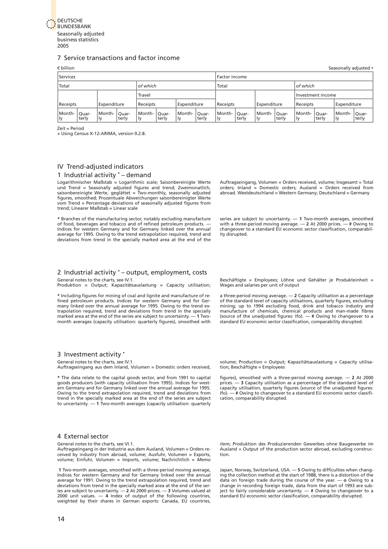<span id="page-13-1"></span><span id="page-13-0"></span>

#### [7](#page-3-0) Service transactions and factor income

| $\epsilon$ billion |                                                                                                            |             |  |          |  |                              |                |                  |              |                   |               |                |                        |             | Seasonally adjusted + |
|--------------------|------------------------------------------------------------------------------------------------------------|-------------|--|----------|--|------------------------------|----------------|------------------|--------------|-------------------|---------------|----------------|------------------------|-------------|-----------------------|
| <b>Services</b>    |                                                                                                            |             |  |          |  |                              |                | Factor income    |              |                   |               |                |                        |             |                       |
| Total              | of which                                                                                                   |             |  |          |  |                              |                |                  |              |                   |               | lof which      |                        |             |                       |
|                    |                                                                                                            |             |  | Travel   |  |                              |                |                  |              |                   |               |                | Investment income      |             |                       |
| Receipts           |                                                                                                            | Expenditure |  | Receipts |  | Expenditure                  |                | Receipts         |              | Expenditure       |               | Receipts       |                        | Expenditure |                       |
| Month-<br> ly      | Month-<br>Month-<br>IMonth-   Quar-<br>lOuar-<br>Quar-<br>llv<br> terly<br>  Iy<br> terly<br>terly<br>l Iv |             |  |          |  | <sup>1</sup> Quar-<br>∣terly | Month-<br>i Iv | Ouar-<br>  terly | Month-<br>1v | "Quar-<br>  terly | Month-<br>llv | Ouar-<br>terly | I Month-   Quar-<br>l٧ | ∥terly      |                       |

Zeit = Period

+ Using Census X-12-ARIMA, version 0.2.8.

## IV Trend-adjusted indicators

## 1 Industrial activity \* – demand

Logarithmischer Maßstab = Logarithmic scale; Saisonbereinigte Werte und Trend = Seasonally adjusted figures and trend; Zweimonatlich, saisonbereinigte Werte, geglättet =  $\bar{T}$ wo-monthly, seasonally adjusted figures, smoothed; Prozentuale Abweichungen saisonbereinigter Werte vom Trend = Percentage deviations of seasonally adjusted figures from trend; Linearer Maßstab = Linear scale

\* Branches of the manufacturing sector, notably excluding manufacture of food, beverages and tobacco and of refined petroleum products. — Indices for western Germany and for Germany linked over the annual average for 1995. Owing to the trend extrapolation required, trend and deviations from trend in the specially marked area at the end of the

Auftragseingang, Volumen = Orders received, volume; Insgesamt = Total orders; Inland = Domestic orders; Ausland = Orders received from abroad. Westdeutschland = Western Germany; Deutschland = Germany

series are subject to uncertainty.  $-1$  Two-month averages, smoothed with a three-period moving average. — 2 At 2000 prices. — # Owing to changeover to a standard EU economic sector classification, comparability disrupted.

## 2 Industrial activity \* – output, employment, costs

General notes to the charts, see IV.1. Produktion = Output; Kapazitätsauslastung = Capacity utilisation;

\* Including figures for mining of coal and lignite and manufacture of refined petroleum products. Indices for western Germany and for Ger-many linked over the annual average for 1995. Owing to the trend extrapolation required, trend and deviations from trend in the specially marked area at the end of the series are subject to uncertainty. — 1 Twomonth averages (capacity utilisation: quarterly figures), smoothed with

Beschäftigte = Employees; Löhne und Gehälter je Produkteinheit = Wages and salaries per unit of output

a three-period moving average. — 2 Capacity utilisation as a percentage of the standard level of capacity utilisations, quarterly figures, excluding mining; up to 1994 excluding food, drink and tobacco industry and manufacture of chemicals, chemical products and man-made fibres (source of the unadjusted figures: Ifo). — # Owing to changeover to a standard EU economic sector classification, comparability disrupted.

#### 3 Investment activity \*

General notes to the charts, see IV.1. Auftragseingang aus dem Inland, Volumen = Domestic orders received,

\* The data relate to the capital goods sector, and from 1991 to capital goods producers (with capacity utilisation from 1995). Indices for western Germany and for Germany linked over the annual average for 1995. Owing to the trend extrapolation required, trend and deviations from trend in the specially marked area at the end of the series are subject to uncertainty. — 1 Two-month averages (capacity utilisation: quarterly

4 External sector

General notes to the charts, see VI.1. Auftragseingang in der Industrie aus dem Ausland, Volumen = Orders received by industry from abroad, volume; Ausfuhr, Volumen = Exports,<br>volume; Einfuhr, Volumen = Imports, volume; Nachrichtlich = *Memo* 

1 Two-month averages, smoothed with a three-period moving average, Indices for western Germany and for Germany linked over the annual average for 1991. Owing to the trend extrapolation required, trend and deviations from trend in the specially marked area at the end of the ser-ies are subject to uncertainty. — 2 At 2000 prices. — 3 Volumes valued at 2000 unit values. — 4 Index of output of the following countries, weighted by their shares in German exports: Canada, EU countries,

volume; Production = Output; Kapazitätsauslastung = Capacity utilisation; Beschäftigte = Employees

figures), smoothed with a three-period moving average. — 2 At 2000 prices. — 3 Capacity utilisation as a percentage of the standard level of capacity utilisation, quarterly figures (source of the unadjusted figures: Ifo). — # Owing to changeover to a standard EU economic sector classification, comparability disrupted.

item; Produktion des Produzierenden Gewerbes ohne Baugewerbe im Ausland = Output of the production sector abroad, excluding construction.

Japan, Norway, Switzerland, USA. — 5 Owing to difficulties when changing the collection method at the start of 1988, there is a distortion of the data on foreign trade during the course of the year.  $-$  o Owing to a change in recording foreign trade, data from the start of 1993 are sub-ject to fairly considerable uncertainty. — # Owing to changeover to a standard EU economic sector classification, comparability disrupted.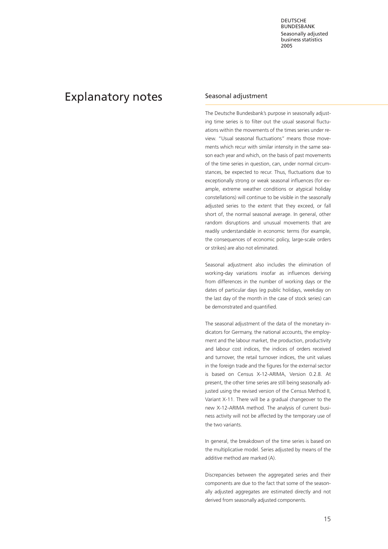DEUTSCHE BUNDESBANK Seasonally adjusted business statistics 2005

# <span id="page-14-0"></span>Explanatory notes Seasonal adjustment

The Deutsche Bundesbank's purpose in seasonally adjusting time series is to filter out the usual seasonal fluctuations within the movements of the times series under review. "Usual seasonal fluctuations" means those movements which recur with similar intensity in the same season each year and which, on the basis of past movements of the time series in question, can, under normal circumstances, be expected to recur. Thus, fluctuations due to exceptionally strong or weak seasonal influences (for example, extreme weather conditions or atypical holiday constellations) will continue to be visible in the seasonally adjusted series to the extent that they exceed, or fall short of, the normal seasonal average. In general, other random disruptions and unusual movements that are readily understandable in economic terms (for example, the consequences of economic policy, large-scale orders or strikes) are also not eliminated.

Seasonal adjustment also includes the elimination of working-day variations insofar as influences deriving from differences in the number of working days or the dates of particular days (eg public holidays, weekday on the last day of the month in the case of stock series) can be demonstrated and quantified.

The seasonal adjustment of the data of the monetary indicators for Germany, the national accounts, the employment and the labour market, the production, productivity and labour cost indices, the indices of orders received and turnover, the retail turnover indices, the unit values in the foreign trade and the figures for the external sector is based on Census X-12-ARIMA, Version 0.2.8. At present, the other time series are still being seasonally adjusted using the revised version of the Census Method II, Variant X-11. There will be a gradual changeover to the new X-12-ARIMA method. The analysis of current business activity will not be affected by the temporary use of the two variants.

In general, the breakdown of the time series is based on the multiplicative model. Series adjusted by means of the additive method are marked (A).

Discrepancies between the aggregated series and their components are due to the fact that some of the seasonally adjusted aggregates are estimated directly and not derived from seasonally adjusted components.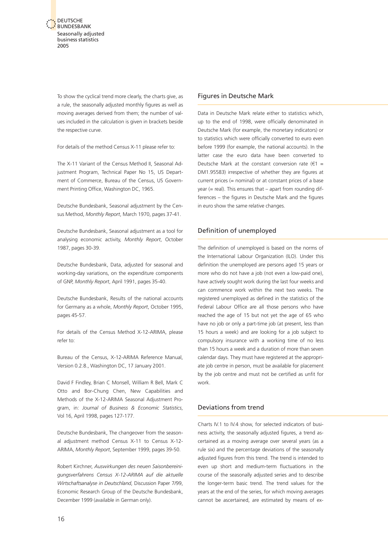<span id="page-15-0"></span>To show the cyclical trend more clearly, the charts give, as a rule, the seasonally adjusted monthly figures as well as moving averages derived from them; the number of values included in the calculation is given in brackets beside the respective curve.

For details of the method Census X-11 please refer to:

The X-11 Variant of the Census Method II, Seasonal Adjustment Program, Technical Paper No 15, US Department of Commerce, Bureau of the Census, US Government Printing Office, Washington DC, 1965.

Deutsche Bundesbank, Seasonal adjustment by the Census Method, Monthly Report, March 1970, pages 37-41.

Deutsche Bundesbank, Seasonal adjustment as a tool for analysing economic activity, Monthly Report, October 1987, pages 30-39.

Deutsche Bundesbank, Data, adjusted for seasonal and working-day variations, on the expenditure components of GNP, Monthly Report, April 1991, pages 35-40.

Deutsche Bundesbank, Results of the national accounts for Germany as a whole, Monthly Report, October 1995, pages 45-57.

For details of the Census Method X-12-ARIMA, please refer to:

Bureau of the Census, X-12-ARIMA Reference Manual, Version 0.2.8., Washington DC, 17 January 2001.

David F Findley, Brian C Monsell, William R Bell, Mark C Otto and Bor-Chung Chen, New Capabilities and Methods of the X-12-ARIMA Seasonal Adjustment Program, in: Journal of Business & Economic Statistics, Vol 16, April 1998, pages 127-177.

Deutsche Bundesbank, The changeover from the seasonal adjustment method Census X-11 to Census X-12- ARIMA, Monthly Report, September 1999, pages 39-50.

Robert Kirchner, Auswirkungen des neuen Saisonbereinigungsverfahrens Census X-12-ARIMA auf die aktuelle Wirtschaftsanalyse in Deutschland, Discussion Paper 7/99, Economic Research Group of the Deutsche Bundesbank, December 1999 (available in German only).

## Figures in Deutsche Mark

Data in Deutsche Mark relate either to statistics which, up to the end of 1998, were officially denominated in Deutsche Mark (for example, the monetary indicators) or to statistics which were officially converted to euro even before 1999 (for example, the national accounts). In the latter case the euro data have been converted to Deutsche Mark at the constant conversion rate ( $\epsilon$ 1 = DM1.95583) irrespective of whether they are figures at current prices (= nominal) or at constant prices of a base year (= real). This ensures that – apart from rounding differences – the figures in Deutsche Mark and the figures in euro show the same relative changes.

## Definition of unemployed

The definition of unemployed is based on the norms of the International Labour Organization (ILO). Under this definition the unemployed are persons aged 15 years or more who do not have a job (not even a low-paid one), have actively sought work during the last four weeks and can commence work within the next two weeks. The registered unemployed as defined in the statistics of the Federal Labour Office are all those persons who have reached the age of 15 but not yet the age of 65 who have no job or only a part-time job (at present, less than 15 hours a week) and are looking for a job subject to compulsory insurance with a working time of no less than 15 hours a week and a duration of more than seven calendar days. They must have registered at the appropriate job centre in person, must be available for placement by the job centre and must not be certified as unfit for work.

## Deviations from trend

Charts IV.1 to IV.4 show, for selected indicators of business activity, the seasonally adjusted figures, a trend ascertained as a moving average over several years (as a rule six) and the percentage deviations of the seasonally adjusted figures from this trend. The trend is intended to even up short and medium-term fluctuations in the course of the seasonally adjusted series and to describe the longer-term basic trend. The trend values for the years at the end of the series, for which moving averages cannot be ascertained, are estimated by means of ex-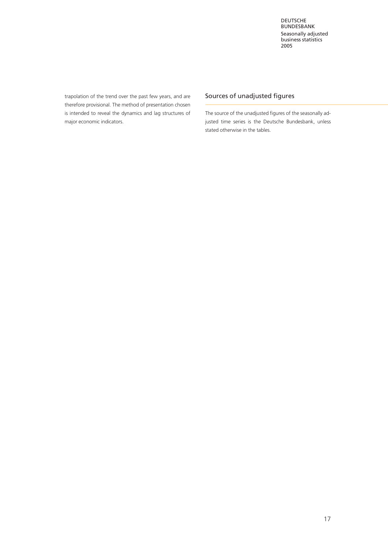DEUTSCHE **BUNDESBANK** Seasonally adjusted business statistics 2005

<span id="page-16-0"></span>trapolation of the trend over the past few years, and are therefore provisional. The method of presentation chosen is intended to reveal the dynamics and lag structures of major economic indicators.

## Sources of unadjusted figures

The source of the unadjusted figures of the seasonally adjusted time series is the Deutsche Bundesbank, unless stated otherwise in the tables.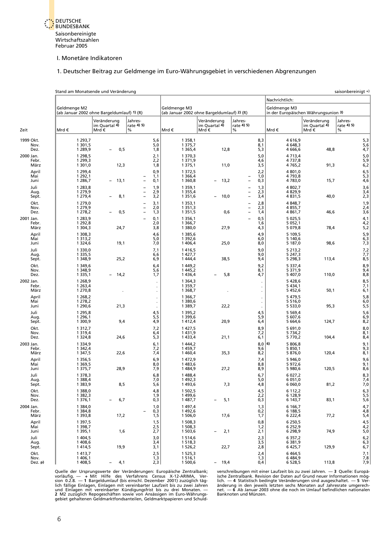

#### I. Monetäre Indikatoren

### [1. Deutscher Beitrag zur Geldmenge im Euro-Währungsgebiet in verschiedenen Abgrenzungen](#page-5-1)

<span id="page-17-0"></span>

|                               | Stand am Monatsende und Veränderung                        |                                      |                                                                                                       |                                             |                                            |                                                                                                       |                                                      |                                       | saisonbereinigt +)            |
|-------------------------------|------------------------------------------------------------|--------------------------------------|-------------------------------------------------------------------------------------------------------|---------------------------------------------|--------------------------------------------|-------------------------------------------------------------------------------------------------------|------------------------------------------------------|---------------------------------------|-------------------------------|
|                               |                                                            |                                      |                                                                                                       |                                             |                                            |                                                                                                       | Nachrichtlich:                                       |                                       |                               |
|                               | Geldmenge M2<br>(ab Januar 2002 ohne Bargeldumlauf) 1) (R) |                                      |                                                                                                       | Geldmenge M3                                | (ab Januar 2002 ohne Bargeldumlauf) 2) (R) |                                                                                                       | Geldmenge M3<br>in der Europäischen Währungsunion 3) |                                       |                               |
| Zeit                          | Mrd €                                                      | Veränderung<br>im Quartal 4)<br>Mrd€ | Jahres-<br>rate 4) 5)<br>$\%$                                                                         | Mrd€                                        | Veränderung<br>im Quartal 4)<br>Mrd€       | Jahres-<br>rate 4) 5)<br>%                                                                            | Mrd €                                                | Veränderung<br>im Quartal 4)<br>Mrd € | Jahres-<br>rate 4) 5)<br>$\%$ |
| 1999 Okt.<br>Nov.<br>Dez.     | 1 293,7<br>1 3 0 1 , 5<br>1 2 8 9, 9                       | 0,5<br>$\overline{\phantom{0}}$      | 5,6<br>5,0<br>1,8                                                                                     | 1 3 5 8, 1<br>1 375,7<br>1 3 6 5, 4         | 12,8                                       | 8,3<br>8,1<br>5,3                                                                                     | 4616,9<br>4 648,3<br>4 666,6                         | 48,8                                  | $\frac{5,3}{5,6}$<br>4,7      |
| 2000 Jan.<br>Febr.<br>März    | 1 2 9 8, 5<br>1 299,3<br>1 301,0                           | 12,3                                 | 2,1<br>2,2<br>1,8                                                                                     | 1 370,3<br>1 3 7 1 , 9<br>1 375,1           | 11,0                                       | 5,0<br>4,6<br>3,5                                                                                     | 4 7 1 3,4<br>4 737,8<br>4765,2                       | 91,3                                  | 5,0<br>$\frac{5}{6}$ , 9      |
| April<br>Mai<br>Juni          | 1 2 9 9,4<br>1 292,1<br>1 2 8 6, 7                         | 13,1<br>$\overline{\phantom{a}}$     | 0,9<br>1,1<br>0,1<br>$\overline{\phantom{0}}$                                                         | 1 372,5<br>1 3 6 6, 4<br>1 360,8            | 13,2<br>$\qquad \qquad -$                  | 2,2<br>1,0<br>0,3<br>L,                                                                               | 4 801,0<br>4 793,8<br>4783,0                         | 15,7                                  | $6,5$<br>$5,3$<br>4,6         |
| Juli<br>Aug.<br>Sept.         | 1 2 8 3 , 8<br>1 279,9<br>1 279,4                          | 8,1                                  | 1,9<br>-<br>2,9<br>$\overline{\phantom{0}}$<br>3,2<br>$\overline{\phantom{0}}$                        | 1 3 5 9, 1<br>1 3 5 5, 4<br>1 3 5 1 , 6     | 10,0<br>L,                                 | $\frac{1,3}{2,3}$<br>$\overline{\phantom{0}}$<br>$\qquad \qquad -$<br>3,4<br>$\overline{\phantom{0}}$ | 4 802,7<br>4829,9<br>4831,5                          | 40,0                                  | $\frac{3,6}{3,4}$<br>2,3      |
| Okt.<br>Nov.<br>Dez.          | 1 279,0<br>1 279,9<br>1 278,2                              | 0,5<br>$\overline{\phantom{0}}$      | 3,1<br>$\overline{\phantom{0}}$<br>2,0<br>$\overline{\phantom{0}}$<br>1,3<br>$\overline{\phantom{0}}$ | 1 3 5 3, 1<br>1 3 5 1 , 3<br>1 3 5 1 , 5    | 0,6                                        | 2,8<br>$\overline{\phantom{0}}$<br>2,3<br>$\qquad \qquad -$<br>1,4<br>$\overline{\phantom{0}}$        | 4 8 4 8,7<br>4855,7<br>4861,7                        | 46,6                                  | $\frac{1,9}{2,4}$<br>3,6      |
| 2001 Jan.<br>Febr.<br>März    | 1 2 8 3, 9<br>1 292,8<br>1 3 0 4 , 3                       | 24,7                                 | 0,1<br>$\overline{\phantom{0}}$<br>2,0<br>3,8                                                         | 1 3 5 6, 1<br>1 3 6 6, 7<br>1 380,0         | 27,9                                       | 0,5<br>۳<br>1,6<br>4,3                                                                                | 5 0 2 5 , 5<br>5 0 5 2, 1<br>5 0 7 9, 8              | 78,4                                  | $\frac{4,1}{4,2}$<br>5,2      |
| April<br>Mai<br>Juni          | 1 308,3<br>1 3 1 3 , 2<br>1 3 2 4,6                        | 19,1                                 | 4,6<br>5,0<br>7,0                                                                                     | 1 3 8 5, 6<br>1 3 9 2, 6<br>1 406,4         | 25,0                                       | 4,9<br>6,0<br>8,0                                                                                     | 5 109,5<br>5 140,6<br>5 187,0                        | 98,6                                  | 5,9<br>6,3<br>7,3             |
| Juli<br>Aug.<br>Sept.<br>Okt. | 1 3 3 0 , 0<br>1 3 3 5 , 5<br>1 3 4 8, 9<br>1 3 4 9, 6     | 25,2                                 | 7,1<br>6,6<br>6,9<br>6,4                                                                              | 1416,5<br>1 427,7<br>1 444,4<br>1 449,2     | 38,5                                       | 9,0<br>9,0<br>9,4<br>9,2                                                                              | 5 2 1 3 , 2<br>5 247,3<br>5 2 9 8, 3<br>5 3 3 7 , 4  | 113,4                                 | $7,2$<br>$7,7$<br>8,5<br>8,9  |
| Nov.<br>Dez.<br>2002 Jan.     | 1 3 4 8,9<br>1 3 3 5 , 1<br>1 2 68,9                       | 14,2<br>$\qquad \qquad -$            | 5,6<br>1,7                                                                                            | 1 4 4 5 , 2<br>1 4 3 6,4<br>1 3 6 4 , 3     | 5,8<br>L,                                  | 8,1<br>4,7                                                                                            | 5 371,9<br>5 407,0<br>5428,6                         | 110,0                                 | 9,4<br>8,8<br>8,5             |
| Febr.<br>März<br>April        | 1 2 6 3 , 4<br>1 270,8<br>1 2 68,2                         |                                      | $\bullet$<br>$\blacksquare$<br>$\epsilon$<br>$\cdot$                                                  | 1 3 5 9, 7<br>1 3 68,7<br>1 3 6 6, 7        |                                            | $\bullet$<br>$\cdot$<br>$\cdot$<br>$\epsilon$                                                         | 5 4 3 4 , 1<br>5452,6<br>5 4 7 9, 5                  | 50,1                                  | 7,1<br>6,1<br>5,8             |
| Mai<br>Juni<br>Juli           | 1 278,2<br>1 2 9 0, 6<br>1 2 9 5 , 8                       | 21,3                                 | $\blacksquare$<br>$\mathbf{r}$<br>4,5                                                                 | 1 380,6<br>1 389,7<br>1 3 9 5 , 2           | 22,2                                       | $\bullet$<br>4,5                                                                                      | 5 5 1 6,0<br>5 533,0<br>5 5 6 9, 4                   | 95,3                                  | 6,0<br>5,5                    |
| Aug.<br>Sept.<br>Okt.         | 1 2 9 6, 1<br>1 300,9<br>1 3 1 2, 7                        | 9,4                                  | 5,5<br>4,9<br>7,2                                                                                     | 1 399,6<br>1 4 1 2,4<br>1 427,5             | 20,9                                       | 5,9<br>6,4<br>8,9                                                                                     | 5 607,6<br>5 664,6<br>5 691,0                        | 124,7                                 | 5,6<br>6,9<br>8,2<br>8,0      |
| Nov.<br>Dez.<br>2003 Jan.     | 1 3 1 9,4<br>1 3 2 4, 8<br>1 3 3 4, 9                      | 24,6                                 | 6,4<br>5,3<br>6,1                                                                                     | 1 4 3 1 , 9<br>1 433,4<br>1 444,2           | 21,1                                       | 7,2<br>6,1<br>8,0 6                                                                                   | 5734,2<br>5770,2<br>5 806,8                          | 104,4                                 | 8,1<br>8,4<br>9,1             |
| Febr.<br>März<br>April        | 1 3 4 2, 4<br>1 3 4 7, 5<br>1 3 5 6, 5                     | 22,6                                 | 7,2<br>7,4<br>6,9                                                                                     | 1 459,7<br>1 460,4<br>1 472,9               | 35,3                                       | 9,6<br>8,2<br>7,4                                                                                     | 5 850,1<br>5 876,0<br>5946,0                         | 120,4                                 | 9,3<br>8,1<br>9,6             |
| Mai<br>Juni<br>Juli           | 1 3 6 9, 5<br>1 375,7<br>1 3 7 8 , 3                       | 28,9                                 | 8,0<br>7,9<br>6,8                                                                                     | 1 483,6<br>1484,9<br>1 4 8 8,4              | 27,2                                       | 8,8<br>8,9<br>6,7                                                                                     | 5972,6<br>5980,6<br>6 0 27, 2                        | 120,5                                 | 9,1<br>8,6<br>8,3             |
| Aug.<br>Sept.<br>Okt.         | 1 3 8 8,4<br>1 3 8 3, 9<br>1 388,0                         | 8,5                                  | 7,0<br>5,6<br>$^{4,8}_{1,9}$                                                                          | 1 4 9 2, 3<br>1 493,6<br>1 502,5<br>1 499,6 | 7,3                                        | 5,0<br>4,8<br>$\frac{4,5}{2,2}$                                                                       | 6 0 5 1 , 0<br>6 060,0<br>6 112,2                    | 81,2                                  | 7,4<br>7,0                    |
| Nov.<br>Dez.<br>2004 Jan.     | 1 3 8 2, 3<br>1 376,1<br>1 3 8 4 , 0                       | 6,7<br>$\qquad \qquad -$             | 0,3<br>1,0                                                                                            | 1 487,7<br>1 497,4                          | 5,1<br>$\overline{\phantom{0}}$            | 0,3                                                                                                   | 6128,9<br>6 143,7<br>6 166,7                         | 83,1                                  | 6,3<br>5,5<br>5,6             |
| Febr.<br>März<br>April        | 1 3 8 4, 8<br>1 3 9 3, 8<br>1 3 9 7, 5                     | 17,2                                 | 0,3<br>$\overline{a}$<br>1,5<br>$\frac{1,5}{2,5}$                                                     | 1 492,6<br>1 506,0<br>1 508,3               | 17,6                                       | $\begin{array}{c} 1,3 \\ 0,2 \\ 1,7 \end{array}$<br>0,8                                               | 6 188,5<br>6 2 2 2,4<br>6 2 5 0, 5                   | 77,2                                  | 4,7<br>4,8<br>5,4             |
| Mai<br>Juni<br>Juli           | 1 3 9 8,7<br>1 3 9 5, 1<br>1 4 0 4,5                       | 1,6                                  | 2,7<br>3,0                                                                                            | 1 508,3<br>1503,6<br>1 5 1 4, 6             | 2,1<br>-                                   | 1,2<br>2,1                                                                                            | 6 2 5 2, 9<br>6 2 9 8,9<br>6 3 5 7, 2                | 74,9                                  | 4,5<br>4,2<br>5,0             |
| Aug.<br>Sept.<br>Okt.         | 1408,6<br>1 4 1 4,5<br>1413,7                              | 19,9                                 | $\frac{3}{3}$ , 1<br>$^{2,5}_{1,3}$                                                                   | 1 5 1 8, 3<br>1 526,2<br>1 525,3            | 22,7                                       | 2,3<br>3,5<br>2,8<br>$^{2,4}_{1,3}$                                                                   | 6 3 8 1,9<br>6 4 25,7<br>6 4 6 4, 5                  | 129,9                                 | 6,2<br>6,3<br>6,7             |
| Nov.<br>Dez. p)               | 1 406,1<br>1 4 0 8,5                                       | 4,1<br>$-$                           | 2,3                                                                                                   | 1 5 1 6, 1<br>1 500,6                       | - 19,4                                     | 0,4                                                                                                   | 6 4 8 4, 9<br>6 5 28, 5                              | 113,8                                 | 7,1<br>7,8<br>7,9             |

Quelle der Ursprungswerte der Veränderungen: Europäische Zentralbank; verschreibungen mit einer Laufzeit bis zu zwei Jahren. — 3 Quelle: Europä-<br>vorläufig. — + Mit Hilfe des Verfahrens Census X-12-ARIMA, Ver- ische Zentral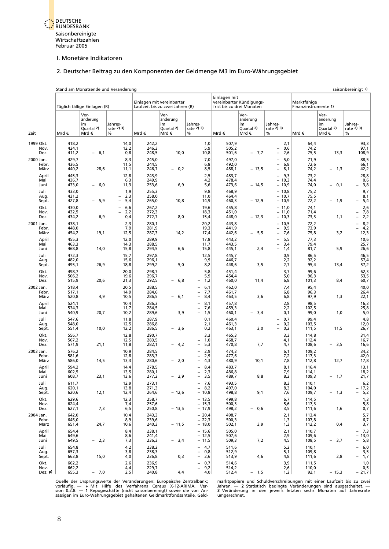<span id="page-18-0"></span>

#### I. Monetäre Indikatoren

### [2. Deutscher Beitrag zu den Komponenten der Geldmenge M3 im Euro-Währungsgebiet](#page-5-1)

Stand am Monatsende und Veränderung saisonbereinigt +)

|                            |                         | stand ann ivionatsende und veranderung       |                                     |                         |                                                              |                                                                                                       |                                           |                                               |                                                                                                |                                     |                                               | saisonberennyt ?                                    |
|----------------------------|-------------------------|----------------------------------------------|-------------------------------------|-------------------------|--------------------------------------------------------------|-------------------------------------------------------------------------------------------------------|-------------------------------------------|-----------------------------------------------|------------------------------------------------------------------------------------------------|-------------------------------------|-----------------------------------------------|-----------------------------------------------------|
|                            |                         | Täglich fällige Einlagen (R)                 |                                     |                         | Einlagen mit vereinbarter<br>Laufzeit bis zu zwei Jahren (R) |                                                                                                       | Einlagen mit<br>frist bis zu drei Monaten | vereinbarter Kündigungs-                      |                                                                                                | Marktfähige<br>Finanzinstrumente 1) |                                               |                                                     |
| Zeit                       | Mrd €                   | Ver-<br>änderung<br>im<br>Quartal 2)<br>Mrd€ | Jahres-<br>rate 2) 3)<br>%          | Mrd€                    | Ver-<br>änderung<br>im<br>Quartal 2)<br>Mrd €                | Jahres-<br>rate 2) 3)<br>%                                                                            | Mrd€                                      | Ver-<br>änderung<br>im<br>Quartal 2)<br>Mrd € | Jahres-<br>rate 2) 3)<br>%                                                                     | Mrd €                               | Ver-<br>änderung<br>im<br>Quartal 2)<br>Mrd € | Jahres-<br>rate 2) 3)<br>$\%$                       |
| 1999 Okt.<br>Nov.<br>Dez.  | 418,2<br>424,1<br>411,2 | 6,1<br>$\overline{\phantom{a}}$              | 14,0<br>12,2<br>0,8                 | 242,2<br>246,3<br>248,5 | 10,0                                                         | 1,0<br>5,9<br>10,8                                                                                    | 507,9<br>505,2<br>501,6                   | $-7,7$                                        | 2,1<br>0,6<br>$\qquad \qquad -$<br>2,6<br>$\overline{\phantom{a}}$                             | 64,4<br>74,2<br>75,5                | 13,3                                          | 93,3<br>97,1<br>108,9                               |
| 2000 Jan.<br>Febr.<br>März | 429,7<br>436,5<br>440,2 | 28,6                                         | 8,3<br>11,5<br>11,1                 | 245,0<br>244,5<br>246,7 | 0,2                                                          | 7,0<br>6,8<br>8,5                                                                                     | 497,0<br>492,0<br>488,1                   | - 13,5                                        | 5,0<br>$\qquad \qquad -$<br>6,8<br>$\overline{\phantom{a}}$<br>8,1<br>$\qquad \qquad -$        | 71,9<br>72,6<br>74,2                | - 1,3                                         | 88,5<br>66,1<br>42,2                                |
| April<br>Mai<br>Juni       | 445,3<br>436,7<br>433,0 | $-6,0$                                       | 12,8<br>6,3<br>11,3                 | 243,9<br>249,9<br>253,6 | 6,9                                                          | 2,5<br>4,2<br>5,6                                                                                     | 483,7<br>478,4<br>473,6                   | $-14,5$                                       | 9,3<br>$\overline{\phantom{0}}$<br>$-10,3$<br>$-10,9$                                          | 73,2<br>74,4<br>74,0                | - 0,1                                         | 28,8<br>0,6<br>3,8                                  |
| Juli<br>Aug.<br>Sept.      | 433,0<br>431,2<br>427,8 | 5,9<br>$\overline{\phantom{a}}$              | 1,9<br>2,3<br>5,4                   | 255,3<br>258,0<br>265,0 | 10,8                                                         | 9,8<br>11,0<br>14,9                                                                                   | 468,9<br>464,4<br>460,3                   | $-12,9$                                       | $-10,8$<br>$-10,7$<br>$-10,9$                                                                  | 75,2<br>75,5<br>72,2                | 1,9<br>$\overline{\phantom{0}}$               | 9,7<br>8,1<br>5,4                                   |
| Okt.<br>Nov.<br>Dez.       | 430,0<br>432,5<br>434,2 | 6,9                                          | 6,6<br>2,2<br>$\overline{a}$<br>0,4 | 267,2<br>272,3<br>272,7 | 8,0                                                          | 19,6<br>18,3<br>15,4                                                                                  | 455,8<br>451,0<br>448,0                   | $-12,3$                                       | $-11,0$<br>$-11,0$<br>$-10,3$                                                                  | 74,1<br>71,4<br>73,3                | 1,1                                           | 2,6<br>7,8<br>2,2                                   |
| 2001 Jan.<br>Febr.<br>März | 438,1<br>448,0<br>454,2 | 19,1                                         | 2,3<br>7,9<br>12,5                  | 280,1<br>281,9<br>287,3 | 14,2                                                         | 20,2<br>19,3<br>17,4                                                                                  | 443,8<br>441,9<br>442,6                   | 5,5<br>$-$                                    | $-10,5$<br>9,5<br>$\overline{\phantom{a}}$<br>7,6<br>$\overline{\phantom{a}}$                  | 72,2<br>73,9<br>75,8                | 3,2                                           | 8,2<br>4,2<br>$\overline{a}$<br>12,3                |
| April<br>Mai<br>Juni       | 455,3<br>463,3<br>468,8 | 14,0                                         | 12,0<br>14,3<br>15,8                | 289,9<br>288,5<br>294,5 | 6,6                                                          | 17,8<br>11,7<br>15,8                                                                                  | 443,2<br>443,5<br>445,1                   | 2,4                                           | 5,5<br>$\overline{\phantom{0}}$<br>3,4<br>$\overline{\phantom{a}}$<br>1,4<br>$\qquad \qquad -$ | 77,3<br>79,4<br>81,7                | 5,9                                           | 10,6<br>25,7<br>26,6                                |
| Juli<br>Aug.<br>Sept.      | 472,3<br>482,0<br>495,1 | 26,9                                         | 15,7<br>15,6<br>18,8                | 297,8<br>296,1<br>299,2 | 5,0                                                          | 12,5<br>9,9<br>8,2                                                                                    | 445,7<br>446,7<br>448,6                   | 3,5                                           | 0,9<br>2,2<br>2,7                                                                              | 86,5<br>92,2<br>95,4                | 13,4                                          | 46,5<br>57,4<br>57,2                                |
| Okt.<br>Nov.<br>Dez.       | 498,7<br>506,2<br>515,9 | 20,6                                         | 20,0<br>19,6<br>21,3                | 298,7<br>296,7<br>292,5 | 6,8<br>$\overline{\phantom{0}}$                              | 5,8<br>5,9<br>1,2<br>$\overline{\phantom{a}}$                                                         | 451,4<br>454,4<br>460,0                   | 11,4                                          | 3,7<br>5,0<br>6,8                                                                              | 99,6<br>96,3<br>101,3               | 8,4                                           | 62,3<br>53,5<br>60,7                                |
| 2002 Jan.<br>Febr.<br>März | 518,4<br>517,1<br>520,8 | 4,9                                          | 20,5<br>14,9<br>10,5                | 288,5<br>284,6<br>286,5 | 6,1                                                          | 6,1<br>$\overline{\phantom{0}}$<br>7,7<br>$\overline{\phantom{a}}$<br>8,4<br>$\overline{\phantom{0}}$ | 462,0<br>461,7<br>463,5                   | 3,6                                           | 7,4<br>6,8<br>6,8                                                                              | 95,4<br>96,3<br>97,9                | 1,3                                           | 40,0<br>26,4<br>22,1                                |
| April<br>Mai<br>Juni       | 524,1<br>534,3<br>540,9 | 20,7                                         | 10,4<br>11,7<br>10,2                | 286,3<br>284,5<br>289,6 | 3,9                                                          | 8,1<br>$\overline{\phantom{a}}$<br>7,6<br>$\overline{\phantom{a}}$<br>1,5<br>$\qquad \qquad -$        | 457,8<br>459,3<br>460,1                   | 3,4                                           | 2,8<br>2,2<br>0,1                                                                              | 98,5<br>102,5<br>99,0               | 1,0                                           | 16,3<br>25,8<br>5,0                                 |
| Juli<br>Aug.<br>Sept.      | 547,6<br>548,0<br>551,4 | 10,0                                         | 11,8<br>12,5<br>12,2                | 287,9<br>286,8<br>286,5 | 3,6<br>$\overline{\phantom{0}}$                              | 0,1<br>2,1<br>0,2                                                                                     | 460,4<br>461,3<br>463,1                   | 3,0                                           | 0,7<br>0,2<br>$\qquad \qquad -$<br>0,2<br>$\overline{\phantom{a}}$                             | 99,4<br>103,5<br>111,5              | 11,5                                          | 4,8<br>12,0<br>26,7                                 |
| Okt.<br>Nov.<br>Dez.       | 556,7<br>567,2<br>571,9 | 21,1                                         | 12,8<br>12,5<br>11,8                | 290,7<br>283,5<br>282,1 | 4,2<br>$\overline{\phantom{a}}$                              | 3,3<br>1,0<br>5,3<br>$\overline{\phantom{a}}$                                                         | 465,3<br>468,7<br>470,8                   | 7,7                                           | 3,3<br>4,1<br>4,7                                                                              | 114,8<br>112,4<br>108,6             | $-3,5$                                        | 31,4<br>16,7<br>16,6                                |
| 2003 Jan.<br>Febr.<br>März | 576,2<br>581,6<br>586,0 | 14,5                                         | 10,9<br>12,8<br>13,3                | 284,5<br>283,3<br>280,6 | 2,0                                                          | 2,9<br>$\qquad \qquad -$<br>2,9<br>$\overline{\phantom{m}}$<br>4,3<br>$\overline{\phantom{a}}$        | 474,3<br>477,6<br>480,9                   | 10,1                                          | 6,1<br>7,2<br>7,8                                                                              | 109,2<br>117,3<br>112,8             | 12,7                                          | 34,2<br>42,0<br>17,8                                |
| April<br>Mai<br>Juni       | 594,2<br>602,5<br>608,7 | 23,1                                         | 14,4<br>13,5<br>13,6                | 278,5<br>280,1<br>277,2 | $-2,9$                                                       | 8,4<br>$\overline{\phantom{0}}$<br>2,3<br>$\overline{\phantom{a}}$<br>3,5<br>$\overline{\phantom{0}}$ | 483,7<br>486,8<br>489,7                   | 8,8                                           | 8,1<br>7,9<br>8,2                                                                              | 116,4<br>114,1<br>109,3             | $-1,7$                                        | 13,1<br>18,2<br>21,7                                |
| Juli<br>Aug.<br>Sept.      | 611,7<br>620,1<br>620,6 | 12,1                                         | 12,9<br>13,8<br>12,4                | 273,1<br>271,3<br>264,6 | $-12,6$                                                      | $-7,6$<br>$-8,2$<br>$-10,8$                                                                           | 493,5<br>497,0<br>498,8                   | 9,1                                           | 8,3<br>8,3<br>7,6                                                                              | 110,1<br>104,0<br>109,7             | $-1,3$                                        | $-17,2$<br>$\overline{\phantom{0}}$<br>5,2          |
| Okt.<br>Nov.<br>Dez.       | 629,6<br>624,4<br>627,1 | 7,3                                          | 12,3<br>7,4<br>6,5                  | 258,7<br>257,6<br>250,8 | $-13,5$                                                      | $-13,5$<br>$-15,3$<br>$-17,9$                                                                         | 499,8<br>500,3<br>498,2                   | $-0,6$                                        | 6,7<br>5,6<br>3,5                                                                              | 114,5<br>117,3<br>111,6             | 1,6                                           | 1,3<br>$5,8$<br>$0,7$                               |
| 2004 Jan.<br>Febr.<br>März | 642,0<br>645,0<br>651,4 | 24,7                                         | 10,4<br>8,9<br>10,6                 | 243,3<br>239,6<br>240,3 | $-11,5$                                                      | $-20,4$<br>$-22,3$<br>$-18,0$                                                                         | 498,7<br>500,3<br>502,1                   | 3,9                                           | 2,1<br>1,3<br>1,3                                                                              | 113,4<br>107,8<br>112,2             | 0,4                                           | 5,7<br>6,7<br>3,7                                   |
| April<br>Mai<br>Juni       | 654,4<br>649,6<br>649,5 | $-2,3$                                       | 8,4<br>8,6<br>7,3                   | 238,1<br>241,4<br>236,3 | $-3,4$                                                       | $-15,6$<br>$-12,5$<br>$-11,5$                                                                         | 505,0<br>507,6<br>509,3                   | 7,2                                           | 2,1<br>2,9<br>4,5                                                                              | 110,7<br>109,6<br>108,5             | $-3,7$                                        | $-7,3$<br>- 13,0<br>5,8<br>$\overline{\phantom{0}}$ |
| Juli<br>Aug.<br>Sept.      | 654,8<br>657,3<br>663,8 | 15,0                                         | 4,2<br>3,8<br>4,0                   | 238,2<br>238,3<br>236,8 | 0,3                                                          | $-4,7$<br>0,8<br>$\overline{\phantom{0}}$<br>$\overline{\phantom{a}}$<br>2,6                          | 511,6<br>512,9<br>513,9                   | 4,6                                           | 5,2<br>5,1<br>4,8                                                                              | 110,1<br>109,8<br>111,6             | 2,8                                           | 6,0<br>$\overline{\phantom{0}}$<br>$-3,5$<br>- 1,7  |
| Okt.<br>Nov.<br>Dez. p)    | 662,2<br>662,2<br>655,3 | $-7,0$                                       | 2,6<br>4,4<br>2,5                   | 236,9<br>229,7<br>240,8 | 4,4                                                          | 0,7<br>$\overline{\phantom{0}}$<br>9,2<br>$\overline{\phantom{0}}$<br>4,0                             | 514,6<br>514,2<br>512,4                   | $-1,5$                                        | 3,9<br>2,6<br>1,2                                                                              | 111,5<br>110,0<br>92,1              | $-15,3$                                       | 1,0<br>0,5<br>$-21,7$                               |

Quelle der Ursprungswerte der Veränderungen: Europäische Zentralbank; marktpapiere und Schuldverschreibungen mit einer Laufzeit bis zu zwei<br>vorläufig. — + Mit Hilfe des Verfahrens Census X-12-ARIMA, Ver- Jahren. — 2 Statis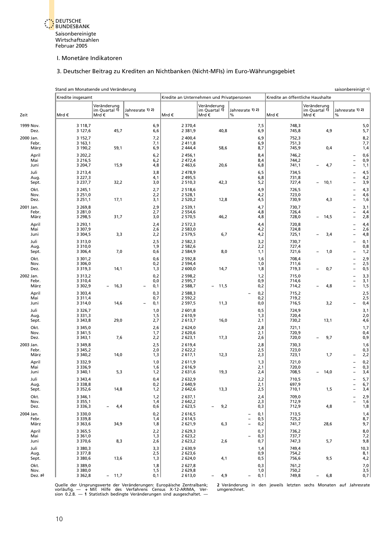

#### I. Monetäre Indikatoren

## 3. Deutscher Beitrag zu Krediten an Nichtbanken (Nicht-MFIs) im Euro-Währungsgebiet

<span id="page-19-0"></span>

|      |                            | Stand am Monatsende und Veränderung       |                                      |                       |                                           |                                      |                                                                    |                                  |                                      | saisonbereinigt $+$ )                                                            |                    |
|------|----------------------------|-------------------------------------------|--------------------------------------|-----------------------|-------------------------------------------|--------------------------------------|--------------------------------------------------------------------|----------------------------------|--------------------------------------|----------------------------------------------------------------------------------|--------------------|
|      |                            | Kredite insgesamt                         |                                      |                       | Kredite an Unternehmen und Privatpersonen |                                      |                                                                    | Kredite an öffentliche Haushalte |                                      |                                                                                  |                    |
| Zeit |                            | Mrd €                                     | Veränderung<br>im Quartal 1)<br>Mrd€ | Jahresrate 1) 2)<br>% | Mrd€                                      | Veränderung<br>im Quartal 1)<br>Mrd€ | Jahresrate 1) 2)<br>%                                              | Mrd €                            | Veränderung<br>im Quartal 1)<br>Mrd€ | Jahresrate 1) 2)<br>%                                                            |                    |
|      | 1999 Nov.<br>Dez.          | 3 1 1 8,7<br>3 127,6                      | 45,7                                 | 6,9<br>6,6            | 2 370,4<br>2 3 8 1, 9                     | 40,8                                 | 7,5<br>6,9                                                         | 748,3<br>745,8                   | 4,9                                  |                                                                                  | 5,0<br>5,7         |
|      | 2000 Jan.<br>Febr.<br>März | 3 1 5 2, 7<br>3 163,1<br>3 190,2          | 59,1                                 | 7,2<br>7,1<br>6,9     | 2 400,4<br>2 411,8<br>2 444,4             | 58,6                                 | 6,9<br>6,9<br>8,7                                                  | 752,3<br>751,3<br>745,9          | 0,4                                  |                                                                                  | 8,2<br>7,7<br>1,4  |
|      | April<br>Mai<br>Juni       | 3 202,2<br>3 2 1 6, 5<br>3 2 0 4,7        | 15,9                                 | 6,2<br>6,2<br>4,8     | 2 456,1<br>2 472,4<br>2 4 6 3, 6          | 20,6                                 | 8,4<br>8,4<br>6,8                                                  | 746,2<br>744,2<br>741,1          | 4,7<br>$\overline{\phantom{0}}$      | $\overline{\phantom{0}}$<br>$\overline{\phantom{0}}$                             | 0,6<br>0,9<br>1,1  |
|      | Juli<br>Aug.<br>Sept.      | 3 2 1 3,4<br>3 2 2 7, 3<br>3 2 3 7, 7     | 32,2                                 | 3,8<br>4,1<br>3,0     | 2 478,9<br>2 4 9 5, 5<br>2 5 1 0, 3       | 42,3                                 | 6, 5<br>6,8<br>5,2                                                 | 734,5<br>731,8<br>727,4          | 10,1<br>$\overline{\phantom{0}}$     | $\overline{\phantom{0}}$<br>$\qquad \qquad -$<br>$\overline{\phantom{0}}$        | 4,5<br>4,2<br>3,9  |
|      | Okt.<br>Nov.<br>Dez.       | 3 2 4 5, 1<br>3 2 5 1 , 0<br>3 2 5 1 , 1  | 17,1                                 | 2,7<br>2,2<br>3,1     | 2 5 18,6<br>2 5 28, 1<br>2 5 2 0, 2       | 12,8                                 | 4,9<br>4,2<br>4,5                                                  | 726,5<br>723,0<br>730,9          | 4,3                                  | $\overline{\phantom{0}}$<br>$\overline{\phantom{0}}$<br>$\overline{\phantom{a}}$ | 4,3<br>4,6<br>1,6  |
|      | 2001 Jan.<br>Febr.<br>März | 3 2 6 9, 8<br>3 2 8 1 , 0<br>3 2 9 8, 5   | 31,7                                 | 2,9<br>2,7<br>3,0     | 2 539,1<br>2 5 5 4, 6<br>2 570,5          | 46,2                                 | 4,7<br>4,8<br>4,8                                                  | 730,7<br>726,4<br>728,0          | 14,5<br>$\overline{\phantom{a}}$     | $\overline{\phantom{0}}$<br>$\overline{\phantom{a}}$<br>$\overline{\phantom{0}}$ | 3,1<br>4,4<br>2,8  |
|      | April<br>Mai<br>Juni       | 3 2 9 3, 1<br>3 3 0 7,9<br>3 3 0 4,5      | 3,3                                  | 2,4<br>2,6<br>2,2     | 2 572,3<br>2 583,0<br>2 579,5             | 6,7                                  | 4,4<br>4,2<br>4,2                                                  | 720,8<br>724,8<br>725,1          | 3,4                                  | $\overline{\phantom{0}}$<br>$\overline{\phantom{0}}$<br>$\overline{a}$           | 4,4<br>2,6<br>4,8  |
|      | Juli<br>Aug.<br>Sept.      | 3 3 1 3 , 0<br>3 3 1 0,0<br>3 3 0 6,4     | 7,0                                  | 2,5<br>1,9<br>0,6     | 2 582,3<br>2 582,6<br>2 5 8 4, 9          | 8,0                                  | 3,2<br>2,2<br>1,1                                                  | 730,7<br>727,4<br>721,6          | 1,0                                  | $\overline{\phantom{0}}$<br>$\overline{\phantom{0}}$                             | 0,1<br>0,8<br>1,2  |
|      | Okt.<br>Nov.<br>Dez.       | 3 3 0 1,2<br>3 3 0 6,0<br>3 3 1 9 , 3     | 14,1                                 | 0,6<br>0,2<br>1,3     | 2 592,8<br>2 5 9 4, 4<br>2 600,0          | 14,7                                 | 1,6<br>1,0<br>1,8                                                  | 708,4<br>711,6<br>719,3          | 0,7<br>$\overline{\phantom{a}}$      | $\overline{\phantom{0}}$<br>$\qquad \qquad -$<br>$\overline{\phantom{0}}$        | 2,9<br>2,5<br>0,5  |
|      | 2002 Jan.<br>Febr.         | 3 3 1 3, 2<br>3 3 1 0,4                   |                                      | 0,2<br>0,0            | 2 5 9 8, 2<br>2 5 9 5 , 7                 |                                      | 1,2<br>0,9                                                         | 715,0<br>714,6                   |                                      | $\overline{\phantom{a}}$<br>$\overline{\phantom{0}}$                             | 3,3<br>3,1         |
|      | März<br>April<br>Mai       | 3 3 0 2,9<br>3 3 0 3,4<br>3 3 1 1,4       | 16,3<br>$\overline{\phantom{0}}$     | 0,1<br>0,3<br>0,7     | 2 588,7<br>2 5 8 8, 3<br>2 5 9 2, 2       | $-11,5$                              | 0,2<br>0,2<br>$\overline{\phantom{0}}$<br>0,2                      | 714,2<br>715,2<br>719,2          | 4,8<br>$\overline{\phantom{0}}$      | $\overline{\phantom{0}}$                                                         | 1,5<br>2,5<br>2,5  |
|      | Juni<br>Juli<br>Aug.       | 3 3 1 4,0<br>3 3 2 6, 7<br>3 3 3 1 , 3    | 14,6                                 | 0,1<br>1,0<br>1,5     | 2 597,5<br>2 601,8<br>2610,9              | 11,3                                 | 0,0<br>0,5<br>1,3                                                  | 716,5<br>724,9<br>720,4          | 3,2                                  | $\overline{\phantom{0}}$                                                         | 0,4<br>3,1<br>2,0  |
|      | Sept.<br>Okt.<br>Nov.      | 3 3 4 3 , 8<br>3 3 4 5 , 0<br>3 3 4 1 , 5 | 29,0                                 | 2,7<br>2,6<br>1,7     | 2 613,7<br>2 624,0<br>2 620,6             | 16,0                                 | 2,1<br>2,8<br>2,1                                                  | 730,2<br>721,1<br>720,9          | 13,1                                 |                                                                                  | 4,6<br>1,7<br>0,4  |
|      | Dez.<br>2003 Jan.<br>Febr. | 3 3 4 3, 1<br>3 3 4 9, 8<br>3 3 4 5, 2    | 7,6                                  | 2,2<br>2,5<br>2,0     | 2 623,1<br>2 6 1 9,4<br>2 622,2           | 17,3                                 | 2,6<br>2,8<br>2,5                                                  | 720,0<br>730,3<br>723,0          | 9,7<br>$\overline{\phantom{0}}$      |                                                                                  | 0,9<br>1,6<br>0,3  |
|      | März<br>April<br>Mai       | 3 3 4 0, 2<br>3 3 3 2, 9<br>3 3 3 6, 9    | 14,0                                 | 1,3<br>1,0<br>1,6     | 2617,1<br>2611,9<br>2 6 1 6, 9            | 12,3                                 | 2,3<br>1,3<br>2,1                                                  | 723,1<br>721,0<br>720,0          | 1,7                                  | $\overline{\phantom{0}}$                                                         | 2,2<br>0,2<br>0,3  |
|      | Juni<br>Juli<br>Aug.       | 3 3 4 0, 1<br>3 3 4 3, 4<br>3 3 3 8 , 8   | 5,3                                  | 1,2<br>$0,4$<br>$0,2$ | 2 631,6<br>2 632,9<br>2 640,9             | 19,3                                 | 2,4<br>2,2<br>2,1                                                  | 708,5<br>710,5<br>697,9          | 14,0<br>$\overline{\phantom{a}}$     | $\overline{\phantom{0}}$<br><b>-</b>                                             | 3,4<br>5,7<br>6,7  |
|      | Sept.<br>Okt.<br>Nov.      | 3 3 5 2, 6<br>3 3 4 6, 1<br>3 3 5 5 , 1   | 14,8                                 | 1,2<br>1,2<br>1,4     | 2 642,6<br>2 637,1<br>2 642,2             | 13,3                                 | 2,5<br>2,4<br>2,3                                                  | 710,1<br>709,0<br>712,9          | 1,5                                  | $\overline{\phantom{0}}$<br>$\overline{\phantom{a}}$                             | 3,4<br>2,9<br>1,6  |
|      | Dez.<br>2004 Jan.          | 3 3 3 6 , 3<br>3 3 3 0 , 0                | 4,4<br>$\overline{\phantom{a}}$      | 0,6<br>$0,2$          | 2 623,5<br>2 6 1 6, 5                     | 9,2<br>$\overline{\phantom{a}}$      | 0,3<br>0,1                                                         | 712,9<br>713,5                   | 4,8                                  |                                                                                  | 1,8<br>1,4         |
|      | Febr.<br>März<br>April     | 3 3 3 9, 8<br>3 3 6 3 , 6<br>3 3 6 5 , 5  | 34,9                                 | 1,4<br>1,8<br>2,2     | 2 6 1 4, 5<br>2 621,9<br>2 629,3          | 6,3                                  | 0,5<br>$\qquad \qquad -$<br>0,2<br>$\overline{\phantom{a}}$<br>0,7 | 725,2<br>741,7<br>736,2          | 28,6                                 |                                                                                  | 8,7<br>9,7<br>8,0  |
|      | Mai<br>Juni<br>Juli        | 3 3 6 1,0<br>3 3 7 0, 6<br>3 3 8 0, 3     | 8,3                                  | 1,3<br>2,6<br>3,3     | 2 623,2<br>2 623,2<br>2 630,9             | 2,6                                  | 0,3<br>$\overline{\phantom{m}}$<br>0,7<br>1,4                      | 737,7<br>747,3<br>749,4          | 5,7                                  |                                                                                  | 7,2<br>9,8<br>10,3 |
|      | Aug.<br>Sept.<br>Okt.      | 3 3 7 7, 8<br>3 3 8 0, 6<br>3 3 8 9 , 0   | 13,6                                 | 2,5<br>1,3<br>1,8     | 2 623,6<br>2 624,0<br>2 627,8             | 4,1                                  | 0,9<br>0,5<br>0,3                                                  | 754,2<br>756,6<br>761,2          | 9,5                                  |                                                                                  | 8,1<br>4,2<br>7,0  |
|      | Nov.<br>Dez. p)            | 3 3 8 0, 0<br>3 3 6 2, 8                  | $-11,7$                              | 1,5<br>0,1            | 2 629,8<br>2 613,0                        | 4,9<br>$\overline{\phantom{a}}$      | 1,0<br>0,1                                                         | 750,2<br>749,8                   | 6,8<br>$\overline{\phantom{a}}$      |                                                                                  | 3,5<br>0,7         |

Quelle der Ursprungswerte der Veränderungen: Europäische Zentralbank; 2 Veränderung in den jeweils letzten sechs Monaten auf Jahresrate<br>vorläufig. — + Mit Hilfe des Verfahrens Census X-12-ARIMA, Ver- umgerechnet.<br>sion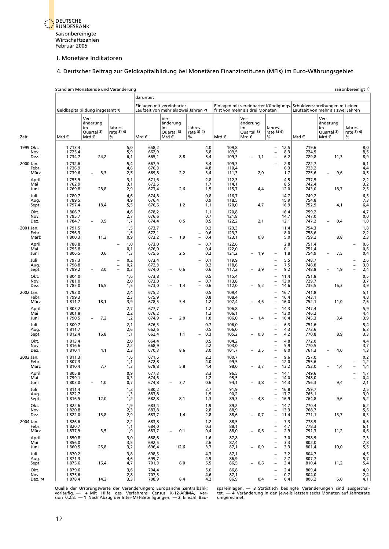

- I. Monetäre Indikatoren
- [4. Deutscher Beitrag zur Geldkapitalbildung bei Monetären Finanzinstituten \(MFIs\) im Euro-Währungsgebiet](#page-5-1)

<span id="page-20-0"></span>

|                            |                                      |                                              | Stand am Monatsende und Veränderung |                         |                                                                   |                                                |                         |                                               |                                                                                          |                         |                                                                                                           | saisonbereinigt +                                 |
|----------------------------|--------------------------------------|----------------------------------------------|-------------------------------------|-------------------------|-------------------------------------------------------------------|------------------------------------------------|-------------------------|-----------------------------------------------|------------------------------------------------------------------------------------------|-------------------------|-----------------------------------------------------------------------------------------------------------|---------------------------------------------------|
|                            |                                      |                                              |                                     | darunter:               |                                                                   |                                                |                         |                                               |                                                                                          |                         |                                                                                                           |                                                   |
|                            |                                      | Geldkapitalbildung insgesamt 1)              |                                     |                         | Einlagen mit vereinbarter<br>Laufzeit von mehr als zwei Jahren 2) |                                                |                         | frist von mehr als drei Monaten               |                                                                                          |                         | Einlagen mit vereinbarter Kündigungs-Schuldverschreibungen mit einer<br>Laufzeit von mehr als zwei Jahren |                                                   |
| Zeit                       | Mrd€                                 | Ver-<br>änderung<br>im<br>Quartal 3)<br>Mrd€ | Jahres-<br>rate 3) 4)<br>%          | Mrd €                   | Ver-<br>änderung<br>im<br>Quartal 3)<br>Mrd€                      | Jahres-<br>rate 3) 4)<br>%                     | Mrd€                    | Ver-<br>änderung<br>im<br>Quartal 3)<br>Mrd € | Jahres-<br>rate 3) 4)<br>%                                                               | Mrd€                    | Ver-<br>änderung<br>im<br>Quartal 3)<br>Mrd€                                                              | Jahres-<br>rate 3) 4)<br>%                        |
| 1999 Okt.<br>Nov.          | 1 7 1 3,4<br>1725,4                  |                                              | 5,0<br>5,9                          | 658,2<br>662,9          |                                                                   | 4,0<br>5,8                                     | 109,8<br>109,5          |                                               | 12,5<br>$\qquad \qquad -$<br>8,3                                                         | 719,6<br>724,5          |                                                                                                           | 8,0<br>8,5                                        |
| Dez.                       | 1 7 3 4, 7                           | 24,2                                         | 6,1                                 | 665,1                   | 8,8                                                               | 5,4                                            | 109,3                   | 1,1<br>$\qquad \qquad -$                      | 6,2<br>$\overline{\phantom{0}}$                                                          | 729,8                   | 11,3                                                                                                      | 8,9                                               |
| 2000 Jan.<br>Febr.         | 1 7 3 2, 6<br>1736,9                 |                                              | 5,4<br>4,6                          | 667,9<br>670,3          |                                                                   | 5,4<br>4,8                                     | 109,3<br>110,4          |                                               | 2,8<br>0,3                                                                               | 722,7<br>723,2          |                                                                                                           | 6,1<br>4,4                                        |
| März<br>April              | 1739,6<br>1755,9                     | 3,3<br>$\overline{\phantom{0}}$              | 2,5<br>3,1                          | 669,8<br>671,6          | 2,2                                                               | 3,4<br>2,8                                     | 111,3<br>112,3          | 2,0                                           | 1,7<br>4,5                                                                               | 725,6<br>737,5          | 9,6<br>$\overline{\phantom{0}}$                                                                           | 0, 5<br>2,2                                       |
| Mai<br>Juni                | 1762,9<br>1769,8                     | 28,8                                         | 3,1<br>2,9                          | 672,5<br>673,4          | 2,6                                                               | 1,7<br>1,5                                     | 114,1<br>115,7          | 4,4                                           | 8,5<br>12,0                                                                              | 742,4<br>743,0          | 18,7                                                                                                      | 3,2<br>2,5                                        |
| Juli<br>Aug.<br>Sept.      | 1 780,7<br>1789,5<br>1 7 9 7,4       | 18,4                                         | 4,6<br>4,9<br>5,5                   | 674,8<br>676,4<br>676,6 | 1,2                                                               | 0,8<br>0,9<br>1,1                              | 116,7<br>118,5<br>120,0 | 4,7                                           | 14,7<br>15,9<br>16,9                                                                     | 749,2<br>754,8<br>752,9 | 4,1                                                                                                       | 6, 5<br>7,3<br>6,4                                |
| Okt.<br>Nov.<br>Dez.       | 1806,7<br>1795,7<br>1 784,7          | 3,5                                          | 4,6<br>2,7<br>1,7                   | 678,2<br>676,6<br>674,4 | 0,5                                                               | 1,1<br>0,7<br>0,5                              | 120,8<br>121,8<br>122,2 | 2,1                                           | 16,4<br>14,7<br>12,1                                                                     | 759,2<br>747,0<br>747,2 | 0,4                                                                                                       | 4,7<br>0,0<br>1,0                                 |
| 2001 Jan.<br>Febr.<br>März | 1 7 9 1 , 5<br>1 7 9 6, 3<br>1 800,3 | 11,3                                         | 1,5<br>1,5<br>0,9                   | 673,7<br>672,1<br>673,2 | 1,9                                                               | 0,2<br>0,6<br>0,4                              | 123,3<br>123,3<br>123,1 | 0,8                                           | 11,4<br>8,0<br>5,0                                                                       | 754,3<br>758,6<br>759,2 | 8,8                                                                                                       | 1,8<br>2,2<br>2,3                                 |
| April<br>Mai<br>Juni       | 1788,8<br>1795,8<br>1806,5           | 0,6                                          | 1,0<br>0,1<br>1,3                   | 673,0<br>676,0<br>675,6 | 2,5                                                               | 0,7<br>0,4<br>0,2                              | 122,6<br>122,0<br>121,2 | 1,9<br>$\overline{\phantom{a}}$               | 2,8<br>0,1<br>1,8<br>$\overline{\phantom{0}}$                                            | 751,4<br>751,4<br>754,9 | 7,5<br>$\qquad \qquad -$                                                                                  | 0,6<br>0,6<br>0,4                                 |
| Juli<br>Aug.               | 1 7 9 7 , 3<br>1798,8                | 3,0                                          | 0,2<br>0,2<br>$\equiv$              | 673,4<br>672,3          | 0,6<br>$\overline{\phantom{a}}$                                   | 0,1<br>0,2                                     | 119,9<br>118,6          | 3,9                                           | 5,5<br>$\overline{\phantom{0}}$<br>7,5<br>9,2<br>$\overline{\phantom{0}}$                | 748,7<br>748,8          | $\overline{\phantom{0}}$                                                                                  | 2,6<br>3,0<br>$\overline{\phantom{a}}$            |
| Sept.<br>Okt.<br>Nov.      | 1799,2<br>1804,0<br>1781,0           | $\overline{\phantom{a}}$                     | 0,3<br>1,6<br>2,0                   | 674,0<br>673,8<br>673,0 |                                                                   | 0,6<br>0,5<br>0,7                              | 117,2<br>115,4<br>113,8 | $\qquad \qquad -$                             | 11,4<br>$\qquad \qquad -$<br>13,0                                                        | 748,8<br>751,8<br>729,7 | 1,9                                                                                                       | 2,4<br>0,5<br>3,7                                 |
| Dez.<br>2002 Jan.<br>Febr. | 1785,0<br>1793,0<br>1799,3           | 16,5                                         | 1,5<br>2,4<br>2,3                   | 673,0<br>675,2<br>675,9 | 1,4                                                               | 0,6<br>$\overline{\phantom{0}}$<br>0, 5<br>0,8 | 112,0<br>109,4<br>108,4 | 5,2<br>$\overline{\phantom{0}}$               | 14,6<br>$\qquad \qquad -$<br>16,7<br>$\overline{\phantom{0}}$<br>16,4                    | 735,5<br>741,8<br>743,1 | 16,3                                                                                                      | 3,9<br>5,1<br>4,8                                 |
| März<br>April<br>Mai       | 1811,7<br>1803,2<br>1801,8           | 18,1                                         | 3,9<br>2,7<br>2,2                   | 678,5<br>677,7<br>676,2 | 5,4                                                               | 1,2<br>1,2<br>1,2                              | 107,4<br>106,8<br>106,1 | 4,6<br>$\overline{\phantom{0}}$               | 16,0<br>$\overline{\phantom{0}}$<br>14,3<br>$\overline{\phantom{0}}$<br>13,0             | 752,1<br>747,4<br>746,2 | 11,0                                                                                                      | 7,6<br>5,9<br>4,4                                 |
| Juni<br>Juli<br>Aug.       | 1790,5<br>1 800,7<br>1811,7          | 7,2                                          | 1,2<br>2,1<br>2,6                   | 674,9<br>676,3<br>662,6 | 2,0                                                               | 1,0<br>0,7<br>0, 5                             | 106,0<br>106,0<br>106,0 | 1,4                                           | 10,4<br>$\qquad \qquad -$<br>6,3<br>$\overline{\phantom{0}}$<br>4,3                      | 745,3<br>751,6<br>772,6 | 3,4                                                                                                       | 3,9<br>5,4<br>6,3                                 |
| Sept.<br>Okt.<br>Nov.      | 1812,4<br>1813,4<br>1816,6           | 16,8                                         | 1,1<br>2,0<br>2,2                   | 662,4<br>664,4<br>668,9 | 1,1                                                               | 0,3<br>0,5<br>2,2                              | 105,2<br>104,2<br>103,0 | 0,8<br>$\overline{\phantom{0}}$               | 4,2<br>$\overline{\phantom{0}}$<br>4,8<br>5,9<br>$\overline{\phantom{0}}$                | 770,8<br>772,0<br>770,5 | 8,9                                                                                                       | 3,3<br>4,4<br>3,7                                 |
| Dez.<br>2003 Jan.<br>Febr. | 1810,1<br>1811,3<br>1 807,3          | 4,1                                          | 2,3<br>1,6<br>1,1                   | 670,3<br>671,5<br>672,8 | 8,6                                                               | 3,0<br>2,2<br>4,0                              | 101,7<br>100,7<br>99,5  | 3,5                                           | 8,0<br>$\qquad \qquad -$<br>9,6<br>$\overline{\phantom{0}}$<br>12,0<br>$\qquad \qquad -$ | 761,3<br>757,0<br>755,6 | 4,0                                                                                                       | 1,3<br>0,2<br>1,2                                 |
| März<br>April<br>Mai       | 1810,4<br>1805,8<br>1 799,1          | 7,7                                          | 1,3<br>0,9<br>0,3                   | 678,8<br>677,3<br>674,6 | 5,8                                                               | 4,4<br>3,3<br>1,2                              | 98,0<br>96,5<br>95,5    | 3,7<br>$\overline{\phantom{0}}$               | 13,2<br>$\overline{\phantom{0}}$<br>14,1<br>14,0                                         | 752,0<br>749,6<br>748,0 | 1,4<br>۰                                                                                                  | 1,4<br>$\overline{\phantom{0}}$<br>1,7<br>0,4     |
| Juni<br>Juli               | 1 803,0<br>1811,4                    | 1,0                                          | 0,7<br>1,2                          | 674,8<br>680,2          | 3,7<br>$\overline{\phantom{0}}$                                   | 0,6<br>2,7                                     | 94,1<br>91,9            | 3,8<br>$\overline{\phantom{0}}$               | 14,3<br>-<br>16,8                                                                        | 756,3<br>759,7          | 9,4                                                                                                       | 2,1                                               |
| Aug.<br>Sept.<br>Okt.      | 1822,7<br>1816,5<br>1822,6           | 12,0                                         | 1,3<br>1,2                          | 683,8<br>682,8<br>683,4 | 8,1                                                               | 1,9<br>1,3                                     | 90,2<br>89,3<br>89,2    | 4,8<br>$\overline{\phantom{a}}$               | 17,7<br>16,9<br>$\qquad \qquad -$<br>14,7                                                | 765,1<br>764,8<br>770,4 | 9,6                                                                                                       | 2,5<br>3,0<br>5,2                                 |
| Nov.<br>Dez.<br>2004 Jan.  | 1820,8<br>1822,0<br>1826,6           | 13,8                                         | $\frac{1,9}{2,3}$<br>2,9<br>2,2     | 683,8<br>683,7<br>683,8 | 1,4                                                               | $\frac{1,9}{2,8}$<br>2,8                       | 88,9<br>88,6<br>88,5    | 0,7<br>$\overline{\phantom{0}}$               | 13,3<br>11,4<br>$\qquad \qquad -$<br>7,3                                                 | 768,7<br>771,1<br>778,9 | 13,7                                                                                                      | 6,2<br>5,6<br>6,3                                 |
| Febr.<br>März              | 1820,7<br>1837,9                     | 3,5                                          | 1,1<br>1,9                          | 684,0<br>683,7          | 0,1<br>$\qquad \qquad -$                                          | $^{1,2}_{0,3}$<br>0,4                          | 88,1<br>88,0            | 0,6<br>$\overline{\phantom{a}}$               | 4,7<br>-<br>2,9<br>$\qquad \qquad -$                                                     | 778,3<br>791,3          | 11,2                                                                                                      | $6,6$<br>$6,1$<br>6,6                             |
| April<br>Mai<br>Juni       | 1850,8<br>1856,0<br>1860,5           | 25,8                                         | 3,0<br>3,5<br>3,2                   | 688,8<br>692,5<br>696,4 | 12,6                                                              | 1,6<br>2,6<br>3,7                              | 87,8<br>87,4<br>87,1    | 0,9<br>$\overline{\phantom{0}}$               | 3,0<br>$\qquad \qquad -$<br>3,3<br>$\overline{\phantom{0}}$<br>3,3<br>$\qquad \qquad -$  | 798,9<br>802,0<br>801,4 | 10,0                                                                                                      | 7,3<br>7,8<br>5,5                                 |
| Juli<br>Aug.<br>Sept.      | 1870,2<br>1871,3<br>1875,6           | 16,4                                         | 3,8<br>4,6<br>4,7                   | 698,5<br>699,7<br>701,3 | 6,0                                                               | 4,3<br>4,9<br>5,5                              | 87,1<br>86,9<br>86,5    | 0,6<br>$-$                                    | 3,2<br>$\overline{\phantom{0}}$<br>2,7<br>3,4<br>$\overline{\phantom{0}}$                | 804,7<br>807,7<br>810,4 | 11,2                                                                                                      | $4,5$<br>5,7<br>5,4                               |
| Okt.<br>Nov.<br>Dez. p)    | 1879,6<br>1875,6<br>1878,4           | 14,3                                         | $\frac{3,6}{2,8}$<br>3,3            | 704,4<br>707,5<br>708,9 | 8,4                                                               | 5,0<br>4,6<br>4,2                              | 86,8<br>87,1<br>86,9    | 0,4                                           | 2,4<br>0,7<br>$\qquad \qquad -$<br>0,4                                                   | 809,4<br>804,0<br>806,2 | 5,0                                                                                                       | $\begin{bmatrix} 4,0 \\ 2,4 \\ 4,1 \end{bmatrix}$ |

Quelle der Ursprungswerte der Veränderungen: Europäische Zentralbank; spareinlagen. — 3 Statistisch bedingte Veränderungen sind ausgeschal-<br>vorläufig. — + Mit Hilfe des Verfahrens Census X-12-ARIMA, Ver- tet. — 4 Veränderu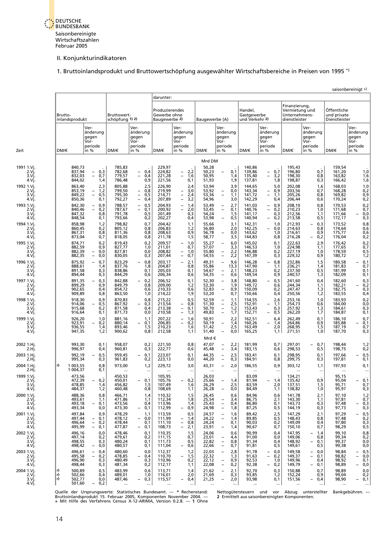

## [1. Bruttoinlandsprodukt und Bruttowertschöpfung ausgewählter Wirtschaftsbereiche in Preisen von 1995 \\*\)](#page-6-1)

<span id="page-21-0"></span>

|                                                                   |                                                                    |                                                                                                                     |                                                                    |                                                                                                                                                                                            |                                                                    |                                                                                                                                           |                                                             |                                                                                                                                                                         |                                                                    |                                                                                                                                      |                                                                    |                                                                           |                                                                    | saisonbereinigt +)                                                            |
|-------------------------------------------------------------------|--------------------------------------------------------------------|---------------------------------------------------------------------------------------------------------------------|--------------------------------------------------------------------|--------------------------------------------------------------------------------------------------------------------------------------------------------------------------------------------|--------------------------------------------------------------------|-------------------------------------------------------------------------------------------------------------------------------------------|-------------------------------------------------------------|-------------------------------------------------------------------------------------------------------------------------------------------------------------------------|--------------------------------------------------------------------|--------------------------------------------------------------------------------------------------------------------------------------|--------------------------------------------------------------------|---------------------------------------------------------------------------|--------------------------------------------------------------------|-------------------------------------------------------------------------------|
|                                                                   | Brutto-<br>inlandsprodukt                                          |                                                                                                                     | Bruttowert-<br>schöpfung 1) 2)                                     |                                                                                                                                                                                            | darunter:<br>Produzierendes<br>Gewerbe ohne<br>Baugewerbe 2)       |                                                                                                                                           | Baugewerbe (A)                                              |                                                                                                                                                                         | Handel,<br>Gastgewerbe<br>und Verkehr 2)                           |                                                                                                                                      | Finanzierung,<br>Vermietung und<br>Unternehmens-<br>dienstleister  |                                                                           | Öffentliche<br>und private<br>Dienstleister                        |                                                                               |
|                                                                   |                                                                    | Ver-<br>änderung<br>gegen<br>Vor-<br>periode                                                                        |                                                                    | Ver-<br>änderung<br>gegen<br>Vor-<br>periode                                                                                                                                               |                                                                    | Ver-<br>änderung<br>gegen<br>Vor-<br>periode                                                                                              |                                                             | Ver-<br>änderung<br>gegen<br>Vor-<br>periode                                                                                                                            |                                                                    | Ver-<br>änderung<br>gegen<br>Vor-<br>periode                                                                                         |                                                                    | Ver-<br>änderung<br>gegen<br>Vor-<br>periode                              |                                                                    | Ver-<br>änderung<br>gegen<br>Vor-<br>periode                                  |
|                                                                   | DM/€                                                               | in %                                                                                                                | DM/€                                                               | in $%$                                                                                                                                                                                     | DM/€                                                               | in %                                                                                                                                      | DM/€                                                        | in %                                                                                                                                                                    | DM/€                                                               | in %                                                                                                                                 | DM/€                                                               | in %                                                                      | DM/€                                                               | in %                                                                          |
| 1991 1.Vi.<br>2.Vi.<br>3.Vì.<br>4.Vj.<br>1992 1.Vi                | 840,73<br>837,94<br>832,03<br>844,02<br>863,40                     | 0,3<br>$\bar{\Box}$<br>0,7<br>1,4<br>2,3                                                                            | 785,83<br>782,68<br>779,57<br>786,48<br>805,88                     | 0,4<br>$\overline{\phantom{a}}$<br>$\bar{ }$<br>0,4<br>0,9<br>2,5                                                                                                                          | 229,97<br>224,82<br>221,28<br>221,56<br>226,90                     | 2,2<br>-<br>1,6<br>$\overline{a}$<br>0,1<br>2,4                                                                                           | Mrd DM<br>50,28<br>50,23<br>50,95<br>51,93<br>53,94         | 0,1<br>$\overline{\phantom{0}}$<br>1,4<br>1,9<br>3,9                                                                                                                    | 140,86<br>139,86<br>135,40<br>137,81<br>144,65                     | 0,7<br>-<br>3,2<br>$\qquad \qquad -$<br>1,8<br>5,0                                                                                   | 195,43<br>196,80<br>198,30<br>198,87<br>202,08                     | 0,7<br>0,8<br>0,3<br>1,6                                                  | 159,54<br>161,20<br>163,82<br>166,42<br>168,03                     | 1,0<br>1,6<br>1,6<br>1,0                                                      |
| 2.Vj.<br>3.Vì.<br>4.Vj.<br>1993 1.Vi.<br>2.Vi.<br>3.Vì<br>4.Vi.   | 853,19<br>849,22<br>850,36<br>842,30<br>840,46<br>847,32<br>848,54 | 1,2<br>$\bar{\Box}$<br>0,5<br>0,1<br>0,9<br>$\qquad \qquad -$<br>$\equiv$<br>0,2<br>0,8<br>0,1                      | 799,50<br>795,30<br>792,27<br>788,57<br>787,67<br>791,78<br>793,66 | 0,8<br>$\overline{\phantom{a}}$<br>$\overline{\phantom{a}}$<br>0,5<br>0,4<br>$\overline{\phantom{0}}$<br>0, 5<br>$\overline{\phantom{a}}$<br>$\overline{\phantom{0}}$<br>0,1<br>0,5<br>0,2 | 219,99<br>214,71<br>207,89<br>204,93<br>200,92<br>201,49<br>202,27 | 3,0<br><sup>-</sup><br>$\overline{a}$<br>2,4<br>3,2<br>$\overline{a}$<br>1,4<br>$\overline{\phantom{0}}$<br>$\equiv$<br>2,0<br>0,3<br>0,4 | 53,92<br>53,36<br>54,96<br>53,49<br>53,45<br>54,24<br>53,98 | 0,0<br>$\overline{\phantom{0}}$<br>$\overline{a}$<br>1,1<br>3,0<br>2,7<br>$\overline{a}$<br>$\equiv$<br>0,1<br>1,5<br>0,5<br>$\overline{\phantom{0}}$                   | 143,34<br>141,72<br>142,29<br>141,03<br>140,76<br>141,17<br>140,94 | 0,9<br>$\qquad \qquad -$<br>$\equiv$<br>1,1<br>0,4<br>0,9<br>$\qquad \qquad -$<br>$\equiv$<br>0,2<br>0,3<br>0,2<br>$\qquad \qquad -$ | 203,56<br>205,26<br>206,44<br>208,10<br>210,23<br>212,56<br>213,58 | 0,7<br>0,8<br>0,6<br>0,8<br>1,0<br>1,1<br>0,5                             | 168,28<br>169,82<br>170,24<br>170,53<br>171,68<br>171,66<br>172,17 | $0,2$<br>$0,9$<br>0,2<br>0,2<br>0,7<br>0,0<br>$\overline{\phantom{0}}$<br>0,3 |
| 1994 1.Vi<br>2.Vi.<br>3.Vì.<br>4.Vj.                              | 858,98<br>860,45<br>867,31<br>873,04                               | 1,2<br>0,2<br>0,8<br>0,7                                                                                            | 798,82<br>805,12<br>811,36<br>818,05                               | 0,7<br>0,8<br>0,8<br>0,8                                                                                                                                                                   | 204,42<br>206,83<br>208,63<br>211,78                               | 1,1<br>1,2<br>0,9<br>1,5                                                                                                                  | 55,66<br>56,80<br>56,78<br>58,77                            | 3,1<br>2,0<br>0,0<br>$\overline{\phantom{0}}$<br>3,5                                                                                                                    | 142,31<br>142,25<br>143,62<br>144,83                               | 1,0<br>0,0<br>$\overline{\phantom{0}}$<br>1,0<br>0,8                                                                                 | 212,93<br>214,63<br>216,61<br>216,28                               | 0,3<br>$\qquad \qquad -$<br>0,8<br>0,9<br>0,2<br>$\overline{\phantom{0}}$ | 173,52<br>174,64<br>175,77<br>176,04                               | 0,8<br>0,6<br>$0,6$<br>$0,2$                                                  |
| 1995 1.Vi<br>2.Vi.<br>3.Vi<br>4.Vj.<br>1996 1.Vi                  | 874,71<br>882,59<br>882,39<br>882,35<br>875,92                     | 0,2<br>0,9<br>0.0<br>$\overline{\phantom{a}}$<br>$\overline{\phantom{0}}$<br>0,0<br>0,7<br>$\overline{\phantom{a}}$ | 819,43<br>827,77<br>827,81<br>830,05<br>823,29                     | 0,2<br>1,0<br>0,0<br>0,3<br>0,8                                                                                                                                                            | 209,57<br>211,01<br>208,82<br>207,44<br>203,17                     | 1,0<br>0,7<br>1,0<br>$\equiv$<br>0,7<br>2,1<br>$\overline{\phantom{0}}$                                                                   | 55,27<br>57,07<br>55,80<br>54,55<br>49,31                   | 6,0<br>$\overline{\phantom{0}}$<br>3,3<br>$\frac{2}{2}$ , 2<br>$\qquad \qquad -$<br>$\overline{\phantom{0}}$<br>9,6<br>$\overline{\phantom{0}}$                         | 145,02<br>146,53<br>146,88<br>147,39<br>146,28                     | 0,1<br>1,0<br>0,2<br>0,3<br>0,8<br>$\qquad \qquad -$                                                                                 | 222,63<br>224,98<br>227,19<br>229,32<br>232,86                     | 2,9<br>1,1<br>1,0<br>0,9<br>1,5                                           | 176,42<br>177,65<br>178,59<br>180,72<br>180,58                     | 0,2<br>$0,7$<br>$0,5$<br>1,2<br>$\overline{\phantom{0}}$                      |
| 2.Vi.<br>3.Vi.<br>4.Vj.<br>1997 1.Vi                              | 888,61<br>891,58<br>894,44<br>891,35                               | 1,4<br>0,3<br>0,3<br>0,3<br>$\overline{\phantom{a}}$                                                                | 837,76<br>838,86<br>844,29<br>842,88                               | 1,8<br>0,1<br>0,6<br>0,2                                                                                                                                                                   | 204,87<br>205,03<br>206,34<br>206,52                               | 0,8<br>0,1<br>0,6<br>0,1                                                                                                                  | 55,86<br>54,67<br>54,35<br>52,30                            | 13,3<br>2,1<br>$\bar{a}$<br>0,6<br>3,8<br>$\overline{\phantom{0}}$                                                                                                      | 147,90<br>148,23<br>149,54<br>148,80                               | 1,1<br>0,2<br>0,9<br>0,5<br>$\overline{\phantom{0}}$                                                                                 | 236,21<br>237,50<br>240,57<br>241,60                               | 1,4<br>$0,5$<br>$1,3$<br>0,4                                              | 181,83<br>181,99<br>182,09<br>182,60                               | $^{0,1}_{0,7}$<br>0,1<br>0,1<br>0,3                                           |
| 2.Vì.<br>3.Vi.<br>4.Vj.<br>1998 1.Vi                              | 899,29<br>902,65<br>909,89<br>918,30                               | 0,9<br>0,4<br>0,8<br>0,9                                                                                            | 849,79<br>854,72<br>863,50<br>870,83                               | 0,8<br>0,6<br>1,0<br>0,8                                                                                                                                                                   | 209,00<br>210,33<br>214,22<br>215,22                               | 1,2<br>0,6<br>1,9<br>0, 5                                                                                                                 | 53,30<br>52,83<br>53,20<br>52,59                            | 1,9<br>0,9<br>$\overline{a}$<br>0,7<br>1,1                                                                                                                              | 149,72<br>150,09<br>150,66<br>154,55                               | 0,6<br>0,2<br>0,4<br>2,6                                                                                                             | 244,34<br>247,47<br>250,56<br>253,16                               | 1,1<br>1,3<br>1,2<br>1,0                                                  | 182,21<br>182,75<br>183,55<br>183,93                               | 0,2<br>0,3<br>0,4<br>$0,2$<br>$0,0$                                           |
| 2.Vi.<br>3.Vi<br>4.Vj<br>1999 1.Vi.                               | 914,06<br>915,68<br>916,64<br>926,20                               | 0,5<br>$\overline{\phantom{a}}$<br>0,2<br>0,1<br>1,0                                                                | 867,92<br>871,58<br>871,73<br>881,16                               | 0,3<br>0.4<br>0,0<br>1,1                                                                                                                                                                   | 213,54<br>213,38<br>210,58<br>207,22                               | 0,8<br>$\qquad \qquad -$<br>$\overline{\phantom{0}}$<br>0,1<br>$\equiv$<br>1,3<br>1,6<br>$\qquad \qquad -$                                | 51,30<br>50.70<br>49,83<br>50,91                            | $\bar{a}$<br>2,5<br>1,2<br>$\qquad \qquad -$<br>$\overline{\phantom{0}}$<br>1,7<br>2,2                                                                                  | 152,91<br>153,43<br>152,71<br>162,51                               | 1,1<br>$\qquad \qquad -$<br>0,3<br>0,5<br>$\qquad \qquad -$<br>6,4                                                                   | 254,73<br>257,92<br>262,20<br>262,49                               | 0,6<br>$\frac{1}{3}$ , $\frac{1}{7}$<br>0,1                               | 184,00<br>184,61<br>184,87<br>186,10                               | 0,3<br>0,1<br>$0,7$<br>$0,1$                                                  |
| 2.Vj.<br>3.Vi.<br>4.Vì.                                           | 923,91<br>936,55<br>947,35                                         | 0,2<br>1,4<br>1,2                                                                                                   | 880,14<br>893,46<br>900,62                                         | 0,1<br>1,5<br>0,8                                                                                                                                                                          | 206,85<br>210,23<br>212,58                                         | $\equiv$<br>0,2<br>1,6<br>1,1                                                                                                             | 50,19<br>51,42<br>51,40<br>Mrd€                             | 1,4<br>$\overline{\phantom{0}}$<br>2,5<br>0,0<br>$\overline{\phantom{0}}$                                                                                               | 160,26<br>163,49<br>165,25                                         | 1,4<br>$\overline{\phantom{0}}$<br>2,0<br>1,1                                                                                        | 264,86<br>268,95<br>271,51                                         | 0,9<br>$\frac{1}{1,0}$                                                    | 185.88<br>187,19<br>187,70                                         | 0,7<br>0,3                                                                    |
| 2002 1.Hj.<br>2.Hj.<br>2003 1.Hj.<br>2.Hj.<br>2004 1.Hj.<br>2.Hj. | 993,30<br>996,97<br>992.19<br>995,34<br>r)<br>1 003,55<br>1 004,37 | 0,1<br>0,4<br>0,5<br>0,3<br>0,8<br>0,1                                                                              | 958,07<br>960,81<br>959.45<br>961,83<br>973,00                     | 0,2<br>0,3<br>0.1<br>0,2<br>1,2<br>                                                                                                                                                        | 221,50<br>222,77<br>223,07<br>223,13<br>229,72<br>                 | 0,8<br>0,6<br>0.1<br>0,0<br>3,0<br>$\ddotsc$                                                                                              | 47.07<br>45,48<br>44,35<br>44,20<br>43,31<br>               | 2,2<br>$\overline{\phantom{0}}$<br>$\overline{a}$<br>3,4<br>2,5<br>$\qquad \qquad -$<br>$\overline{\phantom{0}}$<br>0,3<br>2,0<br>$\overline{\phantom{0}}$<br>$\ddotsc$ | 181,99<br>183,15<br>183,41<br>184,91<br>186,55                     | 0,7<br>0,6<br>0.1<br>0,8<br>0,9<br>                                                                                                  | 297,01<br>298,53<br>298,95<br>299,75<br>303,12                     | 0,7<br>$\overline{\phantom{a}}$<br>0,5<br>0,1<br>0,3<br>1,1<br>$\ddotsc$  | 198,44<br>198,75<br>197,66<br>197,81<br>197,93<br>                 | 1,2<br>0,2<br>0,5<br>0,1<br>0,1<br>$\ddotsc$                                  |
| 1999 1.Vj.<br>Z.VI<br>3.Vj.<br>4.Vj.                              | 473,56<br>412,39<br>478,85<br>484,37                               | 0,2<br>1,4<br>1,2                                                                                                   | 450,53<br>450,01<br>456,82<br>460,48                               | 0,1<br>1,5<br>0,8                                                                                                                                                                          | 105,95<br>ס/,כטו<br>107,49<br>108,69                               | 0,2<br>1,6<br>1,1                                                                                                                         | 26,03<br>25,66<br>26,29<br>26,28                            | 1,4<br>2,5<br>0,0<br>$\overline{\phantom{0}}$                                                                                                                           | 83,09<br>81,94<br>83,59<br>84,49                                   | 1,4<br>2,0<br>1,1                                                                                                                    | 134,21<br>135,42<br>137,51<br>138,82                               | 0,9<br>1,5<br>1,0                                                         | 95,15<br>95,04<br>95,71<br>95,97                                   | 0,1<br>0,7<br>0,3                                                             |
| 2000 1.Vj.<br>2.Vj.<br>3.Vj.<br>4.Vj.<br>2001 1.Vj.               | 488,36<br>493,61<br>493,18<br>493,34<br>497,84                     | 0,8<br>1,1<br>0,1<br>$-$<br>0,0<br>0,9                                                                              | 466,71<br>471,86<br>473,56<br>473,30<br>478,29                     | 1,4<br>1,1<br>0,4<br>0,1<br>$\qquad \qquad -$<br>1,1                                                                                                                                       | 110,32<br>112,34<br>113,96<br>112,99<br>113,59                     | 1,5<br>1,8<br>1,4<br>0,9<br>$-$<br>0,5                                                                                                    | 26,45<br>25,54<br>25,43<br>24,98<br>24,57                   | 0,6<br>3,4<br>0,4<br>$\overline{a}$<br>1,8<br>$\overline{\phantom{a}}$<br>1,6                                                                                           | 84,96<br>86,75<br>86,80<br>87,25<br>89,42                          | 0,6<br>2,1<br>0,1<br>0,5<br>2,5                                                                                                      | 141,78<br>143,30<br>143,73<br>144,19<br>147,29                     | 2,1<br>1,1<br>0,3<br>0,3<br>2,1                                           | 97,10<br>97,81<br>97,48<br>97,73<br>97,29                          | 1,2<br>0,7<br>0,3<br>0,3<br>$-0,5$                                            |
| 2.Vj.<br>3.Vj.<br>4.Vj.<br>2002 1.Vi.                             | 497,44<br>496,64<br>495,99<br>496,16                               | $\begin{bmatrix} 0.1 \\ -0.2 \\ -0.1 \end{bmatrix}$<br>0,0                                                          | 478,12<br>478,44<br>477,87<br>478,46                               | 0,0<br>$\overline{\phantom{0}}$<br>0,1<br>0,1<br>$\overline{\phantom{0}}$<br>0,1                                                                                                           | 111,99<br>111,10<br>108,73<br>110,35                               | 1,4<br>$-$<br>0,8<br>$\qquad \qquad -$<br>$\overline{\phantom{0}}$<br>2,1<br>1,5                                                          | 24,22<br>24,24<br>23,91<br>24,06                            | 1,4<br>0,1<br>1,4<br>0,6                                                                                                                                                | 89,85<br>90,03<br>90,67<br>90,99                                   | 0,5<br>0,2<br>0,7<br>0,4                                                                                                             | 148,43<br>149,09<br>150,10<br>147,95                               | 0,8<br>0,4<br>0,7<br>1,4                                                  | 97,48<br>97,80<br>98,29<br>99,10                                   | 0,2<br>0,3<br>0,5<br>0,8                                                      |
| 2.Vj.<br>3.Vì.<br>4 Vj.<br>2003 1.Vj.                             | 497,14<br>498,55<br>498,42<br>496,61                               | 0,2<br>0,3<br>$-0,0$<br>$-$<br>0,4                                                                                  | 479,61<br>480,24<br>480,57<br>480,60                               | 0,2<br>0,1<br>0,1<br>0,0                                                                                                                                                                   | 111,15<br>111,73<br>111,04<br>112,37                               | 0,7<br>0,5<br>0,6<br>1,2                                                                                                                  | 23,01<br>22,82<br>22,66<br>22,03                            | 4,4<br>$\qquad \qquad -$<br>0,8<br>$\overline{\phantom{0}}$<br>0,7<br>2,8<br>$\overline{\phantom{0}}$                                                                   | 91,00<br>91,34<br>91,81<br>91,78                                   | 0,0<br>0,4<br>0,5<br>0,0                                                                                                             | 149,06<br>148,92<br>149,61<br>149,58                               | 0,8<br>0,1<br>$\overline{\phantom{a}}$<br>0,5<br>0,0<br>$-$               | 99,34<br>99,37<br>99,38<br>98,84                                   | 0,2<br>0,0<br>0,0<br>0,5                                                      |
| 2.Vj.<br>3.Vì.<br>4.Vj.<br>2004 1.Vj.                             | 495,58<br>496,90<br>498,44<br>500,89<br>r)                         | $-0,2$<br>0,3<br>0,3<br>0,5                                                                                         | 478,85<br>480,49<br>481,34<br>483,99                               | 0,4<br>0,3<br>0,2<br>0,6                                                                                                                                                                   | 110,70<br>110,96<br>112,17<br>113,71                               | 1,5<br>0,2<br>1,1<br>1,4                                                                                                                  | 22,32<br>22,12<br>22,08<br>21,62                            | 1,3<br>0,9<br>$\overline{\phantom{a}}$<br>0,2<br>2,1<br>$\overline{\phantom{a}}$                                                                                        | 91,63<br>92,53<br>92,38<br>92,70                                   | $\equiv$<br>0,2<br>1,0<br>0,2<br>$-$<br>0,3                                                                                          | 149,37<br>149,96<br>149,79<br>150,88                               | $-$<br>0,1<br>0,4<br>$-$<br>0,1<br>0,7                                    | 98,82<br>98,92<br>98,89<br>98,89                                   | 0,0<br>0,1<br>- 0,0<br>0,0                                                    |
| 2.Vj.<br>3.Vj.<br>4.Vj.                                           | 502,66<br> r)<br> r)<br>502,77<br>501,60                           | 0,4<br>0,0<br>0,2<br>$\overline{\phantom{0}}$                                                                       | 489,01<br>487,46<br>$\cdots$                                       | 1,0<br>0,3<br>$\overline{\phantom{0}}$<br>$\cdots$                                                                                                                                         | 116,01<br>115,57<br>$\ldots$                                       | 2,0<br>0,4<br>!                                                                                                                           | 21,69<br>21,25<br>$\ldots$                                  | 0,3<br>2,0<br>$\overline{\phantom{0}}$<br>1                                                                                                                             | 93,85<br>93,98<br>                                                 | 1,2<br>0,1                                                                                                                           | 152,24<br>151,56<br>$\cdots$                                       | 0,9<br>$-$<br>0,4<br>$\cdots$                                             | 99,04<br>98,90<br>$\ddotsc$                                        | 0,2<br>$-0,1$<br>$\ldots$                                                     |

Quelle der Ursprungswerte: Statistisches Bundesamt. — \* Rechenstand: Nettogütersteuern und vor Abzug unterstellter Bankgebühren. —<br>Bruttoinlandsprodukt 15. Februar 2005, Komponenten November 2004. — 2 Ermittelt aus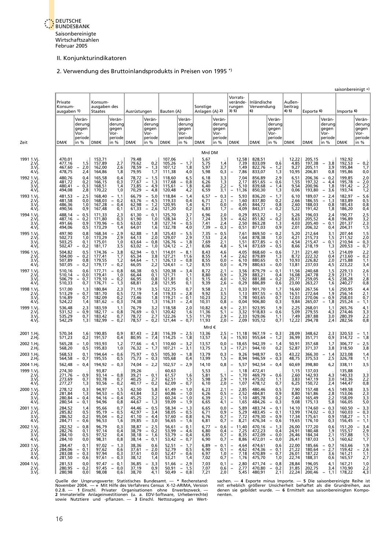

#### 2. Verwendung des Bruttoinlandsprodukts in Preisen von 1995 \*)

<span id="page-22-0"></span>

|                                       |                                                |                                                                                  |                                           |                                                                           |                                           |                                                                                                                               |                                            |                                                                                  |                                       |                                                      |                                                                                                                                              |                                                |                                                                  |                                       |                                                |                                                                  | saisonbereinigt +)                             |                                                                                      |
|---------------------------------------|------------------------------------------------|----------------------------------------------------------------------------------|-------------------------------------------|---------------------------------------------------------------------------|-------------------------------------------|-------------------------------------------------------------------------------------------------------------------------------|--------------------------------------------|----------------------------------------------------------------------------------|---------------------------------------|------------------------------------------------------|----------------------------------------------------------------------------------------------------------------------------------------------|------------------------------------------------|------------------------------------------------------------------|---------------------------------------|------------------------------------------------|------------------------------------------------------------------|------------------------------------------------|--------------------------------------------------------------------------------------|
|                                       | Private<br>Konsum-<br>ausgaben 1)              |                                                                                  | Konsum-<br>ausgaben des<br><b>Staates</b> |                                                                           | Ausrüstungen                              |                                                                                                                               | Bauten (A)                                 |                                                                                  | Sonstige<br>Anlagen (A) 2)            |                                                      | Vorrats-<br>verände-<br>rungen<br>3) 5)                                                                                                      | Inländische<br>Verwendung<br>6)                |                                                                  | Außen-<br>beitrag<br>4) 5)            | Exporte 6)                                     |                                                                  | Importe 6)                                     |                                                                                      |
|                                       | DM/€                                           | Verän-<br>derung<br>gegen<br>Vor-<br>periode<br>in %                             | DM/€                                      | Verän-<br>derung<br>gegen<br>Vor-<br>periode<br>in %                      | DM/€                                      | Verän-<br>derung<br>gegen<br>Vor-<br>periode<br>in %                                                                          | DM/€                                       | Verän-<br>derung<br>gegen<br>Vor-<br>periode<br>in %                             | DM/€                                  | Verän-<br>derung<br>gegen<br>Vor-<br>periode<br>in % | DM/€                                                                                                                                         | DM/€                                           | Verän-<br>derung<br>gegen<br>Vor-<br>periode<br>in %             | DM/€                                  | DM/€                                           | Verän-<br>derung<br>gegen<br>Vor-<br>periode<br>in %             | DM/€                                           | Verän-<br>derung<br>gegen<br>Vor-<br>periode<br>in %                                 |
|                                       |                                                |                                                                                  |                                           |                                                                           |                                           |                                                                                                                               |                                            |                                                                                  | Mrd DM                                |                                                      |                                                                                                                                              |                                                |                                                                  |                                       |                                                |                                                                  |                                                |                                                                                      |
| 1991 1.Vi.<br>2.Vj.<br>3.Vì.<br>4.Vi. | 470,01<br>477,16<br>467,60<br>478,75           | 1,5<br>2,0<br>$-$<br>2,4                                                         | 153,71<br>157,89<br>162,00<br>164,86      | 2,7<br>2,6<br>1,8                                                         | 79,48<br>79,62<br>78,59<br>79,95          | 0, 2<br>1,3<br>$\qquad \qquad -$<br>1,7                                                                                       | 107,06<br>105,26<br>107,12<br>111,38       | 1,7<br>$\overline{\phantom{0}}$<br>1,8<br>4,0                                    | 5,67<br>5,75<br>5,97<br>5,98          | 1,4<br>3,7<br>0,3                                    | 12,58<br>7,39<br>1,49<br>7,86<br>$\overline{\phantom{a}}$                                                                                    | 828,51<br>833,09<br>822,76<br>833,07           | 0,6<br>1,2<br>$\overline{\phantom{0}}$<br>1,3                    | 12,22<br>4,85<br>9,27<br>10,95        | 205,15<br>197,38<br>205,11<br>206,81           | 3,8<br>$\overline{\phantom{a}}$<br>3,9<br>0,8                    | 192,92<br>192,53<br>195,84<br>195,86           | $-0,2$<br>1,7<br>0,0                                                                 |
| 1992 1.Vi<br>2.Vj.<br>3.Vì<br>4.Vj.   | 480,76<br>481,72<br>480,41<br>494,08           | 0,4<br>0,2<br>0,3<br>$-$<br>2,8                                                  | 165,58<br>166,15<br>168,51<br>170,22      | $0,4$<br>$0,3$<br>1,4<br>1,0                                              | 78,72<br>77,67<br>73,85<br>70,29          | 1,5<br>$\overline{\phantom{a}}$<br>$\frac{1}{2}$<br>1,3<br>$\overline{\phantom{a}}$<br>4,9<br>4,8<br>$\overline{\phantom{a}}$ | 118,60<br>117,68<br>115,61<br>120,48       | 6,5<br>0,8<br>$\overline{\phantom{a}}$<br>$\overline{\phantom{a}}$<br>1,8<br>4,2 | 6,18<br>6,26<br>6,40<br>6,59          | 3,3<br>1,3<br>2,2<br>3,1                             | 7,04<br>2,17<br>5,10<br>$\overline{\phantom{a}}$<br>11,36                                                                                    | 856,89<br>851,65<br>839,68<br>850,30           | 2,9<br>0,6<br>$\overline{\phantom{a}}$<br>$\equiv$<br>1,4<br>1,3 | 6,51<br>1,55<br>9,54<br>0,06          | 206,36<br>197,32<br>200,96<br>193,80           | 0,2<br>$\overline{\phantom{a}}$<br>$\equiv$<br>4,4<br>1,8<br>3,6 | 199,85<br>195,78<br>191,42<br>193,74           | $^{2,0}_{2,0}$<br>$\overline{\phantom{a}}$<br>$\overline{\phantom{a}}$<br>2,2<br>1,2 |
| 1993 1.Vi.<br>2.Vj.<br>3.Vì<br>4.Vj.  | 481,53<br>481,58<br>486,36<br>490,56           | 2,5<br>$-$<br>0,0<br>1,0<br>0,9                                                  | 168,40<br>168,03<br>167,28<br>167,48      | 1,1<br>0,2<br>0,4<br>0,1                                                  | 66,79<br>63,76<br>62,98<br>61,33          | 5,0<br>$\overline{\phantom{a}}$<br>$\overline{\phantom{a}}$<br>4,5<br>$\qquad \qquad -$<br>1,2<br>2,6<br>$\qquad \qquad -$    | 118,84<br>119,33<br>120,95<br>121,20       | 1,4<br>0,4<br>1,4<br>0,2                                                         | 6,57<br>6,71<br>6,71<br>6,83          | 0,3<br>2,1<br>0,0<br>1,7                             | 5,93<br>L,<br>1,60<br>$\overline{\phantom{a}}$<br>0,45<br>4,09<br>$\overline{\phantom{a}}$                                                   | 836,20<br>837,80<br>844,72<br>843,31           | 1,7<br>0,2<br>0,8<br>0,2                                         | 6,10<br>2,66<br>2,60<br>5,22          | 189,07<br>186,55<br>188,03<br>191,42           | 2,4<br>$\equiv$<br>1,3<br>0,8<br>1,8                             | 182,97<br>183,89<br>185,43<br>186,20           | $\frac{5,6}{0,5}$<br>0,8<br>0,4                                                      |
| 1994 1.Vi.<br>2.Vj.<br>3.Vì<br>4.Vj.  | 488,14<br>487,16<br>491,66<br>494,06           | 0,5<br>$ \,$<br>$\equiv$<br>0,2<br>0,9<br>0,5                                    | 171,33<br>171,80<br>170,96<br>173,29      | 2,3<br>0,3<br>0,5<br>1,4                                                  | 61,30<br>61,90<br>63,02<br>64,01          | 0.1<br>$\overline{\phantom{0}}$<br>1,0<br>1,8<br>1,6                                                                          | 125,70<br>128,34<br>127,74<br>132,78       | 3,7<br>2,1<br>0,5<br>$\overline{\phantom{a}}$<br>4,0                             | 6,96<br>7,24<br>7,41<br>7,39          | 2,0<br>3,9<br>2,4<br>0,3                             | 0.29<br>4,62<br>$\overline{\phantom{0}}$<br>2,50<br>0,51                                                                                     | 853,72<br>851,82<br>863,28<br>871,03           | 1,2<br>0,2<br>$\equiv$<br>1,3<br>0,9                             | 5,26<br>8,63<br>4,03<br>2,01          | 196,03<br>205,52<br>205,40<br>206,32           | 2,4<br>4,8<br>0,1<br>0,4                                         | 190,77<br>196,89<br>201,37<br>204,31           | 2,5<br>3,2<br>2,3<br>1,5                                                             |
| 1995 1.Vi.<br>2.Vj.<br>3.Vì.<br>4.Vi. | 497,90<br>502,73<br>503,25<br>502,47           | 0,8<br>1,0<br>0,1<br>0,2<br>$-$                                                  | 168,34<br>173,29<br>175,01<br>181,17      | 2,9<br>2,9<br>1,0<br>3,5                                                  | 62,88<br>64,13<br>63,64<br>63,02          | 1,8<br>2,0<br>0,8<br>$\bar{\Box}$<br>1,0                                                                                      | 125,43<br>129,07<br>126,76<br>124,12       | 5,5<br>$\overline{\phantom{a}}$<br>2,9<br>1,8<br>$\bar{\Box}$<br>2,1             | 7,35<br>7,53<br>7,69<br>8,06          | 0, 5<br>2,4<br>2,1<br>4,8                            | 7,61<br>1,64<br>1,51<br>5,14<br>$\overline{\phantom{0}}$                                                                                     | 869,50<br>878,38<br>877,85<br>873,69           | 0,2<br>1,0<br>0,1<br>$\qquad \qquad -$<br>$\overline{a}$<br>0,5  | 5,20<br>4,21<br>4,54<br>8,66          | 212,64<br>215,73<br>215,47<br>218,19           | 3,1<br>1,5<br>0,1<br>1,3                                         | 207,44<br>211,52<br>210,94<br>209,53           | 1,5<br>2,0<br>0,3<br>$\overline{\phantom{a}}$<br>$\overline{\phantom{0}}$<br>0,7     |
| 1996 1.Vi.<br>2.Vj.<br>3.Vì<br>4.Vj.  | 504,82<br>504,00<br>507,89<br>507,05           | 0,5<br>$-0,2$<br>0,8<br>0,2<br>$-$                                               | 174,36<br>177,41<br>179,55<br>179,17      | 3,8<br>1,7<br>1,2<br>0,2                                                  | 62,94<br>65,34<br>64,64<br>66,05          | 0,1<br>3,8<br>1,1<br>2,2                                                                                                      | 114,01<br>127,21<br>126,13<br>124,61       | 8,1<br>$-$<br>11,6<br>$-0,8$<br>$\overline{\phantom{a}}$<br>1,2                  | 8,43<br>8,55<br>8,55<br>8,55          | 4,6<br>1,4<br>0,0<br>0,0                             | 4,05<br>2,62<br>$\overline{\phantom{a}}$<br>$\overline{\phantom{a}}$<br>6,10<br>$\overline{\phantom{a}}$<br>4,79                             | 868,60<br>879,89<br>880,65<br>880,63           | 0,6<br>$\overline{\phantom{a}}$<br>1,3<br>0,1<br>0,0             | 7,31<br>8,72<br>10,93<br>13,81        | 221,40<br>222,32<br>226,82<br>237,03           | 1,5<br>0,4<br>2,0<br>4,5                                         | 214,09<br>213,60<br>215,88<br>223,22           | $^{2,2}_{0,2}$<br>$\overline{\phantom{a}}$<br>1,1<br>3,4                             |
| 1997 1.Vi.<br>2.Vj.<br>3.Vì.<br>4.Vj. | 510,16<br>510,14<br>506,79<br>510,33           | 0,6<br>$\overline{\phantom{a}}$<br>0,0<br>$\overline{\phantom{a}}$<br>0,7<br>0,7 | 177,71<br>179,41<br>179,10<br>176,71      | 0,8<br>1,0<br>0,2<br>$\qquad \qquad -$<br>1,3<br>$\overline{\phantom{0}}$ | 66,38<br>66,44<br>66,95<br>68,81          | 0,5<br>0,1<br>0,8<br>2,8                                                                                                      | 120,38<br>121,71<br>121,81<br>121,95       | 3,4<br>$\qquad \qquad -$<br>1,1<br>0,1<br>0,1                                    | 8,72<br>8,80<br>9,15<br>9,39          | 2,1<br>0,9<br>4,0<br>2,6                             | 3,56<br>$\qquad \qquad -$<br>$\qquad \qquad -$<br>3,29<br>$\overline{\phantom{m}}$<br>1,92<br>$\equiv$<br>0,29                               | 879,79<br>883,21<br>881,88<br>886,89           | 0,1<br>0,4<br>0,2<br>0,6                                         | 11,56<br>16,08<br>20,77<br>23,00      | 240,68<br>247,78<br>259,05<br>263,27           | 1,5<br>2,9<br>4,5<br>1,6                                         | 229,13<br>231,71<br>238,28<br>240,27           | 2,6<br>1,1<br>2,8<br>0,8                                                             |
| 1998 1.Vi<br>2.Vj.<br>3.Vì<br>4.Vj.   | 517,00<br>513,29<br>516,89<br>524,22           | 1,3<br>0,7<br>$ \,$<br>0,7<br>1,4                                                | 180,84<br>181,70<br>182,09<br>181,62      | $^{2,3}_{0,5}$<br>0,2<br>0,3                                              | 71,19<br>72,19<br>73,46<br>74,38          | 3,5<br>1,4<br>1,8<br>1,3                                                                                                      | 122,75<br>119,33<br>119,21<br>116,31       | 0,7<br>2,8<br>$\overline{\phantom{a}}$<br>$\overline{\phantom{a}}$<br>0,1<br>2,4 | 9,58<br>9,92<br>10,23<br>10,31        | 2,1<br>3,5<br>3,2<br>0,8                             | 0,33<br>1,13<br>1,78<br>0,04                                                                                                                 | 901,70<br>897,55<br>903,65<br>906,80           | 1,7<br>0,5<br>0,7<br>0,3                                         | 16,60<br>16,51<br>12,03<br>9,84       | 267,56<br>272,64<br>270,06<br>265,07           | 1,6<br>1,9<br>0,9<br>1,8                                         | 250,95<br>256,14<br>258,03<br>255,24           | $^{4,4}_{2,1}$<br>0,7<br>1,1                                                         |
|                                       | 536,48<br>531,52<br>535,29<br>542,29           | 2,3<br>0,9<br>$\overline{\phantom{0}}$<br>0,7<br>1,3                             | 183,59<br>182,17<br>183,42<br>182,99      | 1,1<br>$-0,8$<br>0,7<br>0,2<br>$\overline{\phantom{a}}$                   | 76,79<br>76,69<br>78,72<br>78,57          | 3,2<br>0,1<br>$\overline{\phantom{0}}$<br>2,7<br>0,2<br>$\overline{\phantom{a}}$                                              | 118,58<br>120,42<br>122,26<br>121,44       | 2,0<br>1,6<br>1,5<br>0,7<br>$\overline{\phantom{m}}$                             | 10,82<br>11,36<br>11,70<br>11,93      | $4,9$<br>5,1<br>2,9<br>2,0                           | 2,31<br>$\qquad \qquad -$<br>$\qquad \qquad -$<br>3,32<br>$\qquad \qquad -$<br>2,33<br>2,09<br>$\overline{\phantom{a}}$                      | 923,95<br>918,83<br>929,06<br>935,12           | 1,9<br>0,6<br>1,1<br>0,7                                         | 2,25<br>5,09<br>7,49<br>12,22         | 268,01<br>279,55<br>287,88<br>294,78           | 1,1<br>4,3<br>3,0<br>2,4                                         | 265,76<br>274,46<br>280,39<br>282,56           | $\frac{4,1}{3,3}$<br>2,2<br>0,8                                                      |
|                                       | 570,34<br>571,23                               | 1,6<br>0,2                                                                       | 190,85<br>191,57                          | 0,9<br>0,4                                                                | 87,43<br>80,95                            | 2,8<br>$\mathbb{I}$<br>7,4                                                                                                    | 116,39<br>114,25                           | 2,5<br>$\bar{\Box}$<br>1,8                                                       | Mrd €<br>13,36<br>13,57               | 2,5<br>1,6                                           | $-11,18$<br>$\overline{\phantom{a}}$<br>15,93                                                                                                | 967,19<br>955,64                               | $\mathbb{I}$<br>0,3<br>1,2                                       | 28,09<br>36,99                        | 348,62<br>351,71                               | 2,3<br>0,9                                                       | 320,53<br>314,72                               | $-1,1$<br>$\overline{\phantom{0}}$<br>1,8                                            |
|                                       | 565,28<br>568,20                               | 1,0<br>$\overline{\phantom{m}}$<br>0,5                                           | 193,93<br>195,83                          | 1,2<br>1,0                                                                | 77,66<br>76,32                            | $-4,1$<br>$-1,7$                                                                                                              | 110,60<br>107,21                           | 3,2<br>$\overline{\phantom{a}}$<br>$\overline{\phantom{a}}$<br>3,1               | 13,57<br>13,75                        | 0,0<br>1,3                                           | 18,65<br>$\overline{\phantom{a}}$<br>$\overline{\phantom{a}}$<br>17,21                                                                       | 942,39<br>944,10                               | 1,4<br>$\overline{a}$<br>0,2                                     | 50,91<br>52,87                        | 357,68<br>371,37                               | 1,7<br>3,8                                                       | 306,77<br>318,50                               | 2,5<br>$\overline{\phantom{a}}$<br>3,8                                               |
|                                       | 568,53<br>564,58                               | 0,1<br>0,7<br>$-$                                                                | 194,64<br>195,55<br>194,92                | 0,6<br>0,5                                                                | 75,97<br>75,73                            | $-0.5$<br>0,3<br>$\overline{\phantom{a}}$                                                                                     | 105,30<br>105,68                           | $-1,8$<br>0,4                                                                    | 13,79<br>13,99                        | 0,3<br>1,5                                           | 9,26<br>$\overline{\phantom{0}}$<br>8,94<br>$\overline{\phantom{a}}$<br>$\overline{\phantom{a}}$                                             | 948,97<br>946,59                               | 0,5<br>0,3<br>$\overline{\phantom{a}}$                           | 43,22<br>48,75                        | 366,30<br>375,53                               | 1,4<br>2,5                                                       | 323,08<br>326,78                               | 1,4<br>1,1                                                                           |
|                                       | 562,48<br>274,30<br>271,76<br>273,69<br>277,27 | $-0.4$<br>0,9<br>$-$<br>0,7<br>1,3                                               | 93,87<br>93,14<br>93,78<br>93,56          | 0,3<br>$-$<br>0,8<br>$\overline{\phantom{a}}$<br>0,7<br>$-0,2$            | 74,04<br>39,26<br>39,21<br>40,25<br>40,17 | $-2,2$<br>$-0,1$<br>2,7<br>$-0,2$                                                                                             | 102,57<br>60,63<br>61,57<br>62,51<br>62,09 | 2,9<br>$\overline{\phantom{m}}$<br>1,6<br>1,5<br>$-0,7$                          | 14,10<br>5,53<br>5,81<br>5,98<br>6,10 | 0,8<br>5,1<br>2,9<br>2,0                             | 5,57<br>1,18<br>-<br>1,70<br>$\overline{\phantom{a}}$<br>1,19<br>$\overline{\phantom{m}}$<br>$\overline{\phantom{a}}$<br>1,07                | 942,54<br>472,41<br>469,79<br>475,02<br>478,12 | 0,4<br>$-$<br>0,6<br>$\overline{\phantom{a}}$<br>1,1<br>0,7      | 60,69<br>1,15<br>2,60<br>3,83<br>6,25 | 398,80<br>137,03<br>142,93<br>147,19<br>150,72 | 6,2<br>4,3<br>3,0<br>2,4                                         | 338,11<br>135,88<br>140,33<br>143,36<br>144,47 | 3,5<br>3,3<br>2,2<br>0,8                                                             |
|                                       | 278,12<br>281,84<br>280,84<br>280,54           | 0,3<br>1,3<br>$-0.4$<br>$-0,1$                                                   | 94,97<br>94,53<br>94,16<br>94,96          | 1,5<br>0,5<br>$-$<br>$-0.4$<br>0,8                                        | 42,50<br>43,84<br>45,25<br>44,67          | 5,8<br>3,2<br>3,2<br>$-1,3$                                                                                                   | 61,49<br>60,86<br>60,24<br>59,09           | $-1,0$<br>$-1,0$<br>$-1,0$<br>$-1,9$                                             | 6,23<br>6,26<br>6,39<br>6,65          | 2,1<br>0,5<br>2,1<br>4,1                             | 2,85<br>$\overline{\phantom{a}}$<br>2,52<br>$\overline{\phantom{a}}$<br>1,10<br>$\overline{\phantom{a}}$<br>$\overline{\phantom{0}}$<br>1,65 | 480,46<br>484,81<br>485,78<br>484,26           | 0,5<br>0,9<br>0,2<br>$-0,3$                                      | 7,90<br>8,80<br>7,40<br>9,08          | 157,48<br>161,86<br>165,49<br>175,13           | 4,5<br>2,8<br>2,2<br>5,8                                         | 149,58<br>153,06<br>158,09<br>166,05           | 3,5<br>2,3<br>3,3<br>5,0                                                             |
|                                       | 284,52<br>285,82<br>286,52<br>284,71           | 1,4<br>0,5<br>0,2<br>$-0,6$                                                      | 95,66<br>95,19<br>95,04<br>96,53          | 0,7<br>0,5<br>$-$<br>- 0,2<br>1,6                                         | 44,46<br>42,97<br>41,10<br>39,85          | $-0,5$<br>$-3,4$<br>$-4,4$<br>$-3,0$                                                                                          | 58,34<br>58,05<br>57,60<br>56,65           | $-1,3$<br>$-0,5$<br>$-0,8$<br>- 1,6                                              | 6,65<br>6,71<br>6,76<br>6,81          | 0,0<br>0,9<br>0,7<br>0,7                             | 5,89<br>$\overline{\phantom{a}}$<br>5,29<br>$\overline{\phantom{a}}$<br>7,72<br>$\overline{\phantom{a}}$<br>$\overline{\phantom{a}}$<br>8,21 | 483,74<br>483,45<br>476,34                     | $-0,1$<br>$- 0,1$<br>$479,30 - 0,9$<br>- 0,6                     | 14,10<br>13,99<br>17,34<br>19,65      | 174,60<br>174,02<br>175,61<br>176,10           | 0,3<br>0,3<br>0,9<br>0,3                                         | 160,50<br>160,03<br>158,27<br>156,45           | $-3,3$<br>$- 0,3$<br>$-1,1$<br>$-1,1$                                                |
|                                       | 282,52<br>282,76<br>284,10<br>284,10           | $-0,8$<br>0,1<br>0,5<br>0,0                                                      | 96,79<br>97,14<br>97,52<br>98,31          | 0,3<br>0,4<br>0,4<br>0,8                                                  | 38,87<br>38,79<br>38,18<br>38,14          | $-2,5$<br>$-0,2$<br>$-1,6$<br>$-0,1$                                                                                          | 56,61<br>53,99<br>53,42                    | $-0,1$<br>- 4,6<br>53,79 - 0,4<br>$-0,7$                                         | 6,77<br>6,80<br>6,85<br>6,90          | 0,6<br>$\overline{\phantom{0}}$<br>0,4<br>0,7<br>0,7 | $-11,40$<br>7,25<br>$\overline{\phantom{a}}$<br>8,35<br>$\overline{\phantom{a}}$<br>8,86<br>$\overline{\phantom{a}}$                         | 470,16<br>472,23<br>472,09<br>472,01           | $-1,3$<br>0,4<br>$-0,0$<br>$-0,0$                                | 26,00<br>24,91<br>26,46<br>26,41      | 177,20<br>180,48<br>184,34<br>187,03           | 0,6<br>1,9<br>2,1<br>1,5                                         | 151,20<br>155,57<br>157,88<br>160,62           | $-3,4$<br>2,9<br>1,5<br>1,7                                                          |
|                                       | 284,47<br>284,06<br>283,08<br>281,50           | 0,1<br>$\begin{bmatrix} 0.1 \\ -0.3 \end{bmatrix}$<br>$-0,6$                     | 97,02<br>97,62<br>97,94<br>97,61          | 1,3<br>$\overline{\phantom{0}}$<br>0,6<br>0,3<br>$-0,3$                   | 38,36<br>37,61<br>37,61<br>38,12          | 0,6<br>$-2,0$<br>0,0<br>1,4                                                                                                   | 52,51<br>52,79<br>52,47<br>53,21           | 1,7<br>$-$<br>0,5<br>$-0,6$<br>1,4                                               | 6,89<br>6,90<br>6,97<br>7,02          | 0,1<br>$\overline{\phantom{0}}$<br>0,1<br>1,0<br>0,7 | 4,64<br>$\overline{\phantom{a}}$<br>4,62<br>$\overline{\phantom{a}}$<br>7,18<br>$\overline{\phantom{a}}$<br>$\overline{\phantom{a}}$<br>1,76 | 474,61<br>474,36<br>470,89<br>475,70           | 0,6<br>$-0,1$<br>$-0.7$<br>1,0                                   | 22,00<br>21,22<br>26,01<br>22,74      | 185,66<br>180,64<br>187,22<br>188,31           | 0,7<br>$\overline{\phantom{m}}$<br>2,7<br>3,6<br>0,6             | 163,66<br>159,42<br>161,21<br>165,57           | 1,9<br>2,6<br>$\overline{\phantom{a}}$<br>1,1<br>2,7                                 |
|                                       | 281,53<br>280,95<br>280,98                     | 0,0<br>$-0,2$<br>0,0                                                             | 97,47<br>97,45<br>98,08                   | $-0,1$<br>$-0,0$<br>0,6                                                   | 36,85<br>37,19<br>38,70                   | 3,3<br>0,9<br>4,1                                                                                                             | 51,66<br>50,91<br>50,49                    | $-2,9$<br>$-1,5$<br>$-0,8$                                                       | 7,03<br>7,07<br>7,21                  | 0,1<br>0,6<br>2,0                                    | 2,80<br>$\overline{\phantom{a}}$<br>2,77<br>$\overline{\phantom{a}}$<br>5,45                                                                 | 471,74<br>470,80<br>480,91                     | $-0,8$<br>$-0,2$<br>2,1                                          | 28,84<br>31,85<br>22,24               | 196,05<br>202,75<br>200,46                     | 4,1<br>3,4<br>1,1<br>$\overline{\phantom{m}}$                    | 167,21<br>170,90<br>178,22                     | 1,0<br>2,2<br>4,3                                                                    |

Quelle der Ursprungswerte: Statistisches Bundesamt. — \* Rechenstand: sachen. — 4 Exporte minus Importe. — 5 Die saisonbereinigte Reihe ist<br>November 2004. — + Mit Hilfe des Verfahrens Census X-12-ARIMA, Version mi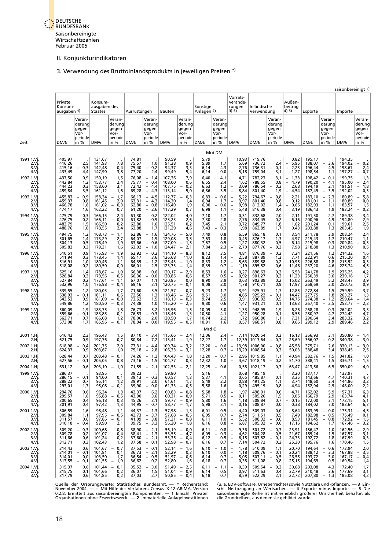

## 3. Verwendung des Bruttoinlandsprodukts in jeweiligen Preisen \*)

<span id="page-23-0"></span>

|                                       |                                      |                                                      |                                           |                                                                                                              |                                  |                                                                                                                                          |                                      |                                                                                                              |                                  |                                                      |                                                                                                              |                                |                                      |                                                         |                                                                            |                                      |                                                                           | saisonbereinigt +                    |                                                                                  |
|---------------------------------------|--------------------------------------|------------------------------------------------------|-------------------------------------------|--------------------------------------------------------------------------------------------------------------|----------------------------------|------------------------------------------------------------------------------------------------------------------------------------------|--------------------------------------|--------------------------------------------------------------------------------------------------------------|----------------------------------|------------------------------------------------------|--------------------------------------------------------------------------------------------------------------|--------------------------------|--------------------------------------|---------------------------------------------------------|----------------------------------------------------------------------------|--------------------------------------|---------------------------------------------------------------------------|--------------------------------------|----------------------------------------------------------------------------------|
|                                       | Private<br>Konsum-<br>ausgaben 1)    |                                                      | Konsum-<br>ausgaben des<br><b>Staates</b> |                                                                                                              | Ausrüstungen                     |                                                                                                                                          | Bauten                               |                                                                                                              | Sonstige<br>Anlagen 2)           |                                                      | 3) 5)                                                                                                        | Vorrats-<br>verände-<br>rungen | Inländische<br>Verwendung            |                                                         | Außen-<br>beitrag<br>4) 5)                                                 | Exporte                              |                                                                           | Importe                              |                                                                                  |
| Zeit                                  | DM/€                                 | Verän-<br>derung<br>gegen<br>Vor-<br>periode<br>in % | DM/€                                      | Verän-<br>derung<br>gegen<br>Vor-<br>periode<br>in $%$                                                       | DM/€                             | Verän-<br>derung<br>gegen<br>Vor-<br>periode<br>in %                                                                                     | DM/€                                 | Verän-<br>derung<br>gegen<br>Vor-<br>periode<br>in %                                                         | DM/€                             | Verän-<br>derung<br>gegen<br>Vor-<br>periode<br>in % | DM/€                                                                                                         |                                | DM/€                                 | Verän-<br>derung<br>gegen<br>Vor-<br>periode<br>in $%$  | DM/€                                                                       | DM/€                                 | Verän-<br>derung<br>gegen<br>Vor-<br>periode<br>in %                      | DM/€                                 | Verän-<br>derung<br>gegen<br>Vor-<br>periode<br>in %                             |
|                                       |                                      |                                                      |                                           |                                                                                                              |                                  |                                                                                                                                          |                                      |                                                                                                              |                                  | Mrd DM                                               |                                                                                                              |                                |                                      |                                                         |                                                                            |                                      |                                                                           |                                      |                                                                                  |
| 1991 1.Vi<br>2.Vi<br>3.Vì.<br>4.Vj    | 405,97<br>416,26<br>415,16<br>433,49 | 2,5<br>0,3<br>$ \,$<br>4,4                           | 131,67<br>141,93<br>142,48<br>147,90      | 7,8<br>0,4<br>3,8                                                                                            | 74,81<br>75,57<br>75,40<br>77,20 | 1,0<br>0,2<br>2,4                                                                                                                        | 90,59<br>91,38<br>94,37<br>99,49     | 0,9<br>3,3<br>5,4                                                                                            | 5,79<br>5,89<br>6,14<br>6,14     | 1,7<br>4,3<br>0,0                                    | $\overline{\phantom{0}}$                                                                                     | 10,93<br>5,69<br>2,76<br>5,18  | 719,76<br>736,72<br>736,31<br>759,04 | 2,4<br>0,1<br>$\overline{\phantom{0}}$<br>3,1           | 0,82<br>5,95<br>$\overline{\phantom{a}}$<br>$\overline{a}$<br>2,23<br>1,27 | 195,17<br>188,07<br>196,44<br>198,54 | 3,6<br>$\overline{\phantom{0}}$<br>4,5<br>1,1                             | 194,35<br>194.02<br>198,67<br>197,27 | $-0,2$<br>2,4<br>0,7<br>$\overline{\phantom{a}}$                                 |
| 1992 1.Vi.<br>2.Vj.<br>3.Vì.<br>4.Vi. | 437,50<br>442,84<br>444,23<br>459,84 | 0,9<br>1,2<br>0,3<br>3,5                             | 150,19<br>153,77<br>158,60<br>161,12      | 1,5<br>$\frac{2}{3}$ , 1<br>1,6                                                                              | 76,08<br>75,77<br>72,42<br>69,28 | 1,4<br>$\frac{1}{2}$<br>0,4<br>4,4<br>4,3                                                                                                | 107,36<br>108,00<br>107,75<br>113,14 | 7,9<br>0,6<br>0,2<br>$\overline{\phantom{a}}$<br>5,0                                                         | 6,40<br>6,55<br>6,63<br>6,86     | 4,1<br>2,4<br>1,2<br>3,5                             | $\bar{a}$                                                                                                    | 4,71<br>1,62<br>3,09<br>8,84   | 782,23<br>788,55<br>786,54<br>801,40 | 3,1<br>0,8<br>0,3<br>1,9                                | 1,33<br>$\equiv$<br>4,79<br>2,68<br>4,54<br>$\overline{\phantom{0}}$       | 198,42<br>190,20<br>194,19<br>187,49 | 0,1<br>4,1<br>$\overline{\phantom{0}}$<br>2,1<br>3,5<br>$\qquad \qquad -$ | 199,75<br>195,00<br>191,51<br>192,02 | 1,3<br>2,4<br>$\equiv$<br>$\overline{\phantom{a}}$<br>1,8<br>0,3                 |
| 1993 1.Vi.<br>2.Vi.<br>3.Vì.<br>4.Vj. | 455,83<br>459,37<br>466,78<br>474,17 | 0,9<br>$\overline{\phantom{0}}$<br>0,8<br>1,6<br>1,6 | 158,34<br>161,45<br>161,02<br>162,22      | 1,7<br>2,0<br>0,3<br>$\qquad \qquad -$<br>0,7                                                                | 66,13<br>63,31<br>62,80<br>61,20 | 4,5<br>$\overline{\phantom{a}}$<br>$\overline{\phantom{a}}$<br>4,3<br>0,8<br>$\overline{\phantom{a}}$<br>$\overline{\phantom{a}}$<br>2,6 | 112,77<br>114,30<br>116,49<br>117,29 | 0,3<br>$\overline{\phantom{a}}$<br>1,4<br>1,9<br>0,7                                                         | 6,83<br>6,94<br>6,90<br>6,98     | 0,6<br>1,7<br>0,6<br>1,1                             | $\overline{\phantom{a}}$<br>$\qquad \qquad -$<br>$\frac{1}{2}$<br>$\overline{\phantom{0}}$                   | 5,22<br>3,97<br>0,98<br>5,48   | 794,67<br>801,40<br>813,02<br>816,38 | 0,8<br>0,8<br>1,4<br>0,4                                | 2,21<br>0,12<br>0,65<br>3,19                                               | 183,10<br>181,01<br>182,93<br>186,43 | 2,3<br>$\overline{\phantom{0}}$<br>1,1<br>$\qquad \qquad -$<br>1,1<br>1,9 | 180,89<br>180,89<br>183,57<br>183,24 | 5,8<br>$\overline{\phantom{a}}$<br>0,0<br>1,5<br>0,2                             |
| 1994 1.Vi<br>2.Vi.<br>3.Vi<br>4 Vj.   | 475,79<br>476,75<br>483,79<br>488,76 | 0,3<br>0,2<br>1,5<br>1,0                             | 166,15<br>166,11<br>166,50<br>170,55      | 2,4<br>0,0<br>0,2<br>2,4                                                                                     | 61,30<br>61,82<br>62,80<br>63,88 | 0,2<br>0,9<br>1,6<br>1,7                                                                                                                 | 122,02<br>125,23<br>125,51<br>131,29 | 4,0<br>2,6<br>0.2<br>4,6                                                                                     | 7,10<br>7,30<br>7,45<br>7,43     | 1,7<br>2,8<br>2,1<br>0,3                             | $\overline{\phantom{0}}$                                                                                     | 0,31<br>2,76<br>3,72<br>1,98   | 832,68<br>834,45<br>849,77<br>863,89 | 2,0<br>0,2<br>1,8<br>1,7                                | 2,11<br>6,16<br>1,62<br>0,43                                               | 191,50<br>200,96<br>201,24<br>203,88 | 2,7<br>4,9<br>0,1<br>1,3                                                  | 189,38<br>194,80<br>199,61<br>203,45 | 3,4<br>2,9<br>2,5<br>1,9                                                         |
| 1995 1.Vi.<br>2.Vi.<br>3.Vì.<br>4.Vj  | 494,75<br>501,65<br>504,13<br>505,82 | 1,2<br>1,4<br>0,5<br>0,3                             | 168,73<br>173,29<br>176,49<br>179,31      | 1,1<br>$\overline{\phantom{0}}$<br>2,7<br>1,9<br>1,6                                                         | 62,86<br>64.07<br>63,66<br>63,02 | 1,6<br>$\overline{\phantom{a}}$<br>1,9<br>$-0,6$<br>$\overline{\phantom{0}}$<br>1,0                                                      | 124,76<br>129,08<br>127,09<br>124,47 | 5,0<br>$\overline{\phantom{a}}$<br>3,5<br>1,5<br>$\overline{\phantom{a}}$<br>$\overline{\phantom{a}}$<br>2,1 | 7,49<br>7,63<br>7,67<br>7,84     | 0,8<br>1,8<br>0,5<br>2,3                             |                                                                                                              | 6,59<br>0,45<br>1,27<br>2,70   | 865,18<br>876,17<br>880,32<br>877,76 | 0,1<br>1,3<br>0,5<br>0,3                                | 3,54<br>4,97<br>6,14<br>7,98                                               | 211,78<br>215,43<br>215,98<br>218,88 | 3,9<br>1,7<br>0,3<br>1,3                                                  | 208,24<br>210,47<br>209,84<br>210,90 | 2,4<br>1,1<br>0,3<br>0,5                                                         |
| 1996 1.Vi.<br>2.Vi.<br>3.Vì<br>4.Vj.  | 510,51<br>511,94<br>516,91<br>518,08 | 0,9<br>0,3<br>1,0<br>0,2                             | 175,93<br>178,45<br>180,46<br>180,50      | 1,9<br>$\qquad \qquad -$<br>1,4<br>1,1<br>0,0                                                                | 62,92<br>65,17<br>64,39<br>66,01 | 0,2<br>$\overline{\phantom{a}}$<br>3,6<br>1,2<br>2,5                                                                                     | 114,10<br>126,68<br>125,43<br>123,73 | 8,3<br>$\overline{\phantom{a}}$<br>11,0<br>$-1,0$<br>$\overline{\phantom{a}}$<br>1,4                         | 8,12<br>8,23<br>8,33<br>8,39     | 3,5<br>1,4<br>1,2<br>0,7                             | $\frac{1}{2}$                                                                                                | 4,81<br>2,58<br>5,63<br>1,19   | 876,39<br>887,89<br>889,88<br>895,52 | 0,2<br>1,3<br>0,2<br>0,6                                | 7,24<br>7,71<br>10,95<br>11,46                                             | 221,56<br>222,91<br>226,88<br>237,20 | 1,2<br>0,6<br>1,8<br>4,6                                                  | 214,32<br>215,20<br>215,92<br>225,74 | 1,6<br>0,4<br>0,3<br>4,5                                                         |
| 1997 1.Vi.<br>2.Vj.<br>3.Vi.<br>4.Vi  | 525,16<br>526,84<br>527,84<br>532,96 | 1,4<br>0,3<br>0,2<br>1,0                             | 178,67<br>179,56<br>177,61<br>176,98      | 1,0<br>$\overline{\phantom{a}}$<br>0,5<br>1,1<br>$\overline{\phantom{0}}$<br>$\overline{\phantom{0}}$<br>0,4 | 66,38<br>66,36<br>67,07<br>69,16 | 0,6<br>0,0<br>$\overline{\phantom{0}}$<br>1,1<br>3,1                                                                                     | 120,17<br>120,85<br>120,85<br>120,75 | $\overline{\phantom{a}}$<br>2,9<br>0,6<br>0,0<br>$\overline{\phantom{a}}$<br>0,1                             | 8,53<br>8,57<br>8,90<br>9,08     | 1,6<br>0,5<br>3,9<br>2,0                             | $\qquad \qquad -$<br>$\equiv$                                                                                | 0,27<br>0,92<br>0,63<br>1,78   | 898,63<br>901,27<br>902,89<br>910,71 | 0,3<br>0,3<br>0,2<br>0,9                                | 6,53<br>11,23<br>15,02<br>17,97                                            | 241,78<br>250,39<br>263,49<br>268,69 | 1,9<br>3,6<br>5,2<br>2,0                                                  | 235,25<br>239,16<br>248,47<br>250,72 | $4,2$<br>$1,7$<br>$3,9$<br>$0,9$                                                 |
| 1998 1.Vi.<br>2.Vi.<br>3.Vì.<br>4.Vj. | 539,55<br>538,93<br>543,53<br>549,86 | 1,2<br>0,1<br>$\qquad \qquad -$<br>0,9<br>1,2        | 180,03<br>181,11<br>181,09<br>180,50      | 1,7<br>0,6<br>0,0<br>$\qquad \qquad -$<br>0,3<br>$\overline{\phantom{0}}$                                    | 71,60<br>72,56<br>73,62<br>74,38 | 3,5<br>1,3<br>1,5<br>1,0                                                                                                                 | 121,57<br>118,46<br>118,13<br>115,20 | 0,7<br>2,6<br>$\overline{\phantom{a}}$<br>$\overline{\phantom{a}}$<br>0,3<br>$\overline{\phantom{a}}$<br>2,5 | 9,23<br>9,51<br>9,74<br>9,80     | 1,7<br>3,0<br>2,5<br>0,6                             |                                                                                                              | 3,91<br>4,65<br>3,91<br>1,47   | 925,91<br>925,22<br>930,02<br>931,21 | 1,7<br>0,1<br>0,5<br>0,1                                | 12,85<br>14,47<br>14,75<br>13,63                                           | 272,84<br>277,75<br>274,38<br>267,40 | 1,5<br>1,8<br>1,2<br>2,5                                                  | 259,99<br>263,27<br>259,64<br>253,77 | 3,7<br>1,3<br>1,4<br>$\overline{\phantom{a}}$<br>2,3<br>$\overline{\phantom{0}}$ |
| 1999 1.Vi<br>2.Vi.<br>3.Vi<br>4.Vj.   | 560,09<br>559,66<br>563,71<br>573,08 | 1,9<br>0,1<br>$\overline{\phantom{a}}$<br>0,7<br>1,7 | 183,75<br>183,85<br>186,08<br>185,96      | 1,8<br>0,1<br>1,2<br>0,1                                                                                     | 76,73<br>76,53<br>78,06<br>78,04 | 3,2<br>0,3<br>2,0<br>0,0                                                                                                                 | 116,96<br>118,46<br>120,50<br>119,95 | 1,5<br>1,3<br>1,7<br>0,5<br>$\overline{\phantom{a}}$                                                         | 10,09<br>10,50<br>10,74<br>10,91 | 3,0<br>4,1<br>2,2<br>1,6                             |                                                                                                              | 1,33<br>1,27<br>1,72<br>0,57   | 948,95<br>950,28<br>960,80<br>968,51 | 1,9<br>0,1<br>1,1<br>0,8                                | 6,26<br>6,55<br>7,31<br>9,66                                               | 268,28<br>280,97<br>290,64<br>299,12 | 0,3<br>4,7<br>3,4<br>2,9                                                  | 262,02<br>274,42<br>283,32<br>289,46 | $3,3$<br>$4,7$<br>$\frac{3}{2}$ , 2                                              |
|                                       |                                      |                                                      |                                           |                                                                                                              |                                  |                                                                                                                                          |                                      |                                                                                                              | Mrd €                            |                                                      |                                                                                                              |                                |                                      |                                                         |                                                                            |                                      |                                                                           |                                      |                                                                                  |
| 2001 1.Hj.<br>2.Hj                    | 616,43<br>621,75                     | 2,3<br>0,9                                           | 196,43<br>197,76                          | $^{1,5}_{0,7}$                                                                                               | 87,10<br>80,84                   | $3,4$<br>$7,2$<br>$\overline{\phantom{a}}$<br>$\overline{\phantom{a}}$                                                                   | 115,66<br>113,41                     | 2,4<br>$\overline{\phantom{a}}$<br>$\overline{\phantom{a}}$<br>1,9                                           | 12,06<br>12,27                   | 2,4  <br>1,7                                         | $\overline{\phantom{a}}$<br>$\overline{a}$                                                                   | 7,14<br>12,39                  | 1020,54<br>1013,64                   | 0,3<br>0,7<br>$\overline{\phantom{a}}$                  | 16,13<br>25,69                                                             | 366,93<br>366,07                     | 3,1<br>0,2                                                                | 350.80<br>340,38                     | 1,4<br>$\overline{\phantom{a}}$<br>$\overline{\phantom{a}}$<br>3,0               |
| 2002 1.Hj.<br>2.Hj.                   | 618,98<br>624,37                     | 0,4<br>$ \,$<br>0,9                                  | 201,75<br>203,67                          | 2,0<br>1,0                                                                                                   | 77,31<br>75,18                   | $\overline{\phantom{a}}$<br>4,4<br>2,8<br>$-$                                                                                            | 109,74<br>106,33                     | $\overline{\phantom{a}}$<br>3,2<br>$\overline{\phantom{a}}$<br>3,1                                           | 12,20<br>12,28                   | 0,6<br>$\overline{\phantom{0}}$<br>0,7               | $\overline{\phantom{a}}$<br>$\qquad \qquad -$                                                                | 13,98<br>13,29                 | 1006,00<br>1008,54                   | 0,8<br>$-$<br>0,3                                       | 45,58<br>50,03                                                             | 375,71<br>388,48                     | 2,6<br>3,4                                                                | 330,13<br>338,45                     | 3,0<br>$\overline{\phantom{a}}$<br>2,5                                           |
| 2003 1.Hj.<br>2.Hj.                   | 628,44<br>627,56                     | 0,7<br>$\overline{\phantom{a}}$<br>0,1               | 203,48<br>205,05                          | 0,1<br>0,8                                                                                                   | 74,26<br>73,16                   | $\overline{\phantom{a}}$<br>1,2<br>$\overline{\phantom{a}}$<br>1,5                                                                       | 104,43<br>104,77                     | 1,8<br>$\overline{\phantom{a}}$<br>0,3                                                                       | 12,20<br>12,32                   | 0,7<br>1,0                                           | $\overline{\phantom{0}}$<br>$\overline{\phantom{0}}$                                                         | 2,96<br>4,67                   | 1019,85<br>1018,19                   | 1,1<br>0,2                                              | 40.94<br>51,70                                                             | 382,76<br>388,41                     | 1,5<br>1,5                                                                | 341,82<br>336,71                     | 1,0<br>1,5                                                                       |
| 2004 1.Hj.<br>1999 1.Vi.              | 631,12<br>286,37                     | 0,6                                                  | 203,10<br>93,95                           | 1,0<br>$\qquad \qquad -$                                                                                     | 71,59<br>39,23                   | $-2,1$                                                                                                                                   | 102,53<br>59,80                      | 2,1<br>$\overline{\phantom{a}}$                                                                              | 12,25<br>5,16                    | 0,6                                                  |                                                                                                              | 0,58<br>0,68                   | 1021,17<br>485,19                    | 0,3                                                     | 63,47<br>3,20                                                              | 413,56<br>137,17                     | 6,5                                                                       | 350,09<br>133,97                     | 4,0                                                                              |
| 2.Vi.<br>3.Vj.<br>4.Vj.               | 286,15<br>288,22<br>293,01           | 0,1<br>$\overline{\phantom{a}}$<br>0,7<br>1,7        | 94,00<br>95,14<br>95,08                   | 0,1<br>1,2<br>$-0,1$                                                                                         | 39,13<br>39,91<br>39,90          | $-0,3$<br>2,0<br>0,0<br>$\overline{\phantom{a}}$                                                                                         | 60,57<br>61,61<br>61,33              | 1,3<br>1,7<br>$-0,5$                                                                                         | 5,37<br>5,49<br>5,58             | 4,1<br>2,2<br>1,6                                    |                                                                                                              | 0,65<br>0,88<br>0,29           | 485,87<br>491,25<br>495,19           | 0,1<br>1,1<br>0,8                                       | 3,35<br>3,74<br>4,94                                                       | 143,66<br>148,60<br>152,94           | 4,7<br>3,4<br>2,9                                                         | 140,31<br>144,86<br>148,00           | 4,7<br>3,2<br>2,2                                                                |
| 2000 1.Vi.<br>2.Vj.<br>3.Vj.<br>4.Vj. | 294,76<br>299,57<br>300,65<br>301,91 | 0,6<br>1,6<br>0,4<br>0,4                             | 96,34<br>95,88<br>96,18<br>97,42          | $-1,3$<br>- 0,5<br>0,3<br>1,3                                                                                | 42,37<br>43,90<br>45,26<br>44,95 | 6,2<br>3,6<br>3,1<br>$-0,7$                                                                                                              | 60,83<br>60,31<br>59,77<br>58,77     | $-0.8$<br>$-0.9$<br>$-0,9$<br>1,7<br>$-$                                                                     | 5,68<br>5,71<br>5,80<br>5,98     | 1,8<br>0,5<br>1,6<br>3,1                             | $\overline{\phantom{a}}$<br>$\overline{\phantom{m}}$                                                         | 1,97<br>0,11<br>1,18<br>0,16   | 498,01<br>505,26<br>508,84<br>508,87 | 0,6<br>1,5<br>0,7<br>0,0                                | 4,71<br>3,05<br>0,15<br>0,38                                               | 162,02<br>166,79<br>172,00<br>184,02 | 5,9<br>2,9<br>3,1<br>7,0                                                  | 157,31<br>163,74<br>172,15<br>183,64 | 6,3<br>4,1<br>5,1<br>6,7                                                         |
| 2001 1.Vi.<br>2.Vj.<br>3.Vj.<br>4.Vj. | 306,59<br>309,84<br>311,57<br>310,18 | 1,6<br>1,1<br>0,6<br>$-0.4$                          | 98,48<br>97,95<br>97,86<br>99,90          | 1,1<br>- 0,5<br>0,1<br>2,1                                                                                   | 44,37<br>42,73<br>41,09<br>39,75 | $-1,3$<br>$-3,7$<br>3,8<br>$\overline{\phantom{a}}$<br>$-3,3$                                                                            | 57,98<br>57,68<br>57,21<br>56,20     | $\overline{\phantom{a}}$<br>-1,3<br>$-0,5$<br>$-0,8$<br>$-1,8$                                               | 6,01<br>6,05<br>6,11<br>6,16     | 0,5<br>0,7<br>1,0<br>0,8                             | $\overline{\phantom{a}}$<br>$\overline{\phantom{a}}$<br>$\overline{\phantom{a}}$<br>$\overline{\phantom{a}}$ | 4,40<br>2,74<br>5,52<br>6,87   | 509,03<br>511,51<br>508,32<br>505,32 | 0,0<br>0,5<br>$-0,6$<br>$\overline{\phantom{a}}$<br>0,6 | 8,64<br>7,49<br>8,53<br>17,16                                              | 183,95<br>182,98<br>181,45<br>184,62 | 0,0<br>0,5<br>0,8<br>1,7                                                  | 175,31<br>175,49<br>172,92<br>167,46 | $-4,5$<br>0,1<br>$-1,5$<br>$-3,2$                                                |
| 2002 1.Vi.<br>2.Vj.<br>3.Vj.<br>4.Vj. | 309,20<br>309,78<br>311,66<br>312,71 | $-0,3$<br>0,2<br>0,6<br>0,3                          | 100,68<br>101,07<br>101,24<br>102,43      | 0,8<br>0,4<br>0,2<br>1,2                                                                                     | 38,41<br>37,60<br>37,58          | $38,90 - 2,1$<br>$-1,3$<br>$-2,1$<br>$-0,1$                                                                                              | 56,19<br>53,55<br>53,35<br>52,98     | $-0.0$<br>$-4,7$<br>$-0,4$<br>$-0,7$                                                                         | 6,11<br>6,09<br>6,12<br>6,16     | $-0,8$<br>0,3<br>$-$<br>0, 5<br>0,7                  | $\overline{\phantom{a}}$<br>$\overline{\phantom{a}}$<br>$\overline{\phantom{a}}$<br>$\overline{\phantom{a}}$ | 9,36<br>4,62<br>6,15<br>7,14   | 501,72<br>504,28<br>503,82<br>504,72 | $-0,7$<br>0,5<br>$-0,1$<br>0,2                          | 23,91<br>21,67<br>24,73<br>25,30                                           | 186,47<br>189,24<br>192,72<br>195,76 | 1,0<br>1,5<br>1,8<br>1,6                                                  | 162,56<br>167,57<br>167,99<br>170,46 | $-2,9$<br>3,1<br>0,3<br>1,5                                                      |
| 2003 1.Vi.<br>2.Vj.<br>3.Vi.<br>4.Vj. | 314,43<br>314,01<br>314,01<br>313,55 | 0,6<br>$-0,1$<br>0,0<br>$-0,1$                       | 101,67<br>101,81<br>103,50<br>101,55      | $-0,7$<br>0,1<br>1,7<br>$-1,9$                                                                               | 37,53<br>36,73<br>36,54<br>36,62 | $-0,1$<br>2,1<br>$-$<br>$-0,5$<br>0,2                                                                                                    | 52,14<br>52,29<br>51,97<br>52,80     | $-1,6$<br>0,3<br>$-0,6$<br>1,6                                                                               | 6,10<br>6,10<br>6,14<br>6,18     | 1,0<br>0,0<br>0,7<br>0,7                             | $\overline{\phantom{a}}$<br>$\overline{\phantom{a}}$                                                         | 1,78<br>1,18<br>5,05<br>0,38   | 510,09<br>509,76<br>507,11<br>511,08 | 1,1<br>$-0,1$<br>$-0.5$<br>0,8                          | 20,70<br>20,24<br>26,55<br>25,15                                           | 194,64<br>188,12<br>193,72<br>194,69 | 0,6<br>3,3<br>3,0<br>0,5                                                  | 173,94<br>167,88<br>167,17<br>169,54 | 2,0<br>$\begin{bmatrix} 3.5 \\ -0.4 \end{bmatrix}$<br>1,4                        |
| 2004 1.Vj.<br>2.Vj.<br>3.Vj.          | 315,37<br>315,75<br>317,79           | 0,6<br>0,1<br>0,6                                    | 101,44<br>101,66<br>101,85                | $-0,1$<br>0,2<br>0,2                                                                                         | 35,52<br>36,07<br>37,03          | $-3,0$<br>1,5<br>2,7                                                                                                                     | 51,49<br>51,04<br>50,85              | $-2,5$<br>$-0,9$<br>$-0,4$                                                                                   | 6,11<br>6,14<br>6,18             | 1,1<br>0,5<br>0,7                                    |                                                                                                              | 0,39<br>0,97<br>8,59           | 509,54<br>511,63<br>522,29           | $-0,3$<br>0,4<br>2,1                                    | 30,68<br>32,79<br>22,72                                                    | 203,08<br>210,48<br>207,80           | 4,3<br>3,6<br>1,3<br>$\overline{\phantom{a}}$                             | 172,40<br>177,69<br>185,08           | 1,7<br>3,1<br>4,2                                                                |

Quelle der Ursprungswerte: Statistisches Bundesamt. — \* Rechenstand: — (u. a. EDV-Software, Urheberrechte) sowie Nutztiere und -pflanzen. — 3 Ein-<br>November 2004. — + Mit Hilfe des Verfahrens Census X-12-ARIMA, Version — sc Quelle der Ursprungswerte: Statistisches Bundesamt. — \* Rechenstand:<br>November 2004. — + Mit Hilfe des Verfahrens Census X-12-ARIMA, Version<br>0.2.8. Ermittelt aus saisonbereinigten Komponenten. — 1 Einschl. Privater<br>Organisa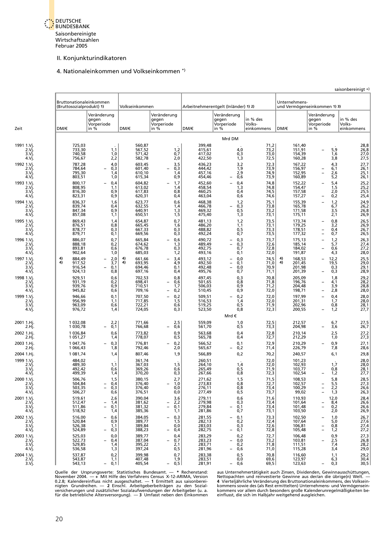

#### 4. Nationaleinkommen und Volkseinkommen \*)

<span id="page-24-0"></span>

|                                                     |          |                                                  |                                              |                          |                                                  |                                            |      |                                                |                                                                                                       |                                      |                                                  |                                                                                              | saisonbereinigt +)                                   |
|-----------------------------------------------------|----------|--------------------------------------------------|----------------------------------------------|--------------------------|--------------------------------------------------|--------------------------------------------|------|------------------------------------------------|-------------------------------------------------------------------------------------------------------|--------------------------------------|--------------------------------------------------|----------------------------------------------------------------------------------------------|------------------------------------------------------|
|                                                     |          | (Bruttosozialprodukt) 1)                         | Bruttonationaleinkommen                      |                          | Volkseinkommen                                   |                                            |      |                                                | Arbeitnehmerentgelt (Inländer) 1) 2)                                                                  |                                      | Unternehmens-                                    | und Vermögenseinkommen 1) 3)                                                                 |                                                      |
| Zeit                                                | DM/€     |                                                  | Veränderung<br>gegen<br>Vorperiode<br>in $%$ |                          | DM/€                                             | Veränderung<br>gegen<br>Vorperiode<br>in % | DM/€ |                                                | Veränderung<br>gegen<br>Vorperiode<br>in %                                                            | in % des<br>Volks-<br>einkommens     | DM/€                                             | Veränderung<br>gegen<br>Vorperiode<br>in %                                                   | in % des<br>Volks-<br>einkommens                     |
|                                                     |          |                                                  |                                              |                          |                                                  |                                            |      |                                                | Mrd DM                                                                                                |                                      |                                                  |                                                                                              |                                                      |
| 1991 1.Vj.<br>2.Vi.<br>3.Vì.                        |          | 725,03<br>733,30<br>740,58                       |                                              | 1,1<br>1,0               | 560,87<br>567,52<br>571,42                       | $^{1,2}_{0,7}$                             |      | 399,48<br>415,61<br>417,02                     | $\begin{array}{c} 4,0 \\ 0,3 \\ 1,3 \end{array}$                                                      | 71,2<br>73,2<br>73,0                 | 161,40<br>$151,91$<br>$154,39$<br>$160,28$       | $\frac{5,9}{1,6}$<br>$\overline{\phantom{0}}$                                                | 28,8<br>26,8<br>27,0<br>27,5                         |
| 4.Vj.<br>1992 1.Vj.<br>2.Vi.<br>3.Vì.               |          | 756,67<br>787,28<br>784,64<br>795,30             |                                              | 2,2<br>4,0<br>0,3        | 582,78<br>603,45<br>601,40<br>610,10             | 2,0<br>3,5<br>0,3                          |      | 422,50<br>436,23<br>444,42<br>457,16           | 3,2<br>1,9<br>2,9                                                                                     | 72,5<br>72,3<br>73,9                 | 167,22<br>156,97<br>152,95                       | 3,8<br>4,3<br>6,1<br>$\equiv$                                                                | 27,7<br>26,1<br>25,1<br>26,1                         |
| 4.Vj.                                               |          | 803,51                                           |                                              | 1,4<br>1,0               | 615,34                                           | 1,4<br>0,9                                 |      | 454,46                                         | 0,6<br>$\overline{\phantom{0}}$                                                                       | 74,9<br>73,9                         | 160,89                                           | 2,6<br>5,2                                                                                   |                                                      |
| 1993 1.Vi.<br>2.Vj.<br>3.Vi<br>4.Vj.                |          | 800,17<br>808,95<br>816,30<br>823,31             |                                              | 0,4<br>1,1<br>0,9<br>0,9 | 604,82<br>613,02<br>617,83<br>620,31             | 1,7<br>1,4<br>0,8<br>0,4                   |      | 452,60<br>458,54<br>460,25<br>463,04           | $^{0,4}_{1,3}$<br>0,4<br>0,6                                                                          | 74,8<br>74,8<br>74,5<br>74,6         | 152,22<br>154,47<br>157,58<br>157,27             | $\frac{5,4}{1,5}$<br>2,0<br>0,2                                                              | 25,2<br>25,2<br>25,5<br>25,4                         |
| 1994 1.Vi.<br>2.Vj.<br>3.Vi.<br>4.Vj.               |          | 836,37<br>839,74<br>847,34<br>857,08             |                                              | 1,6<br>0,4<br>0,9<br>1,1 | 623,77<br>632,55<br>640,91<br>650,51             | 0,6<br>1,4<br>$\frac{1}{1,5}$              |      | 468,38<br>466,78<br>469,32<br>475,40           | $^{1,2}_{0,3}$<br>0,5<br>1,3                                                                          | 75,1<br>73,8<br>73,2<br>73,1         | 155,39<br>165,78<br>171,58<br>175,11             | $\frac{1}{6,7}$<br>$3,5$<br>2,1                                                              | 24,9<br>26,2<br>26,8<br>26,9                         |
| 1995 1.Vi<br>2.Vj.<br>3.Vj.<br>4.Vj.                |          | 869,43<br>876,51<br>878,77<br>879,71             |                                              | 1,4<br>0,8<br>0,3<br>0,1 | 654,87<br>665,45<br>667,33<br>669,56             | 0,7<br>1,6<br>0,3<br>0,3                   |      | 481,13<br>486,20<br>488,82<br>492,24           | $1,2$<br>$1,1$<br>$0,5$<br>$0,7$                                                                      | 73,5<br>73,1<br>73,3<br>73,5         | 173,74<br>179,25<br>178,51<br>177,32             | 0,8<br>$\overline{\phantom{0}}$<br>3,2<br>0,4<br>$\overline{\phantom{a}}$<br>0,7<br>$\equiv$ | 26,5<br>26,9<br>26,7<br>26,5                         |
| 1996 1.Vi.<br>2.Vj.<br>3.Vi                         |          | 886,07<br>888,18<br>893,81                       |                                              | 0,7<br>0,2<br>0,6<br>1,0 | 665,84<br>674,62<br>676,78                       | 0,6<br>1,3<br>0,3                          |      | 490,72<br>489,49<br>492,75<br>493,16           | $0,3$<br>$0,3$<br>$0,7$<br>-<br>$\overline{a}$                                                        | 73,7<br>72,6<br>72,8                 | 175,13<br>185,14<br>184,02<br>191,87             | $1,2$<br>5,7<br>0,6<br>$\overline{\phantom{a}}$                                              | 26,3<br>27,4<br>27,2<br>28,0                         |
| 4.Vj.<br>1997 1.Vi.<br>2.Vj.<br>3.Vi.               | 4)<br>4) | 902,64<br>884,49<br>917,52<br>916,54             |                                              | 2,0<br>3,7<br>0,1        | 685,03<br>4)<br>661,66<br>4)<br>693,95<br>694,46 | 1,2<br>3,4<br>4,9<br>0,1                   |      | 493,12<br>492,50<br>492,48<br>495,76           | 0,1<br>0,0<br>$\overline{\phantom{a}}$<br>$\qquad \qquad -$<br>0,1<br>$\overline{\phantom{0}}$<br>0,0 | 72,0<br>74,5<br>71,0<br>70,9         | 4)<br>168,53<br>201,45<br>4)<br>201,98<br>201,39 | 4,3<br>12,2<br>$\overline{\phantom{0}}$<br>19,5<br>$0,3$<br>$0,3$                            | 25,5<br>29,0<br>29,1<br>28,9                         |
| 4.Vj.<br>1998 1.Vj.<br>2.Vj.<br>3.Vì.               |          | 924,13<br>929,51<br>931,19<br>939,76             |                                              | 0,8<br>0,6<br>0,2<br>0,9 | 697,16<br>702,53<br>698,41<br>710,51             | 0,4<br>0,8<br>0,6<br>1,7                   |      | 497,45<br>501,65<br>506,03                     | 0,7<br>0,3<br>0,8<br>0,9                                                                              | 71,1<br>70,8<br>71,8<br>71,2         | 205,09<br>196,76<br>204,48                       | $\overline{\phantom{0}}$<br>1,8<br>4,1<br>3,9                                                | 29,2<br>28,2<br>28,8<br>28,0                         |
| 4.Vj.<br>1999 1.Vi.<br>2.Vj.<br>3.Vj.               |          | 945,82<br>946,66<br>956,99<br>963,09             |                                              | 0,6<br>0,1<br>1,1<br>0,6 | 709,16<br>707,50<br>717,85<br>722,21             | 0,2<br>0,2<br>1,5<br>0,6                   |      | 510,45<br>509,51<br>516,53<br>519,25           | 0,9<br>$^{0,2}_{1,4}$<br>0,5                                                                          | 72,0<br>72,0<br>72,0<br>71,9         | 198,71<br>197,99<br>201,31<br>202,96             | 2,8<br>$\overline{\phantom{0}}$<br>0,4<br>1,7                                                | 28,0<br>28,0<br>28,1<br>27,7                         |
| 4.Vj.                                               |          | 976,72                                           |                                              | 1,4                      | 724,05                                           | 0,3                                        |      | 523,50                                         | 0,8<br>Mrd €                                                                                          | 72,3                                 | 200,55                                           | $0,8$<br>$1,2$<br>$\overline{\phantom{0}}$                                                   |                                                      |
| 2001 1.Hj.                                          |          | 1 032,08<br>1 030,78                             |                                              | 2,2<br>0,1               | 771,66<br>766,68                                 | 2,5<br>0,6                                 |      | 559,09<br>561,70                               | $^{1,0}_{0,5}$                                                                                        | 72,5<br>73,3                         | 212,57<br>204,98                                 | 6,7<br>3,6<br>$\overline{\phantom{a}}$                                                       | 27,5<br>26,7                                         |
| 2.Hj.<br>2002 1.Hj.<br>2.H)                         |          | 1 036,84<br>1 0 5 1, 2 7                         |                                              | 0,6<br>1,4               | 773,82<br>778,07                                 | 0,9<br>0,5                                 |      | 563,68<br>565,78                               | 0,4<br>0,4                                                                                            | 72,8<br>72,7                         | 210,14<br>212,29                                 | 2,5<br>1,0                                                                                   | 27,2<br>27,3                                         |
| 2003 1.Hj.<br>2.Hj.                                 |          | 1 047.76<br>1 066,43                             |                                              | 0,3<br>1,8               | 776,81<br>792,46                                 | 0,2<br>2,0                                 |      | 566,52<br>565,67                               | 0,1<br>0,2                                                                                            | 72,9<br>71,4                         | 210,29<br>226,79                                 | 0,9<br>7,8                                                                                   | $\begin{bmatrix} 27,1 \\ 28,6 \end{bmatrix}$         |
| 2004 1.Hj.<br>1999 1.Vj.<br>2.Vì.<br>3.Vi.<br>4.Vj. |          | 1 081,74<br>484,02<br>489,30<br>492,42<br>499,39 |                                              | 1,4<br>1,1<br>0,6<br>1,4 | 807,46<br>361,74<br>367,03<br>369,26<br>370,20   | 1,9<br>1,5<br>0,6<br>0,3                   |      | 566,89<br>260,51<br>264,10<br>265,49<br>267,66 | 0,2<br>1,4<br>0,5<br>0,8                                                                              | 70,2<br>72,0<br>72,0<br>71,9<br>72,3 | 240,57<br>101,23<br>102,93<br>103,77<br>102,54   | 6,1<br>1,7<br>0,8<br>1,2<br>$\overline{\phantom{a}}$                                         | 29,8<br>28,0<br>28,0<br>28,1<br>27,7                 |
| 2000 1.V<br>2.Vj.<br>3.Vj.<br>4.Vj                  |          | 506,76<br>504,84<br>503,35<br>506,27             | $\overline{\phantom{0}}$                     | 1,5<br>0,4<br>0,3<br>0,6 | 380,15<br>376,40<br>376,40<br>376,51             | 2,7<br>1,0<br>0,0<br>0,0                   |      | 271,62<br>273,83<br>276,11<br>277,49           | 1,5<br>0,8<br>0,8<br>0,5                                                                              | 71,5<br>72,7<br>73,4<br>73,7         | 108,53<br>102,57<br>100,29<br>99,02              | $\frac{5,8}{5,5}$<br>$\overline{\phantom{a}}$<br>2,2<br>1,3<br>$\equiv$                      | 28,5<br>27,3<br>26,6<br>26,3                         |
| 2001 1.Vi<br>2.Vj.<br>3.Vì.<br>4.Vj.                |          | 519,61<br>512,47<br>511,86<br>518,92             | $\equiv$                                     | 2,6<br>1,4<br>0,1<br>1,4 | 390,04<br>381,62<br>381,32<br>385,36             | 3,6<br>2,2<br>0,1<br>1,1                   |      | 279,11<br>279,98<br>279,84<br>281,86           | 0,6<br>0,3<br>0,1<br>$\overline{\phantom{0}}$<br>0,7                                                  | 71,6<br>73,4<br>73,4<br>73,1         | 110,93<br>101,64<br>101,48<br>103,50             | 12,0<br>8,4<br>$\overline{\phantom{0}}$<br>0,2<br>$\overline{\phantom{0}}$<br>2,0            | 28,4<br>26,6<br>26,6<br>26,9                         |
| 2002 1.Vj.<br>2.Vj.<br>3.Vì.<br>4.Vj.               |          | 516,00<br>520,84<br>526,38<br>524,89             |                                              | 0,6<br>0,9<br>1,1<br>0,3 | 384,05<br>389,77<br>389,84<br>388,23             | 0,3<br>1,5<br>0,0<br>0,4                   |      | 281,55<br>282,13<br>283,03<br>282,75           | 0,1<br>0,2<br>0,3<br>0,1<br>$\overline{\phantom{0}}$                                                  | 73,3<br>72,4<br>72,6<br>72,8         | 102,50<br>107,64<br>106,81<br>105,48             | 1,0<br>5,0<br>0,8<br>1,2<br>$\overline{\phantom{0}}$                                         | 26,7<br>27,6<br>27,4<br>27,2                         |
| 2003 1.Vi<br>2.Vj.<br>3.Vì.<br>4.Vj.                |          | 525,03<br>522,73<br>529,85<br>536,58             |                                              | 0,0<br>0,4<br>1,4<br>1,3 | 389,77<br>387,04<br>395,22<br>397,24             | 0,4<br>0,7<br>2,1<br>0,5                   |      | 283,29<br>283,23<br>283,71<br>281,96           | 0,2<br>0,0<br>0,2<br>0,6                                                                              | 72,7<br>73,2<br>71,8<br>71,0         | 106,48<br>103,81<br>111,51<br>115,28             | 0,9<br>2,5<br>7,4<br>3,4                                                                     | 27,3<br>26,8<br>28,2<br>29,0                         |
| 2004 1.Vi.<br>2.Vj.<br>3.Vj                         |          | 537,87<br>543,87<br>543,13                       | $-$                                          | 0,2<br>1,1<br>0,1        | 399,98<br>407,48<br>405,54                       | 0,7<br>1,9<br>0,5                          |      | 283,38<br>283,51<br>281,91                     | 0, 5<br>0,0<br>0,6<br>$\qquad \qquad -$                                                               | 70,8<br>69,6<br>69,5                 | 116,60<br>123,97<br>123,63                       | 1,1<br>6,3<br>0,3                                                                            | $\begin{bmatrix} 29,2 \\ 30,4 \\ 30,5 \end{bmatrix}$ |

Quelle der Ursprungswerte: Statistisches Bundesamt. — \* Rechenstand: aus Unternehmertätigkeit auch Zinsen, Dividenden, Gewinnausschüttungen,<br>November 2004. — + Mit Hilfe des Verfahrens Census X-12-ARIMA, Version Mettopacht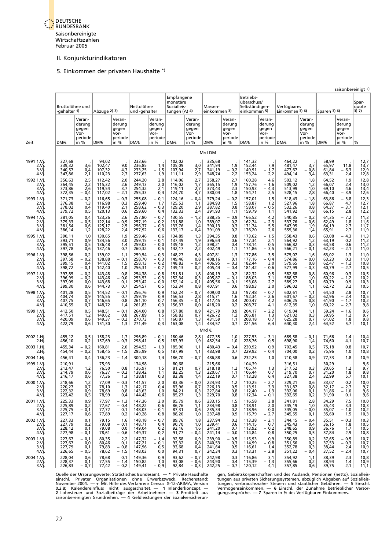<span id="page-25-0"></span>

## 5. Einkommen der privaten Haushalte \*)

|                                      |                                                        |                                      |                                                      |                                      |                                                      |                                                          |                                                      |                                      |                                                      |                                                            |                                                      |                                      |                                                      |                                  | saisonbereinigt +)                                    |                                     |
|--------------------------------------|--------------------------------------------------------|--------------------------------------|------------------------------------------------------|--------------------------------------|------------------------------------------------------|----------------------------------------------------------|------------------------------------------------------|--------------------------------------|------------------------------------------------------|------------------------------------------------------------|------------------------------------------------------|--------------------------------------|------------------------------------------------------|----------------------------------|-------------------------------------------------------|-------------------------------------|
| Bruttolöhne und<br>-gehälter 1)      |                                                        | Abzüge 2) 3)                         |                                                      | Nettolöhne<br>und -gehälter          |                                                      | Empfangene<br>monetäre<br>Sozialleis-<br>tungen $(A)$ 4) |                                                      | Massen-<br>einkommen 3)              |                                                      | Betriebs-<br>überschuss/<br>Selbständigen-<br>einkommen 5) |                                                      | Verfügbares<br>Einkommen 3) 6)       |                                                      | Sparen 3) 6)                     |                                                       | Spar-<br>quote<br>3) 7)             |
| DM/€                                 | Verän-<br>derung<br>gegen<br>Vor-<br>periode<br>in $%$ | DM/€                                 | Verän-<br>derung<br>gegen<br>Vor-<br>periode<br>in % | DM/€                                 | Verän-<br>derung<br>gegen<br>Vor-<br>periode<br>in % | DM/€                                                     | Verän-<br>derung<br>gegen<br>Vor-<br>periode<br>in % | DM/€                                 | Verän-<br>derung<br>gegen<br>Vor-<br>periode<br>in % | DM/€                                                       | Verän-<br>derung<br>gegen<br>Vor-<br>periode<br>in % | DM/€                                 | Verän-<br>derung<br>gegen<br>Vor-<br>periode<br>in % | DM/€                             | Verän-<br>derung<br>gegen<br>Vor-<br>periode <br>in % | %                                   |
|                                      |                                                        |                                      |                                                      |                                      |                                                      |                                                          |                                                      | Mrd DM                               |                                                      |                                                            |                                                      |                                      |                                                      |                                  |                                                       |                                     |
| 327,68<br>339,32<br>340,57<br>347,86 | 3,6<br>0,4<br>2,1                                      | 94,02<br>102,47<br>107,32<br>110,23  | 9,0<br>4,7<br>2,7                                    | 233,66<br>236,85<br>233,25<br>237,63 | 1,4<br>$-1,5$<br>1,9                                 | 102,02<br>105,09<br>107,94<br>111,11                     | 3,0<br>2,7<br>2,9                                    | 335,68<br>341,94<br>341,19<br>348,74 | 1,9<br>$-0,2$<br>2,2                                 | 141,33<br>152,44<br>149,91<br>153,24                       | 7,9<br>$-1,7$<br>2,2                                 | 464,22<br>481,47<br>477,67<br>494,14 | 3,7<br>$-0,8$<br>3,4                                 | 58,99<br>65,97<br>61,84<br>63,31 | 11,8<br>$-6,3$<br>2,4                                 | $\frac{12,7}{13,7}$<br>12,9<br>12,8 |
| 356,63<br>364,45<br>373,86<br>372,35 | 2,5<br>2,2<br>2,6<br>- 0,4                             | 112,42<br>115,32<br>119,54<br>117,02 | 2,0<br>2,6<br>3,7<br>2,1                             | 244,20<br>249,13<br>254,32<br>255,33 | 2,8<br>2,0<br>2,1<br>0,4                             | 114,06<br>116,02<br>119,11<br>124,70                     | 2,7<br>1,7<br>2,7<br>4,7                             | 358,27<br>365,15<br>373,43<br>380,04 | 2,7<br>1,9<br>2,3<br>1,8                             | 160,28<br>157,76<br>150,93<br>154,71                       | 4,6<br>$-1,6$<br>$-4,3$<br>2,5                       | 503,12<br>509,02<br>513,99<br>528,15 | 1,8<br>1,2<br>1,0<br>2,8                             | 64,52<br>66,07<br>69,10<br>66,40 | 1,9<br>2,4<br>4,6<br>$-3,9$                           | 12,8<br>13,0<br>13,4<br>12,6        |
| 371,73<br>376,38<br>378,02<br>379,72 | $-0,2$<br>1,3<br>0,4<br>0,5                            | 116,65<br>116,98<br>119,40<br>120,13 | $-0,3$<br>0,3<br>2,1<br>0,6                          | 255,08<br>259,40<br>258,62<br>259,60 | $-0,1$<br>1,7<br>$-0.3$<br>0,4                       | 124,16<br>125,53<br>129,20<br>132,33                     | $-0,4$<br>1,1<br>2,9<br>2,4                          | 379,24<br>384,93<br>387,82<br>391,93 | $-0,2$<br>1,5<br>0,8<br>1,1                          | 157,01<br>158,87<br>158,07<br>159,79                       | 1,5<br>1,2<br>$-0,5$<br>1,1                          | 518,43<br>527,96<br>532,26<br>541,92 | $-1,8$<br>1,8<br>0,8<br>1,8                          | 63,86<br>66,87<br>64,37<br>66,15 | $-3,8$<br>4,7<br>$-3.7$<br>2,8                        | 12,3<br>12,7<br>$12,1$<br>$12,2$    |
| 381,05<br>379,33<br>381,54<br>386,14 | 0,4<br>$-0.5$<br>0,6<br>1,2                            | 123,26<br>122,14<br>125,17<br>128,22 | 2,6<br>$-0.9$<br>2,5<br>2,4                          | 257,80<br>257,19<br>256,37<br>257,92 | $-0,7$<br>- 0,2<br>$-0,3$<br>0,6                     | 130,55<br>131,88<br>133,76<br>133,17                     | $-1,3$<br>1,0<br>1,4<br>$-0,4$                       | 388,35<br>389,07<br>390,13<br>391,09 | $-0.9$<br>0,2<br>0,3<br>0,2                          | 166,52<br>162,74<br>171,74<br>176,20                       | 4,2<br>2,3<br>$\overline{\phantom{0}}$<br>5,5<br>2,6 | 540,85<br>537,76<br>547,95<br>555,36 | $-0,2$<br>$-0.6$<br>1,9<br>1,4                       | 61,35<br>62,49<br>64,19<br>65,91 | $-7,2$<br>$\frac{1}{2}$ , 8<br>2,7                    | 11,3<br>11,6<br>11,7<br>11,9        |
| 390,11<br>393,71<br>395,51<br>397,78 | 1,0<br>0,9<br>0,5<br>0,6                               | 130,65<br>134,56<br>136,48<br>137,46 | 1,9<br>3,0<br>1,4<br>0,7                             | 259,46<br>259,15<br>259,03<br>260,32 | 0,6<br>$-0,1$<br>$-0.0$<br>0,5                       | 134,89<br>137,49<br>139,18<br>142,17                     | 1,3<br>1,9<br>1,2<br>2,2                             | 394,35<br>396,64<br>398,21<br>402,49 | 0,8<br>0,6<br>0,4<br>1,1                             | 173,62<br>177,34<br>178,14<br>171,86                       | $-1,5$<br>2,1<br>0,5<br>$-3,5$                       | 558,43<br>564,92<br>566,82<br>566,21 | 0,6<br>$\frac{1}{2}$<br>$-0,1$                       | 63,08<br>63,19<br>63,58<br>62,23 | $-4,3$<br>0,2<br>0,6<br>$-2,1$                        | $11,3$<br>$11,2$<br>11,2<br>11,0    |
| 398,56<br>397,58<br>399,15<br>398,72 | 0,2<br>$-0,2$<br>0.4<br>$-0,1$                         | 139,02<br>138,88<br>141,02<br>142,40 | 1,1<br>- 0,1<br>1,5<br>1,0                           | 259,54<br>258,70<br>258,13<br>256,31 | $-0,3$<br>$-0,3$<br>$-0,2$<br>$-0,7$                 | 148,27<br>149,46<br>148,82<br>149,13                     | 4,3<br>0,8<br>$-0,4$<br>0,2                          | 407,81<br>408,16<br>406,95<br>405,44 | 1,3<br>0,1<br>$-0,3$<br>$-0,4$                       | 177,86<br>177,16<br>182,44<br>181,42                       | 3,5<br>- 0,4<br>3,0<br>$-0,6$                        | 575,07<br>574,86<br>579,65<br>577,99 | 1,6<br>$-0,0$<br>0,8<br>$-0,3$                       | 63,02<br>63,23<br>62,47<br>60,79 | 1,3<br>0,3<br>$-1,2$<br>$-2,7$                        | 11,0<br>11,0<br>10,8<br>10,5        |
| 397,85<br>396,99<br>397,09<br>399,30 | $-0,2$<br>$-0,2$<br>0,0<br>0,6                         | 143,48<br>143,46<br>143,68<br>144,73 | 0,8<br>$-0,0$<br>0,1<br>0,7                          | 254,38<br>253,53<br>253,42<br>254,57 | $-0,8$<br>$-0.3$<br>$-0,0$<br>0,5                    | 151,81<br>152,34<br>152,14<br>153,34                     | 1,8<br>0,3<br>$-0,1$<br>0,8                          | 406,19<br>405,87<br>405,56<br>407,91 | 0,2<br>$-0,1$<br>$-0,1$<br>0,6                       | 182,32<br>188,03<br>193,08<br>198,93                       | 0, 5<br>3,1<br>2,7<br>3,0                            | 582,68<br>588,57<br>589,27<br>596,02 | 0,8<br>1,0<br>0,1<br>1,1                             | 60,96<br>60,22<br>60,79<br>62,72 | 0,3<br>- 1,2<br>0,9<br>3,2                            | 10,5<br>10,2<br>10,3<br>10,5        |
| 401,28<br>404,74<br>407,75<br>410,55 | 0,5<br>$^{0,9}_{0,7}$<br>0,7                           | 144,52<br>145,55<br>146,65<br>148,72 | $-0,1$<br>0,7<br>0,8<br>1,4                          | 256,76<br>259,19<br>261,10<br>261,83 | 0.9<br>$0,9$<br>$0,7$<br>0,3                         | 152,24<br>156,53<br>156,35<br>156,37                     | $-0.7$<br>2,8<br>$-0,1$<br>0,0                       | 409,00<br>415,71<br>417,45<br>418,20 | 0,3<br>1,6<br>0,4<br>0,2                             | 197,48<br>192,34<br>200,47<br>208,77                       | $-0,7$<br>$-2,6$<br>4,2<br>4,1                       | 602,61<br>601,67<br>606,25<br>612,35 | 1,1<br>$-0,2$<br>$0,8$<br>1,0                        | 64,50<br>62,96<br>61,90<br>60,22 | 2,8<br>$\frac{-2.4}{1.7}$<br>$-2,7$                   | 10,7<br>10,5<br>10,2<br>9,8         |
| 412,50<br>417,51<br>420,09<br>422,79 | 0,5<br>1,2<br>0,6<br>0,6                               | 148,51<br>149,62<br>149,37<br>151,30 | $-0.1$<br>0,8<br>$-0,2$<br>1,3                       | 264,00<br>267,89<br>270,73<br>271,49 | 0,8<br>1,5<br>1,1<br>0,3                             | 157,80<br>158,83<br>160,87<br>163,08                     | 0,9<br>0,7<br>1,3<br>1,4                             | 421,79<br>426,72<br>431,59<br>434,57 | 0,9<br>1,2<br>1,1<br>0,7                             | 204,17<br>206,81<br>208,18<br>221,56                       | - 2,2<br>1,3<br>0,7<br>6,4                           | 619,04<br>621,02<br>625,28<br>640,30 | 1,1<br>0,3<br>0,7<br>2,4                             | 59,24<br>59,95<br>61,02<br>64,52 | $-1,6$<br>1,2<br>1,8<br>5,7                           | $\frac{9,6}{9,7}$<br>9,8<br>10,1    |
|                                      |                                                        |                                      |                                                      |                                      |                                                      |                                                          |                                                      | Mrd€                                 |                                                      |                                                            |                                                      |                                      |                                                      |                                  |                                                       |                                     |
| 455,12<br>456,10                     | 0,5<br>0,2                                             | 158,23<br>157,69                     | 1,7<br>$-0,3$                                        | 296,89<br>298,41                     | $-0,1$<br>0,5                                        | 180,46<br>183,93                                         | 2,8<br>1,9                                           | 477,35<br>482,34                     | 1,0<br>1,0                                           | 227,53<br>228,76                                           | 3,1<br>$\overline{\phantom{0}}$<br>0,5               | 689,58<br>698,90                     | - 0,1<br>1,4                                         | 71,66<br>74,60                   | 1,4<br>4,1                                            | $10,4$<br>$10,7$                    |
| 455,34<br>454,44<br>456,41           | $-0,2$<br>$-0,2$<br>0,4                                | 160,81<br>158,45<br>156,23           | 2,0<br>$-1,5$<br>$-1,4$                              | 294,53<br>295,99<br>300,18           | $-1,3$<br>0,5<br>1,4                                 | 185,90<br>187,99<br>186,70                               | 1,1<br>1,1<br>$-0,7$                                 | 480.43<br>483,98<br>486,88           | $-0.4$<br>0,7<br>0,6                                 | 230,92<br>229,92<br>232,25                                 | 0,9<br>- 0,4<br>1,0                                  | 702,45<br>704,00<br>710,58           | 0,5<br>0,2<br>0,9                                    | 75,18<br>75,96<br>77,33          | 0,8<br>1,0<br>1,8                                     | 10,7<br>10,8<br>10,9                |
| 210,91<br>213,47<br>214,79<br>216,17 | 1,2<br>0,6<br>0,6                                      | 75,93<br>76,50<br>76,37<br>77,36     | 0,8<br>$-0,2$<br>1,3                                 | 134,98<br>136,97<br>138,42<br>138,81 | 1,5<br>1,1<br>0,3                                    | 80,68<br>81,21<br>82,25<br>83,38                         | 0,7<br>1,3<br>1,4                                    | 215,66<br>218,18<br>220,67<br>222,19 | 1,2<br>1,1<br>0,7                                    | 104,39<br>105,74<br>106,44<br>113,28                       | 1,3<br>0,7<br>6,4                                    | 316,51<br>317,52<br>319,70<br>327,38 | $^{0,3}_{0,7}$<br>2,4                                | 30,29<br>30,65<br>31,20<br>32,99 | 1,2<br>1,8<br>5,7                                     | 9,6<br>9,7<br>9,8<br>10,1           |
| 218,66<br>220,27<br>222,32<br>223,42 | 1,2<br>0,7<br>0,9<br>0,5                               | 77,09<br>78,10<br>78,69<br>78,99     | $-0,3$<br>1,3<br>0,8<br>0,4                          | 141,57<br>142,17<br>143,63<br>144,43 | 2,0<br>0,4<br>1,0<br>0,6                             | 83,36<br>83,96<br>84,21<br>85,27                         | $-0,0$<br>0,7<br>0,3<br>1,3                          | 224,93<br>226,13<br>227,84<br>229,70 | 1,2<br>0,5<br>0,8<br>0,8                             | 110,25<br>113,91<br>112,40<br>112,34                       | $-2,7$<br>3,3<br>$-1,3$<br>$-0,1$                    | 329,21<br>331,87<br>332,06<br>332,65 | 0,6<br>0,8<br>0,1<br>0,2                             | 33,07<br>32,17<br>31,86<br>31,90 | 0,2<br>$-2,7$<br>$-1,0$<br>0,1                        | 10,0<br>9,7<br>9,6<br>9,6           |
| 225,33<br>225,89<br>225,75<br>227,17 | 0,9<br>0,2<br>$-0,1$<br>0,6                            | 77,97<br>77,67<br>77,72<br>77,89     | $-1,3$<br>- 0,4<br>0,1<br>0,2                        | 147,36<br>148,22<br>148,03<br>149,28 | 2,0<br>0,6<br>- 0,1<br>0,8                           | 85,79<br>86,76<br>87,31<br>88,20                         | 0,6<br>1,1<br>0,6<br>1,0                             | 233,15<br>234,98<br>235,34<br>237,48 | 1,5<br>0,8<br>0,2<br>0,9                             | 116,58<br>118,91<br>118,96<br>115,79                       | $\frac{3,8}{2,0}$<br>0,0<br>- 2,7                    | 341,81<br>345,19<br>345,05<br>345,55 | 2,8<br>1,0<br>$-0,0$<br>0,1                          | 34,29<br>35,43<br>35,07<br>35,60 | 7,5<br>3,3<br>$-1,0$<br>1,5                           | 10,0<br>10,3<br>10,2<br>10,3        |
| 227,33<br>227,79<br>228,12<br>227,98 | 0,1<br>0,2<br>0,1<br>- 0,1                             | 79,15<br>79,08<br>79,08<br>78,61     | 1,6<br>$-0,1$<br>0,0<br>$-0,6$                       | 148,18<br>148,71<br>149,04<br>149,37 | $-0,7$<br>0,4<br>0,2<br>0,2                          | 89,76<br>90,70<br>92,16<br>91,77                         | 1,8<br>1,0<br>1,6<br>- 0,4                           | 237,94<br>239,41<br>241,20<br>241,14 | 0,2<br>0,6<br>0,7<br>$-0,0$                          | 113,38<br>114,15<br>113,92<br>114,84                       | $-2,1$<br>0,7<br>$-0,2$<br>0,8                       | 344,15<br>345,43<br>348,65<br>350,25 | $-0,4$<br>0,4<br>0,9<br>0,5                          | 35,51<br>36,15<br>36,76<br>37,84 | $-0,3$<br>1,8<br>1,7<br>2,9                           | 10,3<br>10,5<br>10,5<br>10,8        |
| 227,67<br>227,67<br>227,79<br>226,65 | $-0,1$<br>0,0<br>0,1<br>- 0,5                          | 80,35<br>80,46<br>79,83<br>78,62     | 2,2<br>0,1<br>$-0,8$<br>$-1,5$                       | 147,32<br>147,21<br>147,96<br>148,03 | $-1,4$<br>$-0,1$<br>0,5<br>0,0                       | 92,58<br>93,32<br>93,68<br>94,31                         | 0,9<br>0,8<br>0,4<br>0,7                             | 239,90<br>240,53<br>241,64<br>242,34 | $-0,5$<br>0,3<br>0,5<br>0,3                          | 115,93<br>114,99<br>116,61<br>113,31                       | 0,9<br>$-0,8$<br>1,4<br>$-2,8$                       | 350,89<br>351,56<br>352,78<br>351,22 | 0,2<br>0,2<br>0,3<br>- 0,4                           | 37,65<br>37,53<br>38,44<br>37,52 | $-0,5$<br>$-0,3$<br>2,4<br>- 2,4                      | 10,7<br>10,7<br>10,9<br>10,7        |
| 228,04<br>228,37<br>226,83           | 0,6<br>0,1<br>$-0,7$                                   | 78,68<br>77,55<br>77,42              | 0,1<br>$-1,4$<br>$-0,2$                              | 149,36<br>150,82<br>149,41           | 0,9<br>1,0<br>$-0,9$                                 | 93,62<br>93,08<br>92,84                                  | $-0.7$<br>$-0,6$<br>$-0,3$                           | 242,98<br>243,90<br>242,25           | 0,3<br>0,4<br>$-0,7$                                 | 116,86<br>115,39<br>120,12                                 | 3,1<br>$-1,3$<br>4,1                                 | 354,92<br>355,66<br>357,85           | 1,1<br>0,2<br>0,6                                    | 38,39<br>38,94<br>39,75          | 2,3<br>1,4<br>2,1                                     | 10,8<br>10,9<br>11,1                |

Quelle der Ursprungswerte: Statistisches Bundesamt. — \* Private Haushalte gen, Gebietskörperschaften und des Auslands, Pensionen (netto), Sozialleis-<br>einschl. Privater Organisationen ohne Erwerbszweck. Rechenstand: tungen 2 Lohnsteuer und Sozialbeiträge der Arbeitnehmer. — 3 Ermittelt aus ygungsansprüche. — 7 Sparen in % des Verfügbaren Einkommens.<br>saisonbereinigten Grundreihen. — 4 Geldleistungen der Sozialversicherun-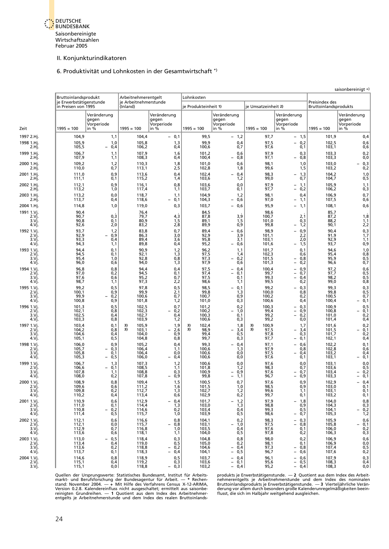

- II. Konjunkturindikatoren
- 6. Produktivität und Lohnkosten in der Gesamtwirtschaft \*)

<span id="page-26-0"></span>

| Bruttoinlandsprodukt<br>je Erwerbstätigenstunde |                                               | Arbeitnehmerentgelt<br>je Arbeitnehmerstunde           |                                            | Lohnkosten                     |                                                                      |                             |                                                                    | Preisindex des                 |                                                          |
|-------------------------------------------------|-----------------------------------------------|--------------------------------------------------------|--------------------------------------------|--------------------------------|----------------------------------------------------------------------|-----------------------------|--------------------------------------------------------------------|--------------------------------|----------------------------------------------------------|
| in Preisen von 1995                             |                                               | (Inland)                                               |                                            | ie Produkteinheit 1)           |                                                                      | je Umsatzeinheit 2)         |                                                                    | <b>Bruttoinlandsprodukts</b>   |                                                          |
| $1995 = 100$                                    | Veränderung<br>gegen<br>Vorperiode<br>in %    | $1995 = 100$                                           | Veränderung<br>gegen<br>Vorperiode<br>in % | $1995 = 100$                   | Veränderung<br>gegen<br>Vorperiode<br>in $%$                         | $1995 = 100$                | Veränderung<br>gegen<br>Vorperiode<br>in %                         | $1995 = 100$                   | Veränderung<br>gegen<br>Vorperiode<br>in $%$             |
| 104,9                                           | 1,1                                           | 104,4                                                  | $-0,1$                                     | 99,5                           | $-1,2$                                                               | 97,7                        | $-1,5$                                                             | 101,9                          | 0,4                                                      |
| 105,9<br>105,5                                  | 1,0<br>0,4                                    | 105,8<br>106,2                                         | 1,3<br>0,4                                 | 99,9<br>100,6                  | 0,4<br>0,7                                                           | 97,5<br>97,6                | 0,2<br>$-$<br>0,1                                                  | 102,5<br>103,1                 | $^{0,6}_{0,6}$                                           |
| 106,7<br>107,9                                  | 1,1<br>1,1                                    | 107,9<br>108,3                                         | 1,6<br>0,4                                 | 101,2<br>100,4                 | 0,6<br>0,8<br>$\overline{\phantom{0}}$                               | 97,9<br>97,1                | 0,3<br>0,8<br>$\overline{\phantom{0}}$                             | 103,3<br>103,3                 | 0,2<br>0,0                                               |
| 109,2<br>110,0                                  | 1,2<br>0,7                                    | 110,3<br>113,1                                         | 1,8<br>2,5                                 | 101,0<br>102,8                 | 0,6<br>1,8                                                           | 98,1<br>99,6                | 1,0<br>1,5                                                         | 103,0<br>103,2                 | 0,3<br>0,2                                               |
| 111,0                                           | 0,9                                           | 113,6                                                  | 0,4                                        | 102,4                          | 0,4                                                                  | 98,3                        | 1,3                                                                | 104,2                          | $^{1,0}_{0,5}$                                           |
| 111,1<br>112,1                                  | 0,1<br>0,9                                    | 115,2<br>116,1                                         | 1,4<br>0,8                                 | 103,6<br>103,6                 | 1,2<br>0,0                                                           | 99,0<br>97,9                | 0,7<br>1,1<br>$\overline{\phantom{0}}$                             | 104,7<br>105,9                 | $^{1,1}_{0,3}$                                           |
| 113,2<br>113,2                                  | 1,0<br>0,0                                    | 117,4<br>118,7                                         | 1,1<br>1,1                                 | 103,7<br>104,9                 | 0,1<br>1,2                                                           | 97,7<br>98,1                | 0,2<br>$\qquad \qquad -$<br>0.4                                    | 106,2<br>106,9                 | 0,7                                                      |
| 113,7<br>114,8                                  | 0,4<br>1,0                                    | 118,6<br>119,0                                         | 0,1<br>0,3                                 | 104,3<br>103,7                 | 0,6<br>$\overline{\phantom{0}}$<br>0,6                               | 97,0<br>95,9                | 1,1<br>$\overline{\phantom{a}}$<br>1,1                             | 107,5<br>108,1                 | 0,6<br>0,6                                               |
| 90,4<br>90,7                                    | 0,3                                           | 76,4<br>79,7                                           | 4,3                                        | 84,5<br>87,8                   | 3,9                                                                  | 98,6<br>100,7               | 2,1                                                                | 85,7<br>87,2                   |                                                          |
| 90,8<br>92,6                                    | 0,1<br>2,0                                    | 80,9<br>83,2                                           | 1,5<br>2,8                                 | 89,1<br>89,9                   | 1,5<br>0,9                                                           | 101,0<br>99,8               | 0,3<br>1,2                                                         | 88,2<br>90,1                   | $\frac{1}{6}$ , $\frac{8}{1}$<br>2,2                     |
| 93,7<br>92,9                                    | 1,2<br>0,9                                    | 83,8<br>86,3                                           | 0.7<br>3,0                                 | 89.4<br>92,9                   | 0,6<br>3,9                                                           | 98,9<br>101,1               | 0,9<br>2,2                                                         | 90.4<br>91,9                   | 0,3<br>1,7<br>1,1<br>0,9                                 |
| 93,3<br>94,3                                    | 0,4<br>1,1                                    | 89,4<br>89,8                                           | 3,6<br>0,4                                 | 95,8<br>95,2                   | 3,1<br>0,6<br>Ξ.                                                     | 103,1<br>101,6              | 2,0<br>1,5                                                         | 92,9<br>93,7                   |                                                          |
| 94,4<br>94,5                                    | 0,1<br>0,1                                    | 90,9<br>92,1                                           | 1,2<br>1,3                                 | 96,2<br>97.5                   | 1,1<br>1,4                                                           | 101,7<br>102,3              | 0,1<br>0,6                                                         | 94,6<br>95,4                   | 1,0<br>0,8<br>0,5<br>0,7                                 |
| 95,4<br>96,0                                    | 1,0<br>0,6                                    | 92.8<br>94,0                                           | 0,8<br>1,3                                 | 97,3<br>97,9                   | 0,2<br>$\overline{\phantom{0}}$<br>0,6                               | 101,5<br>101,3              | 0,8<br>$-$<br>0,2<br>$\overline{\phantom{a}}$                      | 95,9<br>96,6                   |                                                          |
| 96,8<br>97,0                                    | 0,8<br>0,2                                    | 94,4<br>94,5                                           | 0,4<br>0,1                                 | 97,5<br>97.4                   | 0,4<br>$\qquad \qquad -$<br>0,1<br>$\overline{\phantom{0}}$          | 100,4<br>99,7               | 0,9<br>$\overline{\phantom{a}}$<br>0,7<br>$-$                      | 97,2<br>97,7                   | 0,6<br>0,5<br>0,5<br>0,8                                 |
| 97,6<br>98,7                                    | 0,6<br>1,1                                    | 95,2<br>97,3                                           | 0,7<br>2,2                                 | 97,5<br>98,6                   | 0,1<br>1,1                                                           | 99,3<br>99,5                | $-$<br>0,4<br>0,2                                                  | 98,2<br>99,0                   |                                                          |
| 99,2<br>100,1<br>99,9                           | 0,5<br>0,9<br>0,2                             | 97.8<br>99,9<br>100,6                                  | 0, 5<br>2,1<br>0,7                         | 98,5<br>99,8<br>100,7          | 0,1<br>1,3<br>0,9                                                    | 99,2<br>100,0<br>100,2      | 0,3<br>0,8<br>0,2                                                  | 99,3<br>99,8<br>100,5          | 0,3<br>0,5<br>0,7                                        |
| 100,8<br>101,3                                  | 0,9<br>0,5                                    | 101,8<br>102,5                                         | 1,2<br>0,7                                 | 101,0<br>101,2                 | 0,3<br>0,2                                                           | 100,6<br>100,3              | 0,4<br>0,3                                                         | 100,4<br>100,9                 | 0,1<br>0, 5                                              |
| 102,1<br>102,5                                  | 0,8<br>0,4                                    | 102,3<br>102,7                                         | 0,2<br>0.4                                 | 100,2<br>100,3                 | 1,0<br>0,1                                                           | 99,4<br>99,2                | 0,9<br>$\overline{\phantom{0}}$<br>0,2<br>$\overline{\phantom{0}}$ | 100,8<br>101.0                 | 0,1                                                      |
| 103,3<br>103,4                                  | 0,8<br>0,1                                    | 103,9<br>3)<br>105,9                                   | 1,2<br>1,9                                 | 100,6<br>102,4<br>3)           | 0,3<br>1,8                                                           | 99,2<br>3)<br>100,9         | 0,0<br>1,7                                                         | 101,4<br>101,6                 | $0,2$<br>$0,4$<br>0,2                                    |
| 104,2<br>104,6                                  | 0,8<br>0,4                                    | 3)<br>103,1<br>104,0                                   | 2,6<br>0,9                                 | 3)<br>98,9<br>99,4             | 3,4<br>0,5                                                           | 3)<br>97,5<br>97,8          | 3,4<br>0,3                                                         | 101,5<br>101,7                 | 0,1<br>0,2                                               |
| 105,1<br>106,0                                  | 0,5<br>0,9                                    | 104,8<br>105,2                                         | 0,8<br>0,4                                 | 99,7<br>99.3                   | 0,3<br>0.4                                                           | 97,7<br>97,1                | 0,1<br>$\overline{\phantom{0}}$<br>0.6                             | 102,1<br>102,2                 | 0,4<br>0,1                                               |
| 105,7<br>105,8                                  | 0,3<br>0,1                                    | 106,4<br>106,4                                         | 1,1<br>0,0                                 | 100,6<br>100,6                 | 1,3<br>0,0                                                           | 97,9<br>97,5                | 0,8<br>0,4<br>$\overline{\phantom{0}}$                             | 102,8<br>103,2                 | 0,6<br>0,4                                               |
| 105,3<br>106,7                                  | 0,5<br>1,3                                    | 106,0<br>107,3                                         | 0,4<br>1,2                                 | 100,6<br>100,6                 | 0,0<br>0,0                                                           | 97,6<br>97,6                | 0,1<br>0,0                                                         | 103,1<br>103,1                 | 0,1                                                      |
| 106,6<br>107,8<br>108,0                         | 0,1<br>$\overline{\phantom{0}}$<br>1,1<br>0,2 | 108,5<br>108,8<br>107,8                                | 1,1<br>0,3<br>0,9                          | 101,8<br>100.9<br>99.8         | 1,2<br>0,9<br>$\qquad \qquad -$<br>1,1                               | 98,3<br>97,6<br>96,7        | 0,7<br>0.7<br>$\overline{\phantom{0}}$<br>0,9                      | 103,6<br>103,4<br>103,3        | $0,0$<br>- 0,5<br>- 0,2<br>- 0,1                         |
| 108,9                                           | 0,8                                           | 109,4                                                  | 1,5                                        | 100,5                          | 0,7                                                                  | 97,6                        | 0,9                                                                | 102,9                          | $-$ 0,4<br>0,1                                           |
| 109,6<br>109,8<br>110,2                         | 0,6<br>0,2<br>0,4                             | $\begin{array}{c} 137,7 \\ 112,7 \\ 113,4 \end{array}$ | 1,6<br>1,3<br>0,6                          | $101,5$<br>$102,7$<br>$102,9$  | 1,0<br>1,2<br>0,2                                                    | 98,5<br>99,6<br>99,7        | $0,9$<br>$1,1$<br>0,1                                              | $\frac{102,0}{103,1}$<br>103,1 | $\begin{bmatrix} 0, 1 \\ 0, 1 \end{bmatrix}$             |
| 110,9<br>111,0                                  | 0,6<br>0,1                                    | 112,9<br>114,4                                         | $^{0,4}_{1,3}$                             | 101,7<br>103,0                 | 1,2<br>1,3                                                           | 97, 9<br>98, 8<br>99, 3     | $-1,8$<br>0,9                                                      | 104,0<br>104,3                 |                                                          |
| 110,8<br>111,4                                  | $-0.2$<br>0.5                                 | 114,6<br>115,7                                         | 0,2<br>1,0                                 | 103,4<br>103,9                 | 0,4<br>0,5                                                           | 98,6                        | 0,5<br>$-0,7$                                                      | 104,1<br>105,3                 | $0,8$<br>0,3<br>- 0,2<br>1,2                             |
| 112,1<br>112,1                                  | 0,6<br>0,0                                    | 116,6<br>115,7                                         | 0,8<br>0,8<br>$\overline{\phantom{0}}$     | 104,1                          | 0,2<br>1,0                                                           | 98,3<br>97,5                | $-0,3$<br>$-0,8$                                                   | 105,9<br>105,8                 |                                                          |
| 112,9<br>113,6                                  | 0,7<br>0,6                                    | 116,8<br>118,1                                         | 1,0<br>1,1                                 | $\frac{103,1}{103,5}$<br>104,0 | 0,4<br>0,5                                                           | 97,6<br>97,8                | 0,1<br>0,2                                                         | 106,0<br>106,3                 | $ \begin{array}{c} 0,6 \\ 0,1 \\ 0,2 \\ 0,3 \end{array}$ |
| 113,0<br>113,4                                  | $-0,5$<br>0,4                                 | 118,4<br>$\frac{119,0}{118,8}$                         | 0,3<br>0,5                                 | 104,8<br>105,0<br>104,6        | 0,8<br>0,2                                                           | 98,0                        | 0,2<br>0,1                                                         | 106,9<br>106,9                 | 0,6<br>0,0<br>0,5<br>0,2                                 |
| 113,6<br>113,7                                  | 0,2<br>0,1                                    | 118,3                                                  | $-0,2$<br>$\overline{\phantom{0}}$<br>0,4  | 104,1                          | 0,4<br>$\bar{=}$<br>0,5                                              | $\frac{98,1}{97,3}$<br>96,7 | $-0,8$<br>$-0,6$                                                   | 107,4<br>107,6                 |                                                          |
| 114,6<br>115,1<br>115,1                         | 0,8<br>0,4<br>0,0                             | 118,9<br>119,2<br>118,8                                | 0,5<br>0,3<br>$-0,3$                       | $103,7$<br>$103,6$<br>103,2    | $\begin{array}{cc} - & 0,4 \\ - & 0,1 \\ - & 0,4 \end{array}$<br>0,4 | 96,1<br>95,6<br>95,2        | $\begin{bmatrix} - & 0.6 \\ - & 0.5 \\ - & 0.4 \end{bmatrix}$      | 107,9<br>108,3<br>108,3        | $\begin{bmatrix} 0,3 \\ 0,4 \\ 0,0 \end{bmatrix}$        |

Quellen der Ursprungswerte: Statistisches Bundesamt, Institut für Arbeits-produkts je Erwerbstätigenstunde. — 2 Quotient aus dem Index des Arbeit-<br>markt- und Berufsforschung der Bundesagentur für Arbeit. — \* Rechen-premien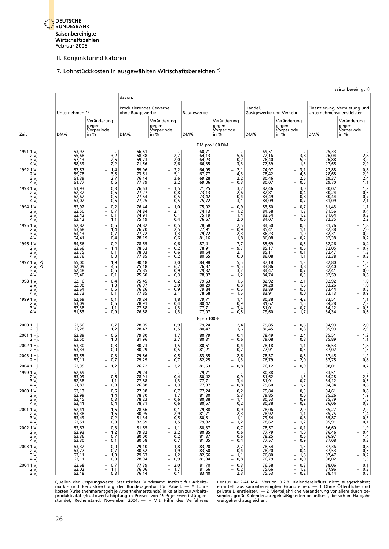

#### 7. Lohnstückkosten in ausgewählten Wirtschaftsbereichen \*)

<span id="page-27-0"></span>

|                                                       |                                           |                                                                                         | davon:                                    |                                                                  |                                           |                                                             |                                                    |                                                                             |                                           |                                                          |
|-------------------------------------------------------|-------------------------------------------|-----------------------------------------------------------------------------------------|-------------------------------------------|------------------------------------------------------------------|-------------------------------------------|-------------------------------------------------------------|----------------------------------------------------|-----------------------------------------------------------------------------|-------------------------------------------|----------------------------------------------------------|
|                                                       | Unternehmen 1)                            |                                                                                         | Produzierendes Gewerbe<br>ohne Baugewerbe |                                                                  | Baugewerbe                                |                                                             | Handel,<br>Gastgewerbe und Verkehr                 |                                                                             | Unternehmensdienstleister                 | Finanzierung, Vermietung und                             |
| Zeit                                                  | DM/€                                      | Veränderung<br>gegen<br>Vorperiode<br>in %                                              | DM/€                                      | Veränderung<br>gegen<br>Vorperiode<br>in %                       | DM/€                                      | Veränderung<br>gegen<br>Vorperiode<br>in %                  | DM/€                                               | Veränderung<br>gegen<br>Vorperiode<br>in %                                  | DM/€                                      | Veränderung<br>gegen<br>Vorperiode<br>in %               |
|                                                       |                                           |                                                                                         |                                           |                                                                  |                                           |                                                             |                                                    |                                                                             |                                           |                                                          |
| 1991 1.Vj<br>2.Vj.<br>3.Vi.<br>4.Vj.                  | 53,97<br>55,68<br>57,13<br>58,39          | $3,2$<br>$2,6$<br>$2,2$                                                                 | 66,61<br>68,38<br>69,73<br>71,56          | 2,7<br>2,0<br>2,6                                                | 60,71<br>64,13<br>64,23<br>66,35          | DM pro 100 DM<br>5,6<br>0,2<br>3,3                          | 69,51<br>72,16<br>76,40<br>77,39                   | 3,8<br>5,9<br>1,3                                                           | 25,33<br>26,04<br>26,88<br>27,65          | 2,8<br>3,2<br>2,9                                        |
| 1992 1.Vj<br>2.V<br>3.Vi<br>4.Vj.                     | 57,57<br>59,78<br>61,39<br>61,77          | 1,4<br>$\frac{3}{2}$ , 8<br>0,6                                                         | 69,96<br>73,51<br>76,14<br>77,79          | 2,2<br>5,1<br>3,6<br>2,2                                         | 64,95<br>67,77<br>69,28<br>69,06          | 2,1<br>$\frac{4}{2}$ , 3<br>0,3<br>$\overline{\phantom{a}}$ | 74,97<br>78,42<br>80,46<br>80,07                   | 3,1<br>4,6<br>2,6<br>0,5                                                    | 27,88<br>28,68<br>29,37<br>29,70          | 0,8<br>2,9<br>2,4<br>1,1                                 |
| 1993 1.Vi<br>2.V<br>3.Vì<br>4.Vj.                     | 61,93<br>62,32<br>62,62<br>63,02          | 0,3<br>0,6<br>0,5<br>0,6                                                                | 76,63<br>77,27<br>77,64<br>77,25          | 1,5<br>0,8<br>0,5<br>0,5                                         | 71,25<br>73,13<br>73,42<br>75,72          | 3,2<br>2,6<br>0,4<br>3,1                                    | 82,46<br>82,81<br>83,49<br>84,09                   | 3,0<br>0,4<br>0,8<br>0,7                                                    | 30,07<br>30,24<br>30,44<br>31,09          | 1,2<br>0,6<br>0,7<br>2,1                                 |
| 1994 1.Vi<br>2.Vj.<br>3.Vì<br>4.V<br>1995 1.Vi        | 62,92<br>62,50<br>62,42<br>63,12          | 0,2<br>$\overline{\phantom{0}}$<br>0,7<br>$\overline{\phantom{a}}$<br>0,1<br>1,1<br>0,5 | 76,44<br>74,84<br>74,91<br>75,19          | 1,0<br>$\equiv$<br>2,1<br>0,1<br>0,4                             | 75,02<br>74,13<br>75,19<br>76,67          | 0,9<br>1,2<br>$\equiv$<br>1,4<br>2,0                        | 83,50<br>84,58<br>83,54<br>84,07                   | 0,7<br>1,3<br>1,2<br>0,6<br>0, 5                                            | 31,43<br>31,56<br>31,64<br>32,35          | $\frac{1}{0}$ , 1<br>$0,3$<br>2,2                        |
| 2.V<br>3.Vì<br>4.Vj<br>1996 1.Vi                      | 62,82<br>63,68<br>64,13<br>64,41<br>64,56 | 1,4<br>0,7<br>0,4<br>0,2                                                                | 74,82<br>76,70<br>77,72<br>78,19          | $^{0,5}_{2,5}$<br>1,3<br>0,6<br>0,6                              | 78,58<br>77,91<br>79,72<br>81,16<br>87,41 | $^{2,5}_{0,9}$<br>2,3<br>1,8<br>7,7                         | 84,50<br>85,41<br>86,23<br>86,08                   | 1,1<br>1,0<br>0,2                                                           | 31,76<br>32,38<br>32,31<br>32,38          | $\frac{1,8}{2,0}$<br>0,2<br>0,2<br>0,4                   |
| 2.Vi.<br>3.Vj.<br>4.Vj.<br>1997 1.Vj. 2)              | 63,66<br>63,75<br>63,76<br>65,00          | 1,4<br>0,1<br>0,0<br>1,9                                                                | 78,65<br>78,53<br>78,03<br>77,85<br>80,18 | 0,2<br>$\overline{\phantom{0}}$<br>0,6<br>$\equiv$<br>0,2<br>3,0 | 78,91<br>80,54<br>80,55<br>84,98          | 97'<br>2,1<br>0,0<br>5,5                                    | 85,69<br>85,17<br>85,11<br>86,08                   | $0,5$<br>$0,6$<br>$\overline{\phantom{0}}$<br>$\equiv$<br>0,1<br>1,1<br>1,3 | 32,26<br>32,05<br>32,47<br>32,38<br>32,80 | 0,7<br>1,3<br>0,3<br>1,3                                 |
| 2.Vj. 2)<br>3.Vì<br>4.V<br>1998 1.Vi                  | 62,09<br>62,48<br>62,40<br>62,16          | 4,5<br>0,6<br>0,1<br>0,4<br>$\overline{\phantom{0}}$                                    | 75,18<br>75,85<br>75,60<br>75,45          | 6,2<br>0,9<br>0,3<br>0,2                                         | 76,87<br>79,32<br>78,37<br>79,63          | $\frac{9}{3}$ , 5<br>1,2<br>$\overline{\phantom{a}}$<br>1,6 | 87,18<br>83,86<br>84,47<br>84,74<br>82,92<br>84,28 | 3,8<br>0,7<br>0,3<br>2,1                                                    | 32,40<br>32,41<br>32,59<br>32,92          | 1,2<br>0,0<br>0,6<br>1,0                                 |
| 2.Vj.<br>3.Vj.<br>4.Vj.<br>1999 1.Vi                  | 62,98<br>62,64<br>62,73<br>62,69          | 1,3<br>0,5<br>$\overline{\phantom{0}}$<br>0,1<br>0,1                                    | 76,97<br>76,26<br>77,85<br>79,24          | 2,0<br>0,9<br>$\overline{\phantom{0}}$<br>2,1<br>1,8             | 80,29<br>79,84<br>78,58<br>79,71          | 0,8<br>0,6<br>Ē<br>1,6<br>1,4                               | 83,89<br>83,91                                     | 1,6<br>0,5<br>$\overline{\phantom{0}}$<br>0,0<br>4,2                        | 33,26<br>33,44<br>33,13<br>33,51          | 1,0<br>0,5<br>0,9<br>$\frac{1}{2}$ , $\frac{3}{2}$       |
| 2.V<br>3.Vi<br>4.Vj                                   | 63,09<br>62,38<br>61,83                   | 0,6<br>1,1<br>0,9                                                                       | 78,91<br>77,88<br>76,88                   | $\begin{bmatrix} 0,4 \\ 1,3 \\ 1,3 \end{bmatrix}$                | 80,42<br>77,71<br>77,07<br>€ pro 100 €    | $^{0,9}_{3,4}$<br>0,8                                       | 80,38<br>81,62<br>81,01<br>79,60                   | $\frac{1}{0,7}$<br>1,7<br>$\equiv$                                          | 34,28<br>34,12<br>34,34                   | 0,5<br>0,6                                               |
| 2000 1.Hi<br>2.Hj.                                    | 62,56<br>63,28                            | 0,7<br>1,2                                                                              | 78,05<br>78,47                            | $^{0,9}_{0,5}$                                                   | 79,24<br>80,47                            | 2,4<br>1,6                                                  | 79,85<br>80,45                                     | 0,6<br>$\overline{\phantom{0}}$<br>0,8                                      | 34,93<br>35,93                            | $^{2,0}_{2,9}$                                           |
| 2001 1.Hj.<br>2.Hj.                                   | 62,89<br>63,50                            | 0,6<br>1,0                                                                              | 79,80<br>81,96                            | 1,7<br>2,7                                                       | 80,79<br>80,31                            | 0,4<br>0,6<br>$\overline{\phantom{a}}$                      | 78,49<br>79,08                                     | 2,4<br>0,8                                                                  | 35,51<br>35,89                            | 1,2<br>1,1                                               |
| 2002 1.Hi.<br>2.Hj.                                   | 63,30<br>63,33                            | 0,3<br>0,0                                                                              | 80,73<br>80,29                            | 1,5<br>0,5                                                       | 80,61<br>81,21                            | 0,4<br>0,7                                                  | 78,18<br>77,91                                     | 1,1<br>$\overline{\phantom{0}}$<br>0,3                                      | 36,53<br>37,02                            | 1,8<br>1,3                                               |
| 2003 1.Hi<br>2.Hj.                                    | 63,55<br>63,11                            | 0,3<br>0,7                                                                              | 79,86<br>79,29                            | 0,5<br>$\overline{\phantom{a}}$<br>$\qquad \qquad -$<br>0,7      | 83,35<br>82,25                            | 2,6<br>1,3<br>$\overline{\phantom{0}}$                      | 78,37<br>76,79                                     | 0,6<br>2,0<br>$\overline{\phantom{0}}$                                      | 37,45<br>37,75                            | $^{1,2}_{0,8}$                                           |
| 2004 1.Hj.<br>1999 1.Vi<br>2.Vj.<br>$3.V1$ .<br>4.Vj. | 62,35<br>62,69<br>63,09<br>62,38<br>61,83 | $-1,2$<br>0,6<br>1,1<br>-<br>0,9                                                        | 76,72<br>79,24<br>78,91<br>77,88<br>76,88 | 3,2<br>0,4<br>1,3<br>$\overline{\phantom{0}}$<br>1,3             | 81,63<br>79,71<br>80,42<br>77,71<br>77,07 | 0,8<br>0,9<br>3,4<br>$\overline{\phantom{a}}$<br>0,8        | 76,12<br>80,38<br>81,62<br>81,01<br>79,60          | 0,9<br>$^{1,5}_{0,7}$<br>$-$<br>1,7                                         | 38,01<br>33,51<br>34,28<br>34,12<br>34,34 | 0,7<br>$^{2,3}_{0,5}$<br>$\overline{\phantom{0}}$<br>0,6 |
| 2000 1.Vi<br>2.Vj.<br>3.Vi.<br>4.Vi                   | 62,13<br>62,99<br>63,15<br>63,41          | 0,5<br>1,4<br>0,3<br>0,4                                                                | 77,38<br>78,70<br>78,23<br>78,71          | 0,7<br>1,7<br>0,6<br>0,6                                         | 77,24<br>81,30<br>$80,38$<br>$80,57$      | 0,2<br>5,3<br>1,1<br>0,2                                    | 79,84<br>$79,85$<br>$80,53$<br>$80,38$             | 0,3<br>0,0<br>0,9<br>0,2                                                    | 34,61<br>35,26<br>35,79<br>36,06          | 0,8<br>1,9<br>1,5<br>0,8                                 |
| 2001 1.Vi<br>2.Vj.<br>3.Vi.<br>4.Vj.                  | 62,41<br>63,38<br>63,49<br>63,51          | 1,6<br>1,6<br>0,2<br>0,0                                                                | 78,66<br>80,95<br>81,34<br>82,59          | 0,1<br>2,9<br>0,5<br>1,5                                         | 79,88<br>81,71<br>80,81<br>79,82          | 0,9<br>2,3<br>1,1<br>$\overline{\phantom{0}}$<br>1,2        | 78,06<br>78,92<br>79,54<br>78,62                   | 2,9<br>1,1<br>0,8<br>1,2                                                    | 35,27<br>35,75<br>35,87<br>35,91          | $2,2$<br>$1,4$<br>$0,3$<br>0,1                           |
| 2002 1.Vj<br>2.Vj<br>3.Vi<br>4.Vj.                    | 63,67<br>62,93<br>63,36<br>63,30          | 0,3<br>$\frac{1}{2}$<br>0,1                                                             | 81,65<br>79,82<br>80,00<br>80,58          | 1,1<br>$\frac{2}{0}$ , 2<br>$\overline{\phantom{0}}$<br>0,7      | 80,37<br>80,85<br>81,37<br>81,05          | 0,7<br>0,6<br>0,6<br>0,4                                    | 78,57<br>77,79<br>78,25<br>77,57                   | 0,1<br>1,0<br>$\qquad \qquad -$<br>0,6<br>0,9                               | 36,60<br>36,46<br>36,97<br>37,08          | 1,9<br>$0,4$<br>$1,4$<br>$0,3$                           |
| 2003 1.Vi<br>2.Vj<br>3.Vì<br>4.Vj<br>2004 1.Vi        | 63,32<br>63,77<br>63,11<br>63,11          | 0,0<br>0,7<br>1,0<br>0,0<br>0,7<br>$-$                                                  | 79,10<br>80,62<br>79,63<br>78,94          | 1,8<br>1,9<br>1,2<br>0,9<br>2,0<br>-                             | 83,20<br>83,50<br>82,56<br>81,94          | 2,7<br>0,4<br>1,1<br>0,8<br>$\overline{\phantom{a}}$        | 78,54<br>78,20<br>76,80<br>76,79                   | 1,3<br>0,4<br>-<br>$\overline{\phantom{0}}$<br>1,8<br>0,0                   | 37,36<br>37,53<br>37,47<br>38,02<br>38,06 | 0,8<br>0,5<br>0,2<br>1,5                                 |
| 2.Vj.<br>3.V                                          | 62,68<br>62,02<br>62,18                   | 1,1<br>0,3                                                                              | 77,39<br>76,06<br>76,14                   | $\overline{\phantom{0}}$<br>1,7<br>0,1                           | 81,70<br>81,56<br>83,40                   | $0,3$<br>$0,2$<br>$\overline{\phantom{0}}$<br>2,3           | 76,58<br>75,66<br>75,53                            | $^{0,3}_{1,2}$<br>$\frac{1}{1}$<br>0,2                                      | 37,96<br>38,14                            | $- \begin{array}{cc} 0,1 \\ 0,3 \\ 0,5 \end{array}$      |

Quellen der Ursprungswerte: Statistisches Bundesamt, Institut für Arbeits- Census X-12-ARIMA, Version 0.2.8. Kalendereinfluss nicht ausgeschaltet;<br>markt- und Berufsforschung der Bundesagentur für Arbeit. — \* Lohn- er Quellen der Ursprungswerte: Statistisches Bundesamt, Institut für Arbeits-<br>
markt- und Berufsforschung der Bundesagentur für Arbeit. — \* Lohn-<br>
kosten (Arbeitnehmerentgelt je Arbeitnehmerstunde) in Relation zur Arbeits-<br>
p

saisonbereinigt +)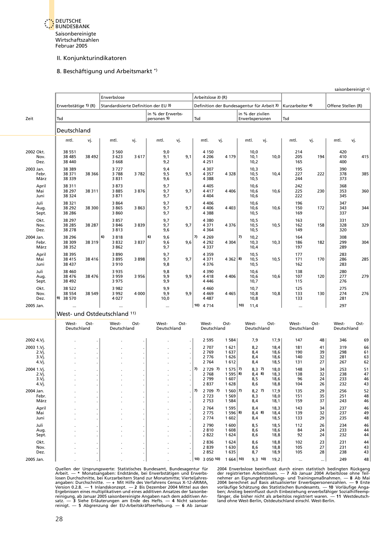

#### 8. Beschäftigung und Arbeitsmarkt \*)

<span id="page-28-0"></span>

|                            |                               |                                             |                                      |         |                                  |                                   |     |                               |                                  |     |                                     |                                            |                      |                |                      | saisonbereinigt +) |
|----------------------------|-------------------------------|---------------------------------------------|--------------------------------------|---------|----------------------------------|-----------------------------------|-----|-------------------------------|----------------------------------|-----|-------------------------------------|--------------------------------------------|----------------------|----------------|----------------------|--------------------|
|                            |                               |                                             | Erwerbslose                          |         |                                  |                                   |     | Arbeitslose 2) (R)            |                                  |     |                                     |                                            |                      |                |                      |                    |
|                            | Erwerbstätige 1) (R)          |                                             | Standardisierte Definition der EU 3) |         |                                  |                                   |     |                               |                                  |     |                                     | Definition der Bundesagentur für Arbeit 3) | Kurzarbeiter 4)      |                | Offene Stellen (R)   |                    |
| Zeit                       | Tsd                           |                                             |                                      |         | in % der Erwerbs-<br>personen 5) |                                   | Tsd |                               |                                  |     | in % der zivilen<br>Erwerbspersonen |                                            | Tsd                  |                |                      |                    |
|                            | Deutschland                   |                                             |                                      |         |                                  |                                   |     |                               |                                  |     |                                     |                                            |                      |                |                      |                    |
|                            | mtl.                          | vj.                                         | mtl.                                 | vj.     | mtl.                             | vj.                               |     | mtl.                          | vj.                              |     | mtl.                                | vj.                                        | mtl.                 | vj.            | mtl.                 | vj.                |
| 2002 Okt.<br>Nov.<br>Dez.  | 38 551<br>38 4 85<br>38 440   | 38 492                                      | 3 5 6 0<br>3 6 2 3<br>3 6 6 8        | 3617    | 9,0<br>9,1<br>9,2                | 9,1                               |     | 4 1 5 0<br>4 2 0 6<br>4 2 5 1 | 4 1 7 9                          |     | 10,0<br>10,1<br>10,2                | 10,0                                       | 214<br>205<br>165    | 194            | 420<br>410<br>400    | 415                |
| 2003 Jan.<br>Febr.<br>März | 38 389<br>38 371<br>38 339    | 38 366                                      | 3727<br>3788<br>3831                 | 3782    | 9,4<br>9,5<br>9,6                | 9,5                               |     | 4 3 0 7<br>4 3 5 7<br>4 3 8 8 | 4 3 2 8                          |     | 10,3<br>10,5<br>10,5                | 10,4                                       | 195<br>227<br>244    | 222            | 390<br>378<br>373    | 385                |
| April<br>Mai<br>Juni       | 38 311<br>38 297<br>38 324    | 38 311                                      | 3873<br>3885<br>3871                 | 3876    | 9,7<br>9,7<br>9,7                | 9,7                               |     | 4 4 0 5<br>4417<br>4 4 0 4    | 4 4 0 6                          |     | 10,6<br>10,6<br>10,6                | 10,6                                       | 242<br>225<br>222    | 230            | 368<br>353<br>345    | 360                |
| Juli<br>Aug.<br>Sept.      | 38 321<br>38 29 2<br>38 28 6  | 38 300                                      | 3864<br>3865<br>3860                 | 3863    | 9,7<br>9,7<br>9,7                | 9,7                               |     | 4 4 0 6<br>4 4 0 6<br>4 3 8 8 | 4 4 0 3                          |     | 10,6<br>10,6<br>10,5                | 10,6                                       | 196<br>150<br>169    | 172            | 347<br>343<br>337    | 344                |
| Okt.<br>Nov.<br>Dez.       | 38 297<br>38 285<br>38 278    | 38 287                                      | 3857<br>3 8 4 6<br>3813              | 3839    | 9,7<br>9,7<br>9,6                | 9,7                               |     | 4 3 8 0<br>4371<br>4 3 6 4    | 4 3 7 6                          |     | 10,5<br>10,5<br>10,5                | 10,5                                       | 163<br>162<br>149    | 158            | 331<br>328<br>320    | 329                |
| 2004 Jan.<br>Febr.<br>März | 38 296<br>38 309<br>38 352    | 38 319                                      | 6)<br>3818<br>3832<br>3 8 6 2        | 3837    | 9,6<br>6)<br>9,6<br>9,7          | 9,6                               | 7)  | 4 2 6 9<br>4 2 9 2<br>4337    | 4 3 0 4                          | 7)  | 10,2<br>10,3<br>10,4                | 10,3                                       | 164<br>186<br>197    | 182            | 308<br>299<br>289    | 304                |
| April<br>Mai<br>Juni       | 38 395<br>38 415<br>38 437    | 38 4 16                                     | 3890<br>3895<br>3 9 1 0              | 3898    | 9,7<br>9,7<br>9,8                | 9,7                               |     | 4 3 5 9<br>4371<br>4 3 7 6    | 4362 8                           |     | 10,5<br>10,5<br>10,5                | 10,5                                       | 177<br>171<br>162    | 170            | 283<br>286<br>283    | 285                |
| Juli<br>Aug.<br>Sept.      | 38 460<br>38 4 76<br>38 492   | 38 476                                      | 3 9 3 5<br>3 9 5 9<br>3 9 7 5        | 3956    | 9,8<br>9,9<br>9,9                | 9,9                               |     | 4 3 9 0<br>4418<br>4446       | 4 4 0 6                          |     | 10,6<br>10,6<br>10,7                | 10,6                                       | 138<br>107<br>115    | 120            | 280<br>277<br>276    | 279                |
| Okt.<br>Nov.<br>Dez.       | 38 522<br>38 554<br>9) 38 570 | 38 549                                      | 3 9 8 2<br>3 9 9 2<br>4 0 2 7        | 4 0 0 0 | 9,9<br>9,9<br>10,0               | 9,9                               |     | 4460<br>4469<br>4 4 8 7       | 4 4 6 5                          |     | 10,7<br>10,8<br>10,8                | 10,8                                       | 125<br>133<br>133    | 130            | 275<br>274<br>281    | 276                |
| 2005 Jan.                  |                               |                                             |                                      |         | $\ddotsc$                        |                                   |     | 10) 4 7 14                    |                                  | 10) | 11,4                                |                                            |                      |                | 297                  |                    |
|                            |                               |                                             | West- und Ostdeutschland 11)         |         |                                  |                                   |     |                               |                                  |     |                                     |                                            |                      |                |                      |                    |
|                            | West-<br>Deutschland          | Ost-                                        | West-<br>Deutschland                 | Ost-    | West-<br>Deutschland             | Ost-                              |     | West-<br>Deutschland          | Ost-                             |     | West-<br>Deutschland                | Ost-                                       | West-<br>Deutschland | Ost-           | West-<br>Deutschland | Ost-               |
| 2002 4.Vj.                 |                               |                                             |                                      |         |                                  | $\cdot$                           |     | 2 5 9 5                       | 1 5 8 4                          |     | 7,9                                 | 17,9                                       | 147                  | 48             | 346                  | 69                 |
| 2003 1.Vj.                 |                               |                                             |                                      |         |                                  |                                   |     | 2707                          | 1621<br>1637                     |     | 8,2                                 | 18,4<br>18,6                               | 181<br>190           | 41<br>39       | 319<br>298           | 66<br>61           |
| 2.Vj.<br>3.Vj.             |                               | $\blacksquare$                              |                                      |         |                                  | $\ddot{\phantom{a}}$<br>$\cdot$   |     | 2769<br>2776                  | 1626                             |     | 8,4<br>8,4                          | 18,6                                       | 140                  | 32             | 281                  | 63                 |
| 4.Vj.                      |                               |                                             |                                      |         |                                  |                                   |     | 2 7 6 4                       | 1612                             |     | 8,4                                 | 18,5                                       | 131                  | 27             | 267                  | 62                 |
| 2004 1.Vj.<br>2.Vj.        |                               |                                             |                                      |         |                                  |                                   | 7)  | 27297<br>2768                 | $1575$ (7)<br>1595 8             |     | 8,3,7<br>8,48                       | 18,0<br>18,3                               | 148<br>138           | 34<br>32       | 253<br>238           | 51<br>47           |
| 3.Vj.                      | ٠                             |                                             |                                      |         |                                  |                                   |     | 2 7 9 9                       | 1607                             |     | 8,5                                 | 18,6                                       | 96                   | 24             | 233                  | 46                 |
| 4.Vj.                      |                               |                                             |                                      |         |                                  |                                   |     | 2837                          | 1628                             |     | 8,6                                 | 18,8                                       | 104                  | 26             | 232                  | 43                 |
| 2004 Jan.<br>Febr.<br>März |                               | $\cdot$<br>$\blacksquare$<br>$\blacksquare$ |                                      |         |                                  | $\cdot$<br>$\bullet$<br>$\bullet$ | 7)  | 27097<br>2723<br>2 7 5 3      | $1560$ (7)<br>1 5 6 9<br>1 5 8 4 |     | 8,2,7<br>8,3<br>8,4                 | 17,9<br>18,0<br>18,1                       | 135<br>151<br>159    | 29<br>35<br>37 | 256<br>251<br>243    | 52<br>48<br>46     |
| April                      |                               |                                             |                                      |         |                                  | $\cdot$                           |     | 2 7 6 4                       | 1 5 9 5                          |     | 8,4                                 | 18,3                                       | 143                  | 34             | 237                  | 46                 |
| Mai<br>Juni                |                               |                                             |                                      |         |                                  | $\cdot$<br>$\ddot{\phantom{a}}$   |     | 2775<br>2 7 7 4               | 1596 8<br>1 602                  |     | 8,48<br>8,4                         | 18,4<br>18,5                               | 139<br>133           | 32<br>29       | 237<br>235           | 49<br>48           |
| Juli                       |                               |                                             |                                      |         |                                  | $\bullet$                         |     | 2790                          | 1 600                            |     | 8,5                                 | 18,5                                       | 112                  | 26             | 234                  | 46                 |
| Aug.<br>Sept.              |                               | $\blacksquare$                              |                                      |         |                                  | $\cdot$                           |     | 2810<br>2822                  | 1608<br>1624                     |     | 8,6<br>8,6                          | 18,6<br>18,8                               | 84<br>92             | 24<br>24       | 233<br>232           | 44<br>44           |
| Okt.                       |                               |                                             |                                      |         |                                  | $\cdot$<br>$\cdot$                |     | 2836                          | 1 6 2 4                          |     | 8,6                                 | 18,8                                       | 102                  | 23             | 231                  | 44                 |
| Nov.                       |                               |                                             |                                      |         |                                  | $\bullet$                         |     | 2839                          | 1630                             |     | 8,6                                 | 18,8                                       | 105                  | 27             | 231                  | 43                 |
| Dez.<br>2005 Jan.          |                               |                                             |                                      |         |                                  |                                   |     | 2852<br>10) 3 0 5 0 10)       | 1635<br>1664 10                  |     | 8,7<br>$9,3$ 10)                    | 18,9<br>19,2                               | 105<br>              | 28             | 238<br>249           | 43<br>48           |
|                            |                               |                                             |                                      |         |                                  |                                   |     |                               |                                  |     |                                     |                                            |                      |                |                      |                    |

Quellen der Ursprungswerte: Statistisches Bundesamt, Bundesagentur für<br>
Arbeit. — \* Monatsangaben: Endstände, bei Erwerbstätigen und Erwerbstäte in einer statistisch bedingten Rückgang<br>
Iosen Durchschnitte, bei Kurzarbeite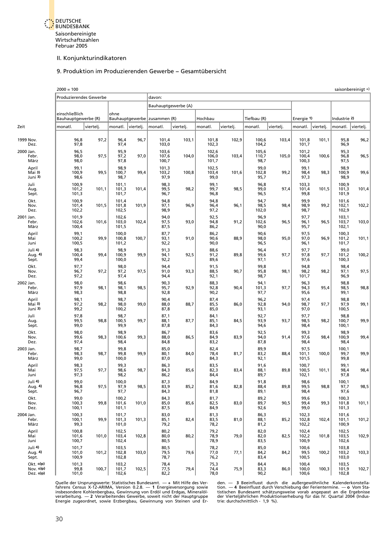

#### 9. Produktion im Produzierenden Gewerbe – Gesamtübersicht

<span id="page-29-0"></span>

|                                      | $2000 = 100$                          |           |                         |           |                                |                     |                         |           |                        |           |                         |           |                         | saisonbereinigt +) |
|--------------------------------------|---------------------------------------|-----------|-------------------------|-----------|--------------------------------|---------------------|-------------------------|-----------|------------------------|-----------|-------------------------|-----------|-------------------------|--------------------|
|                                      | Produzierendes Gewerbe                |           |                         |           | davon:                         |                     |                         |           |                        |           |                         |           |                         |                    |
|                                      |                                       |           |                         |           |                                | Bauhauptgewerbe (A) |                         |           |                        |           |                         |           |                         |                    |
|                                      | einschließlich<br>Bauhauptgewerbe (R) |           | ohne                    |           | Bauhauptgewerbe   zusammen (R) |                     | Hochbau                 |           | Tiefbau (R)            |           | Energie 1)              |           | Industrie 2)            |                    |
| Zeit                                 | monatl.                               | viertelj. | monatl.                 | viertelj. | monatl.                        | viertelj.           | monatl.                 | viertelj. | monatl.                | viertelj. | monatl.                 | vierteli. | monatl.                 | vierteli.          |
| 1999 Nov.<br>Dez.                    | 96,8<br>97,8                          | 97,2      | 96,4<br>97,4            | 96,7      | 101,4<br>103,0                 | 103,1               | 101,8<br>102,3          | 102,9     | 100,6<br>104,2         | 103,4     | 101,8<br>101,7          | 101,1     | 95,8<br>96,9            | 96,2               |
| 2000 Jan.<br>Febr.<br>März           | 96,5<br>98,0<br>98,0                  | 97,5      | 95,9<br>97,2<br>97,8    | 97,0      | 103,6<br>107,6<br>100,7        | 104,0               | 102,6<br>106,0<br>101,7 | 103,4     | 105,6<br>110,7<br>98,7 | 105,0     | 101,2<br>100,4<br>100,3 | 100,6     | 95,3<br>96,8<br>97,5    | 96,5               |
| April<br>Mai <sub>3</sub><br>Juni 3) | 99,1<br>100,9<br>98,6                 | 99,5      | 98,9<br>100,7<br>98,7   | 99,4      | 101,3<br>103,2<br>97,9         | 100,8               | 102,5<br>103,4<br>99,0  | 101,6     | 99,0<br>102,8<br>95,7  | 99,2      | 99,1<br>98,4<br>97,3    | 98,3      | 98,9<br>100,9<br>98,9   | 99,6               |
| Juli<br>Aug.<br>Sept.                | 100,9<br>101,2<br>101,3               | 101,1     | 101,1<br>101,3<br>101,7 | 101,4     | 98,3<br>99,5<br>96,7           | 98,2                | 99,1<br>99,7<br>96,8    | 98,5      | 96,8<br>99,0<br>96,5   | 97,4      | 103,3<br>101,4<br>99,8  | 101,5     | 100,9<br>101,3<br>101,9 | 101,4              |
| Okt.<br>Nov.<br>Dez.                 | 100,9<br>101,4<br>102,2               | 101,5     | 101,4<br>101,8<br>102,5 | 101,9     | 94,8<br>97,1<br>98,9           | 96,9                | 94,8<br>96,4<br>97,2    | 96,1      | 94,7<br>98,5<br>102,0  | 98,4      | 99,9<br>98,9<br>98,7    | 99,2      | 101,6<br>102,1<br>102,9 | 102,2              |
| 2001 Jan.<br>Febr.<br>März           | 101,9<br>102,6<br>100,4               | 101,6     | 102,6<br>103,0<br>101,5 | 102,4     | 94,0<br>97,5<br>87,5           | 93,0                | 92,5<br>94,8<br>86,2    | 91,2      | 96,9<br>102,6<br>90,0  | 96,5      | 97,7<br>96,1<br>95,7    | 96,5      | 103,1<br>103,7<br>102,1 | 103,0              |
| April<br>Mai<br>Juni                 | 99,1<br>100,2<br>100,5                | 99,9      | 100,0<br>100,8<br>101,2 | 100,7     | 87,7<br>93,1<br>92,2           | 91,0                | 86,2<br>90,6<br>90,0    | 88,9      | 90,6<br>98,0<br>96,5   | 95,0      | 97,5<br>97,0<br>96,1    | 96,9      | 100,3<br>101,2<br>101,7 | 101,1              |
| Juli 4)<br>Aug. 4)<br>Sept.          | 98,3<br>100,4<br>99,4                 | 99,4      | 98,9<br>100,9<br>100,0  | 99,9      | 91,3<br>94,1<br>92,2           | 92,5                | 88,6<br>91,2<br>89,6    | 89,8      | 96,4<br>99,6<br>97,1   | 97,7      | 97,7<br>97,8<br>97,6    | 97,7      | 99,0<br>101,2<br>100,3  | 100,2              |
| Okt.<br>Nov.<br>Dez.                 | 97,7<br>96,7<br>97,2                  | 97,2      | 98,0<br>97,2<br>97,4    | 97,5      | 94,4<br>91,0<br>94,4           | 93,3                | 91,5<br>88,5<br>92,1    | 90,7      | 99,8<br>95,8<br>98,7   | 98,1      | 94,8<br>98,2<br>101,7   | 98,2      | 98,4<br>97,1<br>96,9    | 97,5               |
| 2002 Jan.<br>Febr.<br>März           | 98,0<br>97,9<br>98,3                  | 98,1      | 98,6<br>98,1<br>98,8    | 98,5      | 90,3<br>95,7<br>92,8           | 92,9                | 88,3<br>92,8<br>90,2    | 90,4      | 94,1<br>101,3<br>97,7  | 97,7      | 96,3<br>94,3<br>95,6    | 95,4      | 98,8<br>98,5<br>99,1    | 98,8               |
| April<br>$Mai$ 3)<br>Juni 3)         | 98,1<br>97,2<br>99,2                  | 98,2      | 98,7<br>98,0<br>100,2   | 99,0      | 90,4<br>88,0<br>87,8           | 88,7                | 87,4<br>85,5<br>85,0    | 86,0      | 96,2<br>92,8<br>93,1   | 94,0      | 97,4<br>98,7<br>97,0    | 97,7      | 98,8<br>97,9<br>100,5   | 99,1               |
| Juli<br>Aug.<br>Sept.                | 97,8<br>99,5<br>99,0                  | 98,8      | 98,7<br>100,5<br>99,9   | 99,7      | 87,1<br>88,1<br>87,8           | 87,7                | 84,1<br>85,1<br>84,3    | 84,5      | 92,7<br>93,9<br>94,6   | 93,7      | 97,7<br>98,5<br>98,4    | 98,2      | 98,8<br>100,7<br>100,1  | 99,9               |
| Okt.<br>Nov.<br>Dez.                 | 98,0<br>99,6<br>97,4                  | 98,3      | 98,9<br>100,6<br>98,4   | 99,3      | 86,7<br>88,0<br>84,8           | 86,5                | 83,6<br>84,9<br>83,2    | 83,9      | 92,5<br>94,0<br>87,8   | 91,4      | 99,3<br>97,6<br>98,4    | 98,4      | 98,9<br>100,9<br>98,4   | 99,4               |
| 2003 Jan.<br>Febr.<br>März           | 98,7<br>98,3<br>99,0                  | 98,7      | 99,8<br>99,8<br>100,0   | 99,9      | 85,0<br>80,1<br>87,0           | 84,0                | 82,4<br>78,4<br>84,3    | 81,7      | 89,9<br>83,2<br>92,1   | 88,4      | 97,5<br>101,1<br>101,5  | 100,0     | 100,1<br>99,7<br>99,8   | 99,9               |
| April<br>Mai<br>Juni                 | 98,3<br>97,5<br>97,3                  | 97,7      | 99,3<br>98,6<br>98,2    | 98,7      | 86,3<br>84,3<br>86,2           | 85,6                | 83,5<br>82,3<br>84,4    | 83,4      | 91,6<br>88,1<br>89,7   | 89,8      | 100,7<br>100,5<br>102,1 | 101,1     | 99,1<br>98,4<br>97,8    | 98,4               |
| Juli 4)<br>Aug. $4$ )<br>Sept.       | 99,0<br>96,8<br>96,7                  | 97,5      | 100,0<br>97,9<br>97,7   | 98,5      | 87,3<br>83,9<br>84,3           | 85,2                | 84,9<br>81,6<br>81,8    | 82,8      | 91,8<br>88,4<br>89,1   | 89,8      | 98,6<br>99,5<br>98,4    | 98,8      | 100,1<br>97,7<br>97,6   | 98,5               |
| Okt.<br>Nov.<br>Dez.                 | 99,0<br>100,3<br>100,1                | 99,8      | 100,2<br>101,6<br>101,1 | 101,0     | 84,3<br>85,0<br>87,5           | 85,6                | 81,7<br>82,5<br>84,9    | 83,0      | 89,2<br>89,7<br>92,6   | 90,5      | 99,6<br>99,4<br>99,0    | 99,3      | 100,3<br>101,8<br>101,3 | 101,1              |
| 2004 Jan.<br>Febr.<br>März           | 100,3<br>100,1<br>99,3                | 99,9      | 101,7<br>101,3<br>101,0 | 101,3     | 83,0<br>85,1<br>79,2           | 82,4                | 81,3<br>83,5<br>78,2    | 81,0      | 86,3<br>88,1<br>81,2   | 85,2      | 102,3<br>102,8<br>102,2 | 102,4     | 101,6<br>101,1<br>100,9 | 101,2              |
| April<br>Mai<br>Juni                 | 100,8<br>101,6<br>100,7               | 101,0     | 102,5<br>103,4<br>102,4 | 102,8     | 80,2<br>80,0<br>80,5           | 80,2                | 79,2<br>78,9<br>78,9    | 79,0      | 82,0<br>82,0<br>83,5   | 82,5      | 102,4<br>102,2<br>100,9 | 101,8     | 102,5<br>103,5<br>102,6 | 102,9              |
| Juli 4)<br>Aug. 4)<br>Sept.          | 101,7<br>101,0<br>100,9               | 101,2     | 103,5<br>102,8<br>102,8 | 103,0     | 80,5<br>79,5<br>78,7           | 79,6                | 78,2<br>77,0<br>76,2    | 77,1      | 85,0<br>84,2<br>83,4   | 84,2      | 100,6<br>99,5<br>100,5  | 100,2     | 103,8<br>103,2<br>103,0 | 103,3              |
| Okt. o)p)<br>Nov. o)p)<br>Dez. o)p)  | 101,3<br>99,8<br>101,0                | 100,7     | 103,2<br>101,7<br>102,6 | 102,5     | 78,4<br>77,5<br>82,2           | 79,4                | 75,3<br>74,4<br>78,0    | 75,9      | 84,4<br>83,3<br>90,2   | 86,0      | 100,4<br>100,0<br>100,6 | 100,3     | 103,5<br>101,9<br>102,8 | 102,7              |

Quelle der Ursprungswerte: Statistisches Bundesamt. — + Mit Hilfe des Ver-alen. — 3 Beeinflusst durch die außergewöhnliche Kalenderkonstella-<br>Threms Census X-12-ARIMA, Version 0.2.8. — 1 Energieversorgung sowie tion. — 4 B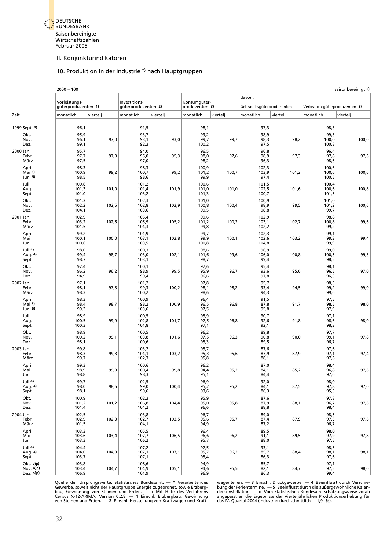#### II. Konjunkturindikatoren

#### 10. Produktion in der Industrie \*) nach Hauptgruppen

<span id="page-30-0"></span>

|      |                             | $2000 = 100$                         |           |                                      |           |                                |           |                           |           |                               | saisonbereinigt +) |
|------|-----------------------------|--------------------------------------|-----------|--------------------------------------|-----------|--------------------------------|-----------|---------------------------|-----------|-------------------------------|--------------------|
|      |                             |                                      |           |                                      |           |                                |           | davon:                    |           |                               |                    |
|      |                             | Vorleistungs-<br>güterproduzenten 1) |           | Investitions-<br>güterproduzenten 2) |           | Konsumgüter-<br>produzenten 3) |           | Gebrauchsgüterproduzenten |           | Verbrauchsgüterproduzenten 3) |                    |
| Zeit |                             | monatlich                            | viertelj. | monatlich                            | viertelj. | monatlich                      | viertelj. | monatlich                 | viertelj. | monatlich                     | viertelj.          |
|      | 1999 Sept. 4)<br>Okt.       | 96,1<br>95,9                         |           | 91,5<br>93,7                         |           | 98,1<br>99,2                   |           | 97,3<br>98,9              |           | 98,3<br>99,3                  |                    |
|      | Nov.<br>Dez.<br>2000 Jan.   | 96,1<br>99,1<br>95,7                 | 97,0      | 93,1<br>92,3<br>94,0                 | 93,0      | 99,7<br>100,2<br>96,5          | 99,7      | 98,3<br>97,5<br>96,8      | 98,2      | 100,0<br>100,8<br>96,4        | 100,0              |
|      | Febr.<br>März<br>April      | 97,7<br>97,5<br>98,3                 | 97,0      | 95,0<br>97,0<br>98,3                 | 95,3      | 98,0<br>98,2<br>100,9          | 97,6      | 98,9<br>96,3<br>102,3     | 97,3      | 97,8<br>98,6<br>100,6         | 97,6               |
|      | Mai 5)<br>Juni 5)<br>Juli   | 100,9<br>98,5<br>100,8               | 99,2      | 100,7<br>98,6<br>101,2               | 99,2      | 101,2<br>99,9<br>100,6         | 100,7     | 103,9<br>97,4<br>101,5    | 101,2     | 100,6<br>100,5<br>100,4       | 100,6              |
|      | Aug.<br>Sept.               | 101,3<br>101,0                       | 101,0     | 101,4<br>103,2                       | 101,9     | 101,0<br>101,3                 | 101,0     | 102,5<br>100,7            | 101,6     | 100,6<br>101,5                | 100,8              |
|      | Okt.<br>Nov.<br>Dez.        | 101,3<br>102,2<br>104,1              | 102,5     | 102,3<br>102,8<br>103,6              | 102,9     | 101,0<br>100,8<br>99,5         | 100,4     | 100,9<br>98,9<br>98,8     | 99,5      | 101,0<br>101,2<br>99,7        | 100,6              |
|      | 2001 Jan.<br>Febr.<br>März  | 102,9<br>103,2<br>101,5              | 102,5     | 105,4<br>105,9<br>104,3              | 105,2     | 99,6<br>101,2<br>99,8          | 100,2     | 102,9<br>103,1<br>102,2   | 102,7     | 98,8<br>100,8<br>99,2         | 99,6               |
|      | April<br>Mai<br>Juni        | 99,2<br>100,1<br>100,6               | 100,0     | 101,9<br>103,1<br>103,5              | 102,8     | 99,7<br>99,9<br>100,8          | 100,1     | 102,3<br>102,6<br>104,8   | 103,2     | 99,1<br>99,3<br>99,9          | 99,4               |
|      | Juli 4)<br>Aug. 4)<br>Sept. | 98,0<br>99,4<br>98,7                 | 98,7      | 100,3<br>103,0<br>103,1              | 102,1     | 98,6<br>101,6<br>98,7          | 99,6      | 96,9<br>106,0<br>99,4     | 100,8     | 99,0<br>100,5<br>98,5         | 99,3               |
|      | Okt.<br>Nov.<br>Dez.        | 97,4<br>96,2<br>94,9                 | 96,2      | 100,1<br>98,9<br>99,4                | 99,5      | 97,6<br>95,9<br>96,6           | 96,7      | 95,4<br>93,6<br>97,8      | 95,6      | 98,1<br>96,5<br>96,3          | 97,0               |
|      | 2002 Jan.<br>Febr.<br>März  | 97,1<br>98,1<br>98,3                 | 97,8      | 101,2<br>99,3<br>100,2               | 100,2     | 97,8<br>98,1<br>98,6           | 98,2      | 95,7<br>93,4<br>94,3      | 94,5      | 98,3<br>99,2<br>99,6          | 99,0               |
|      | April<br>Mai 5)<br>Juni 5)  | 98,3<br>98,4<br>99,3                 | 98,7      | 100,9<br>98,2<br>103,6               | 100,9     | 96,4<br>96,5<br>97,5           | 96,8      | 91,5<br>87,8<br>95,8      | 91,7      | 97,5<br>98,5<br>97,9          | 98,0               |
|      | Juli<br>Aug.<br>Sept.       | 98,9<br>100,5<br>100,3               | 99,9      | 100,5<br>102,8<br>101,8              | 101,7     | 95,9<br>97,5<br>97,1           | 96,8      | 90,7<br>92,6<br>92,1      | 91,8      | 97,1<br>98,6<br>98,3          | 98,0               |
|      | Okt.<br>Nov.<br>Dez.        | 98,9<br>100,2<br>98,1                | 99,1      | 100,5<br>103,8<br>100,6              | 101,6     | 96,2<br>97,5<br>95,3           | 96,3      | 89,8<br>90,8<br>89,5      | 90,0      | 97,7<br>99,1<br>96,7          | 97,8               |
|      | 2003 Jan.<br>Febr.<br>März  | 99,8<br>98,3<br>99,7                 | 99,3      | 103,2<br>104,1<br>102,3              | 103,2     | 95,7<br>95,3<br>95,8           | 95,6      | 87,6<br>87,9<br>88,1      | 87,9      | 97,6<br>97,1<br>97,6          | 97,4               |
|      | April<br>Mai<br>Juni        | 99,3<br>98,9<br>98,8                 | 99,0      | 100,6<br>100,4<br>98,3               | 99,8      | 96,2<br>94,4<br>95,1           | 95,2      | 87,0<br>84,1<br>84,4      | 85,2      | 98,4<br>96,8<br>97,6          | 97,6               |
|      | Juli 4)<br>Aug. 4)<br>Sept. | 99,7<br>98,0<br>98,1                 | 98,6      | 102,5<br>99,0<br>99,6                | 100,4     | 96,9<br>95,2<br>93,6           | 95,2      | 92,0<br>84,1<br>86,3      | 87,5      | 98,0<br>97,8<br>95,3          | 97,0               |
|      | Okt.<br>Nov.<br>Dez.        | 100,9<br>101,2<br>101,4              | 101,2     | 102,3<br>106,8<br>104,2              | 104,4     | 95,9<br>95,0<br>96,6           | 95,8      | 87,6<br>87,9<br>88,8      | 88,1      | 97,8<br>96,7<br>98,4          | 97,6               |
|      | 2004 Jan.<br>Febr.<br>März  | 102,5<br>102,9<br>101,5              | 102,3     | 103,8<br>102,7<br>104,1              | 103,5     | 96,7<br>95,6<br>94,9           | 95,7      | 89,0<br>87,4<br>87,2      | 87,9      | 98,5<br>97,5<br>96,7          | 97,6               |
|      | April<br>Mai<br>Juni        | 103,3<br>103,6<br>103,3              | 103,4     | 105,5<br>107,7<br>106,2              | 106,5     | 96,4<br>96,6<br>95,7           | 96,2      | 89,5<br>91,1<br>88,0      | 89,5      | 98,0<br>97,9<br>97,5          | 97,8               |
|      | Juli 4)<br>Aug. 4)<br>Sept. | 104,4<br>104,0<br>103,7              | 104,0     | 107,2<br>107,1<br>107,1              | 107,1     | 97,5<br>95,7<br>95,4           | 96,2      | 93,1<br>85,7<br>86,3      | 88,4      | 98,5<br>98,1<br>97,6          | 98,1               |
|      | Okt. o)p)<br>Nov. o)p)      | 103,8<br>103,4                       | 104,7     | 108,6<br>104,9                       | 105,1     | 94,9<br>94,6                   | 95,5      | 85,7<br>82,1              | 84,7      | 97,1<br>97,5                  | 98,0               |

Quelle der Ursprungswerte: Statistisches Bundesamt. — \* Verarbeitendes wagenteilen. — 3 Einschl. Druckgewerbe. — 4 Beeinflusst durch Verschie-<br>Gewerbe, soweit nicht der Hauptgruppe Energie zugeordnet, sowie Erzberg- bung d

Dez. **o)p)** 106,9 101,9 96,9 86,3 99,4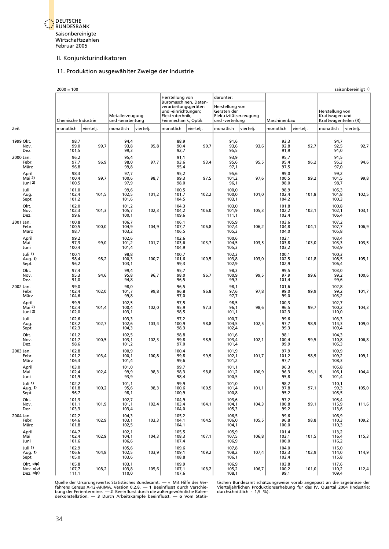#### II. Konjunkturindikatoren

## 11. Produktion ausgewählter Zweige der Industrie

| – ∩∩מ | 100 |  |
|-------|-----|--|

<span id="page-31-0"></span>

|           |                                     | $2000 = 100$            |           |                                     |           |                                                                                       |           |                                                                             |           |                         |           |                                                           | saisonbereinigt + |
|-----------|-------------------------------------|-------------------------|-----------|-------------------------------------|-----------|---------------------------------------------------------------------------------------|-----------|-----------------------------------------------------------------------------|-----------|-------------------------|-----------|-----------------------------------------------------------|-------------------|
|           |                                     |                         |           |                                     |           | Herstellung von<br>Büromaschinen, Daten-                                              |           | darunter:                                                                   |           |                         |           |                                                           |                   |
|           |                                     | Chemische Industrie     |           | Metallerzeugung<br>und -bearbeitung |           | verarbeitungsgeräten<br>und -einrichtungen;<br>Elektrotechnik,<br>Feinmechanik, Optik |           | Herstellung von<br>Geräten der<br>Elektrizitätserzeugung<br>und -verteilung |           | Maschinenbau            |           | Herstellung von<br>Kraftwagen und<br>Kraftwagenteilen (R) |                   |
| Zeit      |                                     | monatlich               | viertelj. | monatlich                           | viertelj. | monatlich                                                                             | viertelj. | monatlich                                                                   | viertelj. | monatlich               | viertelj. | monatlich                                                 | viertelj.         |
| 1999 Okt. | Nov.<br>Dez.                        | 98,7<br>99,0<br>101,5   | 99,7      | 94,4<br>93,8<br>99,3                | 95,8      | 88,9<br>90,4<br>92,7                                                                  | 90,7      | 91,6<br>93,6<br>95,5                                                        | 93,6      | 93,3<br>92,8<br>91,9    | 92,7      | 94,7<br>92,5<br>91,0                                      | 92,7              |
| 2000 Jan. | Febr.<br>März                       | 96,2<br>97,7<br>96,8    | 96,9      | 95,4<br>98,0<br>99,8                | 97,7      | 91,1<br>93,6<br>95,4                                                                  | 93,4      | 93,9<br>95,6<br>97,1                                                        | 95,5      | 95,7<br>95,4<br>97,5    | 96,2      | 91,5<br>95,3<br>97,0                                      | 94,6              |
|           | April<br>Mai 2)<br>Juni 2)          | 98,3<br>100,4<br>100,5  | 99,7      | 97,7<br>100,6<br>97,9               | 98,7      | 95,2<br>99,3<br>98,0                                                                  | 97,5      | 95,6<br>101,2<br>96,1                                                       | 97,6      | 99,0<br>100,5<br>98,0   | 99,2      | 99,2<br>101,5<br>98,7                                     | 99,8              |
|           | Juli<br>Aug.<br>Sept.               | 101,0<br>102,4<br>101,2 | 101,5     | 99,6<br>102,5<br>101,6              | 101,2     | 100,5<br>101,7<br>104,5                                                               | 102,2     | 100,0<br>100,0<br>103,1                                                     | 101,0     | 98,9<br>102,4<br>104,2  | 101,8     | 105,3<br>101,8<br>100,3                                   | 102,5             |
|           | Okt.<br>Nov.<br>Dez.                | 102,0<br>102,3<br>99,6  | 101,3     | 101,2<br>105,7<br>100,1             | 102,3     | 104,3<br>104,2<br>109,6                                                               | 106,0     | 103,0<br>101,9<br>111,1                                                     | 105,3     | 101,8<br>102,2<br>102,4 | 102,1     | 100,8<br>102,1<br>106,4                                   | 103,1             |
| 2001 Jan. | Febr.<br>März                       | 100,8<br>100,5<br>98,7  | 100,0     | 106,7<br>104,9<br>103,2             | 104,9     | 106,1<br>107,7<br>106,5                                                               | 106,8     | 105,9<br>107,4<br>105,3                                                     | 106,2     | 103,6<br>104,8<br>104,0 | 104,1     | 107,2<br>107,7<br>105,8                                   | 106,9             |
|           | April<br>Mai<br>Juni                | 99,2<br>97,3<br>100,4   | 99,0      | 102,6<br>101,2<br>101,4             | 101,7     | 102,6<br>103,6<br>104,9                                                               | 103,7     | 100,6<br>104,5<br>105,3                                                     | 103,5     | 102,1<br>103,8<br>103,2 | 103,0     | 103,4<br>103,3<br>103,9                                   | 103,5             |
|           | Juli 1)<br>Aug. 1)<br>Sept.         | 100,1<br>98,4<br>96,2   | 98,2      | 98,8<br>100,3<br>103,1              | 100,7     | 100,7<br>101,6<br>99,3                                                                | 100,5     | 102,3<br>103,8<br>102,9                                                     | 103,0     | 100,1<br>102,5<br>102,9 | 101,8     | 100,3<br>108,5<br>106,4                                   | 105,1             |
|           | Okt.<br>Nov.<br>Dez.                | 97,4<br>95,3<br>91,0    | 94,6      | 99,4<br>95,8<br>94,8                | 96,7      | 95,7<br>98,0<br>96,5                                                                  | 96,7      | 98,3<br>100,9<br>99,3                                                       | 99,5      | 99,5<br>97,9<br>101,4   | 99,6      | 103,0<br>99,2<br>99,6                                     | 100,6             |
| 2002 Jan. | Febr.<br>März                       | 99,0<br>102,4<br>104,6  | 102,0     | 98,0<br>101,7<br>99,8               | 99,8      | 96,5<br>96,8<br>97,0                                                                  | 96,8      | 98,1<br>97,6<br>97,7                                                        | 97,8      | 101,6<br>99,0<br>99,0   | 99,9      | 102,8<br>99,2<br>103,2                                    | 101,7             |
|           | April<br>Mai 2)<br>Juni 2)          | 99,9<br>102,4<br>102,0  | 101,4     | 102,5<br>100,4<br>103,1             | 102,0     | 97,5<br>95,9<br>98,5                                                                  | 97,3      | 98,5<br>96,1<br>101,1                                                       | 98,6      | 100,3<br>96,5<br>102,3  | 99,7      | 102,7<br>100,2<br>110,0                                   | 104,3             |
|           | Juli<br>Aug.<br>Sept.               | 102,6<br>103,2<br>102,3 | 102,7     | 103,3<br>102,6<br>104,3             | 103,4     | 97,2<br>100,9<br>98,3                                                                 | 98,8      | 100,7<br>104,5<br>102,4                                                     | 102,5     | 99,6<br>97,7<br>99,3    | 98,9      | 103,3<br>114,3<br>109,4                                   | 109,0             |
|           | Okt.<br>Nov.<br>Dez.                | 101,2<br>101,7<br>98,6  | 100,5     | 102,5<br>103,1<br>101,2             | 102,3     | 98,8<br>99,8<br>97,0                                                                  | 98,5      | 101,6<br>103,4<br>101,4                                                     | 102,1     | 98,1<br>100,4<br>99,9   | 99,5      | 104,3<br>110,8<br>105,3                                   | 106,8             |
| 2003 Jan. | Febr.<br>März                       | 102,8<br>101,2<br>106,3 | 103,4     | 100,9<br>100,1<br>101,4             | 100,8     | 100,4<br>99,8<br>99,6                                                                 | 99,9      | 101,9<br>102,1<br>101,2                                                     | 101,7     | 97,9<br>101,2<br>97,7   | 98,9      | 109,9<br>109,2<br>108,3                                   | 109,1             |
|           | April<br>Mai<br>Juni                | 103,0<br>102,4<br>101,9 | 102,4     | 101,0<br>99,9<br>93,9               | 98,3      | 99,7<br>98,3<br>98,4                                                                  | 98,8      | 101,1<br>101,2<br>100,5                                                     | 100,9     | 96,3<br>96,3<br>95,8    | 96,1      | 105,8<br>106,1<br>3)<br>101,4                             | 104,4             |
|           | Juli 1)<br>Aug. 1)<br>Sept.         | 102,2<br>101,8<br>96,7  | 100,2     | 101,1<br>95,6<br>98,1               | 98,3      | 99,9<br>100,6<br>100,9                                                                | 100,5     | 101,0<br>101,4<br>100,8                                                     | 101,1     | 98,2<br>97,8<br>95,2    | 97,1      | 110,1<br>99,3<br>105,5                                    | 105,0             |
|           | Okt.<br>Nov.<br>Dez.                | 101,3<br>101,1<br>103,3 | 101,9     | 102,7<br>101,1<br>103,4             | 102,4     | 104,9<br>103,4<br>104,0                                                               | 104,1     | 103,6<br>104,1<br>105,3                                                     | 104,3     | 97,2<br>100,8<br>99,2   | 99,1      | 105,4<br>115,9<br>113,6                                   | 111,6             |
| 2004 Jan. | Febr.<br>März                       | 102,2<br>104,6<br>101,8 | 102,9     | 104,3<br>103,1<br>102,5             | 103,3     | 105,2<br>104,1<br>104,1                                                               | 104,5     | 106,5<br>106,0<br>104,1                                                     | 105,5     | 99,6<br>96,8<br>100,0   | 98,8      | 106,9<br>110,3<br>110,3                                   | 109,2             |
|           | April<br>Mai<br>Juni                | 104,7<br>102,4<br>101,6 | 102,9     | 102,1<br>104,1<br>106,6             | 104,3     | 105,5<br>108,3<br>107,4                                                               | 107,1     | 105,9<br>107,5<br>106,9                                                     | 106,8     | 101,4<br>103,1<br>100,0 | 101,5     | 113,2<br>116,4<br>116,2                                   | 115,3             |
|           | Juli 1)<br>Aug. 1)<br>Sept.         | 102,9<br>106,6<br>105,0 | 104,8     | 105,6<br>102,5<br>103,6             | 103,9     | 109,6<br>109,1<br>108,8                                                               | 109,2     | 107,8<br>108,2<br>106,1                                                     | 107,4     | 104,0<br>102,3<br>102,4 | 102,9     | 115,0<br>114,0<br>115,8                                   | 114,9             |
|           | Okt. o)p)<br>Nov. o)p)<br>Dez. o)p) | 105,8<br>107,7<br>111,1 | 108,2     | 103,1<br>103,8<br>110,0             | 105,6     | 109,9<br>107,1<br>107,6                                                               | 108,2     | 106,9<br>105,2<br>108,1                                                     | 106,7     | 103,8<br>100,2<br>99,1  | 101,0     | 117,6<br>110,2<br>109,4                                   | 112,4             |

Quelle der Ursprungswerte: Statistisches Bundesamt. — + Mit Hilfe des Ver- tischen Bundesamt schätzungsweise vorab angepasst an die Ergebnisse der<br>fahrens Census X-12-ARIMA, Version 0.2.8. — 1 Beeinflusst durch Verschie- V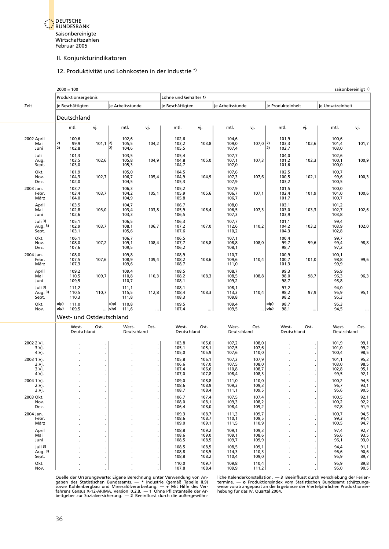#### II. Konjunkturindikatoren

#### 12. Produktivität und Lohnkosten in der Industrie \*)

<span id="page-32-0"></span>

|                                       |              | $2000 = 100$             |            |                 |                         |       |                                  |                                  |                                  |                                  |                  |                         |       |                                 | saisonbereinigt +            |
|---------------------------------------|--------------|--------------------------|------------|-----------------|-------------------------|-------|----------------------------------|----------------------------------|----------------------------------|----------------------------------|------------------|-------------------------|-------|---------------------------------|------------------------------|
|                                       |              | Produktionsergebnis      |            |                 |                         |       | Löhne und Gehälter 1)            |                                  |                                  |                                  |                  |                         |       |                                 |                              |
| Zeit                                  |              | je Beschäftigten         |            |                 | je Arbeitsstunde        |       | je Beschäftigten                 |                                  | je Arbeitsstunde                 |                                  |                  | je Produkteinheit       |       | je Umsatzeinheit                |                              |
|                                       |              | Deutschland              |            |                 |                         |       |                                  |                                  |                                  |                                  |                  |                         |       |                                 |                              |
|                                       |              | mtl.                     | vj.        |                 | mtl.                    | vj.   | mtl.                             | vj.                              | mtl.                             | vj.                              |                  | mtl.                    | vj.   | mtl.                            | vj.                          |
| 2002 April<br>Mai<br>Juni             | 2)<br>2)     | 100,6<br>99,9<br>102,8   | $101,1$ 2) | 2)              | 102,6<br>105,5<br>104,6 | 104,2 | 102,6<br>103,2<br>105,5          | 103,8                            | 104,6<br>109,0<br>107,4          | $107,0$ 2)                       | 2)               | 101,9<br>103,3<br>102,7 | 102,6 | 100,6<br>101,4<br>103,0         | 101,7                        |
| Juli<br>Aug.<br>Sept.                 |              | 101,3<br>103,5<br>103,0  | 102,6      |                 | 103,5<br>105,8<br>105,3 | 104,9 | 105,4<br>104,8<br>104,7          | 105,0                            | 107,7<br>107,1<br>107,0          | 107,3                            |                  | 104,0<br>101,2<br>101,6 | 102,3 | 102,6<br>100,1<br>100,0         | 100,9                        |
| Okt.<br>Nov.<br>Dez.                  |              | 101,9<br>104,3<br>102,0  | 102,7      |                 | 105,0<br>106,7<br>104,5 | 105,4 | 104,5<br>104,9<br>105,3          | 104,9                            | 107,6<br>107,3<br>107,9          | 107,6                            |                  | 102,5<br>100,5<br>103,2 | 102,1 | 100,7<br>99,6<br>100,5          | 100,3                        |
| 2003 Jan.<br>Febr.<br>März            |              | 103,7<br>103,4<br>104,0  | 103,7      |                 | 106,3<br>104,2<br>104,9 | 105,1 | 105,2<br>105,9<br>105,8          | 105,6                            | 107,9<br>106,7<br>106,7          | 107,1                            |                  | 101,5<br>102,4<br>101,7 | 101,9 | 100,0<br>101,0<br>100,7         | 100,6                        |
| April<br>Mai<br>Juni                  |              | 103,5<br>102,8<br>102,6  | 103,0      |                 | 104,7<br>103,4<br>103,3 | 103,8 | 106,7<br>105,9<br>106,5          | 106,4                            | 108,0<br>106,5<br>107,3          | 107,3                            |                  | 103,1<br>103,0<br>103,9 | 103,3 | 101,2<br>102,7<br>103,8         | 102,6                        |
| Juli 3)<br>Aug. 3)<br>Sept.           |              | 105,1<br>102,9<br>103,1  | 103,7      |                 | 106,5<br>108,1<br>105,6 | 106,7 | 106,3<br>107,2<br>107,6          | 107,0                            | 107,7<br>112,6<br>110,2          | 110,2                            |                  | 101,1<br>104,2<br>104,3 | 103,2 | 99,4<br>103,9<br>102,8          | 102,0                        |
| Okt.<br>Nov.<br>Dez.                  |              | 106,1<br>108,0<br>107,6  | 107,2      |                 | 106,7<br>109,1<br>109,5 | 108,4 | 106,5<br>107,7<br>106,2          | 106,8                            | 107,1<br>108,8<br>108,1          | 108,0                            |                  | 100,4<br>99,7<br>98,7   | 99,6  | 99,7<br>99,4<br>97,2            | 98,8                         |
| 2004 Jan.<br>Febr.<br>März            |              | 108,0<br>107,5<br>107,3  | 107,6      |                 | 109,8<br>108,9<br>109,6 | 109,4 | 108,9<br>108,2<br>108,7          | 108,6                            | 110,7<br>109,6<br>111,0          | 110,4                            |                  | 100,9<br>100,7<br>101,3 | 101,0 | 100,1<br>98,8<br>99,9           | 99,6                         |
| April<br>Mai<br>Juni                  |              | 109,2<br>110,5<br>109,5  | 109,7      |                 | 109,4<br>110,8<br>110,7 | 110,3 | 108,5<br>108,2<br>108,1          | 108,3                            | 108,7<br>108,5<br>109,2          | 108,8                            |                  | 99,3<br>98,0<br>98,7    | 98,7  | 96,9<br>96,3<br>95,8            | 96,3                         |
| Juli 3)<br>Aug. 3)<br>Sept.           |              | 111,2<br>110,5<br>110,3  | 110,7      |                 | 111,1<br>115,5<br>111,8 | 112,8 | 108,1<br>108,4<br>108,3          | 108,3                            | 108,1<br>113,3<br>109,8          | 110,4                            |                  | 97,2<br>98,2<br>98,2    | 97,9  | 94,0<br>95,9<br>95,3            | 95,1                         |
| Okt.<br>Nov.                          | o)p)<br>o)p) | 111,0<br>109,5           |            | o)p)<br>… ∣o)p) | 110,8<br>111,6          |       | 109,5<br>107,4                   | $\ddotsc$                        | 109,4<br>109,5                   |                                  | o)p)<br>…   o)p) | 98,7<br>98,1            |       | 95,3<br>94,5                    |                              |
|                                       |              | West- und Ostdeutschland |            |                 |                         |       |                                  |                                  |                                  |                                  |                  |                         |       |                                 |                              |
|                                       |              | West-<br>Deutschland     | Ost-       |                 | West-<br>Deutschland    | Ost-  | West-<br>Deutschland             | Ost-                             | West-<br>Deutschland             | Ost-                             |                  | West-<br>Deutschland    | Ost-  | West-<br>Deutschland            | Ost-                         |
| 2002 2.Vj.<br>3.Vj.<br>4.Vj.          |              |                          |            |                 |                         |       | 103,8<br>105,1<br>105,0          | 105,0<br>105,1<br>105,9          | 107,2<br>107,5<br>107,6          | 108,0<br>107,6<br>110,0          |                  |                         |       | 101,9<br>101,0<br>100,4         | 99,1<br>99,2<br>98,5         |
| 2003 1.Vj.<br>2.Vj.<br>3.Vj.<br>4.Vj. |              |                          |            |                 |                         |       | 105,8<br>106,6<br>107,4<br>107,0 | 106,1<br>107,0<br>106,6<br>107,8 | 107,3<br>107,5<br>110,8<br>108,4 | 107,9<br>108,0<br>108,7<br>108,3 |                  |                         |       | 101,1<br>103,0<br>102,8<br>99,5 | 95,2<br>98,5<br>95,1<br>92,1 |
| 2004 1.Vj.<br>2.Vj.<br>3.Vj.          |              |                          |            |                 |                         |       | 109,0<br>108,6<br>108,7          | 108,8<br>108,9<br>108,4          | 111,0<br>109,3<br>111,1          | 110,0<br>109,3<br>109,5          |                  |                         |       | 100,2<br>96,7<br>95,6           | 94,5<br>93,1<br>90,5         |
| 2003 Okt.<br>Nov.<br>Dez.             |              |                          |            |                 |                         |       | 106,7<br>108,0<br>106,4          | 107,4<br>108,1<br>108,0          | 107,5<br>109,3<br>108,4          | 107,4<br>108,2<br>109,2          |                  |                         |       | 100,5<br>100,2<br>97,8          | 92,1<br>92,2<br>91,9         |
| 2004 Jan.<br>Febr.<br>März            |              |                          |            |                 |                         |       | 109,3<br>108,6<br>109,0          | 108,7<br>108,7<br>109,1          | 111,3<br>110,1<br>111,5          | 109,7<br>109,5<br>110,9          |                  |                         |       | 100,7<br>99,3<br>100,5          | 94,5<br>94,4<br>94,7         |
| April<br>Mai<br>Juni                  |              |                          |            |                 |                         |       | 108,8<br>108,6<br>108,5          | 109,2<br>109,0<br>108,5          | 109,1<br>109,1<br>109,7          | 109,3<br>108,6<br>109,9          |                  |                         |       | 97,4<br>96,6<br>96,1            | 92,7<br>93,5<br>93,0         |
| Juli 3)<br>Aug. 3)<br>Sept.           |              |                          |            |                 |                         |       | 108,5<br>108,8<br>108,8          | 108,5<br>108,5<br>108,2          | 108,5<br>114,3<br>110,4          | 109,1<br>110,3<br>109,0          |                  |                         |       | 94,4<br>96,6<br>95,9            | 91,1<br>90,6<br>89,7         |
| Okt.<br>Nov.                          |              |                          |            |                 |                         |       | 110,0<br>107,8                   | 109,7<br>108,4                   | 109,8<br>109,9                   | 110,4<br>111,2                   |                  |                         |       | 95,9<br>95,0                    | 89,8<br>90,5                 |

Quelle der Ursprungswerte: Eigene Berechnung unter Verwendung von An-hiche Kalenderkonstellation. — 3 Beeinflusst durch Verschiebung der Ferien-<br>gaben des Statistischen Bundesamts. — \* Industrie (gemäß Tabelle II.9)hermine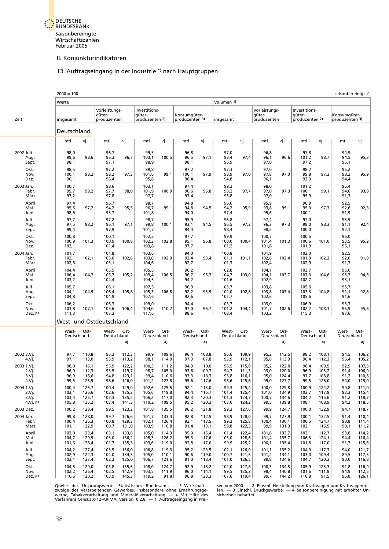II. Konjunkturindikatoren

## 13. Auftragseingang in der Industrie \*) nach Hauptgruppen

<span id="page-33-0"></span>

|                                         | $2000 = 100$                     |                                  |                                        |                                  |                                           |                                  |                                |                                  |                                 |                                  |                                        |                                  |                                           |                                  | saisonbereinigt +)             |                                                        |
|-----------------------------------------|----------------------------------|----------------------------------|----------------------------------------|----------------------------------|-------------------------------------------|----------------------------------|--------------------------------|----------------------------------|---------------------------------|----------------------------------|----------------------------------------|----------------------------------|-------------------------------------------|----------------------------------|--------------------------------|--------------------------------------------------------|
|                                         | Werte                            |                                  |                                        |                                  |                                           |                                  |                                |                                  | Volumen 1)                      |                                  |                                        |                                  |                                           |                                  |                                |                                                        |
| Zeit                                    | insgesamt                        |                                  | Vorleistungs-<br>güter-<br>produzenten |                                  | Investitions-<br>qüter-<br>produzenten 2) |                                  | Konsumqüter-<br>produzenten 3) |                                  | insgesamt                       |                                  | Vorleistungs-<br>güter-<br>produzenten |                                  | Investitions-<br>qüter-<br>produzenten 2) |                                  | Konsumgüter-<br>produzenten 3) |                                                        |
|                                         | Deutschland                      |                                  |                                        |                                  |                                           |                                  |                                |                                  |                                 |                                  |                                        |                                  |                                           |                                  |                                |                                                        |
|                                         | mtl.                             | vj.                              | mtl.                                   | vj.                              | mtl.                                      | vj.                              | mtl.                           | vj.                              | mtl.                            | vj.                              | mtl.                                   | vj.                              | mtl.                                      | vj.                              | mtl.                           | vj.                                                    |
| 2002 Juli<br>Aug.<br>Sept.              | 98,0<br>99,6<br>98,1             | 98,6                             | 96,7<br>96,3<br>97,1                   | 96,7                             | 99,5<br>103,1<br>98,9                     | 100,5                            | 96,8<br>96,5<br>98,1           | 97,1                             | 97,0<br>98,4<br>96,9            | 97,4                             | 96,8<br>96,1<br>97,0                   | 96,6                             | 97,8<br>101,2<br>97,2                     | 98,7                             | 94,9<br>94,5<br>96,1           | 95,2                                                   |
| Okt.<br>Nov.<br>Dez.                    | 98,5<br>100,1<br>96,1            | 98,2                             | 97,2<br>98,2<br>96,4                   | 97,3                             | 99,8<br>101,6<br>95,8                     | 99,1                             | 97,2<br>100,1<br>96,4          | 97,9                             | 97,3<br>98,9<br>94,8            | 97,0                             | 97,0<br>97,8<br>96,1                   | 97,0                             | 98,2<br>99,8<br>93,9                      | 97,3                             | 95,2<br>98,2<br>94,4           | 95,9                                                   |
| 2003 Jan.<br>Febr.<br>März              | 100,7<br>99,7<br>97,2            | 99,2                             | 98,6<br>97,7<br>97,8                   | 98,0                             | 103,1<br>101,9<br>97,7                    | 100,9                            | 97,4<br>96,6<br>93,4           | 95,8                             | 99,2<br>98,2<br>95,8            | 97,7                             | 98,0<br>97,0<br>97,0                   | 97,3                             | 101,2<br>100,1<br>95,9                    | 99,1                             | 95,4<br>94,6<br>91,3           | 93,8                                                   |
| April<br>Mai<br>Juni                    | 97,4<br>95,5<br>98,6             | 97,2                             | 96,7<br>94,2<br>95,7                   | 95,5                             | 98,7<br>96,7<br>101,8                     | 99,1                             | 94,8<br>94,8<br>94,0           | 94,5                             | 96,0<br>94,2<br>97,4            | 95,9                             | 95,9<br>93,8<br>95,6                   | 95,1                             | 96,9<br>95,0<br>100,1                     | 97,3                             | 92,5<br>92,6<br>91,9           | 92,3                                                   |
| Juli<br>Aug.<br>Sept.                   | 97,7<br>97,5<br>99,4             | 98,2                             | 97,2<br>96,1<br>97,9                   | 97,1                             | 98,7<br>99,8<br>101,7                     | 100,1                            | 95,9<br>93,1<br>94,4           | 94,5                             | 96,8<br>96,5<br>98,4            | 97,2                             | 97,4<br>96,3<br>98,2                   | 97,3                             | 97,0<br>98,0<br>100,0                     | 98,3                             | 93,9<br>91,1<br>92,1           | 92,4                                                   |
| Okt.<br>Nov.<br>Dez.                    | 100,8<br>100,9<br>102,1          | 101,3                            | 100,1<br>100,9<br>101,4                | 100,8                            | 102,2<br>102,3<br>103,8                   | 102,8                            | 97,7<br>95,1<br>97,7           | 96,8                             | 99,9<br>100,0<br>101,2          | 100,4                            | 100,7<br>101,4<br>101,8                | 101,3                            | 100,5<br>100,6<br>101,9                   | 101,0                            | 96,0<br>93,5<br>96,1           | 95,2                                                   |
| 2004 Jan.<br>Febr.<br>März              | 101,7<br>102,1<br>102,6          | 102,1                            | 101,8<br>103,0<br>103,1                | 102,6                            | 103,6<br>103,6<br>104,6                   | 103,9                            | 94,0<br>93,4<br>92,7           | 93,4                             | 100,8<br>101,1<br>101,3         | 101,1                            | 101,9<br>102,8<br>102,4                | 102,4                            | 102,0<br>101,9<br>102,9                   | 102,3                            | 92,5<br>92,0<br>91,3           | 91,9                                                   |
| April<br>Mai<br>Juni                    | 104,4<br>106,4<br>103,2          | 104,7                            | 105,5<br>105,7<br>104,4                | 105,2                            | 105,5<br>109,4<br>104,5                   | 106,5                            | 96,2<br>96,7<br>94,2           | 95,7                             | 102,8<br>104,7<br>101,6         | 103,0                            | 104,1<br>104,1<br>102,9                | 103,7                            | 103,7<br>107,3<br>102,7                   | 104,6                            | 95,0<br>95,7<br>93,1           | 94,6                                                   |
| Juli<br>Aug.<br>Sept.                   | 105,7<br>104,1<br>104,8          | 104,9                            | 106,1<br>106,4<br>104,9                | 105,8                            | 107,5<br>105,3<br>107,6                   | 106,8                            | 96,9<br>92,2<br>92,6           | 93,9                             | 103,7<br>102,0<br>102,7         | 102,8                            | 103,8<br>103,8<br>102,6                | 103,4                            | 105,6<br>103,3<br>105,6                   | 104,8                            | 95,7<br>91,1<br>91,6           | 92,8                                                   |
| Okt.<br>Nov.<br>Dez. p)                 | 106,2<br>103,8<br>111,3          | 107,1                            | 106,3<br>105,6<br>107,3                | 106,4                            | 109,0<br>104,0<br>117,6                   | 110,2                            | 94,4<br>97,0<br>98,6           | 96,7                             | 103,7<br>101,2<br>108,4         | 104,4                            | 103,0<br>101,7<br>103,2                | 102,6                            | 106,9<br>102,2<br>115,3                   | 108,1                            | 93,3<br>95,9<br>97,6           | 95,6                                                   |
|                                         |                                  |                                  | West- und Ostdeutschland               |                                  |                                           |                                  |                                |                                  |                                 |                                  |                                        |                                  |                                           |                                  |                                |                                                        |
|                                         | West-<br>Deutschland             | Ost-                             | West-<br>Deutschland                   | Ost-<br>4)                       | West-<br>Deutschland                      | Ost-<br>4)                       | West-<br>Deutschland           | Ost-<br>4)                       | West-<br>Deutschland            | Ost-                             | West-<br>Deutschland                   | Ost-<br>4)                       | West-<br>Deutschland                      | Ost-<br>4)                       | West-<br>Deutschland           | Ost-<br>4)                                             |
| 2002 3.Vi.<br>4.Vj.                     | 97,7<br>97,1                     | 110,8<br>113,0                   | 95,3<br>95,9                           | 112,3<br>113,2                   | 99,9<br>98,1                              | 109,6<br>114,0                   | 96,4<br>97,3                   | 108,8<br>107,8                   | 96,6<br>95,9                    | 109,9<br>112,1                   | 95,2<br>95,6                           | 112,5<br>113,3                   | 98,2<br>96,4                              | 108,1<br>112,3                   | 94,5<br>95,4                   | 106,2<br>105,2                                         |
| 2003 1.Vi.<br>2.Vj.<br>3.Vi.<br>4.Vj.   | 98,0<br>96,0<br>96,9<br>99,5     | 116,1<br>112,3<br>116,6<br>125,9 | 95,9<br>93,5<br>94,8<br>98,6           | 122,2<br>119,7<br>123,1<br>126,0 | 100,3<br>98,7<br>99,4<br>101,2            | 111,2<br>105,0<br>110,6<br>127,8 | 94,9<br>93,6<br>93,3<br>95,6   | 110,0<br>109,7<br>113,3<br>117,6 | 96,5<br>94,7<br>95,8<br>98,6    | 115,0<br>111,3<br>116,1<br>125,6 | 95,2<br>93,0<br>95,0<br>99,0           | 122,0<br>120,0<br>124,4<br>127,7 | 98,4<br>96,9<br>97,7<br>99,5              | 109,5<br>103,2<br>108,8<br>126,0 | 92,9<br>91,4<br>91,2<br>94,0   | 107,3<br>106,9<br>110,6<br>115,0                       |
| 2004 1.Vi.<br>2.Vj.<br>3.Vj.<br>4.Vj. p | 100,4<br>103,1<br>103,4<br>105,8 | 125,7<br>126,6<br>125,7<br>125,2 | 100,4<br>102,6<br>103,3<br>103,4       | 129,0<br>135,2<br>135,2<br>141,3 | 102,6<br>105,6<br>106,2<br>110,2          | 125,5<br>119,8<br>117,0<br>109,5 | 92,1<br>94,4<br>92,3<br>95,2   | 113,0<br>116,7<br>120,3<br>120,2 | 99,3<br>101,4<br>101,3<br>103,0 | 125,4<br>125,4<br>124,7<br>124,2 | 100,0<br>101,0<br>100,7<br>99,5        | 129,8<br>134,9<br>134,6<br>139,8 | 100,9<br>103,7<br>104,2<br>108,1          | 124,2<br>117,9<br>115,6<br>108,9 | 90,8<br>93,3<br>91,2<br>94,2   | 111,0<br>115,4<br>118,7<br>118,5                       |
| 2003 Dez.                               | 100,2                            | 128,4                            | 99,5                                   | 123,2                            | 101,8                                     | 135,5                            | 96,2                           | 121,8                            | 99,3                            | 127,6                            | 99,9                                   | 124,7                            | 100,0                                     | 132,9                            | 94,7                           | 118,7                                                  |
| 2004 Jan.<br>Febr.<br>März              | 99,8<br>100,4<br>101,1           | 128,0<br>126,3<br>122,9          | 99,7<br>100,8<br>100,7                 | 126,6<br>129,3<br>131,0          | 101,7<br>102,1<br>103,9                   | 133,4<br>126,4<br>116,8          | 92,8<br>92,1<br>91,4           | 112,5<br>113,5<br>113,1          | 98,9<br>99,3<br>99,8            | 128,0<br>125,8<br>122,3          | 99,7<br>100,4<br>99,9                  | 127,9<br>130,1<br>131,3          | 100,1<br>100,5<br>102,1                   | 132,5<br>124,7<br>115,5          | 91,4<br>90,8<br>90,1           | 110,4<br>111,4<br>111,2                                |
| April<br>Mai<br>Juni                    | 103,0<br>104,7<br>101,6          | 123,4<br>129,9<br>126,4          | 103,1<br>103,0<br>101,7                | 133,8<br>136,2<br>135,5          | 105,0<br>108,3<br>103,6                   | 114,3<br>126,2<br>119,0          | 95,0<br>95,3<br>92,8           | 115,4<br>117,6<br>117,0          | 101,4<br>103,0<br>99,9          | 122,4<br>128,6<br>125,2          | 101,6<br>101,4<br>100,1                | 133,7<br>135,7<br>135,4          | 103,1<br>106,3<br>101,8                   | 112,7<br>124,1<br>117,0          | 93,8<br>94,4<br>91,7           | 114,2<br>116,4<br>115,6                                |
| Juli<br>Aug.<br>Sept.                   | 104,2<br>102,9<br>103,1          | 127,4<br>122,3<br>127,4          | 103,5<br>104,0<br>102,3                | 136,0<br>134,5<br>135,0          | 106,8<br>105,0<br>106,7                   | 119,3<br>110,1<br>121,6          | 95,2<br>90,6<br>91,0           | 123,5<br>119,0<br>118,4          | 102,1<br>100,7<br>101,0         | 126,0<br>121,6<br>126,5          | 101,1<br>101,2<br>99,8                 | 135,2<br>134,1<br>134,6          | 104,9<br>103,0<br>104,7                   | 117,3<br>109,4<br>120,2          | 94,0<br>89,5<br>90,0           | 121,7<br>117,5<br>116,8                                |
| Okt.<br>Nov.<br>Dez. p)                 | 104,5<br>102,2<br>110,6          | 129,0<br>126,4<br>120,2          | 103,8<br>102,5<br>103,9                | 135,6<br>142,9<br>145,3          | 108,0<br>103,5<br>119,2                   | 124,7<br>111,9<br>91,8           | 92,9<br>96,0<br>96,8           | 118,2<br>114,1<br>128,3          | 102,0<br>99,5<br>107,6          | 127,8<br>125,3<br>119,4          | 100,3<br>98,4<br>99,7                  | 134,5<br>140,8<br>144,2          | 105,9<br>101,6<br>116,8                   | 123,3<br>111,9<br>91,5           | 91,8<br>94,9<br>95,8           | 116,9<br>$\begin{array}{c} 112,5 \\ 126,1 \end{array}$ |

Quelle der Ursprungswerte: Statistisches Bundesamt. — \* Wirtschafts- ksen von 2000. — 2 Einschl. Herstellung von Kraftwagen und Kraftwagentei-<br>zweige des Verarbeitenden Gewerbes, insbesondere ohne Ernährungsge- len. — 3 Ei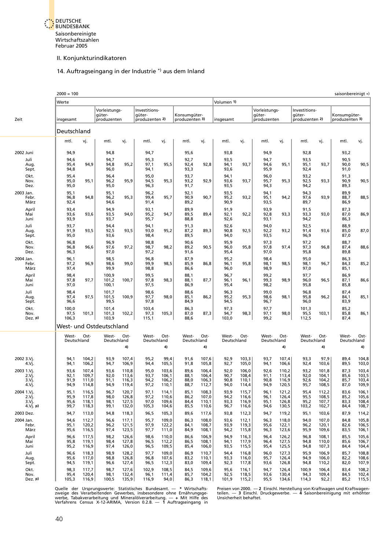II. Konjunkturindikatoren

### 14. Auftragseingang in der Industrie \*) aus dem Inland

<span id="page-34-0"></span>

|                                      | $2000 = 100$                 |                                  |                                        |                                  |                                           |                                  |                                |                                  |                              |                                  |                                        |                                  |                                           |                                  | saisonbereinigt +)             |                                  |
|--------------------------------------|------------------------------|----------------------------------|----------------------------------------|----------------------------------|-------------------------------------------|----------------------------------|--------------------------------|----------------------------------|------------------------------|----------------------------------|----------------------------------------|----------------------------------|-------------------------------------------|----------------------------------|--------------------------------|----------------------------------|
|                                      | Werte                        |                                  |                                        |                                  |                                           |                                  |                                |                                  | Volumen 1)                   |                                  |                                        |                                  |                                           |                                  |                                |                                  |
| Zeit                                 | insgesamt                    |                                  | Vorleistungs-<br>güter-<br>produzenten |                                  | Investitions-<br>güter-<br>produzenten 2) |                                  | Konsumgüter-<br>produzenten 3) |                                  | insgesamt                    |                                  | Vorleistungs-<br>güter-<br>produzenten |                                  | Investitions-<br>qüter-<br>produzenten 2) |                                  | Konsumgüter-<br>produzenten 3) |                                  |
|                                      | Deutschland                  |                                  |                                        |                                  |                                           |                                  |                                |                                  |                              |                                  |                                        |                                  |                                           |                                  |                                |                                  |
|                                      | mtl.                         | vj.                              | mtl.                                   | vj.                              | mtl.                                      | vj.                              | mtl.                           | vj.                              | mtl.                         | vj.                              | mtl.                                   | vj.                              | mtl.                                      | vj.                              | mtl.                           | vj.                              |
| 2002 Juni                            | 94,9                         |                                  | 94,8                                   |                                  | 94,7                                      |                                  | 95,6                           |                                  | 93,8                         |                                  | 94,9                                   |                                  | 92,8                                      |                                  | 93,2                           |                                  |
| Juli<br>Aug.<br>Sept.                | 94,6<br>95,4<br>94,8         | 94,9                             | 94,7<br>94,8<br>96,0                   | 95,2                             | 95,3<br>97,1<br>94,1                      | 95,5                             | 92,7<br>92,4<br>93,3           | 92,8                             | 93,5<br>94,1<br>93,6         | 93,7                             | 94,7<br>94,6<br>95,9                   | 95,1                             | 93,5<br>95,1<br>92,4                      | 93,7                             | 90,5<br>90,0<br>91,0           | 90,5                             |
| Okt.<br>Nov.<br>Dez.                 | 95,4<br>95,0<br>95,0         | 95,1                             | 96,4<br>96,2<br>95,0                   | 95,9                             | 95,0<br>94,5<br>96,3                      | 95,3                             | 93,7<br>93,2<br>91,7           | 92,9                             | 94,1<br>93,6<br>93,5         | 93,7                             | 96,0<br>95,7<br>94,3                   | 95,3                             | 93,2<br>92,5<br>94,2                      | 93,3                             | 91,3<br>90,9<br>89,3           | 90,5                             |
| 2003 Jan.<br>Febr.<br>März           | 95,1<br>96,8<br>92,4         | 94,8                             | 95,1<br>96,2<br>94,6                   | 95,3                             | 96,2<br>99,4<br>91,4                      | 95,7                             | 92,1<br>90,9<br>89,2           | 90,7                             | 93,5<br>95,2<br>90,9         | 93,2                             | 94,1<br>95,1<br>93,5                   | 94,2                             | 94,3<br>97,6<br>89,7                      | 93,9                             | 89,9<br>88,7<br>86,9           | 88,5                             |
| April<br>Mai<br>Juni                 | 93,4<br>93,6<br>93,9         | 93,6                             | 94,9<br>93,5<br>93,7                   | 94,0                             | 93,1<br>95,2<br>95,7                      | 94,7                             | 89,9<br>89,5<br>88,8           | 89,4                             | 91,9<br>92,1<br>92,6         | 92,2                             | 93,9<br>92,8<br>93,1                   | 93,3                             | 91,5<br>93,3<br>94,2                      | 93,0                             | 87,3<br>87,0<br>86,3           | 86,9                             |
| Juli<br>Aug.<br>Sept.                | 93,7<br>91,9<br>95,0         | 93,5                             | 94,4<br>92,5<br>93,6                   | 93,5                             | 94,1<br>93,0<br>98,4                      | 95,2                             | 91,3<br>87,2<br>89,5           | 89,3                             | 92,6<br>90,8<br>94,0         | 92,5                             | 94,0<br>92,2<br>93,5                   | 93,2                             | 92,5<br>91,4<br>96,9                      | 93,6                             | 88,9<br>85,0<br>87,0           | 87,0                             |
| Okt.<br>Nov.<br>Dez.                 | 96,8<br>96,8<br>96,3         | 96,6                             | 96,9<br>97,6<br>97,0                   | 97,2                             | 98,8<br>98,7<br>97,2                      | 98,2                             | 90,6<br>89,2<br>91,6           | 90,5                             | 95,9<br>96,0<br>95,4         | 95,8                             | 97,3<br>97,8<br>97,0                   | 97,4                             | 97,2<br>97,3<br>95,8                      | 96,8                             | 88,7<br>87,4<br>89,8           | 88,6                             |
| 2004 Jan.<br>Febr.<br>März           | 96,1<br>97,2<br>97,4         | 96,9                             | 98,5<br>98,6<br>99,9                   | 99,0                             | 96,8<br>99,9<br>98,8                      | 98,5                             | 87,9<br>85,9<br>86,6           | 86,8                             | 95,2<br>96,1<br>96,0         | 95,8                             | 98,4<br>98,1<br>98,9                   | 98,5                             | 95,0<br>98,1<br>97,0                      | 96,7                             | 86,3<br>84,3<br>85,1           | 85,2                             |
| April<br>Mai<br>Juni                 | 98,4<br>97,8<br>97,0         | 97,7                             | 100,9<br>101,2<br>100,1                | 100,7                            | 99,5<br>97,8<br>97,5                      | 98,3                             | 88,1<br>88,1<br>86,9           | 87,7                             | 96,7<br>96,1<br>95,4         | 96,1                             | 99,2<br>99,3<br>98,2                   | 98,9                             | 97,7<br>96,0<br>95,8                      | 96,5                             | 86,9<br>87,1<br>85,8           | 86,6                             |
| Juli<br>Aug.<br>Sept.                | 98,4<br>97,4<br>96,6         | 97,5                             | 101,7<br>101,5<br>99,5                 | 100,9                            | 98,6<br>97,7<br>97,8                      | 98,0                             | 88,6<br>85,1<br>84,9           | 86,2                             | 96,3<br>95,2<br>94,5         | 95,3                             | 99,0<br>98,6<br>96,7                   | 98,1                             | 96,8<br>95,8<br>96,0                      | 96,2                             | 87,4<br>84,1<br>83,9           | 85,1                             |
| Okt.<br>Nov.<br>Dez. p)              | 100,0<br>97,5<br>106,3       | 101,3                            | 101,4<br>101,3<br>103,9                | 102,2                            | 103,4<br>97,3<br>115,1                    | 105,3                            | 86,3<br>87,0<br>88,6           | 87,3                             | 97,3<br>94,7<br>103,0        | 98,3                             | 97,7<br>97,1<br>99,2                   | 98,0                             | 101,3<br>95,5<br>112,5                    | 103,1                            | 85,2<br>85,8<br>87,4           | 86,1                             |
|                                      |                              |                                  | West- und Ostdeutschland               |                                  |                                           |                                  |                                |                                  |                              |                                  |                                        |                                  |                                           |                                  |                                |                                  |
|                                      | West-<br>Deutschland         | Ost-                             | West-<br>Deutschland                   | Ost-<br>4)                       | West-<br>Deutschland                      | Ost-<br>4)                       | West-<br>Deutschland           | Ost-<br>4)                       | West-<br>Deutschland         | Ost-                             | West-<br>Deutschland                   | Ost-<br>4)                       | West-<br>Deutschland                      | Ost-<br>4)                       | West-<br>Deutschland           | Ost-<br>4)                       |
| 2002 3.Vj.                           | 94,1                         | 104,2                            | 93,9                                   | 107,4                            | 95,2                                      | 99,4                             | 91,6                           | 107,6                            | 92,9                         | 103,3                            | 93,7                                   | 107,4                            | 93,3                                      | 97,9                             | 89,4                           | 104,8                            |
| 4.Vj.                                | 94,1                         | 106,2                            | 94,7                                   | 106,9                            | 94,4                                      | 105,5                            | 91,8                           | 105,8                            | 92,7                         | 105,0                            | 94,1                                   | 106,6                            | 92,4                                      | 103,6                            | 89,5                           | 103,0                            |
| 2003 1.Vj.<br>2.Vj.<br>3.Vj<br>4 Vj. | 93,6<br>92,1<br>91,9<br>94,9 | 107,4<br>109,7<br>111,0<br>114,8 | 93,6<br>92,0<br>91,1<br>94,9           | 110,8<br>113,6<br>116,3<br>119,4 | 95,0<br>93,7<br>94,2<br>97,2              | 103,6<br>106,1<br>106,2<br>110,1 | 89,6<br>88,1<br>88,0<br>88,7   | 106,4<br>106,4<br>106,3<br>112,7 | 92,0<br>90,7<br>90,8<br>94,0 | 106,0<br>108,4<br>110,1<br>114,4 | 92,6<br>91,1<br>90,8<br>94,9           | 110,2<br>113,4<br>116,9<br>120,5 | 93,2<br>92,0<br>92,6<br>95,7              | 101,8<br>104,1<br>104,2<br>108,5 | 87,3<br>85,6<br>85,7<br>87,0   | 103,4<br>103,5<br>103,4<br>109,9 |
| 2004 1.Vj.<br>2.Vj.<br>3.Vj.         | 95,1<br>95,9<br>95,6         | 116,5<br>117,8<br>118,1          | 96,7<br>98,0<br>98,1                   | 120,7<br>126,8<br>127,5          | 97,1<br>97,2<br>97,0                      | 114,1<br>110,6<br>109,6          | 85,1<br>86,2<br>84,4           | 108,3<br>107,0<br>110,1          | 93,9<br>94,2<br>93,3         | 115,7<br>116,6<br>116,9          | 96,1<br>96,1<br>95,1                   | 121,2<br>126,4<br>126,8          | 95,4<br>95,5<br>95,2                      | 112,2<br>108,5<br>107,7          | 83,6<br>85,2<br>83,3           | 106,1<br>105,6<br>108,4          |
| 4.Vj. p<br>2003 Dez.                 | 99,7<br>94,7                 | 118,3<br>113,0                   | 99,1<br>94,8                           | 132,0<br>118,3                   | 105,3<br>96,5                             | 104,6<br>105,3                   | 85,5<br>89,6                   | 110,6<br>117,6                   | 96,7<br>93,8                 | 116,6<br>112,3                   | 94,6<br>94,7                           | 130,5<br>119,2                   | 103,2<br>95,1                             | 102,7<br>103,6                   | 84,4<br>87,9                   | 108,7<br>114,2                   |
| 2004 Jan.<br>Febr.                   | 94,6<br>95,1                 | 112,7<br>120,2                   | 96,6<br>96,2                           | 117,1<br>121,5                   | 95,7<br>97,9                              | 109,0<br>122,2                   | 86,3<br>84,1                   | 108,0<br>108,7                   | 93,6<br>93,9                 | 112,1<br>119,3                   | 96,3<br>95,6                           | 118,0<br>122,1                   | 94,0<br>96,2                              | 107,0<br>120,1                   | 84,8<br>82,6                   | 105,8<br>106,5                   |
| März                                 | 95,6                         | 116,5                            | 97,4                                   | 123,5                            | 97,7                                      | 111,0                            | 84,9                           | 108,1                            | 94,2                         | 115,8                            | 96,3                                   | 123,6                            | 95,9                                      | 109,6                            | 83,5                           | 106,1                            |
| April<br>Mai<br>Juni                 | 96,6<br>95,8<br>95,2         | 117,5<br>119,1<br>116,9          | 98,2<br>98,4<br>97,4                   | 126,6<br>127,8<br>126,0          | 98,6<br>96,5<br>96,5                      | 110,0<br>112,2<br>109,5          | 86,6<br>86,5<br>85,4           | 106,9<br>108,1<br>106,0          | 94,9<br>94,1<br>93,5         | 116,3<br>117,9<br>115,5          | 96,4<br>96,4<br>95,4                   | 126,2<br>127,5<br>125,5          | 96,8<br>94,8<br>94,8                      | 108,1<br>110,0<br>107,3          | 85,5<br>85,6<br>84,4           | 105,6<br>106,7<br>104,4          |
| Juli<br>Aug.<br>Sept.                | 96,6<br>95,6<br>94,5         | 118,3<br>117,0<br>119,1          | 98,9<br>98,8<br>96,6                   | 128,2<br>126,8<br>127,4          | 97,7<br>96,8<br>96,5                      | 109,0<br>107,6<br>112,3          | 86,9<br>83,2<br>83,0           | 110,7<br>110,1<br>109,4          | 94,4<br>93,3<br>92,3         | 116,8<br>116,0<br>117,8          | 96,0<br>95,7<br>93,6                   | 127,3<br>126,4<br>126,8          | 95,9<br>94,9<br>94,8                      | 106,9<br>106,0<br>110,2          | 85,7<br>82,2<br>82,0           | 108,8<br>108,6<br>107,9          |
| Okt.<br>Nov.<br>Dez. p)              | 98,3<br>95,4<br>105,3        | 117,7<br>120,4<br>116,9          | 98,7<br>98,1<br>100,5                  | 127,6<br>132,4<br>135,9          | 102,9<br>96,1<br>116,9                    | 108,5<br>111,4<br>94,0           | 84,5<br>85,7<br>86,3           | 109,6<br>104,2<br>118,1          | 95,6<br>92,5<br>101,9        | 116,1<br>118,5<br>115,2          | 94,7<br>93,6<br>95,5                   | 126,4<br>130,4<br>134,6          | 100,9<br>94,3<br>114,3                    | 106,4<br>109,4<br>92,2           | 83,4<br>84,5<br>85,2           | 108,2<br>102,4<br>115,5          |

Quelle der Ursprungswerte: Statistisches Bundesamt. — \* Wirtschafts- Preisen-von-2000. — 2 Einschl. Herstellung-von-Kraftwagen-<br>zweige des Verarbeitenden Gewerbes, insbesondere ohne Ernährungsge- teilen. — 3 Einschl. Druck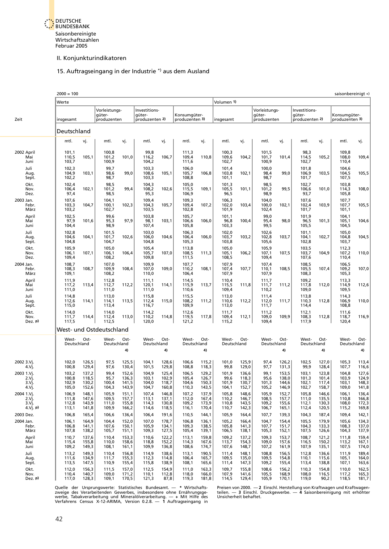II. Konjunkturindikatoren

### 15. Auftragseingang in der Industrie \*) aus dem Ausland

<span id="page-35-0"></span>

|                                      | $2000 = 100$                     |                                  |                                        |                                  |                                           |                                  |                                  |                                  |                                 |                                  |                                        |                                  |                                           |                                  | saisonbereinigt +)               |                                                        |
|--------------------------------------|----------------------------------|----------------------------------|----------------------------------------|----------------------------------|-------------------------------------------|----------------------------------|----------------------------------|----------------------------------|---------------------------------|----------------------------------|----------------------------------------|----------------------------------|-------------------------------------------|----------------------------------|----------------------------------|--------------------------------------------------------|
|                                      | Werte                            |                                  |                                        |                                  |                                           |                                  |                                  |                                  | Volumen 1)                      |                                  |                                        |                                  |                                           |                                  |                                  |                                                        |
| Zeit                                 | insgesamt                        |                                  | Vorleistungs-<br>güter-<br>produzenten |                                  | Investitions-<br>güter-<br>produzenten 2) |                                  | Konsumqüter-<br>produzenten 3)   |                                  | insgesamt                       |                                  | Vorleistungs-<br>güter-<br>produzenten |                                  | Investitions-<br>qüter-<br>produzenten 2) |                                  | Konsumgüter-<br>produzenten 3)   |                                                        |
|                                      | Deutschland                      |                                  |                                        |                                  |                                           |                                  |                                  |                                  |                                 |                                  |                                        |                                  |                                           |                                  |                                  |                                                        |
|                                      | mtl.                             | vj.                              | mtl.                                   | vj.                              | mtl.                                      | vj.                              | mtl.                             | vj.                              | mtl.                            | vj.                              | mtl.                                   | vj.                              | mtl.                                      | vj.                              | mtl.                             | vj.                                                    |
| 2002 April<br>Mai<br>Juni            | 101,1<br>110,5<br>103,7          | 105,1                            | 100,8<br>101,2<br>100,9                | 101,0                            | 99,8<br>116,2<br>104,2                    | 106,7                            | 111,3<br>109,4<br>111,6          | 110,8                            | 100,3<br>109,6<br>102,7         | 104,2                            | 101,5<br>101,7<br>100,9                | 101,4                            | 98,3<br>114,5<br>102,7                    | 105,2                            | 109,8<br>108,0<br>110,4          | 109,4                                                  |
| Juli<br>Aug.<br>Sept.                | 102,3<br>104,9<br>102,2          | 103,1                            | 99,7<br>98,6<br>98,7                   | 99,0                             | 103,3<br>108,6<br>103,3                   | 105,1                            | 106,0<br>105,7<br>108,8          | 106,8                            | 101,4<br>103,8<br>101,1         | 102,1                            | 100,0<br>98,4<br>98,7                  | 99,0                             | 101,8<br>106,9<br>101,7                   | 103,5                            | 104,6<br>104,5<br>107,5          | 105,5                                                  |
| Okt.<br>Nov.<br>Dez.                 | 102,4<br>106,4<br>97,4           | 102,1                            | 98,5<br>101,2<br>98,5                  | 99,4                             | 104,3<br>108,2<br>95,3                    | 102,6                            | 105,0<br>115,5<br>106,9          | 109,1                            | 101,3<br>105,5<br>96,5          | 101,1                            | 98,5<br>101,2<br>98,9                  | 99,5                             | 102,7<br>106,6<br>93,7                    | 101,0                            | 103,8<br>114,3<br>105,8          | 108,0                                                  |
| 2003 Jan.<br>Febr.<br>März           | 107,6<br>103,3<br>103,2          | 104,7                            | 104,1<br>100,1<br>102,7                | 102,3                            | 109,4<br>104,3<br>103,5                   | 105,7                            | 109,3<br>109,4<br>102,8          | 107,2                            | 106,3<br>102,0<br>101,9         | 103,4                            | 104,0<br>100,0<br>102,4                | 102,1                            | 107,6<br>102,4<br>101,7                   | 103,9                            | 107,7<br>107,7<br>101,1          | 105,5                                                  |
| April<br>Mai<br>Juni                 | 102,5<br>97,9<br>104,4           | 101,6                            | 99,6<br>95,3<br>98,9                   | 97,9                             | 103,8<br>98,1<br>107,4                    | 103,1                            | 105,7<br>106,6<br>105,8          | 106,0                            | 101,1<br>96,8<br>103,3          | 100,4                            | 99,0<br>95,4<br>99,5                   | 98,0                             | 101,9<br>96,5<br>105,5                    | 101,3                            | 104,1<br>105,1<br>104,5          | 104,6                                                  |
| Juli<br>Aug.<br>Sept.                | 102,8<br>104,6<br>104,8          | 104,1                            | 101,5<br>101,7<br>104,7                | 102,6                            | 103,0<br>106,0<br>104,8                   | 104,6                            | 106,3<br>106,4<br>105,3          | 106,0                            | 102,0<br>103,7<br>103,8         | 103,2                            | 102,6<br>102,8<br>105,6                | 103,7                            | 101,1<br>104,1<br>102,8                   | 102,7                            | 105,0<br>104,8<br>103,7          | 104,5                                                  |
| Okt.<br>Nov.<br>Dez.                 | 105,9<br>106,1<br>109,4          | 107,1                            | 105,0<br>106,1<br>108,2                | 106,4                            | 105,4<br>105,7<br>109,8                   | 107,0                            | 113,8<br>108,5<br>111,5          | 111,3                            | 105,0<br>105,1<br>108,5         | 106,2                            | 105,9<br>107,1<br>109,4                | 107,5                            | 103,5<br>103,7<br>107,6                   | 104,9                            | 112,3<br>107,2<br>110,4          | 110,0                                                  |
| 2004 Jan.<br>Febr.<br>März           | 108,7<br>108,3<br>109,1          | 108,7                            | 107,0<br>109,9<br>108,2                | 108,4                            | 109,9<br>107,0<br>110,0                   | 109,0                            | 107,7<br>110,2<br>106,4          | 108,1                            | 107,9<br>107,4<br>107,9         | 107,7                            | 107,4<br>110,1<br>107,9                | 108,5                            | 108,5<br>105, 5<br>108,3                  | 107,4                            | 106,5<br>109,2<br>105,3          | 107,0                                                  |
| April<br>Mai<br>Juni                 | 111,9<br>117,2<br>111,0          | 113,4                            | 112,8<br>112,7<br>111,0                | 112,2                            | 111,1<br>120,1<br>111,0                   | 114,1                            | 114,5<br>115,9<br>110,6          | 113,7                            | 110,4<br>115,5<br>109,4         | 111,8                            | 111,7<br>111,7<br>110,2                | 111,2                            | 109,2<br>117,8<br>109,0                   | 112,0                            | 113,3<br>114,9<br>109,5          | 112,6                                                  |
| Juli<br>Aug.<br>Sept.                | 114,8<br>112,6<br>115,0          | 114,1                            | 113,0<br>114,1<br>113,4                | 113,5                            | 115,8<br>112,4<br>116,7                   | 115,0                            | 115,5<br>108,2<br>109,9          | 111,2                            | 113,0<br>110,6<br>113,0         | 112,2                            | 111,4<br>112,0<br>111,7                | 111,7                            | 113,8<br>110,3<br>114,4                   | 112,8                            | 114,3<br>106,9<br>108,8          | 110,0                                                  |
| Okt.<br>Nov.<br>Dez. p)              | 114,0<br>111,7<br>117,5          | 114,4                            | 114,0<br>112,4<br>112,5                | 113,0                            | 114,2<br>110,2<br>120,0                   | 114,8                            | 112,6<br>119,5<br>121,2          | 117,8                            | 111,7<br>109,4<br>115,2         | 112,1                            | 111,2<br>109,0<br>109,4                | 109,9                            | 112,1<br>108,3<br>117,9                   | 112,8                            | 111,6<br>118,7<br>120,4          | 116,9                                                  |
|                                      |                                  |                                  | West- und Ostdeutschland               |                                  |                                           |                                  |                                  |                                  |                                 |                                  |                                        |                                  |                                           |                                  |                                  |                                                        |
|                                      | West-<br>Deutschland             | Ost-                             | West-<br>Deutschland                   | Ost-<br>4)                       | West-<br>Deutschland                      | Ost-<br>4)                       | West-<br>Deutschland             | Ost-<br>4)                       | West-<br>Deutschland            | Ost-                             | West-<br>Deutschland                   | Ost-<br>4)                       | West-<br>Deutschland                      | Ost-<br>4)                       | West-<br>Deutschland             | Ost-<br>4)                                             |
| 2002 3.Vi.<br>4.Vj.                  | 102,0<br>100,8                   | 126,5<br>129,4                   | 97,5<br>97,6                           | 125,5<br>130,4                   | 104,1<br>101,5                            | 128,6<br>129,8                   | 106,6<br>108,8                   | 115,2<br>118,3                   | 101,0<br>99,8                   | 125,9<br>129,0                   | 97,4<br>97,7                           | 126,2<br>131,3                   | 102,5<br>99,9                             | 127,0<br>128,4                   | 105,3<br>107,7                   | 113,4<br>116,6                                         |
| 2003 1.Vi<br>2.Vj.<br>3.VJ.<br>4.Vj. | 103,2<br>100,8<br>102,9<br>105,0 | 137,2<br>118,5<br>130,2<br>152,6 | 99,4<br>95,7<br>100,4<br>104,3         | 152,6<br>136,3<br>141,5<br>143,9 | 104,9<br>103,1<br>104,0<br>104,7          | 125,4<br>102,9<br>118,7<br>160,8 | 106,5<br>105,4<br>104,6<br>110,3 | 129,2<br>126,7<br>150,3<br>143,5 | 101,9<br>99,6<br>101,9<br>104,1 | 136,6<br>118,3<br>130,7<br>152,7 | 99,1<br>95,6<br>101,3<br>105,2         | 153,5<br>138,0<br>144,6<br>146,9 | 103,1<br>101,3<br>102,1<br>102,7          | 123,8<br>101,4<br>117,4<br>158,7 | 104,8<br>103,9<br>103,1<br>109,0 | 127,6<br>124,9<br>148,3<br>141,8                       |
| 2004 1.Vj.<br>2.Vj.<br>3.Vj.         | 106,9<br>111,8<br>112,8          | 148,1<br>147,6<br>143,9          | 105,9<br>109,5<br>111,0                | 151,1<br>157,7<br>155,8          | 107,4<br>113,1<br>114,3                   | 146,8<br>137,1<br>130,8          | 107,2<br>112,0<br>109,2          | 137,9<br>167,4<br>173,9          | 105,8<br>110,2<br>110,8         | 148,6<br>146,7<br>143,5          | 105,9<br>108,5<br>109,2                | 152,7<br>157,7<br>155,6          | 105,8<br>111,0<br>112,1                   | 146,6<br>135,5<br>130,3          | 106,1<br>110,8<br>108,0          | 136,4<br>166,8<br>172,3                                |
| 4.Vj. p<br>2003 Dez.                 | 113,1<br>106,8                   | 141,8<br>165,4                   | 109,9<br>106,6                         | 166,2<br>136,4                   | 114,6<br>106,4                            | 118,5<br>191,6                   | 116,1<br>110,5                   | 170,4<br>144,1                   | 110,7<br>105,9                  | 142,3<br>164,4                   | 106,7<br>107,7                         | 165,1<br>139,3                   | 112,4<br>104,3                            | 120,5<br>187,4                   | 115,2<br>109,4                   | 169,8<br>142,1                                         |
| 2004 Jan.<br>Febr.<br>März           | 106,1<br>106,8<br>107,8          | 164,9<br>141,1<br>138,2          | 104,4<br>107,6<br>105,7                | 152,0<br>150,1<br>151,1          | 107,0<br>105,9<br>109,3                   | 178,7<br>134,1<br>127,5          | 106,8<br>109,3<br>105,4          | 136,1<br>138,5<br>139,1          | 105,2<br>105,8<br>106,5         | 166,4<br>141,3<br>138,1          | 104,7<br>107,7<br>105,3                | 154,4<br>151,7<br>152,1          | 105,5<br>104,3<br>107,5                   | 179,9<br>133,3<br>126,6          | 105,6<br>108,3<br>104,3          | 134,3<br>137,0<br>137,9                                |
| April<br>Mai<br>Juni                 | 110,7<br>115,4<br>109,2          | 137,6<br>155,8<br>149,3          | 110,4<br>110,0<br>108,1                | 153,3<br>158,6<br>161,1          | 110,6<br>118,8<br>109,9                   | 122,2<br>152,2<br>136,8          | 113,1<br>114,3<br>108,6          | 159,8<br>167,6<br>174,7          | 109,2<br>113,7<br>107,6         | 137,2<br>154,3<br>148,7          | 109,3<br>109,0<br>107,2                | 153,7<br>157,6<br>161,9          | 108,7<br>116,5<br>107,9                   | 121,2<br>150,2<br>135,1          | 111,8<br>113,2<br>107,5          | 159,4<br>167,1<br>174,0                                |
| Juli<br>Aug.<br>Sept.                | 113,2<br>111,6<br>113,5          | 149,3<br>134,9<br>147,5          | 110,4<br>111,7<br>110,9                | 156,8<br>155,3<br>155,4          | 114,9<br>112,3<br>115,8                   | 138,6<br>114,8<br>138,9          | 113,1<br>106,4<br>108,1          | 190,5<br>165,7<br>165,6          | 111,4<br>109,5<br>111,4         | 148,1<br>135,0<br>147,3          | 108,8<br>109,5<br>109,2                | 156,5<br>154,8<br>155,4          | 112,8<br>110,1<br>113,4                   | 136,6<br>115,6<br>138,8          | 111,9<br>105,1<br>107,1          | 189,4<br>164,0<br>163,6                                |
| Okt.<br>Nov.<br>Dez. p)              | 112,0<br>110,4<br>117,0          | 156,3<br>140,7<br>128,3          | 111,5<br>109,0<br>109,1                | 157,0<br>171,2<br>170,5          | 112,5<br>110,1<br>121,3                   | 154,9<br>112,8<br>87,8           | 111,0<br>118,0<br>119,3          | 163,3<br>166,0<br>181,8          | 109,7<br>107,9<br>114,5         | 155,8<br>141,6<br>129,4          | 108,6<br>105, 5<br>105,9               | 156,2<br>168,9<br>170,1          | 110,3<br>108,0<br>119,0                   | 154,8<br>116,5<br>90,2           | 110,0<br>117,2<br>118,5          | $\begin{array}{c} 162,5 \\ 165,3 \end{array}$<br>181,7 |

Quelle der Ursprungswerte: Statistisches Bundesamt. — \* Wirtschafts- Preisen-von-2000. — 2 Einschl. Herstellung-von-Kraftwagen-<br>zweige des Verarbeitenden Gewerbes, insbesondere ohne Ernährungsge- teilen. — 3 Einschl. Druck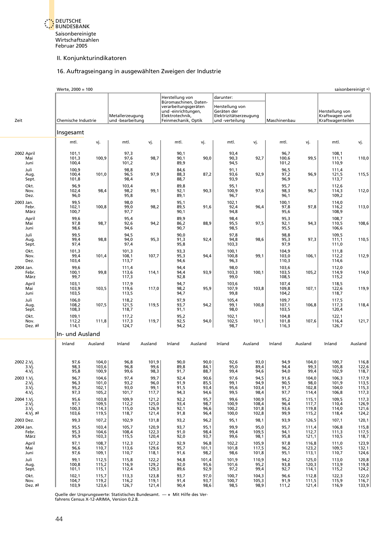

## 16. Auftragseingang in ausgewählten Zweigen der Industrie

<span id="page-36-0"></span>

|                                       | Werte, 2000 = 100            |                                  |                                     |                               |                                                                                                                |                              |                                                                             |                               |                              |                                 |                                                       | saisonbereinigt +)               |
|---------------------------------------|------------------------------|----------------------------------|-------------------------------------|-------------------------------|----------------------------------------------------------------------------------------------------------------|------------------------------|-----------------------------------------------------------------------------|-------------------------------|------------------------------|---------------------------------|-------------------------------------------------------|----------------------------------|
|                                       |                              |                                  |                                     |                               | Herstellung von                                                                                                |                              | darunter:                                                                   |                               |                              |                                 |                                                       |                                  |
| Zeit                                  | Chemische Industrie          |                                  | Metallerzeugung<br>und -bearbeitung |                               | Büromaschinen, Daten-<br>verarbeitungsgeräten<br>und -einrichtungen,<br>Elektrotechnik,<br>Feinmechanik, Optik |                              | Herstellung von<br>Geräten der<br>Elektrizitätserzeugung<br>und -verteilung |                               | Maschinenbau                 |                                 | Herstellung von<br>Kraftwagen und<br>Kraftwagenteilen |                                  |
|                                       | Insgesamt                    |                                  |                                     |                               |                                                                                                                |                              |                                                                             |                               |                              |                                 |                                                       |                                  |
|                                       | mtl.                         | vj.                              | mtl.                                | vj.                           | mtl.                                                                                                           | vj.                          | mtl.                                                                        | vj.                           | mtl.                         | vj.                             | mtl.                                                  | vj.                              |
| 2002 April                            | 101,1                        |                                  | 97,3                                |                               | 90,1                                                                                                           |                              | 93,4                                                                        |                               | 96,7                         |                                 | 108,1                                                 |                                  |
| Mai<br>Juni                           | 101,3<br>100,4               | 100,9                            | 97,6<br>101,2                       | 98,7                          | 90,1<br>89,9                                                                                                   | 90,0                         | 90,3<br>94,5                                                                | 92,7                          | 100,6<br>101,2               | 99,5                            | 111,1<br>110,9                                        | 110,0                            |
| Juli<br>Aug.<br>Sept.                 | 100,9<br>100,4<br>101,8      | 101,0                            | 98,8<br>96,5<br>98,4                | 97,9                          | 84,6<br>88,3<br>88,7                                                                                           | 87,2                         | 91,1<br>93,6<br>93,9                                                        | 92,9                          | 96,5<br>97,2<br>96,9         | 96,9                            | 111,4<br>121,5<br>113,7                               | 115,5                            |
| Okt.<br>Nov.<br>Dez.                  | 96,9<br>102,4<br>96,0        | 98,4                             | 103,4<br>98,2<br>95,8               | 99,1                          | 89,8<br>92,1<br>89,1                                                                                           | 90,3                         | 95,1<br>100,9<br>96,7                                                       | 97,6                          | 95,7<br>98,3<br>96,1         | 96,7                            | 112,6<br>114,3<br>109,2                               | 112,0                            |
| 2003 Jan.<br>Febr.<br>März            | 99,5<br>102,1<br>100,7       | 100,8                            | 98,0<br>99,0<br>97,7                | 98,2                          | 95,1<br>89,5<br>90,1                                                                                           | 91,6                         | 102,1<br>92,4<br>94,8                                                       | 96,4                          | 100,1<br>97,8<br>95,6        | 97,8                            | 114,0<br>116,2<br>108,9                               | 113,0                            |
| April<br>Mai<br>Juni                  | 99,6<br>97,8<br>98,6         | 98,7                             | 95,4<br>92,6<br>94,6                | 94,2                          | 89,9<br>86,2<br>90,7                                                                                           | 88,9                         | 98,4<br>95,5<br>98,5                                                        | 97,5                          | 95,3<br>92,1<br>95,5         | 94,3                            | 108,7<br>110,5<br>106,6                               | 108,6                            |
| Juli<br>Aug.<br>Sept.                 | 99,5<br>99,4<br>97,4         | 98,8                             | 94,5<br>94,0<br>97,4                | 95,3                          | 90,0<br>91,3<br>95,8                                                                                           | 92,4                         | 97,8<br>94,8<br>103,3                                                       | 98,6                          | 98,8<br>95,3<br>97,9         | 97,3                            | 109,5<br>111,1<br>111,0                               | 110,5                            |
| Okt.<br>Nov.<br>Dez.                  | 101,3<br>99,4<br>103,4       | 101,4                            | 101,3<br>108,1<br>113,7             | 107,7                         | 93,3<br>95,3<br>94,6                                                                                           | 94,4                         | 100,1<br>100,8<br>96,3                                                      | 99,1                          | 104,9<br>103,0<br>110,3      | 106,1                           | 111,8<br>112,2<br>114,6                               | 112,9                            |
| 2004 Jan.<br>Febr.<br>März            | 99,6<br>100,1<br>99,7        | 99,8                             | 111,4<br>113,6<br>117,3             | 114,1                         | 94,4<br>94,4<br>92,8                                                                                           | 93,9                         | 98,0<br>103,3<br>99,0                                                       | 100,1                         | 103,6<br>103,5<br>108,5      | 105,2                           | 112,0<br>114,9<br>115,2                               | 114,0                            |
| April<br>Mai<br>Juni                  | 103,1<br>103,9<br>103,5      | 103,5                            | 117,9<br>119,6<br>113,5             | 117,0                         | 94,7<br>98,2<br>94,7                                                                                           | 95,9                         | 103,6<br>107,9<br>99,8                                                      | 103,8                         | 107,4<br>109,8<br>104,2      | 107,1                           | 118,5<br>122,6<br>118,7                               | 119,9                            |
| Juli<br>Aug.<br>Sept.                 | 106,0<br>108,2<br>108,3      | 107,5                            | 118,2<br>121,5<br>118,7             | 119,5                         | 97,9<br>93,7<br>91,1                                                                                           | 94,2                         | 105,4<br>99,1<br>98,0                                                       | 100,8                         | 109,7<br>107,1<br>103,5      | 106,8                           | 117,5<br>117,3<br>120,4                               | 118,4                            |
| Okt.<br>Nov.<br>Dez. p)               | 109,1<br>112,2<br>114,1      | 111,8                            | 117,2<br>117,3<br>124,7             | 119,7                         | 95,2<br>92,5<br>94,2                                                                                           | 94,0                         | 102,1<br>102,5<br>98,7                                                      | 101,1                         | 104,8<br>101,8<br>116,3      | 107,6                           | 122,1<br>116,4<br>126,7                               | 121,7                            |
|                                       | In- und Ausland              |                                  |                                     |                               |                                                                                                                |                              |                                                                             |                               |                              |                                 |                                                       |                                  |
|                                       | Inland                       | Ausland                          | Inland                              | Ausland                       | Inland                                                                                                         | Ausland                      | Inland                                                                      | Ausland                       | Inland                       | Ausland                         | Inland                                                | Ausland                          |
| 2002 2.Vj.<br>3.Vj.<br>4.Vj.          | 97,6<br>98,3<br>95,8         | 104,0<br>103,6<br>100,9          | 96,8<br>96,8<br>99,6                | 101,9<br>99,6<br>98,3         | 90,0<br>89,8<br>91,7                                                                                           | 90,0<br>84,1<br>88,7         | 92,6<br>95,0<br>99,4                                                        | 93,0<br>89,4<br>94,6          | 94,9<br>94,4<br>94,0         | 104,0<br>99,3<br>99,4           | 100,7<br>105,8<br>102,9                               | 116,8<br>122,6<br>118,7          |
| 2003 1.Vj.<br>2.Vi.<br>3.Vi.<br>4.Vj. | 96,7<br>96,3<br>95,2<br>97,3 | 104,6<br>101,0<br>102,1<br>105,2 | 97,4<br>93,2<br>93,0<br>101,7       | 99,7<br>96,0<br>99,1<br>117,7 | 92,4<br>91,9<br>91,5<br>94,3                                                                                   | 90,6<br>85,5<br>93,4<br>94,6 | 97,6<br>99,1<br>95,6<br>99,5                                                | 94,5<br>94,9<br>103,4<br>98,4 | 91,6<br>90,5<br>91,7<br>97,7 | 104,0<br>98,0<br>102,8<br>114,4 | 106,3<br>101,9<br>104,0<br>106,8                      | 117,9<br>113,5<br>115,3<br>117,3 |
| 2004 1.Vj.<br>2.Vj.<br>3.Vj.          | 95,6<br>97,1<br>100,3        | 103,8<br>109,5<br>114,3          | 109,9<br>112,2<br>115,0             | 121,2<br>125,0<br>126,9       | 92,2<br>93,4<br>92,1                                                                                           | 95,7<br>98,7<br>96,6         | 99,6<br>100,9<br>100,2                                                      | 100,9<br>108,4<br>101,8       | 95,2<br>96,4<br>93,6         | 115,1<br>117,7<br>119,8         | 109,5<br>110,4<br>114,0                               | 117,3<br>126,9<br>121,6          |
| 4.Vj. p<br>2003 Dez.                  | 103,6<br>99,3                | 119,5<br>107,2                   | 118,7<br>102,9                      | 121,4<br>131,8                | 91,8<br>93,2                                                                                                   | 96,4<br>96,2                 | 100,0<br>95,1                                                               | 102,8<br>98,1                 | 99,9<br>93,9                 | 115,2<br>126,5                  | 118,4<br>107,1                                        | 124,2<br>120,1                   |
| 2004 Jan.<br>Febr.<br>März            | 95,5<br>95,3<br>95,9         | 103,4<br>104,6<br>103,3          | 105,7<br>108,4<br>115,5             | 120,9<br>122,3<br>120,4       | 93,7<br>91,0<br>92,0                                                                                           | 95,1<br>98,4<br>93,7         | 99,9<br>99,4<br>99,6                                                        | 95,0<br>109,5<br>98,1         | 95,7<br>94,1<br>95,8         | 111,4<br>112,7<br>121,1         | 106,8<br>111,3<br>110,5                               | 115,8<br>117,5<br>118,7          |
| April<br>Mai<br>Juni                  | 97,1<br>96,6<br>97,6         | 108,7<br>110,7<br>109,1          | 112,3<br>113,6<br>110,7             | 127,2<br>129,6<br>118,1       | 92,9<br>95,7<br>91,6                                                                                           | 96,8<br>101,1<br>98,2        | 102,2<br>101,8<br>98,6                                                      | 105,9<br>117,5<br>101,8       | 97,8<br>96,2<br>95,1         | 116,8<br>123,2<br>113,1         | 111,0<br>109,5<br>110,7                               | 123,9<br>132,1<br>124,6          |
| Juli<br>Aug.<br>Sept.                 | 99,1<br>100,8<br>101,1       | 112,5<br>115,2<br>115,1          | 115,8<br>116,9<br>112,4             | 122,2<br>129,2<br>129,3       | 94,8<br>92,0<br>89,6                                                                                           | 101,4<br>95,6<br>92,9        | 101,9<br>101,6<br>97,2                                                      | 110,9<br>95,2<br>99,4         | 94,2<br>93,8<br>92,7         | 125,0<br>120,3<br>114,1         | 113,0<br>113,9<br>115,2                               | 120,8<br>119,8<br>124,2          |
| Okt.<br>Nov.<br>Dez. p)               | 102,1<br>104,7<br>103,9      | 115,7<br>119,2<br>123,6          | 113,3<br>116,2<br>126,7             | 123,8<br>119,1<br>121,4       | 93,7<br>91,4<br>90,4                                                                                           | 97,0<br>93,7<br>98,6         | 100,7<br>100,7<br>98,5                                                      | 104,3<br>105,3<br>98,9        | 96,6<br>91,9<br>111,2        | 112,8<br>111,5<br>121,4         | 122,3<br>115,9<br>116,9                               | 122,0<br>116,7<br>133,9          |

Quelle der Ursprungswerte: Statistisches Bundesamt. — **+** Mit Hilfe des Ver-fahrens Census X-12-ARIMA, Version 0.2.8.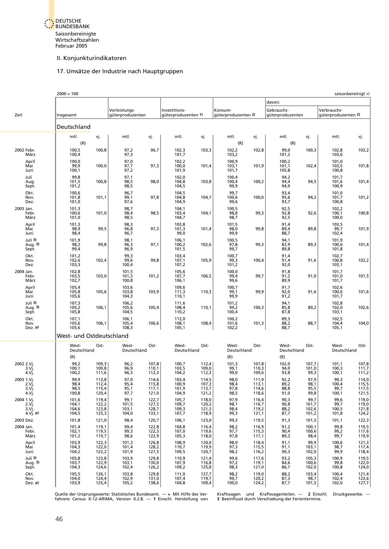II. Konjunkturindikatoren

## 17. Umsätze der Industrie nach Hauptgruppen

<span id="page-37-0"></span>

|                                 | $2000 = 100$                |                         |                                   |                         |                                                      |                                                      |                                    |                         |                                    | saisonbereinigt +)                                        |
|---------------------------------|-----------------------------|-------------------------|-----------------------------------|-------------------------|------------------------------------------------------|------------------------------------------------------|------------------------------------|-------------------------|------------------------------------|-----------------------------------------------------------|
|                                 |                             |                         |                                   |                         |                                                      |                                                      | davon:                             |                         |                                    |                                                           |
| Zeit                            | Insgesamt                   |                         | Vorleistungs-<br>güterproduzenten |                         | Investitions-<br>güterproduzenten 1)                 | Konsum-<br>güterproduzenten 2)                       | Gebrauchs-<br>güterproduzenten     |                         | Verbrauchs-<br>güterproduzenten 2) |                                                           |
|                                 | Deutschland                 |                         |                                   |                         |                                                      |                                                      |                                    |                         |                                    |                                                           |
|                                 | mtl.<br>(R)                 | vj.                     | mtl.<br>vj.                       |                         | mtl.<br>vj.                                          | mtl.<br>vj.<br>(R)                                   | mtl.                               | vj.                     | mtl.                               | vj.                                                       |
| 2002 Febr.<br>März              | 100,5<br>100,4              | 100,8                   | 97,2<br>97,3                      | 96,7                    | 102,3<br>103,3<br>101,7                              | 102,2<br>102,8<br>103,2                              | 99,0<br>101,2                      | (R)<br>100,3            | 102,8<br>103,6                     | 103,2                                                     |
| April<br>Mai<br>Juni            | 100,0<br>99,9<br>100,1      | 100,0                   | 97,0<br>97,7<br>97,2              | 97,3                    | 102,2<br>100,0<br>101,4<br>101,9                     | 100,9<br>103,1<br>101,9<br>101,7                     | 100,2<br>101,1<br>105,8            | 102,4                   | 101,0<br>103,5<br>100,8            | 101,8                                                     |
| Juli<br>Aug.<br>Sept.           | 99,8<br>101,5<br>101,2      | 100,8                   | 97,1<br>98,5<br>98,5              | 98,0                    | 102,0<br>104,8<br>103,8<br>104,5                     | 100,4<br>100,4<br>100,2<br>99,9                      | 94,2<br>94,4<br>94,9               | 94,5                    | 101,7<br>101,6<br>100,9            | 101,4                                                     |
| Okt.<br>Nov.<br>Dez.            | 100,6<br>101,8<br>101,0     | 101,1                   | 96,7<br>99,1<br>97,6              | 97,8                    | 104,5<br>104,8<br>104,7<br>104,9                     | 99,7<br>100,6<br>100,0<br>99,6                       | 93,4<br>95,6<br>93,7               | 94,2                    | 101,0<br>101,7<br>100,8            | 101,2                                                     |
| 2003 Jan.<br>Febr.<br>März      | 101,3<br>100,6<br>101,0     | 101,0                   | 98,7<br>98,4<br>98,5              | 98,5                    | 104,1<br>103,4<br>104,1<br>104,7                     | 100,5<br>98,8<br>99,3<br>98,7                        | 92,5<br>92,8<br>92,5               | 92,6                    | 102,2<br>100,1<br>100,0            | 100,8                                                     |
| April<br>Mai<br>Juni            | 101,3<br>98,9<br>98,4       | 99,5                    | 98,3<br>96,8<br>96,7              | 97,3                    | 103,8<br>101,3<br>101,4<br>99,0                      | 101,5<br>98,0<br>99,8<br>99,9                        | 91,4<br>89,4<br>88,7               | 89,8                    | 103,5<br>99,7<br>102,4             | 101,9                                                     |
| Juli 3)<br>Aug. 3)<br>Sept.     | 101,9<br>98,2<br>99,4       | 99,8                    | 98,1<br>96,3<br>96,9              | 97,1                    | 106,1<br>100,2<br>102,6<br>101,5                     | 100,5<br>97,8<br>99,3<br>99,7                        | 94,1<br>83,9<br>89,8               | 89,3                    | 101,9<br>100,6<br>101,8            | 101,4                                                     |
| Okt.<br>Nov.<br>Dez.            | 101,2<br>102,6<br>103,3     | 102,4                   | 99,3<br>99,6<br>100,4             | 99,8                    | 103,4<br>107,1<br>105,9<br>107,2                     | 100,7<br>99,3<br>100,4<br>101,2                      | 91,4<br>91,4<br>92,0               | 91,6                    | 102,7<br>100,8<br>103,1            | 102,2                                                     |
| 2004 Jan.<br>Febr.<br>März      | 102,8<br>103,5<br>102,7     | 103,0                   | 101,5<br>101,3<br>100,8           | 101,2                   | 105,6<br>107,7<br>106,5<br>106,1                     | 100,0<br>99,4<br>99,7<br>99,6                        | 91,8<br>91,2<br>89,9               | 91,0                    | 101,7<br>101,0<br>101,7            | 101,5                                                     |
| April<br>Mai<br>Juni            | 105,4<br>105,8<br>105,6     | 105,6                   | 103,6<br>103,8<br>104,3           | 103,9                   | 109,6<br>111,3<br>110,3<br>110,1                     | 100,7<br>99,1<br>99,9<br>99,9                        | 91,7<br>92,0<br>91,2               | 91,6                    | 102,6<br>100,6<br>101,7            | 101,6                                                     |
| Juli 3)<br>Aug. 3)<br>Sept.     | 107,3<br>105,2<br>105,8     | 106,1                   | 106,2<br>105,6<br>104,5           | 105,4                   | 111,6<br>108,4<br>110,1<br>110,2                     | 101,2<br>99,2<br>100,3<br>100,4                      | 94,1<br>85,8<br>87,8               | 89,2                    | 102,8<br>102,0<br>103,1            | 102,6                                                     |
| Okt.<br>Nov.<br>Dez. p)         | 107,1<br>105,6<br>105,6     | 106,1                   | 106,1<br>105,4<br>108,3           | 106,6                   | 112,0<br>108,1<br>108,4<br>105,1                     | 100,2<br>101,6<br>101,3<br>102,2                     | 89,3<br>88,2<br>88,7               | 88,7                    | 102,5<br>104,4<br>105,1            | 104,0                                                     |
|                                 | West- und Ostdeutschland    |                         |                                   |                         |                                                      |                                                      |                                    |                         |                                    |                                                           |
|                                 | West-<br>Deutschland<br>(R) | Ost-                    | West-<br>Deutschland              | Ost-                    | West-<br>Ost-<br>Deutschland                         | West-<br>Ost-<br>Deutschland<br>(R)                  | West-<br>(R)                       | Ost-<br>Deutschland     | West-<br>Deutschland               | Ost-                                                      |
| 2002 2.Vj.<br>3.Vj.<br>4.Vj.    | 99,2<br>100,1<br>100,2      | 109,3<br>109,8<br>111,6 | 96,2<br>96,9<br>96,3              | 107,8<br>110,1<br>112,3 | 100,7<br>112,4<br>103,5<br>109,0<br>104,2<br>112,3   | 101,3<br>107,8<br>110,3<br>99,1<br>99,0<br>109,6     | 102,0<br>94,0<br>93,8              | 107,7<br>101,0<br>99,3  | 101,1<br>100,3<br>100,1            | 107,8<br>111,7<br>111,2                                   |
| 2003 1.Vi.<br>2.Vj.<br>$3.V$ j. | 99,9<br>98,4<br>98,5        | 113,8<br>112,4<br>115,4 | 97,0<br>95,4<br>95,1              | 114,6<br>115,8<br>117,1 | 103,4<br>114,5<br>100,9<br>101,9<br>107,3<br>113,7   | 98,0<br>111,9<br>98,4<br>97,8<br>113,1<br>114,6      | 92,2<br>$89,2$<br>$88,8$<br>$91,0$ | 97,9<br>98,1<br>95,5    | 99,3<br>100,4<br>99,7              | 114,0<br>$\frac{115,5}{117,5}$<br>121,5                   |
| 4.Vj.<br>2004 1.Vj.             | 100,8<br>101,6              | 120,4<br>119,4          | 97,7<br>99,1                      | 121,0<br>122,7          | 104,9<br>121,2<br>105,7<br>118,0                     | 118,6<br>98,5<br>97,9<br>116,4                       |                                    | 99,8<br>99,7            | 100,1<br>99,6                      |                                                           |
| $2.V$ j.<br>3.Vj.<br>4.Vj. p    | 104,1<br>104,6<br>104,5     | 122,2<br>123,8<br>125,3 | 101,5<br>103,1<br>104,0           | 127,5<br>128,7<br>133,1 | 109,7<br>120,2<br>109,3<br>107,7<br>121,3<br>118,9   | 116,7<br>98,1<br>119,2<br>98,4<br>99,3<br>121,1      | 90,3<br>90,8<br>88,2<br>87,7       | 101,7<br>102,6<br>101,2 | 99,7<br>100,5<br>101,8             | 119,0<br>119,0<br>121,8<br>124,2                          |
| 2003 Dez.                       | 101,8                       | 121,0                   | 98,4                              | 120,7                   | 106,1<br>123,0                                       | 99,3<br>119,5                                        | 91,3                               | 101,5                   | 101,1                              | 122,3                                                     |
| 2004 Jan.<br>Febr.<br>März      | 101,4<br>102,1<br>101,2     | 119,1<br>119,5<br>119,7 | 99,4<br>99,3<br>98,6              | 122,8<br>122,3<br>122,9 | 104,8<br>116,4<br>107,0<br>119,6<br>105,3<br>118,0   | 98,2<br>116,9<br>97,7<br>115,3<br>97,8<br>117,1      | 91,2<br>90,4<br>89,3               | 100,1<br>100,6<br>98,4  | 99,8<br>99,2<br>99,7               | 119,5<br>117,6<br>119,9                                   |
| April<br>Mai<br>Juni            | 103,9<br>104,3<br>104,2     | 122,3<br>122,0<br>122,2 | 101,3<br>101,4<br>101,9           | 126,8<br>128,2<br>127,5 | 108,9<br>120,0<br>110,7<br>119,9<br>109,5<br>120,7   | 98,9<br>118,4<br>97,3<br>115,5<br>98,2<br>116,2      | 91,1<br>91,1<br>90,3               | 99,9<br>103,1<br>102,0  | 100,6<br>98,7<br>99,9              | 121,3<br>$\begin{array}{c} 117,4 \\ 118,4 \end{array}$    |
| Juli 3)<br>Aug. $3)$<br>Sept.   | 105,8<br>103,7<br>104,3     | 123,8<br>122,9<br>124,6 | 103,9<br>103,1<br>102,4           | 129,8<br>130,0<br>126,2 | 110,9<br>121,4<br>107,9<br>109,2<br>116,8<br>125,8   | 99,6<br>117,6<br>97,2<br>119,1<br>98,3<br>121,0      | 93,2<br>84,6<br>86,7               | 105,3<br>100,6<br>102,0 | 100,9<br>99,8<br>100,8             | 119,5<br>$\begin{bmatrix} 122, 0 \\ 124, 0 \end{bmatrix}$ |
| Okt.<br>Nov.<br>Dez. p)         | 105,5<br>104,0<br>103,9     | 126,1<br>124,4<br>125,4 | 103,8<br>102,9<br>105,2           | 129,8<br>131,0<br>138,6 | 111,0<br>127,7<br>$107,4$<br>104,8<br>119,7<br>109,4 | 98,2<br>119,0<br>$99,7$<br>100,0<br>$120,2$<br>124,2 | 88,2<br>87,3<br>87,7               | 103,4<br>98,7<br>101,5  | 100,4<br>$102,4$<br>102,6          | 121,4<br>123,6<br>127,7                                   |

Quelle der Ursprungswerte: Statistisches Bundesamt. — + Mit Hilfe des Ver-altrangen und Kraftwagenteilen. — 2 Einschl. Druckgewerbe. —<br>fahrens Census X-12-ARIMA, Version 0.2.8. — 1 Einschl. Herstellung von a 3 Beeinflusst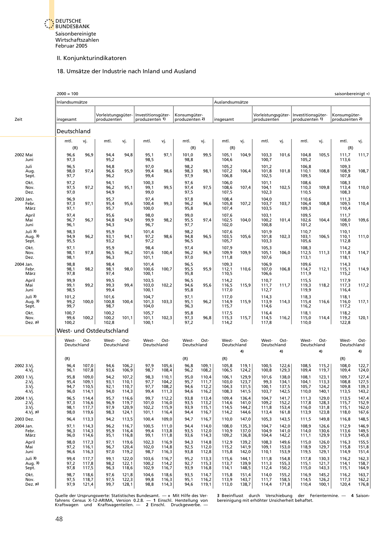II. Konjunkturindikatoren

### 18. Umsätze der Industrie nach Inland und Ausland

<span id="page-38-0"></span>

|                                        | $2000 = 100$                 |                                  |                                   |                                  |                                      |                                  |                                |                                  |                                  |                                  |                                   |                                  |                                      |                                  | saisonbereinigt +)               |                                  |
|----------------------------------------|------------------------------|----------------------------------|-----------------------------------|----------------------------------|--------------------------------------|----------------------------------|--------------------------------|----------------------------------|----------------------------------|----------------------------------|-----------------------------------|----------------------------------|--------------------------------------|----------------------------------|----------------------------------|----------------------------------|
|                                        | Inlandsumsätze               |                                  |                                   |                                  |                                      |                                  |                                |                                  | Auslandsumsätze                  |                                  |                                   |                                  |                                      |                                  |                                  |                                  |
| Zeit                                   | insgesamt                    |                                  | Vorleistungsgüter-<br>produzenten |                                  | Investitionsgüter-<br>produzenten 1) |                                  | Konsumgüter-<br>produzenten 2) |                                  | insgesamt                        |                                  | Vorleistungsgüter-<br>produzenten |                                  | Investitionsgüter-<br>produzenten 1) |                                  | Konsumgüter-<br>produzenten 2)   |                                  |
|                                        | Deutschland                  |                                  |                                   |                                  |                                      |                                  |                                |                                  |                                  |                                  |                                   |                                  |                                      |                                  |                                  |                                  |
|                                        | mtl.<br>(R)                  | vj.                              | mtl.                              | vj.                              | mtl.                                 | vj.                              | mtl.<br>(R)                    | vj.                              | mtl.<br>(R)                      | vj.                              | mtl.                              | vj.                              | mtl.                                 | vj.                              | mtl.<br>(R)                      | vj.                              |
| 2002 Mai<br>Juni                       | 96,6<br>97,3                 | 96,9                             | 94,4<br>95,2                      | 94,8                             | 95,1<br>98,5                         | 97,1                             | 101,0<br>98,8                  | 99,5                             | 105,1<br>104,6                   | 104,9                            | 103,3<br>100,7                    | 101,6                            | 104,8<br>105,2                       | 105,5                            | 111,7<br>113,6                   | 111,7                            |
| Juli<br>Aug.<br>Sept.                  | 96,5<br>98,0<br>97,7         | 97,4                             | 94,8<br>96,6<br>96,2              | 95,9                             | 97,0<br>99,4<br>99,4                 | 98,6                             | 98,2<br>98,3<br>97,9           | 98,1                             | 105,2<br>107,2<br>106,8          | 106,4                            | 101,2<br>101,8<br>102,5           | 101,8                            | 106,8<br>110,1<br>109,5              | 108,8                            | 109,3<br>108,9<br>107,8          | 108,7                            |
| Okt.<br>Nov.<br>Dez.                   | 97,2<br>97,5<br>97,0         | 97,2                             | 94,1<br>96,2<br>94,9              | 95,1                             | 100,3<br>99,1<br>99,0                | 99,5                             | 97,6<br>97,4<br>97,5           | 97,5                             | 106,0<br>108,6<br>107,5          | 107,4                            | 101,1<br>104,1<br>102,3           | 102,5                            | 108,6<br>110,3<br>110,5              | 109,8                            | 108,3<br>113,4<br>108,3          | 110,0                            |
| 2003 Jan.<br>Febr.<br>März             | 96,9<br>97,3<br>97,1         | 97,1                             | 95,7<br>95,4<br>95,7              | 95,6                             | 97,4<br>100,4<br>100,0               | 99,3                             | 97,8<br>96,2<br>95,8           | 96,6                             | 108,4<br>105,8<br>107,4          | 107,2                            | 104,0<br>103,7<br>103,5           | 103,7                            | 110,6<br>106,4<br>109,3              | 108,8                            | 111,3<br>109,5<br>110,4          | 110,4                            |
| April<br>Mai<br>Juni                   | 97,4<br>96,7<br>96,1         | 96,7                             | 95,6<br>94,8<br>94,3              | 94,9                             | 98,0<br>99,9<br>96,7                 | 98,2                             | 99,0<br>95,5<br>97,7           | 97,4                             | 107,6<br>102,5<br>102,0          | 104,0                            | 103,1<br>100,2<br>100,8           | 101,4                            | 109,5<br>102,6<br>101,2              | 104,4                            | 111,7<br>108,0<br>109,1          | 109,6                            |
| Juli 3)<br>Aug. 3)<br>Sept.            | 98,3<br>94,9<br>95,5         | 96,2                             | 95,9<br>93,1<br>93,2              | 94,1                             | 101,4<br>97,2<br>97,2                | 98,6                             | 98,2<br>94,8<br>96,5           | 96,5                             | 107,6<br>103,5<br>105,7          | 105,6                            | 101,9<br>101,8<br>103,3           | 102,3                            | 110,7<br>103,1<br>105,6              | 106,5                            | 110,1<br>110,1<br>112,8          | 111,0                            |
| Okt.<br>Nov.<br>Dez.                   | 97,1<br>98,1<br>98,1         | 97,8                             | 95,9<br>96,5<br>96,3              | 96,2                             | 98,4<br>101,6<br>101,1               | 100,4                            | 97,4<br>96,2<br>97,0           | 96,9                             | 107,9<br>109,9<br>111,8          | 109,9                            | 105,3<br>105,1<br>107,6           | 106,0                            | 108,3<br>112,5<br>113,1              | 111,3                            | 114,2<br>111,8<br>118,1          | 114,7                            |
| 2004 Jan.<br>Febr.<br>März             | 98,8<br>98,1<br>97,8         | 98,2                             | 98,4<br>98,1<br>97,4              | 98,0                             | 101,4<br>100,6<br>100,1              | 100,7                            | 96,5<br>95,5<br>95,8           | 95,9                             | 109,3<br>112,1<br>110,5          | 110,6                            | 106,9<br>107,0<br>106,6           | 106,8                            | 109,6<br>114,7<br>111,9              | 112,1                            | 114,3<br>115,1<br>115,2          | 114,9                            |
| April<br>Mai<br>Juni                   | 99,9<br>99,1<br>98,5         | 99,2                             | 99,5<br>99,3<br>99,4              | 99,4                             | 103,5<br>103,0<br>100,1              | 102,2                            | 96,5<br>94,6<br>95,8           | 95,6                             | 114,2<br>116,5<br>117,0          | 115,9                            | 110,7<br>111,7<br>112,7           | 111,7                            | 115,5<br>119,3<br>119,9              | 118,2                            | 117,9<br>117,3<br>116,4          | 117,2                            |
| Juli 3)<br>Aug. 3)<br>Sept.            | 101,2<br>99,2<br>99,7        | 100,0                            | 101,6<br>100,8<br>98,7            | 100,4                            | 104,7<br>101,3<br>104,0              | 103,3                            | 97,1<br>95,1<br>96,3           | 96,2                             | 117,0<br>114,9<br>115,7          | 115,9                            | 114,3<br>113,9<br>114,6           | 114,3                            | 118,3<br>115,4<br>116,2              | 116,6                            | 118,1<br>116,0<br>117,2          | 117,1                            |
| Okt.<br>Nov.<br>Dez. p)                | 100,7<br>99,6<br>100,2       | 100,2                            | 100,2<br>100,2<br>102,8           | 101,1                            | 105,7<br>101,1<br>100,1              | 102,3                            | 95,8<br>97,3<br>97,2           | 96,8                             | 117,5<br>115,3<br>114,2          | 115,7                            | 116,4<br>114,5<br>117,8           | 116,2                            | 118,1<br>115,0<br>110,0              | 114,4                            | 118,2<br>119,2<br>122,8          | 120,1                            |
|                                        |                              |                                  | West- und Ostdeutschland          |                                  |                                      |                                  |                                |                                  |                                  |                                  |                                   |                                  |                                      |                                  |                                  |                                  |
|                                        | West-<br>Deutschland         | Ost-                             | West-<br>Deutschland              | Ost-                             | West-<br>Deutschland                 | Ost-                             | West-<br>Deutschland           | Ost-                             | West-<br>Deutschland             | Ost-<br>4)                       | West-<br>Deutschland              | Ost-<br>4)                       | West-<br>Deutschland                 | Ost-<br>4)                       | West-<br>Deutschland             | Ost-<br>4)                       |
|                                        | (R)                          |                                  |                                   |                                  |                                      |                                  | (R)                            |                                  | (R)                              |                                  |                                   |                                  |                                      |                                  | (R)                              |                                  |
| 2002 3.Vj.<br>4.Vj.                    | 96,4<br>96,1                 | 107,0<br>107,8                   | 94,6<br>93,6                      | 106,2<br>106,9                   | 97,9<br>98,7                         | 105,6<br>108,4                   | 96,8<br>96,2                   | 109,1<br>108,2                   | 105,8<br>106,5                   | 119,1<br>124,2                   | 100,5<br>100,8                    | 122,6<br>129,3                   | 108,5<br>109,4                       | 115,2<br>119,7                   | 108,0<br>109,4                   | 122,7<br>124,0                   |
| 2003 1.Vj.<br>2.91<br>3.Vj.<br>4.Vj.   | 95,8<br>95,4<br>94,7<br>96,0 | 109,0<br>109,1<br>110,5<br>114,1 | 94,2<br>93,1<br>92,1<br>94,0      | 107,2<br>110,1<br>110,7<br>114,3 | 98,3<br>97,7<br>97,7<br>99,4         | 110,1<br>104,2<br>108,2<br>111,3 | 95,0<br>95,7<br>94,6<br>94,6   | 110,4<br>111,7<br>112,2<br>116,2 | 106,1<br>103,0<br>104,3<br>108,3 | 129,9<br>123,7<br>131,5<br>141,5 | 101,6<br>99,3<br>100,1<br>103,7   | 138,0<br>134,1<br>137,5<br>142,5 | 108,1<br>104,1<br>105,7<br>110,0     | 123,1<br>113,3<br>124,2<br>140,1 | 109,7<br>108,8<br>109,8<br>113,5 | 127,4<br>127,5<br>139,3<br>143,2 |
| 2004 1.Vi.<br>2.Vj.<br>3.Vj.<br>4.Vj.P | 96,5<br>97,3<br>98,1<br>98,0 | 114,4<br>116,6<br>117,7<br>119,6 | 95,7<br>96,9<br>97,9<br>98,3      | 116,6<br>119,7<br>120,9<br>124,1 | 99,7<br>101,0<br>102,2<br>101,1      | 112,2<br>116,0<br>115,9<br>116,4 | 93,8<br>93,5<br>93,9<br>94,4   | 113,4<br>113,2<br>115,1<br>116,7 | 109,4<br>114,6<br>114,5<br>114,2 | 136,4<br>141,0<br>144,2<br>144,6 | 104,7<br>109,2<br>111,8<br>113,4  | 141,7<br>152,2<br>153,4<br>161,8 | 111,3<br>117,8<br>116,0<br>113,9     | 129,0<br>128,3<br>131,8<br>123,8 | 113,5<br>115,7<br>115,1<br>118,0 | 147,4<br>152,9<br>162,0<br>167,6 |
| 2003 Dez.                              | 96,4                         | 113,3                            | 94,2                              | 113,5                            | 100,4                                | 109,0                            | 94,7                           | 116,7                            | 110,0                            | 147,0                            | 105,3                             | 143,5                            | 111,5                                | 149,8                            | 116,8                            | 148,5                            |
| 2004 Jan.<br>Febr.<br>März             | 97,1<br>96,3<br>96,0         | 114,3<br>114,3<br>114,6          | 96,2<br>95,9<br>95,1              | 116,7<br>116,4<br>116,8          | 100,5<br>99,4<br>99,1                | 111,0<br>113,8<br>111,8          | 94,4<br>93,5<br>93,6           | 114,0<br>112,0<br>114,3          | 108,0<br>110,9<br>109,2          | 135,3<br>137,0<br>136,8          | 104,7<br>104,9<br>104,4           | 142,0<br>141,0<br>142,2          | 108,9<br>114,0<br>111,1              | 126,6<br>130,6<br>129,9          | 112,9<br>113,6<br>113,9          | 146,9<br>149,5<br>145,8          |
| April<br>Mai<br>Juni                   | 98,0<br>97,2<br>96,6         | 117,3<br>116,1<br>116,3          | 97,1<br>96,7<br>97,0              | 119,6<br>120,4<br>119,2          | 102,3<br>102,0<br>98,7               | 116,9<br>114,8<br>116,3          | 94,3<br>92,5<br>93,8           | 114,8<br>112,0<br>112,8          | 112,9<br>115,2<br>115,8          | 139,2<br>141,9<br>142,0          | 108,3<br>109,1<br>110,1           | 149,6<br>153,0<br>153,9          | 115,0<br>118,9<br>119,5              | 126,0<br>129,7<br>129,1          | 116,3<br>115,8<br>114,9          | 155,5<br>151,8<br>151,4          |
| Juli 3)<br>Aug. $3)$<br>Sept.          | 99,4<br>97,2<br>97,8         | 117,7<br>117,8<br>117,5          | 99,1<br>98,2<br>96,3              | 122,0<br>122,1<br>118,6          | 103,6<br>100,2<br>102,9              | 116,7<br>114,2<br>116,7          | 95,2<br>92,7<br>93,9           | 113,3<br>115,3<br>116,8          | 115,6<br>113,7<br>114,1          | 144,1<br>139,9<br>148,5          | 111,8<br>111,3<br>112,4           | 154,8<br>155,3<br>150,2          | 117,8<br>115,1<br>115,0              | 130,3<br>121,7<br>143,3          | 116,2<br>114,1<br>115,1          | 162,3<br>158,7<br>164,9          |
| Okt.<br>Nov.<br>Dez. p)                | 98,7<br>97,5<br>97,9         | 118,6<br>118,7<br>121,4          | 97,6<br>97,5<br>99,7              | 121,8<br>122,3<br>128,1          | 104,6<br>99,8<br>98,8                | 118,6<br>116,3<br>114,3          | 93,5<br>95,1<br>94,6           | 114,7<br>116,2<br>119,1          | 115,8<br>113,9<br>113,0          | 151,4<br>143,7<br>138,7          | 114,0<br>111,7<br>114,4           | 155,2<br>158,5<br>171,8          | 116,9<br>114,5<br>110,4              | 145,2<br>126,2<br>100,1          | 116,2<br>117,3<br>120,4          | 163,7<br>162,2<br>176,8          |

Quelle der Ursprungswerte: Statistisches Bundesamt. — + Mit Hilfe des Ver- 13 Beeinflusst durch Verschiebung der Ferientermine. — 4 Saison-<br>fahrens Census X-12-ARIMA, Version 0.2.8. — 1 Einschl. Herstellung von hereinigung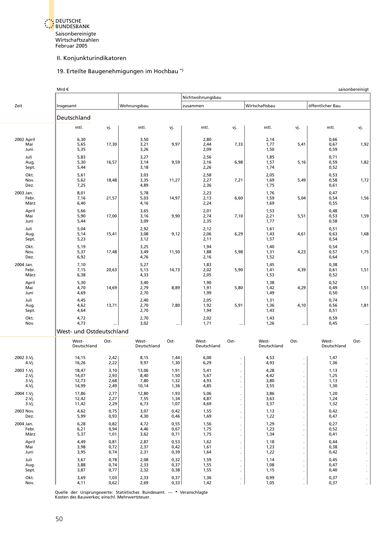### II. Konjunkturindikatoren

## 19. Erteilte Baugenehmigungen im Hochbau \*)

<span id="page-39-0"></span>

|                                       | Mrd €                            |                              |                                |                              |                              |                                             |                              |         |                              | saisonbereinigt |
|---------------------------------------|----------------------------------|------------------------------|--------------------------------|------------------------------|------------------------------|---------------------------------------------|------------------------------|---------|------------------------------|-----------------|
|                                       |                                  |                              |                                |                              | Nichtwohnungsbau             |                                             |                              |         |                              |                 |
| Zeit                                  | Insgesamt                        |                              | Wohnungsbau                    |                              | zusammen                     |                                             | Wirtschaftsbau               |         | öffentlicher Bau             |                 |
|                                       | Deutschland                      |                              |                                |                              |                              |                                             |                              |         |                              |                 |
|                                       | mtl.                             | vj.                          | mtl.                           | vj.                          | mtl.                         | vj.                                         | mtl.                         | vj.     | mtl.                         | vj.             |
| 2002 April<br>Mai<br>Juni             | 6,30<br>5,65<br>5,35             | 17,30                        | 3,50<br>3,21<br>3,26           | 9,97                         | 2,80<br>2,44<br>2,09         | 7,33                                        | 2,14<br>1,77<br>1,50         | 5,41    | 0,66<br>0,67<br>0,59         | 1,92            |
| Juli<br>Aug.<br>Sept.                 | 5,83<br>5,30<br>5,44             | 16,57                        | 3,27<br>3,14<br>3,18           | 9,59                         | 2,56<br>2,16<br>2,26         | 6,98                                        | 1,85<br>1,57<br>1,74         | 5,16    | 0,71<br>0,59<br>0,52         | 1,82            |
| Okt.<br>Nov.<br>Dez.                  | 5,61<br>5,62<br>7,25             | 18,48                        | 3,03<br>3,35<br>4,89           | 11,27                        | 2,58<br>2,27<br>2,36         | 7,21                                        | 2,05<br>1,69<br>1,75         | 5,49    | 0,53<br>0,58<br>0,61         | 1,72            |
| 2003 Jan.<br>Febr.<br>März            | 8,01<br>7,16<br>6,40             | 21,57                        | 5,78<br>5,03<br>4,16           | 14,97                        | 2,23<br>2,13<br>2,24         | 6,60                                        | 1,76<br>1,59<br>1,69         | 5,04    | 0,47<br>0,54<br>0,55         | 1,56            |
| April<br>Mai<br>Juni                  | 5,66<br>5,90<br>5,44             | 17,00                        | 3,65<br>3,16<br>3,09           | 9,90                         | 2,01<br>2,74<br>2,35         | 7,10                                        | 1,53<br>2,21<br>1,77         | 5,51    | 0,48<br>0,53<br>0,58         | 1,59            |
| Juli<br>Aug.<br>Sept.                 | 5,04<br>5,14<br>5,23             | 15,41                        | 2,92<br>3,08<br>3,12           | 9,12                         | 2,12<br>2,06<br>2,11         | 6,29                                        | 1,61<br>1,43<br>1,57         | 4,61    | 0,51<br>0,63<br>0,54         | 1,68            |
| Okt.<br>Nov.<br>Dez.                  | 5,19<br>5,37<br>6,92             | 17,48                        | 3,25<br>3,49<br>4,76           | 11,50                        | 1,94<br>1,88<br>2,16         | 5,98                                        | 1,40<br>1,31<br>1,52         | 4,23    | 0,54<br>0,57<br>0,64         | 1,75            |
| 2004 Jan.<br>Febr.<br>März            | 7,10<br>7,15<br>6,38             | 20,63                        | 5,27<br>5,13<br>4,33           | 14,73                        | 1,83<br>2,02<br>2,05         | 5,90                                        | 1,45<br>1,41<br>1,53         | 4,39    | 0,38<br>0,61<br>0,52         | 1,51            |
| April<br>Mai<br>Juni                  | 5,30<br>4,70<br>4,69             | 14,69                        | 3,40<br>2,79<br>2,70           | 8,89                         | 1,90<br>1,91<br>1,99         | 5,80                                        | 1,38<br>1,42<br>1,49         | 4,29    | 0,52<br>0,49<br>0,50         | 1,51            |
| Juli<br>Aug.<br>Sept.                 | 4,45<br>4,62<br>4,64             | 13,71                        | 2,40<br>2,70<br>2,70           | 7,80                         | 2,05<br>1,92<br>1,94         | 5,91                                        | 1,31<br>1,36<br>1,43         | 4,10    | 0,74<br>0,56<br>0,51         | 1,81            |
| Okt.<br>Nov.                          | 4,72<br>4,73                     |                              | 2,70<br>3,02                   | $\ddotsc$                    | 2,02<br>1,71                 |                                             | 1,43<br>1,26                 |         | 0,59<br>0,45                 |                 |
|                                       | West- und Ostdeutschland         |                              |                                |                              |                              |                                             |                              |         |                              |                 |
|                                       | West-<br>Deutschland             | Ost-                         | West-<br>Deutschland           | Ost-                         | West-<br>Deutschland         | Ost-                                        | West-<br>Deutschland         | Ost-    | West-<br>Deutschland         | Ost-            |
| 2002 3.Vj.<br>4.Vj.                   | 14,15<br>16,26                   | 2,42<br>2,22                 | 8,15<br>9,97                   | 1,44<br>1,30                 | 6,00<br>6,29                 | $\epsilon$<br>$\epsilon$                    | 4,53<br>4,93                 |         | 1,47<br>1,36                 |                 |
| 2003 1.Vj.<br>2.Vj.<br>3.Vj.<br>4.Vj. | 18,47<br>14,07<br>12,73<br>14,99 | 3,10<br>2,93<br>2,68<br>2,49 | 13,06<br>8,40<br>7,80<br>10,14 | 1,91<br>1,50<br>1,32<br>1,36 | 5,41<br>5,67<br>4,93<br>4,85 | $\epsilon$<br>$\bullet$<br>$\blacksquare$   | 4,28<br>4,42<br>3,80<br>3,55 |         | 1,13<br>1,25<br>1,13<br>1,30 |                 |
| 2004 1.Vj.<br>2.Vj.<br>3.Vj.          | 17,86<br>12,42<br>11,42          | 2,77<br>2,27<br>2,29         | 12,80<br>7,55<br>6,73          | 1,93<br>1,34<br>1,07         | 5,06<br>4,87<br>4,69         | $\blacksquare$<br>$\epsilon$                | 3,86<br>3,63<br>3,37         |         | 1,20<br>1,24<br>1,32         |                 |
| 2003 Nov.<br>Dez.                     | 4,62<br>5,99                     | 0,75<br>0,93                 | 3,07<br>4,30                   | 0,42<br>0,46                 | 1,55<br>1,69                 | $\cdot$<br>$\blacksquare$                   | 1,13<br>1,22                 |         | 0,42<br>0,47                 |                 |
| 2004 Jan.<br>Febr.<br>März            | 6,28<br>6,21<br>5,37             | 0,82<br>0,94<br>1,01         | 4,72<br>4,46<br>3,62           | 0,55<br>0,67<br>0,71         | 1,56<br>1,75<br>1,75         | $\cdot$<br>$\blacksquare$                   | 1,29<br>1,23<br>1,34         |         | 0,27<br>0,52<br>0,41         |                 |
| April<br>Mai<br>Juni                  | 4,49<br>3,98<br>3,95             | 0,81<br>0,72<br>0,74         | 2,87<br>2,37<br>2,31           | 0,53<br>0,42<br>0,39         | 1,62<br>1,61<br>1,64         | $\blacksquare$<br>$\cdot$<br>$\blacksquare$ | 1,18<br>1,23<br>1,22         |         | 0,44<br>0,38<br>0,42         |                 |
| Juli<br>Aug.<br>Sept.                 | 3,67<br>3,88<br>3,87             | 0,78<br>0,74<br>0,77         | 2,08<br>2,33<br>2,32           | 0,32<br>0,37<br>0,38         | 1,59<br>1,55<br>1,55         | $\blacksquare$<br>$\cdot$<br>$\blacksquare$ | 1,14<br>1,08<br>1,15         |         | 0,45<br>0,47<br>0,40         |                 |
| Okt.<br>Nov.                          | 3,69<br>4,11                     | 1,03<br>0,62                 | 2,33<br>2,69                   | 0,37<br>0,33                 | 1,36<br>1,42                 | $\bullet$<br>$\cdot$ 1                      | 0,99<br>1,05                 | $\cdot$ | 0,37<br>0,37                 |                 |

Quelle der Ursprungswerte: Statistisches Bundesamt. — **\*** Veranschlagte Kosten des Bauwerkes; einschl. Mehrwertsteuer.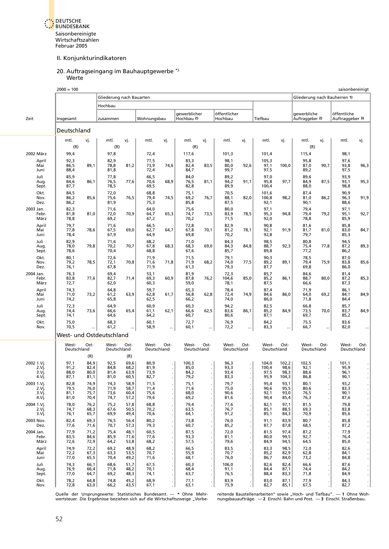Februar 2005

### II. Konjunkturindikatoren

#### 20. Auftragseingang im Bauhauptgewerbe \*) **Werte**

<span id="page-40-0"></span>

|                                       | $2000 = 100$                 |                              |                              |                              |                              |                      |                               |          |                              |          |                                |                                |                                |           |                                | saisonbereinigt |
|---------------------------------------|------------------------------|------------------------------|------------------------------|------------------------------|------------------------------|----------------------|-------------------------------|----------|------------------------------|----------|--------------------------------|--------------------------------|--------------------------------|-----------|--------------------------------|-----------------|
|                                       |                              |                              | Gliederung nach Bauarten     |                              |                              |                      |                               |          |                              |          |                                |                                | Gliederung nach Bauherren 1)   |           |                                |                 |
|                                       |                              |                              | Hochbau                      |                              |                              |                      |                               |          |                              |          |                                |                                |                                |           |                                |                 |
| Zeit                                  | Insgesamt                    |                              | zusammen                     |                              | Wohnungsbau                  |                      | gewerblicher<br>Hochbau 2)    |          | öffentlicher<br>Hochbau      |          | Tiefbau                        |                                | gewerbliche<br>Auftraggeber 2) |           | öffentliche<br>Auftraggeber 3) |                 |
|                                       | Deutschland                  |                              |                              |                              |                              |                      |                               |          |                              |          |                                |                                |                                |           |                                |                 |
|                                       | mtl.<br>(R)                  | vj.                          | mtl.<br>(R)                  | vj.                          | mtl.                         | vj.                  | mtl.<br>(R)                   | vj.      | mtl.                         | vj.      | mtl.                           | vj.                            | mtl.<br>(R)                    | vj.       | mtl.                           | vj.             |
| 2002 März                             | 99,4                         |                              | 97,8                         |                              | 72,4                         |                      | 117,6                         |          | 101,3                        |          | 101,4                          |                                | 115,4                          |           | 98,1                           |                 |
| April<br>Mai<br>Juni                  | 92,3<br>86,5<br>88,4         | 89,1                         | 82,9<br>78,8<br>81,8         | 81,2                         | 77,5<br>73,9<br>72,4         | 74,6                 | 83,3<br>82,4<br>84,7          | 83,5     | 98,1<br>80,0<br>99,7         | 92,6     | 105,3<br>97,1<br>97,5          | 100,0                          | 95,8<br>87,0<br>89,2           | 90,7      | 97,6<br>93,8<br>97,5           | 96,3            |
| Juli<br>Aug.<br>Sept.                 | 85,9<br>84,6<br>87,7         | 86,1                         | 77,8<br>76,5<br>78,5         | 77,6                         | 66,5<br>70,6<br>69,5         | 68,9                 | 84,0<br>76,5<br>82,8          | 81,1     | 89,2<br>94,2<br>89,9         | 91,1     | 97,0<br>95.8<br>100,4          | 97,7                           | 89,6<br>84,9<br>88,0           | 87,5      | 93,9<br>93,1<br>98,8           | 95,3            |
| Okt.<br>Nov.                          | 84,5<br>86,2                 | 85,6                         | 72,0<br>75,6                 | 76,5                         | 68,8<br>79,4                 | 74,5                 | 75,1<br>69,2                  | 76,7     | 70,5<br>88,1                 | 82,0     | 101,6<br>100,8                 | 98,2                           | 87,4<br>81,0                   | 86,2      | 90,9<br>96,3                   | 91,9            |
| Dez.<br>2003 Jan.<br>Febr.            | 86,2<br>82,3<br>81,8         | 81,0                         | 81,9<br>71,6<br>72,0         | 70,9                         | 75,3<br>64,0<br>64,7         | 65,3                 | 85,8<br>75,6<br>74,7          | 73,5     | 87,5<br>80,0<br>83,9         | 78,5     | 92,1<br>97,1<br>95,3           | 94,8                           | 90,1<br>79,4<br>79,4           | 79,2      | 88,6<br>97,1<br>95,1           | 92,7            |
| März<br>April<br>Mai                  | 78,8<br>79,7<br>77,8         | 78,6                         | 69,2<br>71,6<br>67,5         | 69,0                         | 67,2<br>66,5<br>62,7         | 64,7                 | 70,2<br>72,8<br>67,8          | 70,1     | 71,5<br>82,9<br>81,2         | 78,1     | 92,0<br>90,8<br>92,1           | 91,9                           | 78,8<br>81,6<br>81,7           | 81,0      | 85,9<br>85,8<br>83,0           | 84,7            |
| Juni                                  | 78,4                         |                              | 67,9                         |                              | 64,9                         |                      | 69,8                          |          | 70,2                         |          | 92,8                           |                                | 79,7                           |           | 85,3                           |                 |
| Juli<br>Aug.<br>Sept.                 | 82,9<br>78,0<br>78,6         | 79,8                         | 71,6<br>70,2<br>70,4         | 70,7                         | 68,2<br>67,8<br>68,8         | 68,3                 | 71,0<br>68,3<br>67,6          | 69,0     | 84,3<br>84,3<br>85,7         | 84,8     | 98,5<br>88,7<br>89,8           | 92,3                           | 80,8<br>75,4<br>77,2           | 77,8      | 94,5<br>87,2<br>86,2           | 89,3            |
| Okt.<br>Nov.<br>Dez.                  | 80,1<br>79,2<br>76,1         | 78,5                         | 72,6<br>72,1<br>67,8         | 70,8                         | 71,9<br>71,6<br>71,9         | 71,8                 | 71,5<br>71,9<br>61,3          | 68,2     | 79,1<br>74,0<br>79,3         | 77,5     | 90,3<br>89,2<br>87,7           | 89,1                           | 78,5<br>79,4<br>69,8           | 75,9      | 87,0<br>83,8<br>86,0           | 85,6            |
| 2004 Jan.<br>Febr.<br>März            | 76,3<br>83,8<br>72,7         | 77,6                         | 69,4<br>82,7<br>62,0         | 71,4                         | 53,1<br>69,3<br>60,3         | 60,9                 | 81,9<br>87,8<br>59,0          | 76,2     | 72,3<br>104,6<br>78,1        | 85,0     | 85,7<br>85,2<br>87,5           | 86,1                           | 84,6<br>88,7<br>66,6           | 80,0      | 81,4<br>87,2<br>87,3           | 85,3            |
| April<br>Mai<br>Juni                  | 74,3<br>71,0<br>74,2         | 73,2                         | 64,8<br>61,2<br>65,8         | 63,9                         | 59,7<br>62,8<br>62,5         | 61,7                 | 65,3<br>56,8<br>66,2          | 62,8     | 78,4<br>72,4<br>74,0         | 74,9     | 87,4<br>84,6<br>86,0           | 86,0                           | 71,9<br>64,0<br>71,8           | 69,2      | 86,1<br>84,1<br>84,4           | 84,9            |
| Juli<br>Aug.<br>Sept.                 | 72,3<br>74,4<br>74,1         | 73,6                         | 64,9<br>66,6<br>64,6         | 65,4                         | 60,9<br>61,1<br>64,2         | 62,1                 | 60,3<br>66,6<br>60,7          | 62,5     | 94,2<br>83,6<br>80,6         | 86,1     | 82,5<br>85,2<br>87,1           | 84,9                           | 66,8<br>73,5<br>69,7           | 70,0      | 85,7<br>83,7<br>85,2           | 84,9            |
| Okt.<br>Nov.                          | 75,0<br>70,5                 | $\cdots$                     | 68,3<br>61,2                 | $\ldots$                     | 60,1<br>58,9                 |                      | 72,7<br>60,1                  | $\ldots$ | 76,9<br>72,2                 | $\cdots$ | 84,2<br>83,3                   | $\cdots$                       | 75,5<br>66,7                   | $\ddotsc$ | 83,6<br>82,0                   |                 |
|                                       | West- und Ostdeutschland     |                              |                              |                              |                              |                      |                               |          |                              |          |                                |                                |                                |           |                                |                 |
|                                       | West-<br>Deutschland         | Ost-                         | West-<br>Deutschland         | Ost-                         | West-<br>Deutschland         | Ost-                 | West-<br>Deutschland          | Ost-     | West-<br>Deutschland         | Ost-     | West-<br>Deutschland           | Ost-                           | West-<br>Deutschland           | Ost-      | West-<br>Deutschland           | Ost-            |
|                                       |                              | (R)                          |                              | (R)                          |                              |                      |                               |          |                              |          |                                |                                |                                |           |                                |                 |
| 2002 1.Vj.<br>2.Vj.<br>3.Vj.<br>4.Vj. | 97,1<br>91,2<br>88,0<br>87,1 | 84,9<br>82,4<br>80,0<br>81,1 | 92,5<br>84,8<br>81,4<br>81,0 | 69,6<br>68,2<br>63,9<br>60,5 | 80,9<br>81,9<br>73,9<br>82,7 |                      | 100,3<br>85,0<br>84,2<br>79,2 |          | 96,3<br>93,3<br>93,4<br>83,3 |          | 104,0<br>100,4<br>97,5<br>95,9 | 102,2<br>98,6<br>98,3<br>104,3 | 102,5<br>92,1<br>88,6<br>86,8  |           | 101,1<br>95,9<br>96,1<br>90,1  |                 |
| 2003 1.Vj.                            | 82,8                         | 74,9                         | 74,3                         | 58,9                         | 71,5                         |                      | 75,1                          |          | 79,7                         |          | 95,4                           | 93,1                           | 80,1                           |           | 93,2                           |                 |
| 2.Vj.<br>3.Vj.<br>4.Vj.               | 79,5<br>81,1<br>81,0         | 76,0<br>75,7<br>70,4         | 71,9<br>73,6<br>74,7         | 58,7<br>60,4<br>57,2         | 71,4<br>75,6<br>79,6         |                      | 71,6<br>68,0<br>69,2          |          | 75,0<br>90,6<br>81,6         |          | 90,6<br>92,1<br>90,4           | 95,5<br>93,0<br>85,4           | 80,6<br>76,5<br>76,3           |           | 83,3<br>90,1<br>87,6           |                 |
| 2004 1.Vj.<br>2.Vj.<br>3.Vj.          | 78,0<br>74,7<br>76,1         | 76,2<br>68,3<br>65,7         | 75,2<br>67,6<br>69,9         | 57,8<br>50,5<br>49,4         | 68,8<br>70,2<br>70,6         |                      | 79,4<br>63,5<br>64,1          |          | 77,6<br>76,7<br>91,2         |          | 82,1<br>85,1<br>85,1           | 97,1<br>88,5<br>84,3           | 81,5<br>69,3<br>70,9           |           | 79,8<br>83,8<br>85,6           |                 |
| 2003 Nov.<br>Dez.                     | 82,4<br>77,6                 | 69,3<br>71,6                 | 76,5<br>70,7                 | 56,4<br>57,3                 | 80,2<br>79,3                 |                      | 73,8<br>60,7                  |          | 76,0<br>85,2                 |          | 91,1<br>87,7                   | 83,9<br>87,8                   | 80,7<br>68,5                   |           | 85,8<br>87,2                   |                 |
| 2004 Jan.<br>Febr.<br>März            | 77,9<br>83,5<br>72,6         | 71,2<br>84,6<br>72,9         | 75,4<br>85,9<br>64,2         | 48,1<br>71,6<br>53,8         | 60,5<br>77,6<br>68,2         |                      | 87,5<br>93,3<br>57,5          |          | 72,0<br>81,1<br>79,6         |          | 81,5<br>80,0<br>84,9           | 97,4<br>99,5<br>94,5           | 87,2<br>92,7<br>64,5           |           | 77,9<br>76,4<br>85,0           |                 |
| April<br>Mai<br>Juni                  | 74,9<br>72,2<br>77,0         | 72,2<br>67,3<br>65,5         | 69,2<br>63,3<br>70,4         | 48,9<br>53,5<br>49,2         | 68,2<br>70,7<br>71,6         |                      | 66,5<br>55,9<br>68,1          |          | 83,5<br>70,7<br>76,0         |          | 83,3<br>85,2<br>86,7           | 98,5<br>82,9<br>84,0           | 72,0<br>62,8<br>73,2           |           | 82,6<br>84,1<br>84,8           |                 |
| Juli<br>Aug.<br>Sept.                 | 74,3<br>76,9<br>77,0         | 66,1<br>66,4<br>64,7         | 68,6<br>71,8<br>69,2         | 51,7<br>48,2<br>48,3         | 67,5<br>70,1<br>74,1         |                      | 60,3<br>68,4<br>63,7          |          | 106,0<br>91,1<br>76,5        |          | 82,6<br>84,4<br>88,4           | 82,4<br>87,1<br>83,3           | 66,6<br>74,4<br>71,8           |           | 87,6<br>84,2<br>84,9           |                 |
| Okt.<br>Nov.                          | 78,2<br>72,8                 | 64,8<br>63,0                 | 74,8<br>66,2                 | 45,2<br>43,5                 | 68,9<br>67,1                 | $\bullet$<br>$\cdot$ | 77,1<br>63,1                  | $\sim$   | 83,9<br>75,9                 |          | 83,0<br>82,7                   | 87,1<br>85,1                   | 77,9<br>67,5                   |           | 84,3<br>82,7                   |                 |

Quelle der Ursprungswerte: Statistisches Bundesamt. — \* Ohne Mehr-<br>wertsteuer. Die Ergebnisse beziehen sich auf die Wirtschaftszweige "Vorbe-

reitende Baustellenarbeiten" sowie "Hoch- und Tiefbau". — 1 Ohne Woh-<br>nungsbauaufträge. — 2 Einschl. Bahn und Post. — 3 Einschl. Straßenbau.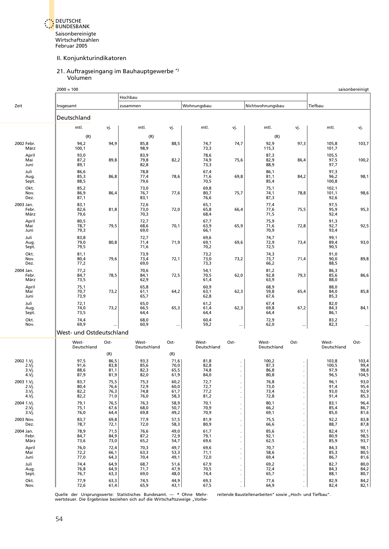Februar 2005

### II. Konjunkturindikatoren

#### 21. Auftragseingang im Bauhauptgewerbe \*) Volumen

<span id="page-41-0"></span>

|                                       | $2000 = 100$                 |                              |                              |                              |                              |                                              |                               |      |                                | saisonbereinigt                |
|---------------------------------------|------------------------------|------------------------------|------------------------------|------------------------------|------------------------------|----------------------------------------------|-------------------------------|------|--------------------------------|--------------------------------|
|                                       |                              |                              | Hochbau                      |                              |                              |                                              |                               |      |                                |                                |
| Zeit                                  | Insgesamt                    |                              | zusammen                     |                              | Wohnungsbau                  |                                              | Nichtwohnungsbau              |      | Tiefbau                        |                                |
|                                       | Deutschland                  |                              |                              |                              |                              |                                              |                               |      |                                |                                |
|                                       | mtl.                         | vj.                          | mtl.                         | vj.                          | mtl.                         | vj.                                          | mtl.                          | vj.  | mtl.                           | vj.                            |
|                                       | (R)                          |                              | (R)                          |                              |                              |                                              | (R)                           |      |                                |                                |
| 2002 Febr.                            | 94,2                         | 94,9                         | 85,8                         | 88,5                         | 74,7                         | 74,7                                         | 92,9                          | 97,3 | 105,8                          | 103,7                          |
| März                                  | 100,1                        |                              | 98,9                         |                              | 73,3                         |                                              | 115,3                         |      | 101,7                          |                                |
| April<br>Mai<br>Juni                  | 93,0<br>87,2<br>89,1         | 89,8                         | 83,9<br>79,8<br>82,8         | 82,2                         | 78,6<br>74,9<br>73,3         | 75,6                                         | 87,3<br>82,9<br>88,9          | 86,4 | 105,5<br>97,5<br>97,7          | 100,2                          |
| Juli<br>Aug.<br>Sept.                 | 86,6<br>85,3<br>88,5         | 86,8                         | 78,8<br>77,4<br>79,6         | 78,6                         | 67,4<br>71,6<br>70,5         | 69,8                                         | 86,1<br>81,1<br>85,4          | 84,2 | 97,3<br>96,2<br>100,8          | 98,1                           |
| Okt.<br>Nov.<br>Dez.                  | 85,2<br>86,9<br>87,1         | 86,4                         | 73,0<br>76,7<br>83,1         | 77,6                         | 69,8<br>80,7<br>76,6         | 75,7                                         | 75,1<br>74,1<br>87,3          | 78,8 | 102,1<br>101,1<br>92,6         | 98,6                           |
| 2003 Jan.<br>Febr.<br>März            | 83,1<br>82,6<br>79,6         | 81,8                         | 72,6<br>73,0<br>70,3         | 72,0                         | 65,1<br>65,8<br>68,4         | 66,4                                         | 77,4<br>77,6<br>71,5          | 75,5 | 97,5<br>95,9<br>92,4           | 95,3                           |
| April<br>Mai<br>Juni                  | 80,5<br>78,7<br>79,3         | 79,5                         | 72,7<br>68,6<br>69,0         | 70,1                         | 67,7<br>63,9<br>66,1         | 65,9                                         | 75,9<br>71,6<br>70,9          | 72,8 | 91,3<br>92,7<br>93,4           | 92,5                           |
| Juli<br>Aug.<br>Sept.                 | 83,8<br>79,0<br>79,5         | 80,8                         | 72,7<br>71,4<br>71,6         | 71,9                         | 69,6<br>69,1<br>70,2         | 69,6                                         | 74,7<br>72,9<br>72,5          | 73,4 | 99,1<br>89,4<br>90,5           | 93,0                           |
| Okt.<br>Nov.<br>Dez.                  | 81,1<br>80,4<br>77,2         | 79,6                         | 73,9<br>73,4<br>69,0         | 72,1                         | 73,2<br>73,0<br>73,3         | 73,2                                         | 74,3<br>73,7<br>66,2          | 71,4 | 91,0<br>90,0<br>88,5           | 89,8                           |
| 2004 Jan.<br>Febr.<br>März            | 77,2<br>84,7<br>73,5         | 78,5                         | 70,6<br>84,1<br>62,9         | 72,5                         | 54,1<br>70,5<br>61,4         | 62,0                                         | 81,2<br>92,8<br>63,9          | 79,3 | 86,3<br>85,6<br>88,0           | 86,6                           |
| April<br>Mai<br>Juni                  | 75,1<br>70,7<br>73,9         | 73,2                         | 65,8<br>61,1<br>65,7         | 64,2                         | 60,9<br>63,1<br>62,8         | 62,3                                         | 68,9<br>59,8<br>67,6          | 65,4 | 88,0<br>84,0<br>85,3           | 85,8                           |
| Juli<br>Aug.<br>Sept.                 | 72,1<br>74,0<br>73,5         | 73,2                         | 65,0<br>66,5<br>64,4         | 65,3                         | 61,2<br>61,4<br>64,4         | 62,3                                         | 67,4<br>69,8<br>64,4          | 67,2 | 82,0<br>84,3<br>86,1           | 84,1                           |
| Okt.<br>Nov.                          | 74,4<br>69,9                 |                              | 68,0<br>60,9                 |                              | 60,4<br>59,2                 |                                              | 72,9<br>62,0                  |      | 83,2<br>82,3                   |                                |
|                                       | West- und Ostdeutschland     |                              |                              |                              |                              |                                              |                               |      |                                |                                |
|                                       | West-<br>Deutschland         | Ost-                         | West-<br>Deutschland         | Ost-                         | West-<br>Deutschland         | Ost-                                         | West-<br>Deutschland          | Ost- | West-<br>Deutschland           | Ost-                           |
|                                       |                              | (R)                          |                              | (R)                          |                              |                                              |                               |      |                                |                                |
| 2002 1.Vj.<br>2.Vi.<br>3.Vj.<br>4.Vj. | 97,5<br>91,6<br>88,6<br>87,9 | 86,5<br>83,8<br>81,1<br>81,9 | 93,3<br>85,6<br>82,3<br>82,0 | 71,6<br>70,0<br>65,5<br>61,9 | 81,8<br>82,8<br>74,8<br>84,0 |                                              | 100,2<br>87,3<br>86,8<br>80,8 |      | 103,8<br>100,5<br>97,9<br>96,5 | 103,4<br>99,4<br>98,8<br>104,5 |
| 2003 1.Vj.                            | 83,7                         | 75,5                         | 75,3                         | 60,2                         | 72,7                         |                                              | 76,8                          |      | 96,1                           | 93,0                           |
| $2.V$ j.<br>3.Vj.                     | 80,4<br>82,2                 | 76,6<br>76,3                 | 72,9<br>74,8                 | 60,0<br>61,7                 | 72,7<br>77,2                 | ä,                                           | 73,0<br>73,4                  |      | 91,4<br>93,0                   | 95,4<br>92,9                   |
| 4.Vj.                                 | 82,2                         | 71,0                         | 76,0                         | 58,3                         | 81,2                         | ä,                                           | 72,8                          |      | 91,4                           | 85,3                           |
| 2004 1.Vj.<br>2.Vj.<br>3.Vj.          | 79,1<br>75,1<br>76,0         | 76,5<br>67,6<br>64,4         | 76,3<br>68,0<br>69,8         | 58,9<br>50,7<br>49,2         | 70,1<br>70,9<br>70,9         | ä,<br>ä,                                     | 80,1<br>66,2<br>69,1          |      | 83,1<br>85,4<br>85,0           | 96,4<br>86,7<br>81,6           |
| 2003 Nov.<br>Dez.                     | 83,7<br>78,7                 | 69,8<br>72,1                 | 77,9<br>72,0                 | 57,5<br>58,3                 | 81,9<br>80,9                 | $\ddot{\phantom{0}}$<br>$\ddot{\phantom{0}}$ | 75,5<br>66,6                  |      | 92,2<br>88,7                   | 83,8<br>87,8                   |
| 2004 Jan.<br>Febr.<br>März            | 78,9<br>84,7<br>73,6         | 71,5<br>84,9<br>73,0         | 76,6<br>87,2<br>65,2         | 49,0<br>72,9<br>54,7         | 61,7<br>79,1<br>69,6         | ä,                                           | 85,6<br>92,1<br>62,5          |      | 82,4<br>80,9<br>85,9           | 97,1<br>98,5<br>93,7           |
| April<br>Mai<br>Juni                  | 76,0<br>72,2<br>77,0         | 72,4<br>66,1<br>64,3         | 70,3<br>63,3<br>70,4         | 49,7<br>53,3<br>49,1         | 69,6<br>71,1<br>72,0         |                                              | 70,7<br>58,6<br>69,4          |      | 84,3<br>85,3<br>86,7           | 98,1<br>80,5<br>81,6           |
| Juli<br>Aug.<br>Sept.                 | 74,4<br>76,8<br>76,7         | 64,9<br>64,9<br>63,3         | 68,7<br>71,7<br>69,0         | 51,6<br>47,9<br>48,0         | 67,9<br>70,5<br>74,4         | $\blacksquare$                               | 69,2<br>72,4<br>65,7          |      | 82,7<br>84,3<br>88,1           | 80,0<br>84,2<br>80,7           |
| Okt.                                  | 77,9                         | 63,3                         | 74,5                         | 44,9                         | 69,3                         |                                              | 77,6                          |      | 82,9                           | 84,2                           |
| Nov.                                  | 72,6                         | 61,4                         | 65,9                         | 43,1                         | 67,5                         | ¥.                                           | 64,9                          | ÷    | 82,4                           | 82,1                           |

Quelle der Ursprungswerte: Statistisches Bundesamt. — \* Ohne Mehr- reitende Baustellenarbeiten" sowie "Hoch- und Tiefbau".<br>wertsteuer. Die Ergebnisse beziehen sich auf die Wirtschaftszweige "Vorbe-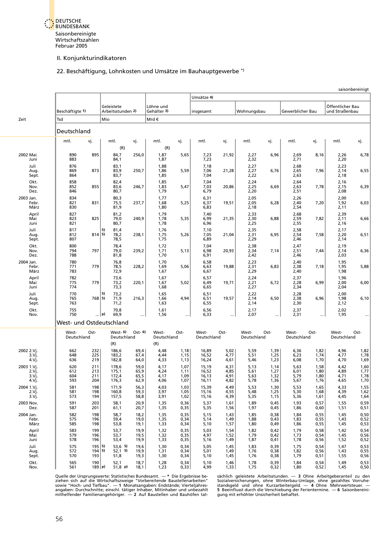

## 22. Beschäftigung, Lohnkosten und Umsätze im Bauhauptgewerbe \*)

<span id="page-42-0"></span>

|                                       |                          |                          |                                  |                              |                              |                              |                                  |                              |                              |                              |                              |                              |                              | saisonbereinigt              |
|---------------------------------------|--------------------------|--------------------------|----------------------------------|------------------------------|------------------------------|------------------------------|----------------------------------|------------------------------|------------------------------|------------------------------|------------------------------|------------------------------|------------------------------|------------------------------|
|                                       |                          |                          | Geleistete                       |                              | Löhne und                    |                              | Umsätze 4)                       |                              |                              |                              |                              |                              | Öffentlicher Bau             |                              |
|                                       | Beschäftigte 1)          |                          | Arbeitsstunden 2)                |                              | Gehälter 3)                  |                              | insgesamt                        |                              | Wohnungsbau                  |                              | Gewerblicher Bau             |                              | und Straßenbau               |                              |
| Zeit                                  | Tsd                      |                          | Mio                              |                              | Mrd€                         |                              |                                  |                              |                              |                              |                              |                              |                              |                              |
|                                       | Deutschland              |                          |                                  |                              |                              |                              |                                  |                              |                              |                              |                              |                              |                              |                              |
|                                       | mtl.                     | vj.                      | mtl.<br>(R)                      | vj.                          | mtl.<br>(R)                  | vj.                          | mtl.                             | vj.                          | mtl.                         | vj.                          | mtl.                         | vj.                          | mtl.                         | vj.                          |
| 2002 Mai<br>Juni                      | 890<br>883               | 895                      | 84,7<br>84,1                     | 256,0                        | 1,87<br>1,87                 | 5,65                         | 7,23<br>7,23                     | 21,92                        | 2,27<br>2,32                 | 6,96                         | 2,69<br>2,71                 | 8,16                         | 2,26<br>2,20                 | 6,78                         |
| Juli<br>Aug.<br>Sept.                 | 876<br>869<br>864        | 873                      | 83,1<br>83,9<br>83,7             | 250,7                        | 1,88<br>1,86<br>1,85         | 5,59                         | 7,18<br>7,06<br>7,04             | 21,28                        | 2,27<br>2,27<br>2,22         | 6,76                         | 2,68<br>2,65<br>2,63         | 7,96                         | 2,23<br>2,14<br>2,18         | 6,55                         |
| Okt.<br>Nov.<br>Dez.                  | 858<br>852<br>846        | 855                      | 82,4<br>83,6<br>80,7             | 246,7                        | 1,85<br>1,83<br>1,79         | 5,47                         | 7,04<br>7,03<br>6,79             | 20,86                        | 2,24<br>2,25<br>2,20         | 6,69                         | 2,64<br>2,63<br>2,51         | 7,78                         | 2,16<br>2,15<br>2,08         | 6,39                         |
| 2003 Jan.<br>Febr.<br>März            | 834<br>821<br>830        | 831                      | 80,3<br>75,5<br>81,9             | 237,7                        | 1,77<br>1,68<br>1,80         | 5,25                         | 6,31<br>6,37<br>6,83             | 19,51                        | 2,05<br>2,05<br>2,18         | 6,28                         | 2,26<br>2,40<br>2,54         | 7,20                         | 2,00<br>1,92<br>2,11         | 6,03                         |
| April<br>Mai<br>Juni                  | 827<br>823<br>821        | 825                      | 81,2<br>79,0<br>80,7             | 240,9                        | 1,79<br>1,78<br>1,78         | 5,35                         | 7,40<br>6,99<br>6,96             | 21,35                        | 2,33<br>2,30<br>2,25         | 6,88                         | 2,68<br>2,59<br>2,55         | 7,82                         | 2,39<br>2,11<br>2,16         | 6,66                         |
| Juli<br>Aug.<br>Sept.                 | 817<br>812<br>807        | 814 5                    | 5)<br>81,4<br>78,2<br>78,5       | 238,1                        | 1,76<br>1,75<br>1,75         | 5,26                         | 7,10<br>7,05<br>6,89             | 21,04                        | 2,35<br>2,31<br>2,29         | 6,95                         | 2,58<br>2,54<br>2,46         | 7,58                         | 2,17<br>2,20<br>2,14         | 6,51                         |
| Okt.<br>Nov.<br>Dez.                  | 800<br>794<br>788        | 797                      | 78,4<br>79,0<br>81,8             | 239,2                        | 1,72<br>1,71<br>1,70         | 5,13                         | 7,04<br>6,98<br>6,91             | 20,93                        | 2,38<br>2,34<br>2,42         | 7,14                         | 2,47<br>2,51<br>2,46         | 7,44                         | 2,19<br>2,14<br>2,03         | 6,36                         |
| 2004 Jan.<br>Febr.<br>März            | 780<br>771<br>783        | 779                      | 76,8<br>78,5<br>72,9             | 228,2                        | 1,70<br>1,69<br>1,67         | 5,06                         | 6,58<br>6,63<br>6,67             | 19,88                        | 2,23<br>2,31<br>2,29         | 6,83                         | 2,40<br>2,38<br>2,40         | 7,18                         | 1,95<br>1,95<br>1,98         | 5,88                         |
| April<br>Mai<br>Juni                  | 782<br>775<br>774        | 779                      | 73,6<br>73,2<br>73,3             | 220,1                        | 1,67<br>1,67<br>1,68         | 5,02                         | 6,57<br>6,49<br>6,65             | 19,71                        | 2,24<br>2,21<br>2,27         | 6,72                         | 2,37<br>2,28<br>2,34         | 6,99                         | 1,96<br>2,00<br>2,04         | 6,00                         |
| Juli<br>Aug.<br>Sept.                 | 770<br>765<br>763        | 768 5)                   | 73,2<br>5)<br>71,9<br>71,2       | 216,3                        | 1,65<br>1,66<br>1,63         | 4,94                         | 6,51<br>6,51<br>6,55             | 19,57                        | 2,22<br>2,14<br>2,14         | 6,50                         | 2,28<br>2,38<br>2,30         | 6,96                         | 2,00<br>1,98<br>2,12         | 6, 10                        |
| Okt.<br>Nov.                          | 755<br>750               |                          | 70,8<br>$\ldots$   p)<br>69,9    | $\cdots$                     | 1,61<br>1,56                 |                              | 6,56<br>6,33                     | $\cdots$                     | 2,17<br>2,07                 | $\cdots$                     | 2,37<br>2,31                 | $\ddotsc$                    | 2,02<br>1,95                 |                              |
|                                       |                          |                          | West- und Ostdeutschland         |                              |                              |                              |                                  |                              |                              |                              |                              |                              |                              |                              |
|                                       | West-<br>Deutschland     | Ost-                     | West- 6)<br>Deutschland<br>(R)   | $Ost-6$                      | West-<br>Deutschland<br>(R)  | Ost-                         | West-<br>Deutschland             | Ost-                         | West-<br>Deutschland         | Ost-                         | West-<br>Deutschland         | Ost-                         | West-<br>Deutschland         | Ost-                         |
| 2002 2.Vj.<br>3.Vj.<br>4.Vj.          | 662<br>648<br>636        | 232<br>225<br>219        | 186,6<br>183,2<br>182,8          | 69,4<br>67,4<br>64,0         | 4,48<br>4,44<br>4,33         | 1,18<br>1,15<br>1,13         | 16,89<br>16,52<br>16,24          | 5,02<br>4,77<br>4,61         | 5,59<br>5,51<br>5,46         | 1,39<br>1,25<br>1,23         | 6,36<br>6,23<br>6,08         | 1,82<br>1,74<br>1,70         | 4,96<br>4,77<br>4,70         | 1,82<br>1,78<br>1,69         |
| 2003 1.Vj.<br>2.Vj.<br>3.Vj.<br>4.Vj. | 620<br>612<br>604<br>593 | 211<br>213<br>211<br>204 | 178,6<br>175,1<br>172,4<br>176,3 | 59,0<br>65,9<br>65,5<br>62,9 | 4,17<br>4,24<br>4,17<br>4,06 | 1,07<br>1,11<br>1,09<br>1,07 | 15,19<br>16,52<br>16,13<br>16,11 | 4,31<br>4,85<br>4,91<br>4,82 | 5,13<br>5,61<br>5,63<br>5,78 | 1,14<br>1,27<br>1,32<br>1,36 | 5,63<br>6,01<br>5,79<br>5,67 | 1,58<br>1,80<br>1,80<br>1,76 | 4,42<br>4,89<br>4,71<br>4,65 | 1,60<br>1,77<br>1,78<br>1,70 |
| 2004 1.Vj.<br>$2.V$ j.<br>3.Vj.       | 581<br>581<br>573        | 198<br>198<br>194        | 171,9<br>160,8<br>157,5          | 56,3<br>59,3<br>58,8         | 4,03<br>3,97<br>3,91         | 1,03<br>1,05<br>1,02         | 15,39<br>15,16<br>15,16          | 4,49<br>4,55<br>4,39         | 5,53<br>5,48<br>5,35         | 1,30<br>1,25<br>1,15         | 5,53<br>5,30<br>5,36         | 1,65<br>1,68<br>1,61         | 4,33<br>4,39<br>4,45         | 1,55<br>1,62<br>1,64         |
| 2003 Nov.<br>Dez.                     | 591<br>587               | 203<br>201               | 58,1<br>61,1                     | 20,9<br>20,7                 | 1,35<br>1,35                 | 0,36<br>0,35                 | 5,37<br>5,35                     | 1,61<br>1,56                 | 1,89<br>1,97                 | 0,45<br>0,45                 | 1,93<br>1,86                 | 0,57<br>0,60                 | 1,55<br>1,51                 | 0,59<br>0,51                 |
| 2004 Jan.<br>Febr.<br>März            | 582<br>575<br>585        | 198<br>196<br>198        | 58,7<br>59,4<br>53,8             | 18,2<br>19,0<br>19,1         | 1,35<br>1,35<br>1,33         | 0,35<br>0,34<br>0,34         | 5,15<br>5,14<br>5,10             | 1,43<br>1,49<br>1,57         | 1,85<br>1,88<br>1,80         | 0,38<br>0,43<br>0,49         | 1,84<br>1,83<br>1,86         | 0,55<br>0,55<br>0,55         | 1,45<br>1,43<br>1,45         | 0,50<br>0,52<br>0,53         |
| April<br>Mai<br>Juni                  | 583<br>579<br>578        | 199<br>196<br>196        | 53,7<br>53,7<br>53,4             | 19,9<br>19,5<br>19,9         | 1,32<br>1,32<br>1,33         | 0,35<br>0,35<br>0,35         | 5,03<br>4,97<br>5,16             | 1,54<br>1,52<br>1,49         | 1,82<br>1,79<br>1,87         | 0,42<br>0,42<br>0,41         | 1,79<br>1,73<br>1,78         | 0,58<br>0,54<br>0,56         | 1,42<br>1,45<br>1,52         | 0,54<br>0,56<br>0,52         |
| Juli<br>Aug.<br>Sept.                 | 575<br>572<br>570        | 195 5<br>194 5<br>193    | $53,6$ 5)<br>$52,1$ 5)<br>51,8   | 19,6<br>19,9<br>19,3         | 1,30<br>1,31<br>1,30         | 0,34<br>0,34<br>0,34         | 5,05<br>5,01<br>5,10             | 1,45<br>1,49<br>1,45         | 1,83<br>1,76<br>1,76         | 0,39<br>0,38<br>0,38         | 1,75<br>1,82<br>1,79         | 0,54<br>0,56<br>0,51         | 1,47<br>1,43<br>1,55         | 0,53<br>0,55<br>0,56         |
| Okt.<br>Nov.                          | 565<br>561               | 190<br>189 p)            | 52,1<br>51,8 p)                  | 18,7<br>18,1                 | 1,28<br>1,23                 | 0,34<br>0,33                 | 5,10<br>4,99                     | 1,46<br>1,33                 | 1,78<br>1,75                 | 0,39<br>0,32                 | 1,84<br>1,80                 | 0,54<br>0,52                 | 1,49<br>1,45                 | 0,53<br>0,50                 |

Quelle der Ursprungswerte: Statistisches Bundesamt.  $-$  \* Die Ergebnisse beziehen sich auf die Wirtschaftszweige "Vorbereitende Baustellenarbeiten" sowie "Hoch- und Tiefbau".  $-1$  Monatsangaben: Endstände; Vierteljahres-<br>

Quelle der Ursprungswerte: Statistisches Bundesamt. — \* Die Ergebnisse be- sächlich geleistete Arbeitsstunden. — 3 Ohne Arbeitgeberanteil zu den<br>ziehen sich auf die Wirtschaftszweige "Vorbereitende Baustellenarbeiten" Sozi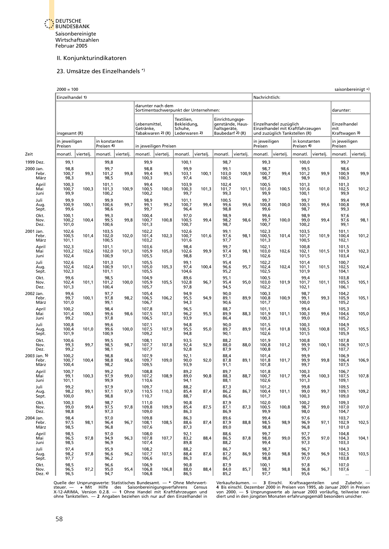

#### 23. Umsätze des Einzelhandels \*)

<span id="page-43-0"></span>

|                               | $2000 = 100$             |           |                             |           |                            |                                                             |                                                       |           |                                                                         |           |                          |                                                                                             |                             |           |                                      | saisonbereinigt + |
|-------------------------------|--------------------------|-----------|-----------------------------|-----------|----------------------------|-------------------------------------------------------------|-------------------------------------------------------|-----------|-------------------------------------------------------------------------|-----------|--------------------------|---------------------------------------------------------------------------------------------|-----------------------------|-----------|--------------------------------------|-------------------|
|                               | Einzelhandel 1)          |           |                             |           |                            |                                                             |                                                       |           |                                                                         |           | Nachrichtlich:           |                                                                                             |                             |           |                                      |                   |
|                               |                          |           |                             |           |                            | darunter nach dem<br>Sortimentsschwerpunkt der Unternehmen: |                                                       |           |                                                                         |           |                          |                                                                                             |                             |           | darunter:                            |                   |
|                               | insgesamt (R)            |           |                             |           | Lebensmittel,<br>Getränke, | Tabakwaren 2) (R)                                           | Textilien,<br>Bekleidung,<br>Schuhe.<br>Lederwaren 2) |           | Einrichtungsge-<br>genstände, Haus-<br>haltsgeräte,<br>Baubedarf 2) (R) |           |                          | Einzelhandel zuzüglich<br>Einzelhandel mit Kraftfahrzeugen<br>und zuzüglich Tankstellen (R) |                             |           | Einzelhandel<br>mit<br>Kraftwagen 3) |                   |
|                               | in jeweiligen<br>Preisen |           | in konstanten<br>Preisen 4) |           |                            | in jeweiligen Preisen                                       |                                                       |           |                                                                         |           | in jeweiligen<br>Preisen |                                                                                             | in konstanten<br>Preisen 4) |           | in jeweiligen<br>Preisen             |                   |
| Zeit                          | monatl.                  | viertelj. | monatl.                     | viertelj. | monatl.                    | viertelj.                                                   | monatl.                                               | vierteli. | monatl.                                                                 | vierteli. | monatl.                  | vierteli.                                                                                   | monatl.                     | viertelj. | monatl.                              | viertelj.         |
| 1999 Dez.                     | 99,1                     |           | 99,8                        |           | 99,9                       |                                                             | 100,1                                                 |           | 98,7                                                                    |           | 99,3                     |                                                                                             | 100,0                       |           | 99,7                                 |                   |
| 2000 Jan.<br>Febr.<br>März    | 98,8<br>100,7<br>98,3    | 99,3      | 99,7<br>101,2<br>98,5       | 99,8      | 98,8<br>99,4<br>100,3      | 99,5                                                        | 99,9<br>103,1<br>97,4                                 | 100,1     | 99,1<br>103,0<br>100,5                                                  | 100,9     | 98,7<br>100,7<br>98,7    | 99,4                                                                                        | 99,5<br>101,2<br>98,9       | 99,9      | 98,6<br>100,9<br>100,3               | 99,9              |
| April<br>Mai<br>Juni          | 100,3<br>100,7<br>99,9   | 100,3     | 101,1<br>101,3<br>100,2     | 100,9     | 99,4<br>100,5<br>100,2     | 100,0                                                       | 103,9<br>100,3<br>99,7                                | 101,3     | 102,4<br>101,7<br>99,3                                                  | 101,1     | 100,5<br>101,0<br>99,9   | 100,5                                                                                       | 101,3<br>101,6<br>100,1     | 101,0     | 101,3<br>102,5<br>99,9               | 101,2             |
| Juli<br>Aug.<br>Sept.         | 99,9<br>100,9<br>99,6    | 100,1     | 99,9<br>100,6<br>98,6       | 99,7      | 98,9<br>99,1<br>99,7       | 99,2                                                        | 101,1<br>100,7<br>96,4                                | 99,4      | 100,5<br>99,6<br>98,8                                                   | 99,6      | 99,7<br>100,8<br>99,6    | 100,0                                                                                       | 99,7<br>100,5<br>98,7       | 99,6      | 99,4<br>100,8<br>99,3                | 99,8              |
| Okt.<br>Nov.<br>Dez.          | 100,1<br>100,2<br>101,0  | 100,4     | 99,3<br>99,5<br>100,6       | 99,8      | 100,4<br>100,7<br>101,3    | 100,8                                                       | 97,0<br>100,5<br>100,7                                | 99,4      | 98,9<br>98,2<br>98,7                                                    | 98,6      | 99,6<br>99,7<br>100,7    | 100,0                                                                                       | 98,9<br>99,0<br>100,2       | 99,4      | 97,6<br>97,6<br>99,1                 | 98,1              |
| 2001 Jan.<br>Febr.<br>März    | 102,6<br>100,5<br>101,1  | 101,4     | 103,5<br>102,0<br>100,5     | 102,0     | 102,2<br>101,4<br>103,2    | 102,3                                                       | 102,6<br>100,7<br>101,6                               | 101,6     | 99,1<br>97.6<br>97,7                                                    | 98,1      | 102,3<br>100, 5<br>101,3 | 101,4                                                                                       | 103,5<br>101,7<br>100,5     | 101,9     | 101,1<br>100,4<br>102,1              | 101,2             |
| April<br>Mai<br>Juni          | 102,3<br>103,2<br>102,4  | 102,6     | 101,1<br>102,0<br>100,9     | 101,3     | 103,6<br>105,9<br>105,5    | 105,0                                                       | 98,4<br>102,6<br>98,8                                 | 99,9      | 99,7<br>97,4<br>97,3                                                    | 98,1      | 102,1<br>103,0<br>102,6  | 102,6                                                                                       | 100,8<br>102,1<br>101,5     | 101,5     | 101,5<br>101,9<br>103,4              | 102,3             |
| Juli<br>Aug.<br>Sept.         | 102,6<br>102,4<br>102,3  | 102,4     | 101,3<br>100,9<br>101,1     | 101,1     | 105,5<br>105,0<br>105,5    | 105,3                                                       | 99,1<br>97,4<br>104,6                                 | 100,4     | 95,4<br>96,6<br>95,2                                                    | 95,7      | 102,2<br>102,4<br>102,5  | 102,4                                                                                       | 101,4<br>101,1<br>101,9     | 101,5     | 100,7<br>102,5<br>104,1              | 102,4             |
| Okt.<br>Nov.<br>Dez.          | 99,6<br>102,4<br>101,3   | 101,1     | 98,5<br>101,2<br>100,4      | 100,0     | 104,9<br>105,9<br>105,7    | 105,5                                                       | 89,6<br>102,8<br>97,8                                 | 96,7      | 95,1<br>95,4<br>94,5                                                    | 95,0      | 100,5<br>103,0<br>102,2  | 101,9                                                                                       | 99,4<br>101,7<br>102,1      | 101,1     | 103,8<br>105,5<br>106,1              | 105,1             |
| 2002 Jan.<br>Febr.<br>März    | 99,6<br>99,7<br>101,0    | 100,1     | 97,7<br>97,8<br>99,1        | 98,2      | 105,4<br>106,5<br>106,7    | 106,2                                                       | 94,9<br>95,5<br>94,3                                  | 94,9      | 90.0<br>89,1<br>90,6                                                    | 89,9      | 100,3<br>100,8<br>101,7  | 100,9                                                                                       | 98,7<br>99,1<br>100,0       | 99,3      | 104,2<br>105,9<br>105,2              | 105,1             |
| April<br>Mai<br>Juni          | 100,2<br>101,4<br>99,2   | 100,3     | 98,4<br>99,6<br>97,8        | 98,6      | 107,8<br>107,5<br>106,5    | 107,3                                                       | 96,5<br>96,2<br>93,9                                  | 95,5      | 88,7<br>89,9<br>86,4                                                    | 88,3      | 101,1<br>101,9<br>100,3  | 101,1                                                                                       | 99.4<br>100,3<br>99,0       | 99,6      | 105,3<br>104,6<br>105,2              | 105,0             |
| Juli<br>Aug.<br>Sept.         | 100,8<br>100,4<br>101,9  | 101,0     | 99,6<br>99,6<br>100,9       | 100,0     | 107,1<br>107,5<br>109,2    | 107,9                                                       | 94,8<br>95,5<br>94,8                                  | 95,0      | 90,0<br>89,7<br>90,1                                                    | 89,9      | 101,5<br>101,4<br>102,6  | 101,8                                                                                       | 100,3<br>100,5<br>101,5     | 100,8     | 104,9<br>105,7<br>105,9              | 105,5             |
| Okt.<br>Nov.<br>Dez.          | 100,6<br>99,3<br>99,2    | 99,7      | 99,5<br>98,5<br>98,1        | 98,7      | 108,1<br>107,7<br>107,7    | 107,8                                                       | 93,5<br>92,4<br>92,8                                  | 92,9      | 88,2<br>88,0<br>87,9                                                    | 88,0      | 101,9<br>100,8<br>100,8  | 101,2                                                                                       | 100,8<br>99,9<br>99,7       | 100,1     | 107,8<br>106,9<br>107,7              | 107,5             |
| 2003 Jan. 5)<br>Febr.<br>März | 100,2<br>100,7<br>100,4  | 100,4     | 98,8<br>98,8<br>98,2        | 98,6      | 107,9<br>109,7<br>109,5    | 109,0                                                       | 92,1<br>90,0<br>93,9                                  | 92,0      | 88,4<br>87,8<br>91,1                                                    | 89,1      | 101,4<br>101,8<br>101,8  | 101,7                                                                                       | 99,9<br>99,9<br>99,7        | 99,8      | 106,9<br>106,4<br>107,5              | 106,9             |
| April<br>Mai<br>Juni          | 100,7<br>99,1<br>101,1   | 100,3     | 99,2<br>97,9<br>99,9        | 99,0      | 108,8<br>107,2<br>110,6    | 108,9                                                       | 89,2<br>89,0<br>94,1                                  | 90,8      | 89,7<br>88,3<br>88,1                                                    | 88,7      | 101,8<br>100,7<br>102,6  | 101,7                                                                                       | 100,3<br>99,4<br>101,3      | 100,3     | 106,7<br>107,5<br>109,1              | 107,8             |
| Juli<br>Aug.<br>Sept.         | 99,2<br>98,2<br>100,0    | 99,1      | 97,9<br>97,1<br>98,8        | 97,9      | 109,7<br>110,5<br>110,7    | 110,3                                                       | 88,2<br>85,4<br>88,7                                  | 87,4      | 87,3<br>86,2<br>86,6                                                    | 86,7      | 101,2<br>100,4<br>101,7  | 101,1                                                                                       | 99,8<br>99,0<br>100,3       | 99,7      | 109,5<br>109,1<br>109,0              | 109,2             |
| Okt.<br>Nov.<br>Dez.          | 100,3<br>99,0<br>98,8    | 99,4      | 98,7<br>97,5<br>97,3        | 97,8      | 111,0<br>109,8<br>109,0    | 109,9                                                       | 90,8<br>85,4<br>86,3                                  | 87,5      | 87,9<br>87,1<br>86,9                                                    | 87,3      | 102,0<br>100,5<br>99,9   | 100,8                                                                                       | 100,2<br>98,7<br>98,0       | 99,0      | 109,3<br>107,0<br>104,7              | 107,0             |
| 2004 Jan.<br>Febr.<br>März    | 98,4<br>97,5<br>98,5     | 98,1      | 97,0<br>96,4<br>96,8        | 96,7      | 109,8<br>108,1<br>107,6    | 108,5                                                       | 86,3<br>88,6<br>87,3                                  | 87,4      | 89,6<br>87,9<br>89,0                                                    | 88,8      | 99,4<br>98,5<br>98,8     | 98,9                                                                                        | 97,6<br>96,9<br>96,8        | 97,1      | 103,7<br>102,9<br>101,0              | 102,5             |
| April<br>Mai<br>Juni          | 98,5<br>96,5<br>98,5     | 97,8      | 97,0<br>94,9<br>96,9        | 96,3      | 108,0<br>107,8<br>107,4    | 107,7                                                       | 92,1<br>83,2<br>89,8                                  | 88,4      | 88,6<br>86,5<br>88,2                                                    | 87,8      | 99,7<br>98,0<br>99,4     | 99,0                                                                                        | 97,7<br>95,9<br>97,3        | 97,0      | 104,8<br>104,3<br>103,3              | 104,1             |
| Juli<br>Aug.<br>Sept.         | 97,4<br>98,2<br>97,7     | 97,8      | 95,9<br>96,6<br>96,2        | 96,2      | 108,2<br>107,7<br>106,6    | 107,5                                                       | 88,2<br>88,4<br>86,3                                  | 87,6      | 86,7<br>87,2<br>86,7                                                    | 86,9      | 98,7<br>99,0<br>98,8     | 98,8                                                                                        | 96,7<br>96,9<br>97,0        | 96,9      | 104,3<br>102,5<br>103,8              | 103,5             |
| Okt.<br>Nov.<br>Dez. s)       | 98,5<br>96,5<br>96,5     | 97,2      | 96,6<br>95,0<br>94,7        | 95,4      | 106,9<br>106,8<br>106,8    | 106,8                                                       | 90,8<br>88,0<br>86,5                                  | 88,4      | 87,9<br>84,0<br>85,2                                                    | 85,7      | 100,1<br>98,7<br>97,7    | 98,8                                                                                        | 97,8<br>96,8<br>95,6        | 96,7      | 107,0<br>107,6<br>$\ddotsc$          | $\cdots$          |

Quelle der Ursprungswerte: Statistisches Bundesamt. — \* Ohne Mehrwert-<br>steuer. — + Mit Hilfe des Saisonbereinigungsverfahrens Census<br>X-12-ARIMA, Version 0.2.8. — 1 Ohne Handel mit Kraftfahrzeugen und<br>ohne Tankstellen. — 2

Quelle der Ursprungswerte: Statistisches Bundesamt. — \* Ohne Mehrwert- Werkaufsräumen. — 3 Einschl. Kraftwagenteilen und Zubehör. —<br>steuer. — + Mit Hilfe des Saisonbereinigungsverfahrens Census – 4 Bis einschl. Dezember 20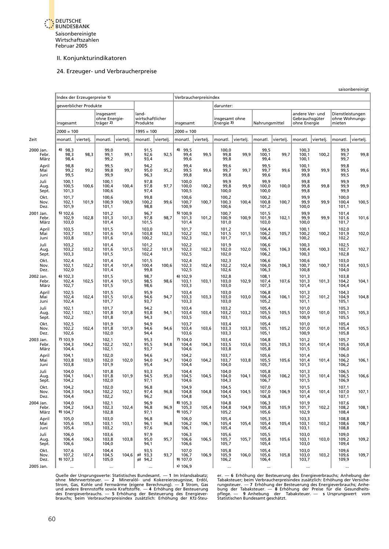<span id="page-44-0"></span>

### 24. Erzeuger- und Verbraucherpreise

|                            |                            | Index der Erzeugerpreise 1) |                                         |           |                                       |           |                               |                       |                              |           |                         |           |                                                   | saisonbereinigt |                                              |           |
|----------------------------|----------------------------|-----------------------------|-----------------------------------------|-----------|---------------------------------------|-----------|-------------------------------|-----------------------|------------------------------|-----------|-------------------------|-----------|---------------------------------------------------|-----------------|----------------------------------------------|-----------|
|                            |                            |                             |                                         |           |                                       |           |                               | Verbraucherpreisindex |                              |           |                         |           |                                                   |                 |                                              |           |
|                            |                            | gewerblicher Produkte       |                                         |           |                                       |           |                               |                       | darunter:                    |           |                         |           |                                                   |                 |                                              |           |
|                            | insgesamt                  |                             | insgesamt<br>ohne Energie-<br>träger 2) |           | land-<br>wirtschaftlicher<br>Produkte |           | insgesamt                     |                       | insgesamt ohne<br>Energie 3) |           | Nahrungsmittel          |           | andere Ver- und<br>Gebrauchsgüter<br>ohne Energie |                 | Dienstleistungen<br>ohne Wohnungs-<br>mieten |           |
|                            | $2000 = 100$               |                             |                                         |           | $1995 = 100$                          |           | $2000 = 100$                  |                       |                              |           |                         |           |                                                   |                 |                                              |           |
| Zeit                       | monatl.                    | viertelj.                   | monatl.                                 | viertelj. | monatl.                               | viertelj. | monatl.                       | viertelj.             | monatl.                      | viertelj. | monatl.                 | viertelj. | monatl.                                           | viertelj.       | monatl.                                      | viertelj. |
| 2000 Jan.<br>Febr.<br>März | 4) 98,3<br>98,3<br>98,4    | 98,3                        | 99,0<br>99,1<br>99,2                    | 99,1      | 91,5<br>92,6<br>93,4                  | 92,5      | 4) 99,5<br>99,4<br>99,6       | 99,5                  | 100,0<br>99,8<br>99,8        | 99,9      | 99,5<br>100,1<br>99,4   | 99,7      | 100,3<br>100,1<br>100,1                           | 100,2           | 99,9<br>99,7<br>99,7                         | 99,8      |
| April<br>Mai<br>Juni       | 98,8<br>99,2<br>99,5       | 99,2                        | 99,5<br>99,8<br>99,9                    | 99,7      | 94,2<br>95,0<br>96,3                  | 95,2      | 99,4<br>99,5<br>99,8          | 99,6                  | 99,6<br>99,7<br>99,8         | 99,7      | 99,5<br>99,7<br>99,6    | 99,6      | 100,1<br>99,9<br>99,8                             | 99,9            | 99,8<br>99,5<br>99,5                         | 99,6      |
| Juli<br>Aug.<br>Sept.      | 100,1<br>100,5<br>101,3    | 100,6                       | 100,1<br>100,4<br>100,6                 | 100,4     | 97,8<br>97,8<br>97,4                  | 97,7      | 100.0<br>100,0<br>100,5       | 100,2                 | 99,9<br>99,8<br>100,0        | 99,9      | 99,9<br>100,0<br>100,0  | 100,0     | 99,8<br>99,8<br>99,8                              | 99,8            | 99,9<br>99,9<br>99,9                         | 99,9      |
| Okt.<br>Nov.<br>Dez.       | 101,7<br>102,1<br>101,9    | 101,9                       | 100,6<br>100,9<br>101,1                 | 100,9     | 99,8<br>100,2<br>98,8                 | 99,6      | 100,6<br>100,7<br>100,9       | 100,7                 | 100,2<br>100,3<br>100,6      | 100,4     | 100,2<br>100,8<br>101,2 | 100,7     | 99,9<br>99,9<br>100,0                             | 99,9            | 100,0<br>100,4<br>101,1                      | 100,5     |
| 2001 Jan.<br>Febr.<br>März | 5) 102,6<br>102,9<br>103,0 | 102,8                       | 101,2<br>101,3<br>101,4                 | 101,3     | 96,7<br>97,8<br>101,5                 | 98,7      | 5) 100,9<br>101,3<br>101,4    | 101,2                 | 100,7<br>100,9<br>101,0      | 100,9     | 101,5<br>101,9<br>103,0 | 102,1     | 99,9<br>99,9<br>100,0                             | 99,9            | 101,4<br>101,6<br>101,7                      | 101,6     |
| April<br>Mai<br>Juni       | 103,5<br>103,7<br>103,8    | 103,7                       | 101,5<br>101,6<br>101,6                 | 101,6     | 103,0<br>103,8<br>100,2               | 102,3     | 101,7<br>102,2<br>102,3       | 102,1                 | 101,2<br>101,5<br>101,7      | 101,5     | 104,4<br>106,2<br>106,4 | 105,7     | 100,1<br>100,2<br>100,2                           | 100,2           | 102,0<br>101,9<br>102,2                      | 102,0     |
| Juli<br>Aug.<br>Sept.      | 103,2<br>103,2<br>103,3    | 103,2                       | 101,4<br>101,6<br>101,5                 | 101,5     | 101,2<br>102,2<br>102,4               | 101,9     | 102,2<br>102,3<br>102,5       | 102,3                 | 101,9<br>102,0<br>102,0      | 102,0     | 106,6<br>106,1<br>106,2 | 106,3     | 100,3<br>100,4<br>100,3                           | 100,3           | 102,5<br>102,7<br>102,8                      | 102,7     |
| Okt.<br>Nov.<br>Dez.       | 102,4<br>102,1<br>102,0    | 102,2                       | 101,4<br>101,4<br>101,4                 | 101,4     | 101,5<br>100,4<br>99,8                | 100,6     | 102,4<br>102,3<br>102,5       | 102,4                 | 102,3<br>102,2<br>102,6      | 102,4     | 106,6<br>106,0<br>106,3 | 106,3     | 100,6<br>100,7<br>100,8                           | 100,7           | 103,0<br>103,4<br>104,0                      | 103,5     |
| 2002 Jan.<br>Febr.<br>März | 6) 102,3<br>102,4<br>102,7 | 102,5                       | 101,5<br>101,4<br>101,5                 | 101,5     | 98,7<br>98,5<br>98,6                  | 98,6      | $6)$ 102.9<br>103,1<br>103,3  | 103,1                 | 102,8<br>103,0<br>103,0      | 102,9     | 108,1<br>107,4<br>107,3 | 107,6     | 101,3<br>101,3<br>101,4                           | 101,3           | 103,8<br>104,2<br>104,4                      | 104,1     |
| April<br>Mai<br>Juni       | 102,5<br>102,4<br>102,4    | 102,4                       | 101,5<br>101,5<br>101,7                 | 101,6     | 95,9<br>94,6<br>93,7                  | 94,7      | 103,4<br>103,3<br>103,3       | 103,3                 | 103,0<br>103,0<br>103,0      | 103,0     | 106,8<br>106,4<br>105,2 | 106,1     | 101,3<br>101,2<br>101,1                           | 101,2           | 104,3<br>104,9<br>105,1                      | 104,8     |
| Juli<br>Aug.<br>Sept.      | 102,1<br>102,1<br>102,2    | 102,1                       | 101,7<br>101,8<br>101,8                 | 101,8     | 94,2<br>93,8<br>94,3                  | 94,1      | 103,4<br>103,4<br>103,5       | 103,4                 | 103,2<br>103,2<br>103,1      | 103,2     | 105,4<br>105,5<br>105,6 | 105,5     | 101,0<br>101,0<br>100,9                           | 101,0           | 105,3<br>105,1<br>105,5                      | 105,3     |
| Okt.<br>Nov.<br>Dez.       | 102,5<br>102,2<br>102,6    | 102,4                       | 101,9<br>101,8<br>102,0                 | 101,9     | 94,9<br>94,6<br>94,4                  | 94,6      | 103,7<br>103,4<br>103,6       | 103,6                 | 103,4<br>103,3<br>103,3      | 103,3     | 105,4<br>105,1<br>105,1 | 105,2     | 101,0<br>101,0<br>100,9                           | 101,0           | 105,4<br>105,4<br>105,8                      | 105,5     |
| 2003 Jan.<br>Febr.<br>März | 7) 103,9<br>104,3<br>104,4 | 104,2                       | 102,1<br>102,2<br>102,1                 | 102,1     | 95,3<br>95,5<br>93,7                  | 94,8      | 7) 104,0<br>104,4<br>104,6    | 104,3                 | 103,4<br>103,5<br>103,8      | 103,6     | 104,8<br>105,3<br>105,8 | 105,3     | 101,2<br>101,4<br>101,5                           | 101,4           | 105,7<br>105,6<br>106,0                      | 105,8     |
| April<br>Mai<br>Juni       | 104,1<br>103,8<br>103,8    | 103,9                       | 102,0<br>102,0<br>101,9                 | 102,0     | 94,6<br>94,0<br>95,4                  | 94,7      | 104,2<br>104,0<br>104,4       | 104,2                 | 103,7<br>103,7<br>104,0      | 103,8     | 105,6<br>105,5<br>105,7 | 105,6     | 101,4<br>101,4<br>101,3                           | 101,4           | 106,0<br>106,2<br>106,2                      | 106,1     |
| Juli<br>Aug.<br>Sept.      | 104,0<br>104,1<br>104,2    | 104,1                       | 101,8<br>101,8<br>102,0                 | 101,9     | 93,3<br>94,5<br>97,1                  | 95,0      | 104,4<br>104,5<br>104,6       | 104,5                 | 104,0<br>104,0<br>104,3      | 104,1     | 105,8<br>106,0<br>106,7 | 106,2     | 101,3<br>101,3<br>101,5                           | 101,4           | 106,5<br>106,5<br>106,9                      | 106,6     |
| Okt.<br>Nov.<br>Dez.       | 104,2<br>104,3<br>104,4    | 104,3                       | 102,0<br>102,2<br>102,2                 | 102,1     | 96,8<br>97,4<br>96,2                  | 96,8      | 104,9<br>104,8<br>104,8       | 104,8                 | 104,5<br>104,4<br>104,5      | 104,5     | 107,0<br>107,0<br>106,8 | 106,9     | 101,5<br>101,4<br>101,4                           | 101,4           | 107,1<br>107,0<br>107,1                      | 107,1     |
| 2004 Jan.<br>Febr.<br>März | 104,0<br>104,2<br>9) 104,7 | 104,3                       | 102,1<br>102,3<br>102,8                 | 102,4     | 96,9<br>96,8<br>97,1                  | 96,9      | 8) 105,3<br>105,3<br>9) 105,7 | 105,4                 | 104,8<br>104,8<br>105,2      | 104,9     | 106,3<br>105,8<br>105,6 | 105,9     | 101,9<br>101,7<br>102,9                           | 102,2           | 107,6<br>108,2<br>108,4                      | 108,1     |
| April<br>Mai<br>Juni       | 105,0<br>105,6<br>105,4    | 105,3                       | 103,0<br>103,1<br>103,2                 | 103,1     | 96,8<br>96,1<br>97,6                  | 96,8      | 106,0<br>106,2<br>106,1       | 106,1                 | 105,4<br>105,4<br>105,4      | 105,4     | 105,3<br>105,4<br>105,4 | 105,4     | 103,3<br>103,1<br>103,1                           | 103,2           | 108,8<br>108,6<br>108,8                      | 108,7     |
| Juli<br>Aug.<br>Sept.      | 106,0<br>106,4<br>106,6    | 106,3                       | 103,6<br>103,8<br>104,0                 | 103,8     | 97,9<br>95,0<br>94,1                  | 95,7      | 106,3<br>106,6<br>106,6       | 106,5                 | 105,6<br>105,7<br>105,7      | 105,7     | 105,5<br>105,8<br>105,4 | 105,6     | 103,0<br>103,1<br>103,0                           | 103,0           | 109,0<br>109,2<br>109,4                      | 109,2     |
| Okt.<br>Nov.<br>Dez.       | 107,6<br>107,2<br>9) 107,3 | 107,4                       | 104,4<br>104,5<br>105,0                 | 104,6     | 93,5<br>p) 93,3<br>p) 94,2            | 93,7      | 107,0<br>106,7<br>9) 107,0    | 106,9                 | 105,8<br>105,9<br>106,2      | 106,0     | 105,4<br>105,6<br>106,4 | 105,8     | 103,0<br>103,0<br>103,7                           | 103,2           | 109,6<br>109,6<br>109,9                      | 109,7     |
| 2005 Jan.                  |                            |                             |                                         |           |                                       |           | s) 106,9                      |                       |                              |           |                         |           |                                                   |                 |                                              |           |

Quelle der Ursprungswerte: Statistisches Bundesamt. — 1 Im Inlandsabsatz; er. — 6 Erhöhung der Besteuerung des Energieverbrauchs; Anhebung der den bohne Mehrwertsteuer. — 2 Mineralöl- und Kokereierzeugnisse, Erdöl, Tabakst Quelle der Ursprungswerte: Statistisches Bundesamt.  $-1$  Im Inlandsabsatz; ohne Mehrwertsteuer.  $-2$  Mineralöl- und Kokereierzeugnisse, Erdöl, Strom, Gas, Kohle und Fernwärme (eigene Berechnung).  $-3$  Strom, Gas und ander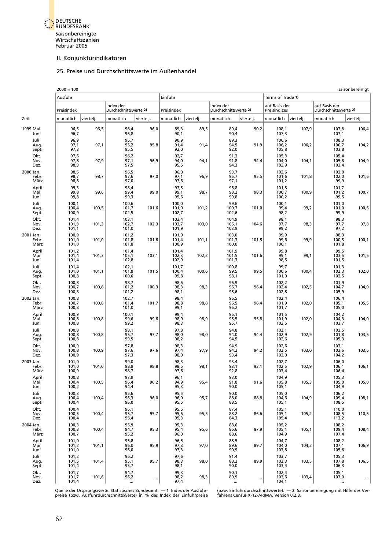### II. Konjunkturindikatoren

## 25. Preise und Durchschnittswerte im Außenhandel

<span id="page-45-0"></span>

|                            | $2000 = 100$                |           |                                    |                      |                         |           |                                    |           |                               |       |                                        | saisonbereinigt |
|----------------------------|-----------------------------|-----------|------------------------------------|----------------------|-------------------------|-----------|------------------------------------|-----------|-------------------------------|-------|----------------------------------------|-----------------|
|                            | Ausfuhr                     |           |                                    |                      | Einfuhr                 |           |                                    |           | Terms of Trade 1)             |       |                                        |                 |
|                            | Preisindex                  |           | Index der<br>Durchschnittswerte 2) |                      | Preisindex              |           | Index der<br>Durchschnittswerte 2) |           | auf Basis der<br>Preisindizes |       | auf Basis der<br>Durchschnittswerte 2) |                 |
| Zeit                       | monatlich                   | viertelj. | monatlich                          | viertelj.            | monatlich               | viertelj. | monatlich                          | viertelj. | monatlich viertelj.           |       | monatlich                              | viertelj.       |
| 1999 Mai<br>Juni           | 96,5<br>96,7                | 96,5      | 96,4<br>96,8                       | 96,0                 | 89,3<br>90,1            | 89,5      | 89,4<br>90,4                       | 90,2      | 108,1<br>107,3                | 107,9 | 107,8<br>107,1                         | 106,4           |
| Juli<br>Aug.<br>Sept.      | 96,9<br>97,1<br>97,3        | 97,1      | 96,7<br>95,2<br>95,5               | 95,8                 | 90,9<br>91,4<br>92,0    | 91,4      | 89,3<br>94,5<br>92,0               | 91,9      | 106,6<br>106,2<br>105,8       | 106,2 | 108,3<br>100,7<br>103,8                | 104,2           |
| Okt.<br>Nov.<br>Dez.       | 97,6<br>97,8<br>98,3        | 97,9      | 96,2<br>97,1<br>97,5               | 96,9                 | 92,7<br>94,0<br>95,5    | 94,1      | 91,3<br>91,8<br>94,3               | 92,4      | 105,3<br>104,0<br>102,9       | 104,1 | 105,4<br>105,8<br>103,4                | 104,9           |
| 2000 Jan.<br>Febr.<br>März | 98,5<br>98,7<br>98,8        | 98,7      | 96,5<br>97,6<br>97,0               | 97,0                 | 96,0<br>97,1<br>97,6    | 96,9      | 93,7<br>95,7<br>97,1               | 95,5      | 102,6<br>101,6<br>101,2       | 101,8 | 103,0<br>102,0<br>99,9                 | 101,6           |
| April<br>Mai<br>Juni       | 99,3<br>99,8<br>99,8        | 99,6      | 98,4<br>99,4<br>99,3               | 99,0                 | 97,5<br>99,1<br>99,6    | 98,7      | 96,8<br>98,2<br>99,8               | 98,3      | 101,8<br>100,7<br>100,2       | 100,9 | 101,7<br>101,2<br>99,5                 | 100,7           |
| Juli<br>Aug.<br>Sept.      | 100,1<br>$100,4$<br>$100,9$ | 100,5     | 100,6<br>$101,7$<br>102,5          | 101,6                | 100,0<br>101,0<br>102,7 | 101,2     | 99,6<br>$100,7$<br>102,6           | 101,0     | 100,1<br>99,4<br>98,2         | 99,2  | 101,0<br>101,0<br>99,9                 | 100,6           |
| Okt.<br>Nov.<br>Dez.       | 101,4<br>101,3<br>101,1     | 101,3     | 103,1<br>102,7<br>101,0            | 102,3                | 103,4<br>103,7<br>101,9 | 103,0     | 104,9<br>$105, 1$<br>$103, 9$      | 104,6     | 98,1<br>97,7<br>99,2          | 98,3  | 98,3<br>97,7<br>97,2                   | 97,8            |
| 2001 Jan.<br>Febr.<br>März | 100,9<br>101,0<br>101,0     | 101,0     | 101,2<br>101,8<br>101,8            | 101,6                | 101,0<br>101,4<br>100,9 | 101,1     | 103,0<br>101,3<br>100,0            | 101,5     | 99,9<br>99,6<br>100,1         | 99,9  | 98,3<br>100,5<br>101,8                 | 100,1           |
| April<br>Mai<br>Juni       | 101,2<br>101,4<br>101,4     | 101,3     | 101,4<br>105,1<br>102,8            | 103,1                | 101,4<br>102,3<br>102,9 | 102,2     | 101,9<br>$101,5$<br>101,3          | 101,6     | 99,8<br>99,1<br>98,5          | 99,1  | 99,5<br>103,5<br>101,5                 | 101,5           |
| Juli<br>Aug.<br>Sept.      | 101,4<br>101,0<br>100,8     | 101,1     | 102,1<br>101,8<br>100,6            | 101,5                | 101,7<br>100,4<br>99,8  | 100,6     | 100,8<br>99,5<br>98,1              | 99,5      | 99,7<br>100,6<br>101,0        | 100,4 | 101,3<br>102,3<br>102,5                | 102,0           |
| Okt.<br>Nov.<br>Dez.       | 100,8<br>100,7<br>100,8     | 100,8     | 98,7<br>101,2<br>101,2             | 100,3                | 98,6<br>98,3<br>98,1    | 98,3      | 96,9<br>96,7<br>95,6               | 96,4      | 102,2<br>102,4<br>102,8       | 102,5 | 101,9<br>104,7<br>105,9                | 104,0           |
| 2002 Jan.<br>Febr.<br>März | 100,8<br>100,7<br>100,8     | 100,8     | 102,7<br>101,4<br>101,0            | 101,7                | 98,4<br>98,8<br>99,1    | 98,8      | $\frac{96,5}{96,5}$<br>96,2        | 96,4      | 102,4<br>101,9<br>101,7       | 102,0 | 106,4<br>105,1<br>105,0                | 105,5           |
| April<br>Mai<br>Juni       | 100,9<br>100,8<br>100,8     | 100,8     | 100,1<br>99,6<br>99,2              | 99,6                 | 99,4<br>98,9<br>98,3    | 98,9      | 96,1<br>95,5<br>95,7               | 95,8      | 101,5<br>101,9<br>102,5       | 102,0 | 104,2<br>104,3<br>103,7                | 104,0           |
| Juli<br>Aug.<br>Sept.      | 100,8<br>100,8<br>100,8     | 100,8     | 98,1<br>95,7<br>99,5               | 97,7                 | 97,8<br>98,0<br>98,2    | 98,0      | 94,8<br>94,0<br>94,5               | 94,4      | 103,1<br>102,9<br>102,6       | 102,9 | 103,5<br>101,8<br>105,3                | 103,5           |
| Okt.<br>Nov.<br>Dez.       | 100,9<br>100,8<br>100,9     | 100,9     | 97,8<br>97,6<br>97,3               | 97,6                 | 98,3<br>97,4<br>98,0    | 97,9      | 94,9<br>94,2<br>93,4               | 94,2      | 102,6<br>103,5<br>103,0       | 103,0 | 103,1<br>103,6<br>104,2                | 103,6           |
| 2003 Jan.<br>Febr.<br>März | 101,0<br>101,0<br>100,9     | 101,0     | 99,0<br>98,8<br>98,7               | 98,8                 | 98,3<br>98,5<br>97,6    | 98,1      | 93,4<br>93,1<br>92,8               | 93,1      | 102,7<br>102,5<br>103,4       | 102,9 | 106,0<br>106,1<br>106,4                | 106,1           |
| April<br>Mai<br>Juni       | 100,8<br>100,4<br>100,2     | 100,5     | 97,9<br>96,4<br>94,4               | 96,2                 | 96,1<br>94,9<br>95,3    | 95,4      | 93,0<br>91,8<br>90,0               | 91,6      | 104,9<br>105,8<br>105,1       | 105,3 | 105,3<br>105,0<br>104,9                | 105,0           |
| Juli<br>Aug.<br>Sept.      | 100,3<br>100,4<br>100,4     | 100,4     | 95,6<br>96,3<br>96,0               | 96,0                 | 95,5<br>96,0<br>95,5    | 95,7      | 90,0<br>88,0<br>88,5               | 88,8      | 105,0<br>104,6<br>105,1       | 104,9 | 106,2<br>109,4<br>108,5                | 108,1           |
| Okt.<br>Nov.<br>Dez.       | 100,4<br>100,5<br>100,4     | 100,4     | 96,1<br>95,7<br>95,4               | 95,7                 | 95,5<br>95,6<br>95,3    | 95,5      | 87,4<br>88,2<br>84,3               | 86,6      | 105,1<br>105,1<br>105,4       | 105,2 | 110,0<br>108,5<br>113,2                | 110,5           |
| 2004 Jan.<br>Febr.<br>März | 100,3<br>100,3<br>100,7     | 100,4     | 95,9<br>94,7<br>95,2               | 95,3                 | 95,3<br>95,4<br>96,0    | 95,6      | 88,6<br>86,6<br>88,6               | 87,9      | 105,2<br>105,1<br>104,9       | 105,1 | 108,2<br>109,4<br>107,4                | 108,4           |
| April<br>Mai<br>Juni       | 101,0<br>101,2<br>101,0     | 101,1     | 95,8<br>96,0<br>96,0               | 95,9                 | 96,5<br>97,3<br>97,3    | 97,0      | 88,5<br>89,6<br>90,9               | 89,7      | 104,7<br>104,0<br>103,8       | 104,2 | 108,2<br>107,1<br>105,6                | 106,9           |
| Juli<br>Aug.<br>Sept.      | 101,2<br>101,5<br>101,4     | 101,4     | 96,2<br>95,1<br>95,7               | 95,7                 | 97,6<br>98,3<br>98,1    | 98,0      | 91,4<br>88,2<br>90,0               | 89,9      | 103,7<br>103,3<br>103,4       | 103,5 | 105,3<br>107,8<br>106,3                | 106,5           |
| Okt.<br>Nov.<br>Dez.       | 101,7<br>101,7<br>101,4     | 101,6     | 94,7<br>96,2<br>$\ddotsc$          | $\ddot{\phantom{0}}$ | 99,3<br>98,2<br>97,4    | 98,3      | 90,1<br>89,9                       |           | 102,4<br>103,6<br>104,1       | 103,4 | 105,1<br>107,0                         | $\ddotsc$       |

Quelle der Ursprungswerte: Statistisches Bundesamt. — 1 Index der Ausfuhr- (bzw. Einfuhrdurchschnittswerte). — 2 Saisonbereinigung mit Hilfe des Ver-<br>preise (bzw. Ausfuhrdurchschnittswerte) in % des Index der Einfuhrprei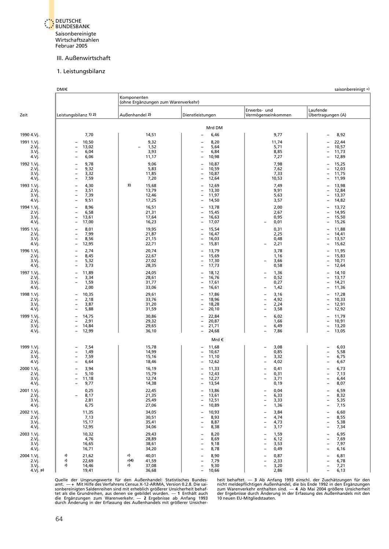#### III. Außenwirtschaft

#### 1. Leistungsbilanz

<span id="page-46-0"></span>

|                                         | DM/€                                                                                                                                   |                                                      |                                                                                                                                                  |                                                                                                                                       | saisonbereinigt +)                                                                                                                     |
|-----------------------------------------|----------------------------------------------------------------------------------------------------------------------------------------|------------------------------------------------------|--------------------------------------------------------------------------------------------------------------------------------------------------|---------------------------------------------------------------------------------------------------------------------------------------|----------------------------------------------------------------------------------------------------------------------------------------|
|                                         |                                                                                                                                        | Komponenten<br>(ohne Ergänzungen zum Warenverkehr)   |                                                                                                                                                  |                                                                                                                                       |                                                                                                                                        |
| Zeit                                    | Leistungsbilanz 1) 2)                                                                                                                  | Außenhandel 2)                                       | Dienstleistungen                                                                                                                                 | Erwerbs- und<br>Vermögenseinkommen                                                                                                    | Laufende<br>Übertragungen (A)                                                                                                          |
|                                         |                                                                                                                                        |                                                      | Mrd DM                                                                                                                                           |                                                                                                                                       |                                                                                                                                        |
| 1990 4.Vj.                              | 7,70                                                                                                                                   | 14,51                                                | 6,46                                                                                                                                             | 9,77                                                                                                                                  | 8,92<br>$\qquad \qquad -$                                                                                                              |
| 1991 1.Vj.<br>2.Vj.<br>3.Vj.<br>4.Vj.   | 10,50<br>13,02<br>$\qquad \qquad -$<br>6,04<br>$\overline{\phantom{a}}$<br>6,06<br>$\overline{a}$                                      | 9,32<br>1,52<br>3,93<br>11,17                        | 8,20<br>5,64<br>$\overline{\phantom{0}}$<br>6,84<br>$\overline{\phantom{a}}$<br>10,98<br>$\overline{\phantom{0}}$                                | 11,74<br>5,71<br>8,85<br>7,27                                                                                                         | 22,44<br>10,57<br>$\overline{\phantom{0}}$<br>11,73<br>$\overline{a}$<br>12,89<br>Ē,                                                   |
| 1992 1.Vj.<br>2.Vj.<br>3.Vj.<br>4.Vj.   | 9,78<br>$\overline{\phantom{0}}$<br>9,32<br>$\qquad \qquad -$<br>3,32<br>$\overline{\phantom{0}}$<br>7,59<br>$\overline{\phantom{0}}$  | 9,06<br>5,83<br>11,85<br>7,20                        | 10,87<br>$\overline{\phantom{a}}$<br>10,59<br>$\overline{\phantom{a}}$<br>10,87<br>$\overline{\phantom{a}}$<br>12,64<br>$\overline{\phantom{0}}$ | 7,98<br>7,62<br>7,33<br>10,53                                                                                                         | 15,25<br>$\overline{\phantom{0}}$<br>12,03<br>$\overline{\phantom{0}}$<br>11,75<br>$\overline{\phantom{0}}$<br>11,99<br>$\overline{a}$ |
| 1993 1.Vj.<br>2.Vj.<br>3.Vj.<br>4.Vj.   | 4,30<br>$\overline{\phantom{0}}$<br>3,51<br>$\qquad \qquad -$<br>7,39<br>$\overline{\phantom{a}}$<br>9,51<br>$\overline{\phantom{0}}$  | 3)<br>15,68<br>13,79<br>12,46<br>17,25               | 12,69<br>13,30<br>$\overline{\phantom{a}}$<br>11,97<br>$\overline{\phantom{a}}$<br>14,50<br>$\overline{\phantom{0}}$                             | 7,49<br>9,91<br>5,63<br>3,57                                                                                                          | 13,98<br>12,84<br>$\overline{\phantom{0}}$<br>13,37<br>$\overline{a}$<br>14,82<br>$\overline{\phantom{0}}$                             |
| 1994 1.Vj.<br>2.Vj.<br>3.Vj.<br>4.Vj.   | 8,96<br>6,58<br>$\overline{\phantom{0}}$<br>13,61<br>$\overline{\phantom{0}}$<br>17,00<br>$\overline{\phantom{0}}$                     | 16,51<br>21,31<br>17,64<br>16,23                     | 13,78<br>$\overline{\phantom{0}}$<br>15,45<br>$\overline{\phantom{a}}$<br>16,63<br>$\qquad \qquad -$<br>17,07                                    | 2,00<br>2,67<br>0,95<br>0,01                                                                                                          | 13,72<br>Ē,<br>14,95<br>$\overline{\phantom{0}}$<br>15,50<br>$\overline{a}$<br>15,26<br>$\overline{a}$                                 |
| 1995 1.Vj.<br>2.Vj.<br>3.Vj.<br>4.Vj.   | 8,01<br>7,99<br>$\overline{\phantom{0}}$<br>8,56<br>$\overline{\phantom{0}}$<br>12,95<br>$\overline{\phantom{a}}$                      | 19,95<br>21,87<br>21,15<br>22,71                     | 15,54<br>16,47<br>$\overline{\phantom{a}}$<br>16,03<br>$\overline{\phantom{0}}$<br>15,81<br>$\overline{\phantom{a}}$                             | 0,31<br>2,25<br>0,48<br>2,21                                                                                                          | 11,88<br>$\overline{a}$<br>14,41<br>$\overline{\phantom{0}}$<br>13,57<br>$\overline{a}$<br>15,62<br>$\overline{a}$                     |
| 1996 1.Vi.<br>2.Vj.<br>3.Vj.<br>4.Vj.   | 2,74<br>$\overline{\phantom{0}}$<br>8,45<br>$\overline{\phantom{0}}$<br>5,32<br>$\qquad \qquad -$<br>3,73<br>$\overline{\phantom{0}}$  | 20,74<br>22,67<br>27,02<br>28,35                     | 13,79<br>$\overline{\phantom{0}}$<br>15,69<br>$\overline{\phantom{a}}$<br>17,30<br>$\overline{\phantom{a}}$<br>17,73<br>$\overline{\phantom{0}}$ | 3,78<br>1,16<br>3,66<br>0,58                                                                                                          | 11,95<br>$\overline{\phantom{0}}$<br>15,83<br>$\overline{a}$<br>10,71<br>$\overline{a}$<br>12,64<br>$\overline{a}$                     |
| 1997 1.Vj.<br>2.Vj.<br>3.Vj.<br>4.Vj.   | 11,89<br>3,34<br>$\overline{\phantom{0}}$<br>1,59<br>$\overline{a}$<br>2,00                                                            | 24,05<br>28,61<br>31,77<br>33,06                     | 18,12<br>16,76<br>$\qquad \qquad -$<br>17,61<br>16,61<br>$\overline{\phantom{a}}$                                                                | 1,36<br>0,52<br>0,27<br>1,42                                                                                                          | 14,10<br>$\overline{\phantom{0}}$<br>13,17<br>$\overline{a}$<br>14,21<br>$\overline{a}$<br>11,36<br>$\overline{\phantom{0}}$           |
| 1998 1.Vj.<br>2.Vj.<br>3.Vj.<br>4.Vj.   | 10,35<br>$\overline{\phantom{0}}$<br>2,18<br>$\qquad \qquad -$<br>3,87<br>$\overline{\phantom{a}}$<br>5,88<br>$\overline{\phantom{0}}$ | 29,61<br>33,76<br>31,20<br>31,59                     | 17,86<br>$\overline{\phantom{0}}$<br>18,96<br>$\overline{\phantom{a}}$<br>18,28<br>$\overline{\phantom{a}}$<br>20,10<br>$\overline{\phantom{0}}$ | 3,16<br>$\overline{\phantom{0}}$<br>4,92<br>$\overline{\phantom{0}}$<br>2,24<br>$\qquad \qquad -$<br>3,58<br>$\overline{\phantom{0}}$ | 17,28<br>Ē,<br>10,33<br>$\overline{a}$<br>12,91<br>$\overline{a}$<br>12,92<br>Ē,                                                       |
| 1999 1.Vj.<br>2.Vj.<br>3.Vj.<br>4.Vj.   | 14,75<br>$\overline{\phantom{0}}$<br>2,91<br>14,84<br>$\overline{\phantom{0}}$<br>12,99<br>$\overline{\phantom{0}}$                    | 30,86<br>29,32<br>29,65<br>36,10                     | 22,84<br>$\overline{\phantom{a}}$<br>20,87<br>$\overline{\phantom{0}}$<br>21,71<br>$\overline{\phantom{a}}$<br>24,68<br>$\overline{\phantom{0}}$ | 6,02<br>$\overline{\phantom{0}}$<br>1,66<br>6,49<br>7,86                                                                              | 11,79<br>$\overline{\phantom{0}}$<br>10,91<br>13,20<br>$\overline{\phantom{0}}$<br>13,05<br>$\overline{\phantom{0}}$                   |
|                                         |                                                                                                                                        |                                                      | Mrd€                                                                                                                                             |                                                                                                                                       |                                                                                                                                        |
| 1999 1.Vj.<br>2.Vj.<br>3.Vj.<br>4.Vj.   | 7,54<br>1,49<br>$\overline{\phantom{0}}$<br>7,59<br>$\overline{a}$<br>6,64<br>$\overline{\phantom{0}}$                                 | 15,78<br>14,99<br>15,16<br>18,46                     | 11,68<br>10,67<br>$\qquad \qquad -$<br>11,10<br>12,62<br>$\overline{\phantom{0}}$                                                                | 3,08<br>0,85<br>3,32<br>4,02                                                                                                          | 6,03<br>5,58<br>6,75<br>Ē,<br>6,67<br>Ē,                                                                                               |
| 2000 1.Vj.<br>2.Vj.<br>3.Vj.<br>4.Vj.   | 3,94<br>5,10<br>$\overline{\phantom{0}}$<br>11,18<br>9,77                                                                              | 16,19<br>15,79<br>12,74<br>14,38                     | 11,33<br>12,43<br>$\overline{\phantom{a}}$<br>12,27<br>13,54                                                                                     | 0,41<br>0,31<br>3,71<br>0, 19                                                                                                         | 6,73<br>7,13<br>$\overline{\phantom{0}}$<br>6,44<br>8,07                                                                               |
| 2001 1.Vj.<br>2.Vj.<br>3.Vj.<br>4.Vj.   | 0,25<br>8,17<br>2,81<br>6,75                                                                                                           | 22,45<br>21,35<br>25,49<br>27,06                     | 13,86<br>13,61<br>12,51<br>$\overline{\phantom{a}}$<br>10,89                                                                                     | 0,04<br>6,33<br>3,33<br>$\overline{\phantom{0}}$<br>1,36                                                                              | 6,59<br>8,32<br>5,35<br>7,15<br>$\overline{a}$                                                                                         |
| 2002 1.Vj.<br>2.Vj.<br>3.Vj.<br>4.Vj.   | 11,35<br>7,13<br>15,17<br>12,95                                                                                                        | 34,05<br>30,51<br>35,41<br>34,06                     | 10,93<br>8,93<br>8,87<br>$\overline{\phantom{0}}$<br>8,38                                                                                        | 3,84<br>4,74<br>4,73<br>3,17                                                                                                          | 6,60<br>8,55<br>Ē,<br>5,38<br>7,34                                                                                                     |
| 2003 1.Vj.<br>2.Vj.<br>3.Vj.<br>4.Vj.   | 10,32<br>4,76<br>16,65<br>16,71                                                                                                        | 29,43<br>28,89<br>38,61<br>34,20                     | 8,20<br>8,69<br>9,18<br>8,78                                                                                                                     | 1,59<br>6,12<br>3,53<br>0,49                                                                                                          | 6,95<br>7,69<br>7,97<br>6,16<br>Ē,                                                                                                     |
| 2004 1.Vj.<br>2.Vj.<br>3.Vj.<br>4.Vj. p | 21,62<br>r)<br>r)<br>22,69<br>r)<br>14,46<br>19,41                                                                                     | 40,01<br>r)<br>r)4)<br>41,59<br>r)<br>37,08<br>36,68 | 8,90<br>7,79<br>9,30<br>10,66<br>$-$                                                                                                             | 0,87<br>2,33<br>3,20<br>2,86                                                                                                          | 6,81<br>6,78<br>7,21<br>$\qquad \qquad -$<br>6, 13<br>$\overline{\phantom{a}}$                                                         |

Quelle der Ursprungswerte für den Außenhandel: Statistisches Bundes-heit behaftet. — 3 Ab Anfang 1993 einschl. der Zuschätzungen für den Andenhandel: Statistisches Bundes-amt. — 4 Mit Hilfe des Verfahrens Census X-12-ARIMA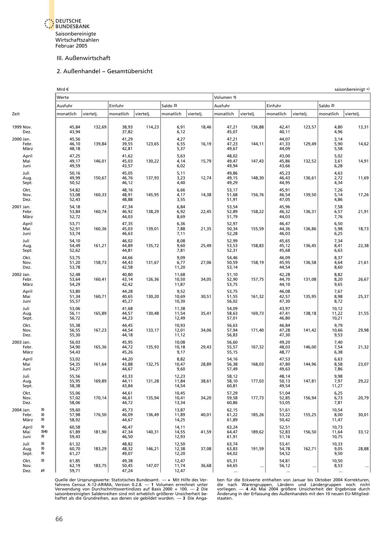#### III. Außenwirtschaft

### 2. Außenhandel – Gesamtübersicht

<span id="page-47-0"></span>

|                                              | Mrd €                   |           |                         |           |                         |           |                            |                      |                            |           |                           | saisonbereinigt +)   |
|----------------------------------------------|-------------------------|-----------|-------------------------|-----------|-------------------------|-----------|----------------------------|----------------------|----------------------------|-----------|---------------------------|----------------------|
|                                              | Werte                   |           |                         |           |                         |           | Volumen 1)                 |                      |                            |           |                           |                      |
|                                              | Ausfuhr                 |           | Einfuhr                 |           | Saldo 2)                |           | Ausfuhr                    |                      | Einfuhr                    |           | Saldo 2)                  |                      |
| Zeit                                         | monatlich               | viertelj. | monatlich               | viertelj. | monatlich               | viertelj. | monatlich                  | viertelj.            | monatlich                  | viertelj. | monatlich                 | viertelj.            |
| 1999 Nov.<br>Dez.                            | 45,84<br>43,94          | 132,69    | 38,93<br>37,82          | 114,23    | 6,91<br>6,12            | 18,46     | 47,21<br>45,07             | 136,88               | 42,41<br>40,11             | 123,57    | 4,80<br>4,96              | 13,31                |
| 2000 Jan.<br>Febr.<br>März                   | 45,56<br>46,10<br>48,18 | 139,84    | 41,29<br>39,55<br>42,81 | 123,65    | 4,27<br>6,55<br>5,37    | 16,19     | 47,21<br>47,23<br>49,67    | 144,11               | 44,07<br>41,33<br>44,09    | 129,49    | 3,14<br>5,90<br>5,58      | 14,62                |
| April<br>Mai<br>Juni                         | 47,25<br>49,17<br>49,59 | 146,01    | 41,62<br>45,03<br>43,57 | 130,22    | 5,63<br>4,14<br>6,02    | 15,79     | 48,02<br>49,47<br>49,94    | 147,43               | 43,00<br>45,86<br>43,66    | 132,52    | 5,02<br>3,61<br>6,28      | 14,91                |
| Juli<br>Aug.<br>Sept.                        | 50,16<br>49,99<br>50,52 | 150,67    | 45,05<br>46,76<br>46,12 | 137,93    | 5,11<br>3,23<br>4,40    | 12,74     | 49,86<br>49,15<br>49,29    | 148,30               | 45,23<br>46,43<br>44,95    | 136,61    | 4,63<br>2,72<br>4,34      | 11,69                |
| Okt.<br>Nov.<br>Dez.                         | 54,82<br>53,08<br>52,43 | 160,33    | 48,16<br>48,91<br>48,88 | 145,95    | 6,66<br>4,17<br>3,55    | 14,38     | 53,17<br>51,68<br>51,91    | 156,76               | 45,91<br>46,54<br>47,05    | 139,50    | 7,26<br>5,14<br>4,86      | 17,26                |
| 2001 Jan.<br>Febr.<br>März                   | 54,18<br>53,84<br>52,72 | 160,74    | 47,34<br>46,92<br>44,03 | 138,29    | 6,84<br>6,92<br>8,69    | 22,45     | 53,54<br>52,89<br>51,79    | 158,22               | 45,96<br>46,32<br>44,03    | 136,31    | 7,58<br>6,57<br>7,76      | 21,91                |
| April<br>Mai<br>Juni                         | 53,71<br>52,91<br>53,74 | 160,36    | 47,35<br>45,03<br>46,63 | 139,01    | 6,36<br>7,88<br>7,11    | 21,35     | 52,97<br>50,34<br>52,28    | 155,59               | 46,47<br>44,36<br>46,03    | 136,86    | 6,50<br>5,98<br>6,25      | 18,73                |
| Juli<br>Aug.<br>Sept.                        | 54,10<br>54,49<br>52,62 | 161,21    | 46,02<br>44,89<br>44,81 | 135,72    | 8,08<br>9,60<br>7,81    | 25,49     | 52,99<br>53,53<br>52,31    | 158,83               | 45,65<br>45,12<br>45,68    | 136,45    | 7,34<br>8,41<br>6,63      | 22,38                |
| Okt.<br>Nov.<br>Dez.                         | 53,75<br>51,20<br>53,78 | 158,73    | 44,66<br>44,43<br>42,58 | 131,67    | 9,09<br>6,77<br>11,20   | 27,06     | 54,46<br>50,59<br>53,14    | 158,19               | 46,09<br>45,95<br>44,54    | 136,58    | 8,37<br>4,64<br>8,60      | 21,61                |
| 2002 Jan.<br>Febr.<br>März                   | 52,48<br>53,64<br>54,29 | 160,41    | 40,80<br>43,14<br>42,42 | 126,36    | 11,68<br>10,50<br>11,87 | 34,05     | 51,10<br>52,90<br>53,75    | 157,75               | 42,28<br>44,70<br>44,10    | 131,08    | 8,82<br>8,20<br>9,65      | 26,67                |
| April<br>Mai<br>Juni                         | 53,80<br>51,34<br>55,57 | 160,71    | 44,28<br>40,65<br>45,27 | 130,20    | 9,52<br>10,69<br>10,30  | 30,51     | 53,75<br>51,55<br>56,02    | 161,32               | 46,08<br>42,57<br>47,30    | 135,95    | 7,67<br>8,98<br>8,72      | 25,37                |
| Juli<br>Aug.<br>Sept.                        | 53,06<br>56,11<br>56,72 | 165,89    | 41,68<br>44,57<br>44,23 | 130,48    | 11,38<br>11,54<br>12,49 | 35,41     | 54,09<br>58,63<br>57,01    | 169,73               | 43,97<br>47,41<br>46,80    | 138,18    | 10,12<br>11,22<br>10,21   | 31,55                |
| Okt.<br>Nov.<br>Dez.                         | 55,38<br>56,55<br>55,30 | 167,23    | 44,45<br>44,54<br>44,18 | 133,17    | 10,93<br>12,01<br>11,12 | 34,06     | 56,63<br>57,94<br>56,83    | 171,40               | 46,84<br>47,28<br>47,30    | 141,42    | 9,79<br>10,66<br>9,53     | 29,98                |
| 2003 Jan.<br>Febr.<br>März                   | 56,03<br>54,90<br>54,43 | 165,36    | 45,95<br>44,72<br>45,26 | 135,93    | 10,08<br>10,18<br>9,17  | 29,43     | 56,60<br>55,57<br>55,15    | 167,32               | 49,20<br>48,03<br>48,77    | 146,00    | 7,40<br>7,54<br>6,38      | 21,32                |
| April<br>Mai<br>Juni                         | 53,02<br>54,35<br>54,27 | 161,64    | 44,20<br>43,88<br>44,67 | 132,75    | 8,82<br>10,47<br>9,60   | 28,89     | 54,16<br>56,38<br>57,49    | 168,03               | 47,53<br>47,80<br>49,63    | 144,96    | 6,63<br>8,58<br>7,86      | 23,07                |
| Juli<br>Aug.<br>Sept.                        | 55,56<br>55,95<br>58,38 | 169,89    | 43,33<br>44,11<br>43,84 | 131,28    | 12,23<br>11,84<br>14,54 | 38,61     | 58,12<br>58,10<br>60,81    | 177,03               | 48,14<br>50, 13<br>49,54   | 147,81    | 9,98<br>7,97<br>11,27     | 29,22                |
| Okt.<br>Nov.<br>Dez.                         | 55,06<br>57,02<br>58,06 | 170,14    | 44,61<br>46,61<br>44,72 | 135,94    | 10,45<br>10,41<br>13,34 | 34,20     | 57,29<br>59,58<br>60,86    | 177,73               | 51,04<br>52,85<br>53,05    | 156,94    | 6,25<br>6,73<br>7,81      | 20,79                |
| 3)<br>2004 Jan.<br>3)<br>Febr.<br>3)<br>März | 59,60<br>57,98<br>58,92 | 176,50    | 45,73<br>46,09<br>44,67 | 136,49    | 13,87<br>11,89<br>14,25 | 40,01     | 62,15<br>61,22<br>61,89    | 185,26               | 51,61<br>53,22<br>50,42    | 155,25    | 10,54<br>8,00<br>11,47    | 30,01                |
| April<br>3)<br>3)4)<br>Mai<br>3)<br>Juni     | 60,58<br>61,89<br>59,43 | 181,90    | 46,47<br>47,34<br>46,50 | 140,31    | 14,11<br>14,55<br>12,93 | 41,59     | 63,24<br>64,47<br>61,91    | 189,62               | 52,51<br>52,83<br>51,16    | 156,50    | 10,73<br>11,64<br>10,75   | 33,12                |
| Juli<br>3)<br>3)<br>Aug.<br>3)<br>Sept.      | 61,32<br>60,70<br>61,27 | 183,29    | 48,82<br>48,32<br>49,07 | 146,21    | 12,50<br>12,38<br>12,20 | 37,08     | 63,74<br>63,83<br>64,02    | 191,59               | 53,41<br>54,78<br>54,52    | 162,71    | 10,33<br>9,05<br>9,50     | 28,88                |
| 3)<br>Okt.<br>Nov.<br>p)<br>Dez.             | 61,85<br>62,19<br>59,71 | 183,75    | 49,38<br>50,45<br>47,24 | 147,07    | 12,47<br>11,74<br>12,47 | 36,68     | 65,31<br>64,65<br>$\ldots$ | $\ddot{\phantom{0}}$ | 54,81<br>56,12<br>$\ldots$ | $\cdots$  | 10,50<br>8,53<br>$\ldots$ | $\ddot{\phantom{0}}$ |

Quelle der Ursprungswerte: Statistisches Bundesamt. — + Mit Hilfe des Ver-ben für die Eckwerte enthalten von Januar bis Oktober 2004 Korrekturen,<br>Verwendung von Durchschnittswertindizes auf Basis 2000 = 100. — 2 Die vorlie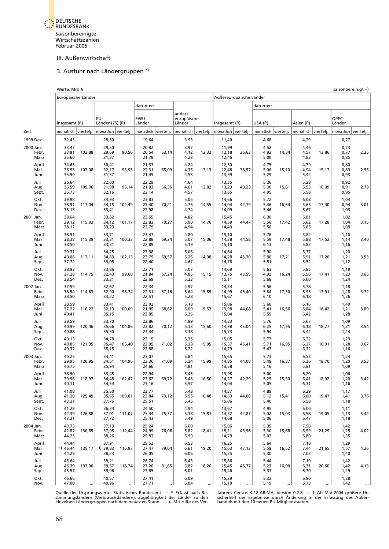

### 3. Ausfuhr nach Ländergruppen \*)

<span id="page-48-0"></span>

|                            | Werte, Mrd €               |        |                            |        |                         |       |                       |       |                         |       |                      |       |                      |       | saisonbereinigt +)   |      |
|----------------------------|----------------------------|--------|----------------------------|--------|-------------------------|-------|-----------------------|-------|-------------------------|-------|----------------------|-------|----------------------|-------|----------------------|------|
|                            | Europäische Länder         |        |                            |        |                         |       |                       |       | Außereuropäische Länder |       |                      |       |                      |       |                      |      |
|                            |                            |        |                            |        | darunter:               |       |                       |       |                         |       | darunter:            |       |                      |       |                      |      |
|                            |                            |        | EU-                        |        | EWU-                    |       | andere<br>europäische |       |                         |       |                      |       |                      |       | OPEC-                |      |
|                            | insgesamt (R)              |        | Länder (25) (R)            |        | Länder                  |       | Länder                |       | insgesamt (R)           |       | USA (R)              |       | Asien (R)            |       | Länder               |      |
| Zeit                       | monatlich viertelj.        |        | monatlich viertelj.        |        | monatlich viertelj.     |       | monatlich viertelj.   |       | monatlich viertelj.     |       | monatlich viertelj.  |       | monatlich viertelj.  |       | monatlich viertelj.  |      |
| 1999 Dez.                  | 32,43                      |        | 28,50                      |        | 19,64                   |       | 3,93                  |       | 11,40                   |       | 4,68                 |       | 4,29                 |       | 0,77                 |      |
| 2000 Jan.<br>Febr.<br>März | 33,47<br>33,81<br>35,60    | 102.88 | 29,50<br>29,69<br>31,37    | 90,56  | 20,82<br>20,54<br>21,78 | 63,14 | 3,97<br>4,12<br>4,23  | 12,32 | 11,99<br>12,18<br>12,46 | 36,63 | 4,52<br>4,82<br>5,00 | 14,34 | 4,46<br>4,57<br>4,83 | 13,86 | 0,73<br>0,77<br>0,85 | 2,35 |
| April<br>Mai<br>Juni       | 34,65<br>36,53<br>35,90    | 107,08 | 30,41<br>32,17<br>31,37    | 93,95  | 21,33<br>22,31<br>21,45 | 65,09 | 4,24<br>4,36<br>4,53  | 13,13 | 12,50<br>12,48<br>13,59 | 38,57 | 4,75<br>5,06<br>5,29 | 15,10 | 4,79<br>4,94<br>5,44 | 15,17 | 0,80<br>0,83<br>0,93 | 2,56 |
| Juli<br>Aug.<br>Sept.      | 36,64<br>36,59<br>36,73    | 109,96 | 32,00<br>31,98<br>32,16    | 96,14  | 22,29<br>21,93<br>22,14 | 66,36 | 4,64<br>4,61<br>4,57  | 13,82 | 13,35<br>13,23<br>13,65 | 40,23 | 5,36<br>5,30<br>4,95 | 15,61 | 5,28<br>5,53<br>5,58 | 16,39 | 0,92<br>0,91<br>0,95 | 2,78 |
| Okt.<br>Nov.<br>Dez.       | 39,98<br>38,91<br>38,15    | 117,04 | 34,93<br>34,15<br>33,41    | 102,49 | 23,83<br>23,40<br>22,98 | 70,21 | 5,05<br>4,76<br>4,74  | 14,55 | 14,66<br>14,04<br>14,09 | 42,79 | 5,72<br>5,46<br>5,46 | 16,64 | 6,08<br>5,65<br>5,67 | 17,40 | 1,04<br>0,94<br>1,03 | 3,01 |
| 2001 Jan.<br>Febr.<br>März | 38,64<br>39,12<br>38,17    | 115,93 | 33,82<br>34,12<br>33,23    | 101,17 | 23,65<br>23,83<br>22,79 | 70,27 | 4,82<br>5,00<br>4,94  | 14,76 | 15,45<br>14,59<br>14,43 | 44,47 | 6,30<br>5,56<br>5,56 | 17,42 | 5,81<br>5,62<br>5,85 | 17,28 | 1,02<br>1,04<br>1,09 | 3,15 |
| April<br>Mai<br>Juni       | 38,51<br>38,38<br>38,50    | 115,39 | 33,71<br>33,31<br>33,31    | 100,33 | 23,47<br>22,88<br>22,89 | 69,24 | 4,80<br>5,07<br>5,19  | 15,06 | 15,10<br>14,38<br>15,10 | 44,58 | 5,76<br>5,59<br>6,13 | 17,48 | 5,82<br>5,88<br>5,82 | 17,52 | 1,10<br>1,14<br>1,16 | 3,40 |
| Juli<br>Aug.<br>Sept.      | 39,31<br>40,08<br>37,72    | 117,11 | 34,25<br>34,83<br>33,05    | 102,13 | 23,38<br>23,79<br>22,40 | 69,57 | 5,06<br>5,25<br>4,67  | 14,98 | 14,64<br>14,28<br>14,78 | 43,70 | 5,90<br>5,80<br>5,51 | 17,21 | 5,77<br>5,91<br>5,52 | 17,20 | 1,20<br>1,21<br>1,12 | 3,53 |
| Okt.<br>Nov.<br>Dez.       | 38,93<br>37,28<br>38,54    | 114,75 | 33,86<br>32,43<br>33,31    | 99,60  | 22,71<br>21,84<br>22,69 | 67,24 | 5,07<br>4,85<br>5,23  | 15,15 | 14,69<br>13,75<br>15,11 | 43,55 | 5,63<br>4,93<br>5,68 | 16,24 | 5,85<br>5,56<br>6,00 | 17,41 | 1,19<br>1,23<br>1,24 | 3,66 |
| 2002 Jan.<br>Febr.<br>März | 37,59<br>38,54<br>38,50    | 114,63 | 32,62<br>32,90<br>33,22    | 98,74  | 22,34<br>22,31<br>22,51 | 67,16 | 4,97<br>5,64<br>5,28  | 15,89 | 14,74<br>14,99<br>15,67 | 45,40 | 5,56<br>5,64<br>6,10 | 17,30 | 5,78<br>5,95<br>6,18 | 17,91 | 1,18<br>1,28<br>1,26 | 3,72 |
| April<br>Mai<br>Juni       | 38,59<br>37,22<br>40,41    | 116,22 | 33,41<br>32,13<br>35,15    | 100,69 | 23,02<br>21,95<br>23,85 | 68,82 | 5,18<br>5,09<br>5,26  | 15,53 | 15,06<br>13,98<br>15,04 | 44,08 | 5,60<br>5,41<br>5,55 | 16,56 | 6,16<br>5,84<br>6,42 | 18,42 | 1,40<br>1,21<br>1,28 | 3,89 |
| Juli<br>Aug.<br>Sept.      | 38,59<br>40,99<br>40,88    | 120,46 | 33,70<br>35,66<br>35,50    | 104,86 | 22,86<br>23,82<br>23,44 | 70,12 | 4,89<br>5,33<br>5,38  | 15,60 | 14,33<br>14,98<br>15,73 | 45,04 | 5,76<br>6,25<br>5,94 | 17,95 | 5,67<br>6,18<br>6,42 | 18,27 | 1,09<br>1,21<br>1,24 | 3,54 |
| Okt.<br>Nov.<br>Dez.       | 40,13<br>40,85<br>40,37    | 121,35 | 34,78<br>35,47<br>35,15    | 105.40 | 23,15<br>23,99<br>23,88 | 71,02 | 5,35<br>5,38<br>5,22  | 15,95 | 15,05<br>15,57<br>14,79 | 45,41 | 5,77<br>5,71<br>5,47 | 16,95 | 6,22<br>6,37<br>6,32 | 18,91 | 1,23<br>1,28<br>1,16 | 3,67 |
| 2003 Jan.<br>Febr.<br>März | 40,25<br>39,95<br>40,75    | 120,95 | 34,41<br>34,61<br>35,94    | 104,96 | 23,07<br>23,36<br>24,66 | 71,09 | 5,84<br>5,34<br>4,81  | 15,99 | 15,65<br>14,85<br>13,58 | 44,08 | 5,73<br>5,48<br>5,16 | 16,37 | 6,53<br>6,36<br>5,81 | 18,70 | 1,24<br>1,20<br>1,09 | 3,53 |
| April<br>Mai<br>Juni       | 38,90<br>39,96<br>40,11    | 118,97 | 33,45<br>34,48<br>34,54    | 102,47 | 22,94<br>23,62<br>23,16 | 69,72 | 5,45<br>5,48<br>5,57  | 16,50 | 13,98<br>14,27<br>14,04 | 42,29 | 5,00<br>5,25<br>5,05 | 15,30 | 6,20<br>6,41<br>6,31 | 18,92 | 1,06<br>1,20<br>1,16 | 3,42 |
| Juli<br>Aug.<br>Sept.      | 41,08<br>41,20<br>43,21    | 125,49 | 35,60<br>35,65<br>37,76    | 109,01 | 23,77<br>23,84<br>25,51 | 73,12 | 5,48<br>5,55<br>5,45  | 16,48 | 14,37<br>14,63<br>15,06 | 44,06 | 4,89<br>5,12<br>5,40 | 15,41 | 6,29<br>6,60<br>6,58 | 19,47 | 1,17<br>1,41<br>1,18 | 3,76 |
| Okt.<br>Nov.<br>Dez.       | 41,28<br>42,39<br>43,21    | 126,88 | 36,34<br>37,01<br>37,72    | 111,07 | 24,50<br>25,44<br>25,43 | 75,37 | 4,94<br>5,38<br>5,49  | 15,81 | 13,67<br>14,52<br>14,68 | 42,87 | 4,95<br>5,02<br>5,06 | 15,03 | 6,00<br>6,58<br>6,47 | 19,05 | 1,11<br>1,13<br>1,18 | 3,42 |
| 2004 Jan.<br>Febr.<br>März | 43,73<br>42,87<br>44,25    | 130,85 | 37,13<br>37,05<br>38,26    | 112,44 | 25,24<br>24,99<br>25,83 | 76,06 | 6,60<br>5,82<br>5,99  | 18,41 | 15,96<br>15,21<br>14,79 | 45,96 | 5,35<br>5,30<br>5,03 | 15,68 | 7,50<br>6,99<br>6,80 | 21,29 | 1,42<br>1,25<br>1,35 | 4,02 |
| April<br>Mai<br>Juni       | 44,44<br>1) 46,44<br>44,29 | 135,17 | 37,91<br>1) 39,83<br>38,23 | 115,97 | 25,52<br>27,47<br>26,05 | 79,04 | 6,53<br>6,61<br>6,06  | 19,20 | 16,25<br>15,63<br>15,25 | 47,13 | 5,64<br>5,58<br>5,30 | 16,52 | 7,18<br>7,44<br>7,03 | 21,65 | 1,29<br>1,57<br>1,40 | 4,26 |
| Juli<br>Aug.<br>Sept.      | 45,64<br>45,39<br>45,97    | 137,00 | 39,21<br>39,57<br>39,96    | 118,74 | 26,74<br>27,26<br>27,65 | 81,65 | 6,43<br>5,82<br>6,01  | 18,26 | 15,86<br>15,45<br>15,46 | 46,77 | 5,44<br>5,23<br>5,33 | 16,00 | 7,19<br>6,71<br>6,70 | 20,60 | 1,42<br>1,42<br>1,29 | 4,13 |
| Okt.<br>Nov.               | 46,66<br>47,00             |        | 40,57<br>40,96             |        | 27,41<br>27,71          |       | 6,09<br>6,04          |       | 15,29<br>15,10          |       | 5,33<br>5,19         |       | 6,90<br>6,73         |       | 1,38<br>1,42         |      |

Quelle der Ursprungswerte: Statistisches Bundesamt. — \* Erfasst nach Be- fahrens Census X-12-ARIMA, Version 0.2.8. — 1 Ab Mai 2004 größere Un-<br>stimmungsländern (Verbrauchsländern). Zugehörigkeit der Länder zu den sic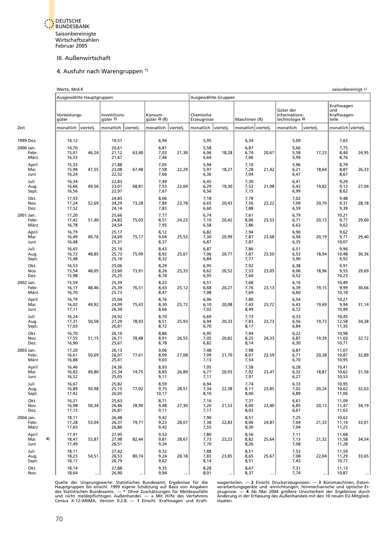

### 4. Ausfuhr nach Warengruppen \*)

<span id="page-49-0"></span>

|                            | Werte, Mrd €             |       |                           |           |                         |       |                          |       |                      |       |                                              |           | saisonbereinigt $+$ )                     |       |
|----------------------------|--------------------------|-------|---------------------------|-----------|-------------------------|-------|--------------------------|-------|----------------------|-------|----------------------------------------------|-----------|-------------------------------------------|-------|
|                            | Ausgewählte Hauptgruppen |       |                           |           |                         |       | Ausgewählte Gruppen      |       |                      |       |                                              |           |                                           |       |
|                            | Vorleistungs-<br>güter   |       | Investitions-<br>qüter 1) |           | Konsum-<br>qüter 2) (R) |       | Chemische<br>Erzeugnisse |       | Maschinen (R)        |       | Güter der<br>Informations-<br>technologie 3) |           | Kraftwagen<br>und<br>Kraftwagen-<br>teile |       |
| Zeit                       | monatlich viertelj.      |       | monatlich                 | vierteli. | monatlich viertelj.     |       | monatlich viertelj.      |       | monatlich viertelj.  |       | monatlich                                    | viertelj. | monatlich viertelj.                       |       |
| 1999 Dez.                  | 14,12                    |       | 19,57                     |           | 6,94                    |       | 5,95                     |       | 6,34                 |       | 5,09                                         |           | 7,65                                      |       |
| 2000 Jan.<br>Febr.<br>März | 14,70<br>15,01<br>16,53  | 46,24 | 20,61<br>21,12<br>21,67   | 63,40     | 6,81<br>7,03<br>7,46    | 21,30 | 5,58<br>6,06<br>6,64     | 18,28 | 6,87<br>6,74<br>7,06 | 20,67 | 5,66<br>5,58<br>5,99                         | 17,23     | 7,75<br>8,44<br>8,76                      | 24,95 |
| April<br>Mai<br>Juni       | 15,33<br>15,98<br>16,24  | 47,55 | 21,88<br>23,08<br>22,52   | 67,48     | 7,05<br>7,58<br>7,66    | 22,29 | 5,94<br>5,97<br>6,36     | 18,27 | 7,10<br>7,28<br>7,04 | 21,42 | 5,96<br>6,21<br>6,47                         | 18,64     | 8,79<br>8,87<br>8,67                      | 26,33 |
| Juli<br>Aug.<br>Sept.      | 16,34<br>16,66<br>16,56  | 49,56 | 22,83<br>23,01<br>22,97   | 68,81     | 7,49<br>7,53<br>7,67    | 22,69 | 6,45<br>6,29<br>6,56     | 19,30 | 7,30<br>7,53<br>7,15 | 21,98 | 6,41<br>6,42<br>6,99                         | 19,82     | 9,29<br>9,13<br>8,62                      | 27,04 |
| Okt.<br>Nov.<br>Dez.       | 17,93<br>17,24<br>17,52  | 52,69 | 24,85<br>24,29<br>24,14   | 73,28     | 8,06<br>7,89<br>7,83    | 23,78 | 7,18<br>6,65<br>6,60     | 20,43 | 7,78<br>7,56<br>7,88 | 23,22 | 7,02<br>7,09<br>6,59                         | 20,70     | 9,48<br>9,31<br>9,39                      | 28,18 |
| 2001 Jan.<br>Febr.<br>März | 17,20<br>17,42<br>16,78  | 51,40 | 25,66<br>24,83<br>24,54   | 75,03     | 7,77<br>8,51<br>7,95    | 24,23 | 6,74<br>7,10<br>6,58     | 20,42 | 7,61<br>8,06<br>7,86 | 23,53 | 6,79<br>6,71<br>6,63                         | 20,13     | 10,21<br>9,77<br>9,62                     | 29,60 |
| April<br>Mai<br>Juni       | 16,79<br>16,49<br>16,48  | 49,76 | 25,17<br>24,69<br>25,31   | 75,17     | 8,12<br>9,04<br>8,37    | 25,53 | 6,82<br>7,30<br>6,87     | 20,99 | 7,94<br>7,87<br>7,87 | 23,68 | 6,90<br>6,94<br>6,35                         | 20,19     | 9,62<br>9,71<br>10,07                     | 29,40 |
| Juli<br>Aug.<br>Sept.      | 16,65<br>16,72<br>15,48  | 48,85 | 25,16<br>25,73<br>25,10   | 75,99     | 8,43<br>8,92<br>8,32    | 25,67 | 6,87<br>7,06<br>6,84     | 20,77 | 7,86<br>7,87<br>7,77 | 23,50 | 6,51<br>6,53<br>5,90                         | 18,94     | 9,96<br>10,48<br>9,92                     | 30,36 |
| Okt.<br>Nov.<br>Dez.       | 16,53<br>15,54<br>15,98  | 48,05 | 25,06<br>23,60<br>25,25   | 73,91     | 8,29<br>8,26<br>8,78    | 25,33 | 6,95<br>6,62<br>6,95     | 20,52 | 7,92<br>7,53<br>7,60 | 23,05 | 6,38<br>6,06<br>6,52                         | 18,96     | 9,91<br>9,55<br>10,23                     | 29,69 |
| 2002 Jan.<br>Febr.<br>März | 15,59<br>16,17<br>16,70  | 48,46 | 25,39<br>25,39<br>25,73   | 76,51     | 8,22<br>8,43<br>8,47    | 25,12 | 6,51<br>6,68<br>7,08     | 20,27 | 7,68<br>7,76<br>7,69 | 23,13 | 6,16<br>6,39<br>6,60                         | 19,15     | 10,49<br>9,99<br>10,18                    | 30,66 |
| April<br>Mai<br>Juni       | 16,79<br>16,02<br>17,11  | 49,92 | 25,04<br>24,09<br>26,30   | 75,43     | 8,76<br>8,30<br>8,66    | 25,72 | 6,96<br>6, 10<br>7,02    | 20,08 | 7,80<br>7,43<br>8,49 | 23,72 | 6,54<br>6,43<br>6,72                         | 19,69     | 10,21<br>9,94<br>10,99                    | 31,14 |
| Juli<br>Aug.<br>Sept.      | 16,24<br>17,31<br>17,03  | 50,58 | 24,92<br>27,20<br>26,81   | 78,93     | 8,70<br>8,51<br>8,72    | 25,93 | 6,69<br>6,94<br>6,70     | 20,33 | 7,73<br>7,83<br>8,17 | 23,73 | 6,33<br>6,56<br>6,84                         | 19,73     | 10,45<br>12,58<br>11,35                   | 34,38 |
| Okt.<br>Nov.<br>Dez.       | 16,70<br>17,55<br>16,90  | 51,15 | 26,10<br>26,71<br>25,67   | 78,48     | 8,86<br>8,91<br>8,78    | 26,55 | 6,95<br>7,05<br>6,82     | 20,82 | 7,94<br>8,25<br>8,14 | 24,33 | 6,22<br>6,87<br>6,30                         | 19,39     | 10,98<br>11,03<br>10,71                   | 32,72 |
| 2003 Jan.<br>Febr.<br>März | 17,20<br>16,61<br>16,88  | 50,69 | 26,13<br>26,07<br>25,41   | 77,61     | 9,06<br>8,99<br>9,03    | 27,08 | 7,48<br>7,09<br>7,13     | 21,70 | 7,98<br>8,07<br>7,54 | 23,59 | 6,87<br>6,71<br>6,70                         | 20,28     | 11,07<br>10,87<br>10,95                   | 32,89 |
| April<br>Mai<br>Juni       | 16,46<br>16,82<br>16,52  | 49,80 | 24,36<br>25,34<br>25,05   | 74,75     | 8,93<br>8,85<br>9,11    | 26,89 | 7,05<br>6,77<br>7,11     | 20,93 | 7,58<br>7,92<br>7,97 | 23,47 | 6,28<br>6,32<br>6,27                         | 18,87     | 10,41<br>10,62<br>10,53                   | 31,56 |
| Juli<br>Aug.<br>Sept.      | 16,67<br>16,89<br>17,42  | 50,98 | 25,82<br>25,15<br>26,05   | 77,02     | 8,59<br>9,75<br>10, 17  | 28,51 | 6,94<br>7,34<br>8,10     | 22,38 | 7,74<br>8,11<br>8,00 | 23,85 | 6,33<br>7,02<br>6,89                         | 20,24     | 10,95<br>10,62<br>11,06                   | 32,63 |
| Okt.<br>Nov.<br>Dez.       | 16,21<br>16,98<br>17,15  | 50,34 | 25,63<br>26,46<br>26,81   | 78,90     | 8,71<br>9,48<br>9,11    | 27,30 | 7,16<br>7,20<br>7,17     | 21,53 | 7,37<br>8,00<br>8,03 | 23,40 | 6,61<br>6,85<br>6,67                         | 20,13     | 11,09<br>11,47<br>11,63                   | 34,19 |
| 2004 Jan.<br>Febr.<br>März | 18,11<br>17,28<br>17,65  | 53,04 | 26,48<br>26,37<br>26,86   | 79,71     | 9,42<br>9,23<br>9,42    | 28,07 | 7,90<br>7,38<br>7,55     | 22,83 | 8,51<br>8,06<br>8,30 | 24,87 | 7,25<br>7,04<br>7,04                         | 21,33     | 10,62<br>11,14<br>11,25                   | 33,01 |
| April<br>Mai<br>4)<br>Juni | 17,91<br>18,47<br>17,49  | 53,87 | 27,95<br>27,98<br>26,51   | 82,44     | 9,52<br>9,81<br>9,34    | 28,67 | 7,80<br>7,73<br>7,70     | 23,23 | 8,56<br>8,82<br>8,26 | 25,64 | 7,11<br>7,13<br>7,08                         | 21,32     | 11,68<br>11,58<br>11,28                   | 34,54 |
| Juli<br>Aug.<br>Sept.      | 18,11<br>18,23<br>18,17  | 54,51 | 27,42<br>26,53<br>26,79   | 80,74     | 9,32<br>9,24<br>9,62    | 28,18 | 7,88<br>7,83<br>8,14     | 23,85 | 8,51<br>8,65<br>8,51 | 25,67 | 7,53<br>7,08<br>7,43                         | 22,04     | 11,59<br>11,29<br>10,77                   | 33,65 |
| Okt.                       | 18,14                    |       | 27,88                     |           | 9,35                    |       | 8,28                     |       | 8,67                 |       | 7,31                                         |           | 11,13                                     |       |

Nov. 18,64 ... 26,90 ... 9,94 ... 8,01 ... 8,37 ... 7,74 ... 10,87 ...

Quelle der Ursprungswerte: Statistisches Bundesamt; Ergebnisse für die wagenteilen. — 2 Einschl. Druckerzeugnissen. — 3 Büromaschinen, Daten-<br>Hauptgruppen bis einschl. 1999 eigene Schätzung auf Basis von Angaben verarbeitu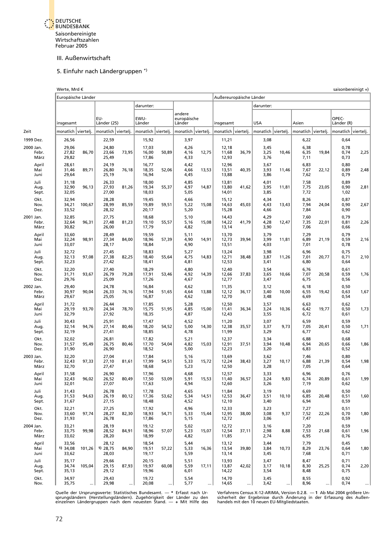

### 5. Einfuhr nach Ländergruppen \*)

<span id="page-50-0"></span>

|                            | Werte, Mrd €               |        |                            |       |                         |       |                       |       |                         |          |                      |       |                      |           | saisonbereinigt +)   |          |
|----------------------------|----------------------------|--------|----------------------------|-------|-------------------------|-------|-----------------------|-------|-------------------------|----------|----------------------|-------|----------------------|-----------|----------------------|----------|
|                            | Europäische Länder         |        |                            |       |                         |       |                       |       | Außereuropäische Länder |          |                      |       |                      |           |                      |          |
|                            |                            |        |                            |       | darunter:               |       |                       |       |                         |          | darunter:            |       |                      |           |                      |          |
|                            |                            |        | EU-                        |       | EWU-                    |       | andere                |       |                         |          |                      |       |                      |           | OPEC-                |          |
|                            | insgesamt                  |        | Länder (25)                |       | Länder                  |       | europäische<br>Länder |       | insgesamt               |          | <b>USA</b>           |       | Asien                |           | Länder (R)           |          |
| Zeit                       | monatlich viertelj.        |        | monatlich viertelj.        |       | monatlich viertelj.     |       | monatlich viertelj.   |       | monatlich viertelj.     |          | monatlich viertelj.  |       | monatlich viertelj.  |           | monatlich viertelj.  |          |
| 1999 Dez.                  | 26,56                      |        | 22,59                      |       | 15,92                   |       | 3,97                  |       | 11,21                   |          | 3,08                 |       | 6,22                 |           | 0,64                 |          |
| 2000 Jan.<br>Febr.<br>März | 29,06<br>27,82<br>29,82    | 86,70  | 24,80<br>23,66<br>25,49    | 73,95 | 17,03<br>16,00<br>17,86 | 50,89 | 4,26<br>4,16<br>4,33  | 12,75 | 12,18<br>11,68<br>12,93 | 36,79    | 3,45<br>3,25<br>3,76 | 10,46 | 6,38<br>6,35<br>7,11 | 19,84     | 0,78<br>0,74<br>0,73 | 2,25     |
| April<br>Mai<br>Juni       | 28,61<br>31,46<br>29,64    | 89,71  | 24,19<br>26,80<br>25,19    | 76,18 | 16,77<br>18,35<br>16,94 | 52,06 | 4,42<br>4,66<br>4,45  | 13,53 | 12,96<br>13,51<br>13,88 | 40,35    | 3,67<br>3,93<br>3,86 | 11,46 | 6,83<br>7,67<br>7,62 | 22,12     | 0,80<br>0,89<br>0,79 | 2,48     |
| Juli<br>Aug.<br>Sept.      | 31,18<br>32,90<br>32,05    | 96,13  | 26,33<br>27,93<br>27,00    | 81,26 | 18,00<br>19,34<br>18,03 | 55,37 | 4,85<br>4,97<br>5,05  | 14,87 | 13,81<br>13,80<br>14,01 | 41,62    | 4,01<br>3,95<br>3,85 | 11,81 | 7,58<br>7,75<br>7,72 | 23,05     | 0,89<br>0,90<br>1,02 | 2,81     |
| Okt.<br>Nov.<br>Dez.       | 32,94<br>34,21<br>33,52    | 100,67 | 28,28<br>28,99<br>28,32    | 85,59 | 19,45<br>19,89<br>20,17 | 59,51 | 4,66<br>5,22<br>5,20  | 15,08 | 15,12<br>14,63<br>15,28 | 45,03    | 4,34<br>4,43<br>4,66 | 13,43 | 8,26<br>7,94<br>7,84 | 24,04     | 0,87<br>0,90<br>0,90 | 2,67     |
| 2001 Jan.<br>Febr.<br>März | 32,85<br>32,64<br>30,82    | 96,31  | 27,75<br>27,48<br>26,00    | 81,23 | 18,68<br>19,10<br>17,79 | 55,57 | 5,10<br>5,16<br>4,82  | 15,08 | 14,43<br>14,22<br>13,14 | 41,79    | 4,29<br>4,28<br>3,90 | 12,47 | 7,60<br>7,35<br>7,06 | 22,01     | 0,79<br>0,81<br>0,66 | 2,26     |
| April<br>Mai<br>Juni       | 33,60<br>32,24<br>33,07    | 98,91  | 28,49<br>27,34<br>28,17    | 84,00 | 19,59<br>18,96<br>18,84 | 57,39 | 5,11<br>4,90<br>4,90  | 14,91 | 13,70<br>12,73<br>13,51 | 39,94    | 3,79<br>3,99<br>4,03 | 11,81 | 7,29<br>6,89<br>7,01 | 21,19     | 0,79<br>0,59<br>0,78 | 2,16     |
| Juli<br>Aug.<br>Sept.      | 32,72<br>32,13<br>32,23    | 97,08  | 27,45<br>27,38<br>27,42    | 82,25 | 18,83<br>18,40<br>18,41 | 55,64 | 5,27<br>4,75<br>4,81  | 14,83 | 13,24<br>12,71<br>12,53 | 38,48    | 3,98<br>3,87<br>3,41 | 11,26 | 6,96<br>7,01<br>6,80 | 20,77     | 0,75<br>0,71<br>0,64 | 2,10     |
| Okt.<br>Nov.<br>Dez.       | 32,20<br>31,71<br>29,76    | 93,67  | 27,40<br>26,79<br>25,09    | 79,28 | 18,29<br>17,91<br>17,26 | 53,46 | 4,80<br>4,92<br>4,67  | 14,39 | 12,40<br>12,66<br>12,77 | 37,83    | 3,54<br>3,65<br>3,47 | 10,66 | 6,76<br>7,07<br>6,75 | 20,58     | 0,61<br>0,59<br>0,56 | 1,76     |
| 2002 Jan.<br>Febr.<br>März | 29,40<br>30,97<br>29,67    | 90,04  | 24,78<br>26,33<br>25,05    | 76,16 | 16,84<br>17,94<br>16,87 | 51,65 | 4,62<br>4,64<br>4,62  | 13,88 | 11,35<br>12,12<br>12,70 | 36,17    | 3,12<br>3,40<br>3,48 | 10,00 | 6,18<br>6,55<br>6,69 | 19,42     | 0,50<br>0,63<br>0,54 | 1,67     |
| April<br>Mai<br>Juni       | 31,72<br>29,19<br>32,79    | 93,70  | 26,44<br>24,34<br>27,92    | 78,70 | 17,85<br>15,75<br>18,35 | 51,95 | 5,28<br>4,85<br>4,87  | 15,00 | 12,50<br>11,41<br>12,43 | 36,34    | 3,57<br>3,24<br>3,55 | 10,36 | 6,63<br>6,42<br>6,72 | 19,77     | 0,62<br>0,50<br>0,61 | 1,73     |
| Juli<br>Aug.<br>Sept.      | 30,43<br>32,14<br>32,19    | 94,76  | 25,91<br>27,14<br>27,41    | 80,46 | 17,47<br>18,20<br>18,85 | 54,52 | 4,52<br>5,00<br>4,78  | 14,30 | 11,20<br>12,38<br>11,99 | 35,57    | 3,07<br>3,37<br>3,29 | 9,73  | 6,59<br>7,05<br>6,77 | 20,41     | 0,59<br>0,50<br>0,62 | 1,71     |
| Okt.<br>Nov.<br>Dez.       | 32,02<br>31,57<br>31,90    | 95,49  | 26,81<br>26,75<br>26,90    | 80,46 | 17,82<br>17,70<br>18,52 | 54,04 | 5,21<br>4,82<br>5,00  | 15,03 | 12,37<br>12,91<br>12,23 | 37,51    | 3,34<br>3,94<br>3,20 | 10,48 | 6,88<br>6,94<br>6,83 | 20,65     | 0,68<br>0,66<br>0,52 | 1,86     |
| 2003 Jan.<br>Febr.<br>März | 32,20<br>32,43<br>32,70    | 97,33  | 27,04<br>27,10<br>27,47    | 81,61 | 17,84<br>17,99<br>18,68 | 54,51 | 5,16<br>5,33<br>5,23  | 15,72 | 13,69<br>12,24<br>12,50 | 38,43    | 3,62<br>3,27<br>3,28 | 10,17 | 7,46<br>6,88<br>7,05 | 21,39     | 0,80<br>0,54<br>0,64 | 1,98     |
| April<br>Mai<br>Juni       | 31,58<br>32,43<br>32,01    | 96,02  | 26,90<br>26,52<br>27,07    | 80,49 | 17,96<br>17,50<br>17,63 | 53,09 | 4,68<br>5,91<br>4,94  | 15,53 | 12,57<br>11,40<br>12,60 | 36,57    | 3,33<br>3,24<br>3,26 | 9,83  | 6,96<br>6,74<br>7,19 | 20,89     | 0,76<br>0,61<br>0,62 | 1,99     |
| Juli<br>Aug.<br>Sept.      | 31,43<br>31,53<br>31,67    | 94,63  | 26,78<br>26,19<br>27,15    | 80,12 | 17,78<br>17,36<br>18,48 | 53,62 | 4,65<br>5,34<br>4,52  | 14,51 | 11,84<br>12,53<br>12,10 | 36,47    | 3,19<br>3,51<br>3,40 | 10,10 | 6,69<br>6,85<br>6,94 | 20,48     | 0,50<br>0,51<br>0,59 | 1,60     |
| Okt.<br>Nov.<br>Dez.       | 32,21<br>33,60<br>31,93    | 97,74  | 27,25<br>28,27<br>26,78    | 82,30 | 17,92<br>18,93<br>17,86 | 54,71 | 4,96<br>5,33<br>5,15  | 15,44 | 12,33<br>12,95<br>12,72 | 38,00    | 3,23<br>3,08<br>3,06 | 9,37  | 7,27<br>7,52<br>7,47 | 22,26     | 0,51<br>0,70<br>0,59 | 1,80     |
| 2004 Jan.<br>Febr.<br>März | 33,21<br>33,75<br>33,02    | 99,98  | 28,19<br>28,52<br>28,20    | 84,91 | 19,12<br>18,96<br>18,99 | 57,07 | 5,02<br>5,23<br>4,82  | 15,07 | 12,72<br>12,54<br>11,85 | 37,11    | 3,16<br>2,98<br>2,74 | 8,88  | 7,20<br>7,53<br>6,95 | 21,68     | 0,59<br>0,61<br>0,76 | 1,96     |
| April<br>Mai<br>Juni       | 33,56<br>1) 34,08<br>33,62 | 101,26 | 28,12<br>1) 28,75<br>28,03 | 84,90 | 18,54<br>19,51<br>19,17 | 57,22 | 5,44<br>5,33<br>5,59  | 16,36 | 13,12<br>13,54<br>13,14 | 39,80    | 3,44<br>3,84<br>3,45 | 10,73 | 7,79<br>8,29<br>7,68 | 23,76     | 0,45<br>0,64<br>0,71 | 1,80     |
| Juli<br>Aug.<br>Sept.      | 35,17<br>34,74<br>35,13    | 105,04 | 29,66<br>29,15<br>29,12    | 87,93 | 20,15<br>19,97<br>19,96 | 60,08 | 5,51<br>5,59<br>6,01  | 17,11 | 13,93<br>13,87<br>14,22 | 42,02    | 3,47<br>3,17<br>3,54 | 10,18 | 8,47<br>8,30<br>8,48 | 25,25     | 0,71<br>0,74<br>0,75 | 2,20     |
| Okt.<br>Nov.               | 34,97<br>35,75             |        | 29,43<br>29,98             |       | 19,72<br>20,08          |       | 5,54<br>5,77          |       | 14,70<br>14,65          | $\ldots$ | 3,45<br>3,42         |       | 8,55<br>8,96         | $\ddotsc$ | 0,92<br>0,74         | $\cdots$ |

Quelle der Ursprungswerte: Statistisches Bundesamt. — \* Erfasst nach Ur- Werfahrens Census X-12-ARIMA, Version 0.2.8. — 1 Ab Mai 2004 größere Un-<br>sprungsländern (Herstellungsländern). Zugehörigkeit der Länder zu den – sich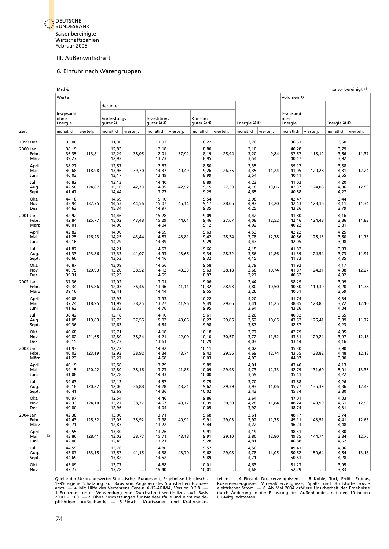#### III. Außenwirtschaft

#### 6. Einfuhr nach Warengruppen

<span id="page-51-0"></span>

|                            | Mrd €                   |           |                           |           |                              |           |                         |           |                      |           |                         |           |                      | saisonbereinigt +) |
|----------------------------|-------------------------|-----------|---------------------------|-----------|------------------------------|-----------|-------------------------|-----------|----------------------|-----------|-------------------------|-----------|----------------------|--------------------|
|                            | Werte                   |           |                           |           |                              |           |                         |           |                      |           | Volumen 1)              |           |                      |                    |
|                            |                         |           | darunter:                 |           |                              |           |                         |           |                      |           |                         |           |                      |                    |
|                            | insgesamt               |           |                           |           |                              |           |                         |           |                      |           | insgesamt               |           |                      |                    |
|                            | ohne<br>Energie         |           | Vorleistungs-<br>güter 2) |           | Investitions-<br>güter 2) 3) |           | Konsum-<br>güter 2) 4)  |           | Energie 2) 5)        |           | ohne<br>Energie         |           | Energie 2) 5)        |                    |
| Zeit                       | monatlich               | viertelj. | monatlich                 | viertelj. | monatlich                    | vierteli. | monatlich               | vierteli. | monatlich            | viertelj. | monatlich               | vierteli. | monatlich            | viertelj.          |
| 1999 Dez.                  | 35,06                   |           | 11,30                     |           | 11,93                        |           | 8,22                    |           | 2,76                 |           | 36,51                   |           | 3,60                 |                    |
| 2000 Jan.                  | 38,19                   |           | 12,83                     |           | 12,18                        |           | 8,80                    |           | 3,10                 |           | 40,28                   |           | 3,79                 |                    |
| Febr.<br>März              | 36,35<br>39,27          | 113,81    | 12,29<br>12,93            | 38,05     | 12,01<br>13,73               | 37,92     | 8,19<br>8,95            | 25,94     | 3,20<br>3,54         | 9,84      | 37,67<br>40,17          | 118,12    | 3,66<br>3,92         | 11,37              |
| April<br>Mai<br>Juni       | 38,27<br>40,68<br>40,03 | 118,98    | 12,57<br>13,96<br>13,17   | 39,70     | 12,63<br>14,37<br>13,49      | 40,49     | 8,50<br>9,26<br>8,99    | 26,75     | 3,35<br>4,35<br>3,54 | 11,24     | 39,12<br>41,05<br>40,11 | 120,28    | 3,88<br>4,81<br>3,55 | 12,24              |
| Juli<br>Aug.<br>Sept.      | 40,82<br>42,58<br>41,47 | 124,87    | 13,13<br>15,16<br>14,44   | 42,73     | 14,40<br>14,35<br>13,77      | 42,52     | 8,89<br>9,15<br>9,29    | 27,33     | 4,23<br>4,18<br>4,65 | 13,06     | 41,03<br>42,37<br>40,68 | 124,08    | 4,20<br>4,06<br>4,27 | 12,53              |
| Okt.<br>Nov.<br>Dez.       | 44,18<br>43,94<br>44,63 | 132,75    | 14,69<br>14,53<br>15,34   | 44,56     | 15,10<br>15,07<br>14,97      | 45,14     | 9,54<br>9,17<br>9,35    | 28,06     | 3,98<br>4,97<br>4,25 | 13,20     | 42,47<br>42,43<br>43,26 | 128,16    | 3,44<br>4,11<br>3,79 | 11,34              |
| 2001 Jan.<br>Febr.<br>März | 42,92<br>42,84<br>40,01 | 125,77    | 14,46<br>15,02<br>14,00   | 43,48     | 15,28<br>15,29<br>14,04      | 44,61     | 9,09<br>9,46<br>9,12    | 27,67     | 4,42<br>4,08<br>4,02 | 12,52     | 41,80<br>42,46<br>40,22 | 124,48    | 4,16<br>3,86<br>3,81 | 11,83              |
| April<br>Mai<br>Juni       | 42,82<br>41,25<br>42,16 | 126,23    | 14,90<br>14,25<br>14,29   | 43,44     | 14,59<br>14,83<br>14,39      | 43,81     | 9,63<br>9,42<br>9,29    | 28,34     | 4,53<br>3,78<br>4,47 | 12,78     | 42,22<br>40,86<br>42,05 | 125,13    | 4,25<br>3,50<br>3,98 | 11,73              |
| Juli<br>Aug.<br>Sept.      | 41,87<br>41,33<br>40,66 | 123,86    | 14,21<br>13,33<br>13,53   | 41,07     | 14,57<br>14,93<br>14,16      | 43,66     | 9,66<br>9,34<br>9,32    | 28,32     | 4,15<br>3,56<br>4,15 | 11,86     | 41,82<br>41,39<br>41,33 | 124,54    | 3,83<br>3,73<br>4,35 | 11,91              |
| Okt.<br>Nov.<br>Dez.       | 40,87<br>40,75<br>39,31 | 120,93    | 13,09<br>13,20<br>12,23   | 38,52     | 14,56<br>14,12<br>14,65      | 43,33     | 9,58<br>9,63<br>8,97    | 28,18     | 3,79<br>3,68<br>3,27 | 10,74     | 41,92<br>41,87<br>40,52 | 124,31    | 4,17<br>4,08<br>4,02 | 12,27              |
| 2002 Jan.<br>Febr.<br>März | 37,36<br>39,34<br>39,16 | 115,86    | 12,02<br>12,03<br>12,41   | 36,46     | 13,01<br>13,96<br>14,14      | 41,11     | 9,06<br>10,32<br>9,55   | 28,93     | 3,44<br>3,80<br>3,26 | 10,50     | 38,29<br>40,50<br>40,51 | 119,30    | 3,99<br>4,20<br>3,59 | 11,78              |
| April<br>Mai<br>Juni       | 40,08<br>37,24<br>41,63 | 118,95    | 12,93<br>11,99<br>13,33   | 38,25     | 13,93<br>13,27<br>14,76      | 41,96     | 10,22<br>9,49<br>9,95   | 29,66     | 4,20<br>3,41<br>3,64 | 11,25     | 41,74<br>38,85<br>43,26 | 123,85    | 4,34<br>3,72<br>4,04 | 12,10              |
| Juli<br>Aug.<br>Sept.      | 38,42<br>41,05<br>40,36 | 119,83    | 12,18<br>12,75<br>12,63   | 37,56     | 14,10<br>15,02<br>14,54      | 43,66     | 9,61<br>10,27<br>9,98   | 29,86     | 3,26<br>3,52<br>3,87 | 10,65     | 40,32<br>43,52<br>42,57 | 126,41    | 3,65<br>3,89<br>4,23 | 11,77              |
| Okt.<br>Nov.<br>Dez.       | 40,68<br>40,82<br>40,15 | 121,65    | 12,71<br>12,80<br>12,73   | 38,24     | 14,18<br>14,21<br>13,61      | 42,00     | 10,18<br>10,10<br>10,29 | 30,57     | 3,77<br>3,72<br>4,03 | 11,52     | 42,79<br>43,31<br>43,14 | 129,24    | 4,05<br>3,97<br>4,16 | 12,18              |
| 2003 Jan.<br>Febr.<br>März | 41,93<br>40,03<br>41,23 | 123,19    | 12,72<br>12,93<br>13,27   | 38,92     | 14,82<br>14,34<br>14,58      | 43,74     | 10, 11<br>9,42<br>10,03 | 29,56     | 4,02<br>4,69<br>4,03 | 12,74     | 45,30<br>43,55<br>44,97 | 133,82    | 3,90<br>4,48<br>3,80 | 12,18              |
| April<br>Mai<br>Juni       | 40,19<br>39,15<br>41,08 | 120,42    | 12,58<br>12,80<br>12,78   | 38,16     | 13,79<br>13,73<br>14,33      | 41,85     | 9,89<br>10,09<br>10,00  | 29,98     | 4,01<br>4,73<br>3,59 | 12,33     | 43,40<br>42,79<br>45,41 | 131,60    | 4,13<br>5,01<br>4,22 | 13,36              |
| Juli<br>Aug.<br>Sept.      | 39,63<br>40,18<br>40,41 | 120,22    | 12,13<br>12,06<br>12,69   | 36,88     | 14,57<br>14,28<br>14,36      | 43,21     | 9,75<br>9,62<br>10,02   | 29,39     | 3,70<br>3,93<br>3,43 | 11,06     | 43,88<br>45,77<br>45,74 | 135,39    | 4,26<br>4,36<br>3,80 | 12,42              |
| Okt.<br>Nov.<br>Dez.       | 40,97<br>42,33<br>40,80 | 124,10    | 12,54<br>13,27<br>12,96   | 38,77     | 14,46<br>14,67<br>14,04      | 43,17     | 9,86<br>10,39<br>10,05  | 30,30     | 3,64<br>4,28<br>3,92 | 11,84     | 47,01<br>48,24<br>48,74 | 143,99    | 4,03<br>4,61<br>4,31 | 12,95              |
| 2004 Jan.<br>Febr.<br>März | 42,38<br>42,43<br>40,71 | 125,52    | 13,00<br>13,05<br>12,87   | 38,92     | 13,71<br>13,98<br>13,22      | 40,91     | 9,68<br>9,91<br>9,44    | 29,03     | 3,61<br>3,92<br>4,22 | 11,75     | 48,17<br>49,11<br>46,23 | 143,51    | 3,74<br>4,41<br>4,48 | 12,63              |
| April<br>6)<br>Mai<br>Juni | 42,55<br>43,86<br>42,00 | 128,41    | 13,30<br>13,02<br>12,45   | 38,77     | 13,76<br>15,71<br>13,71      | 43,18     | 9,91<br>9,91<br>9,28    | 29,10     | 4,19<br>3,80<br>4,81 | 12,80     | 48,51<br>49,35<br>46,88 | 144,74    | 4,30<br>3,84<br>4,62 | 12,76              |
| Juli<br>Aug.<br>Sept.      | 44,59<br>43,87<br>44,69 | 133,15    | 13,76<br>13,57<br>13,82   | 41,15     | 14,80<br>14,38<br>14,52      | 43,70     | 9,57<br>9,62<br>9,89    | 29,08     | 4,56<br>4,78<br>4,71 | 14,05     | 49,41<br>50,62<br>50,61 | 150,64    | 4,36<br>4,54<br>4,28 | 13,18              |
| Okt.<br>Nov.               | 45,09<br>45,77          | $\cdots$  | 13,77<br>13,78            |           | 14,68<br>15,40               |           | 10,01<br>10,01          |           | 4,63<br>4,68         |           | 51,23<br>52,29          | $\ddotsc$ | 3,95<br>3,83         |                    |

Quelle der Ursprungswerte: Statistisches Bundesamt; Ergebnisse bis einschl. teilen. — 4 Einschl. Druckerzeugnissen. — 5 Kohle, Torf, Erdöl, Erdgas, 1999 eigene Schätzung auf Basis von Angaben des Statistischen Bundes – Koh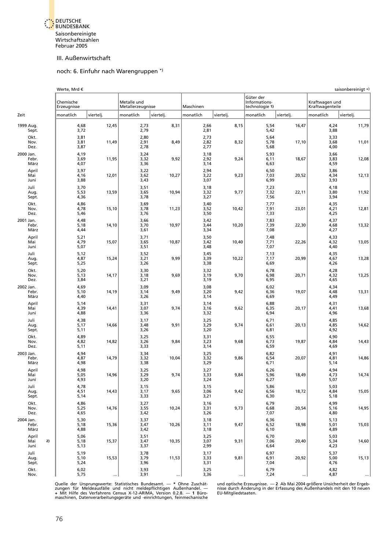

### noch: 6. Einfuhr nach Warengruppen \*)

<span id="page-52-0"></span>

|                            | Werte, Mrd €             |           |                                  |           |                      |           |                                              |           |                                   | saisonbereinigt +) |
|----------------------------|--------------------------|-----------|----------------------------------|-----------|----------------------|-----------|----------------------------------------------|-----------|-----------------------------------|--------------------|
|                            | Chemische<br>Erzeugnisse |           | Metalle und<br>Metallerzeugnisse |           | Maschinen            |           | Güter der<br>Informations-<br>technologie 1) |           | Kraftwagen und<br>Kraftwagenteile |                    |
| Zeit                       | monatlich                | viertelj. | monatlich                        | viertelj. | monatlich            | viertelj. | monatlich                                    | viertelj. | monatlich                         | viertelj.          |
| 1999 Aug.<br>Sept.         | 4,68<br>3,72             | 12,45     | 2,73<br>2,79                     | 8,31      | 2,66<br>2,81         | 8,15      | 5,54<br>5,42                                 | 16,47     | 4,24<br>3,88                      | 11,79              |
| Okt.<br>Nov.<br>Dez.       | 3,81<br>3,81<br>3,87     | 11,49     | 2,80<br>2,91<br>2,78             | 8,49      | 2,73<br>2,82<br>2,77 | 8,32      | 5,64<br>5,78<br>5,68                         | 17,10     | 3,33<br>3,68<br>4,00              | 11,01              |
| 2000 Jan.<br>Febr.<br>März | 4,19<br>3,69<br>4,07     | 11,95     | 3,24<br>3,32<br>3,36             | 9,92      | 3,18<br>2,92<br>3,14 | 9,24      | 5,93<br>6,11<br>6,63                         | 18,67     | 3,66<br>3,83<br>4,59              | 12,08              |
| April<br>Mai<br>Juni       | 3,97<br>4,16<br>3,88     | 12,01     | 3,22<br>3,62<br>3,43             | 10,27     | 2,94<br>3,22<br>3,07 | 9,23      | 6,50<br>7,03<br>6,99                         | 20,52     | 3,86<br>4,34<br>3,93              | 12,13              |
| Juli<br>Aug.<br>Sept.      | 3,70<br>5,53<br>4,36     | 13,59     | 3,51<br>3,65<br>3,78             | 10,94     | 3,18<br>3,32<br>3,27 | 9,77      | 7,23<br>7,32<br>7,56                         | 22,11     | 4,18<br>3,80<br>3,94              | 11,92              |
| Okt.<br>Nov.<br>Dez.       | 4,86<br>4,78<br>5,46     | 15,10     | 3,69<br>3,78<br>3,76             | 11,23     | 3,40<br>3,52<br>3,50 | 10,42     | 7,77<br>7,91<br>7,33                         | 23,01     | 4,35<br>4,21<br>4,25              | 12,81              |
| 2001 Jan.<br>Febr.<br>März | 4,48<br>5,18<br>4,44     | 14,10     | 3,66<br>3,70<br>3,61             | 10,97     | 3,42<br>3,44<br>3,34 | 10,20     | 7,83<br>7,39<br>7,08                         | 22,30     | 4,37<br>4,68<br>4,27              | 13,32              |
| April<br>Mai<br>Juni       | 5,21<br>4,79<br>5,07     | 15,07     | 3,71<br>3,65<br>3,51             | 10,87     | 3,50<br>3,42<br>3,48 | 10,40     | 7,48<br>7,71<br>7,07                         | 22,26     | 4,33<br>4,32<br>4,40              | 13,05              |
| Juli<br>Aug.<br>Sept.      | 5,12<br>4,87<br>5,25     | 15,24     | 3,52<br>3,21<br>3,26             | 9,99      | 3,45<br>3,39<br>3,38 | 10,22     | 7,13<br>7,17<br>6,69                         | 20,99     | 4,35<br>4,67<br>4,26              | 13,28              |
| Okt.<br>Nov.<br>Dez.       | 5,20<br>5,13<br>3,84     | 14,17     | 3,30<br>3,18<br>3,21             | 9,69      | 3,32<br>3,19<br>3,19 | 9,70      | 6,78<br>6,98<br>6,95                         | 20,71     | 4,28<br>4,32<br>4,65              | 13,25              |
| 2002 Jan.<br>Febr.<br>März | 4,69<br>5,10<br>4,40     | 14,19     | 3,09<br>3,14<br>3,26             | 9,49      | 3,08<br>3,20<br>3,14 | 9,42      | 6,02<br>6,36<br>6,69                         | 19,07     | 4,34<br>4,48<br>4,49              | 13,31              |
| April<br>Mai<br>Juni       | 5,14<br>4,39<br>4,88     | 14,41     | 3,31<br>3,07<br>3,36             | 9,74      | 3,14<br>3,16<br>3,32 | 9,62      | 6,88<br>6,35<br>6,94                         | 20,17     | 4,31<br>4,41<br>4,96              | 13,68              |
| Juli<br>Aug.<br>Sept.      | 4,38<br>5,17<br>5,11     | 14,66     | 3,17<br>3,48<br>3,26             | 9,91      | 3,25<br>3,29<br>3,20 | 9,74      | 6,71<br>6,61<br>6,81                         | 20,13     | 4,85<br>4,85<br>4,92              | 14,62              |
| Okt.<br>Nov.<br>Dez.       | 4,89<br>4,82<br>5,11     | 14,82     | 3,25<br>3,26<br>3,33             | 9,84      | 3,31<br>3,23<br>3,14 | 9,68      | 6,55<br>6,73<br>6,59                         | 19,87     | 4,90<br>4,84<br>4,69              | 14,43              |
| 2003 Jan.<br>Febr.<br>März | 4,94<br>4,87<br>4,98     | 14,79     | 3,34<br>3,32<br>3,38             | 10,04     | 3,25<br>3,32<br>3,29 | 9,86      | 6,82<br>6,54<br>6,71                         | 20,07     | 4,91<br>4,81<br>5,14              | 14,86              |
| April<br>Mai<br>Juni       | 4,98<br>5,05<br>4,93     | 14,96     | 3,25<br>3,29<br>3,20             | 9,74      | 3,27<br>3,33<br>3,24 | 9,84      | 6,26<br>5,96<br>6,27                         | 18,49     | 4,94<br>4,73<br>5,07              | 14,74              |
| Juli<br>Aug.<br>Sept.      | 4,78<br>4,51<br>5,14     | 14,43     | 3,15<br>3,17<br>3,33             | 9,65      | 3,15<br>3,06<br>3,21 | 9,42      | 5,86<br>6,56<br>6,30                         | 18,72     | 5,03<br>4,84<br>5,18              | 15,05              |
| Okt.<br>Nov.<br>Dez.       | 4,86<br>5,25<br>4,65     | 14,76     | 3,27<br>3,55<br>3,42             | 10,24     | 3,16<br>3,31<br>3,26 | 9,73      | 6,79<br>6,68<br>7,07                         | 20,54     | 4,99<br>5,16<br>4,80              | 14,95              |
| 2004 Jan.<br>Febr.<br>März | 5,30<br>5,18<br>4,88     | 15,36     | 3,37<br>3,47<br>3,42             | 10,26     | 3,18<br>3,11<br>3,18 | 9,47      | 6,36<br>6,52<br>6,10                         | 18,98     | 5,13<br>5,01<br>4,89              | 15,03              |
| April<br>2)<br>Mai<br>Juni | 5,06<br>5,18<br>5,13     | 15,37     | 3,51<br>3,47<br>3,37             | 10,35     | 3,25<br>3,07<br>2,99 | 9,31      | 6,70<br>7,06<br>6,64                         | 20,40     | 5,03<br>5,34<br>4,23              | 14,60              |
| Juli<br>Aug.<br>Sept.      | 5,19<br>5,10<br>5,24     | 15,53     | 3,78<br>3,79<br>3,96             | 11,53     | 3,17<br>3,33<br>3,31 | 9,81      | 6,97<br>6,91<br>7,04                         | 20,92     | 5,37<br>5,00<br>4,76              | 15,13              |
| Okt.<br>Nov.               | 6,02<br>5,75             |           | 3,93<br>3,91                     |           | 3,25<br>3,36         |           | 6,79<br>7,24                                 |           | 4,82<br>4,87                      |                    |

Quelle der Ursprungswerte: Statistisches Bundesamt. — \* Ohne Zuschät- und optische Erzeugnisse. — 2 Ab Mai 2004 größere Unsicherheit der Ergeb-<br>zungen für Meldeausfälle und nicht meldepflichtigen Außenhandel. — misse durch

ا ...<br>- und optische Erzeugnisse. — 2 Ab Mai 2004 größere Unsicherheit der Ergeb-<br>- nisse durch Änderung in der Erfassung des Außenhandels mit den 10 neuen<br>- EU-Mitgliedstaaten.